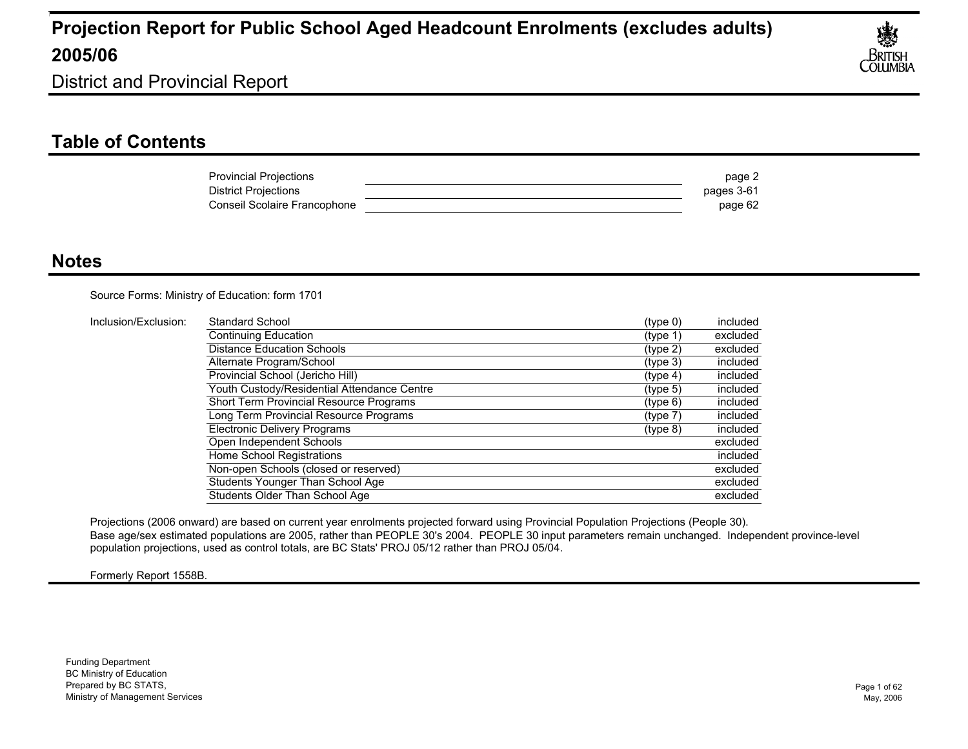

District and Provincial Report

### **Table of Contents**

| <b>Provincial Projections</b> | page 2     |
|-------------------------------|------------|
| District Projections          | pages 3-61 |
| Conseil Scolaire Francophone  | page 62    |

#### **Notes**

Source Forms: Ministry of Education: form 1701

| Inclusion/Exclusion: | Standard School                             | (type 0)             | included |
|----------------------|---------------------------------------------|----------------------|----------|
|                      | Continuing Education                        | (type 1)             | excluded |
|                      | <b>Distance Education Schools</b>           | $(t$ ype 2)          | excluded |
|                      | Alternate Program/School                    | (tvpe 3)             | included |
|                      | Provincial School (Jericho Hill)            | (typ <sub>e</sub> 4) | included |
|                      | Youth Custody/Residential Attendance Centre | (tvpe 5)             | included |
|                      | Short Term Provincial Resource Programs     | (type 6)             | included |
|                      | Long Term Provincial Resource Programs      | (type 7)             | included |
|                      | Electronic Delivery Programs                | (type 8)             | included |
|                      | Open Independent Schools                    |                      | excluded |
|                      | Home School Registrations                   |                      | included |
|                      | Non-open Schools (closed or reserved)       |                      | excluded |
|                      | Students Younger Than School Age            |                      | excluded |
|                      | Students Older Than School Age              |                      | excluded |

Projections (2006 onward) are based on current year enrolments projected forward using Provincial Population Projections (People 30). Base age/sex estimated populations are 2005, rather than PEOPLE 30's 2004. PEOPLE 30 input parameters remain unchanged. Independent province-level population projections, used as control totals, are BC Stats' PROJ 05/12 rather than PROJ 05/04.

Formerly Report 1558B.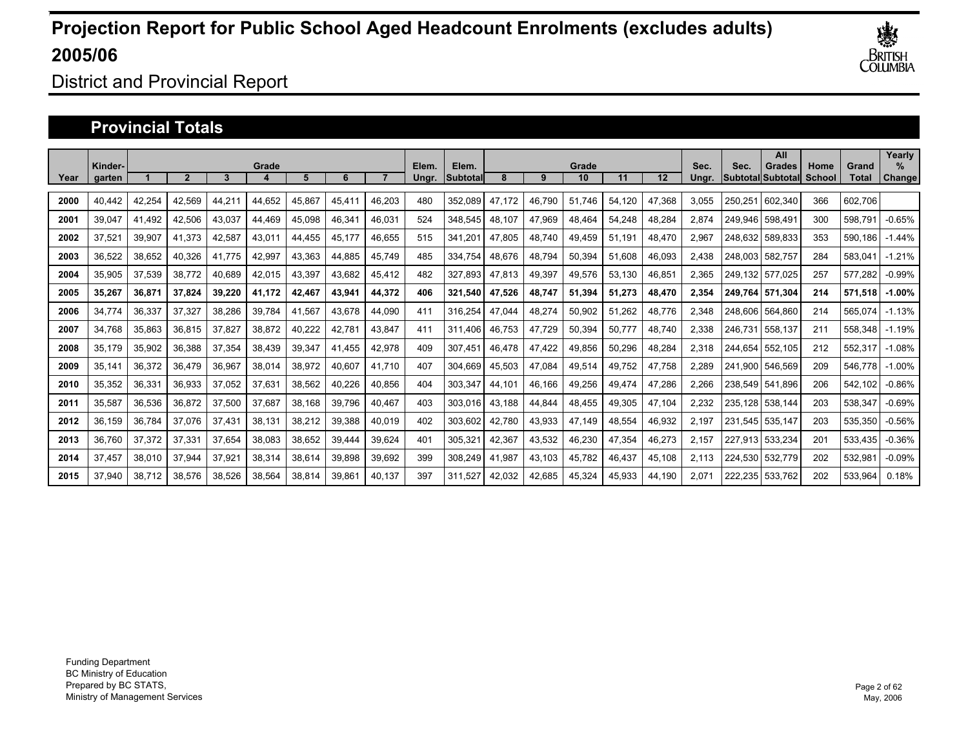

### District and Provincial Report

#### **Provincial Totals**

|      | Kinder- |        |                |        | Grade  |        |        |        | Elem. | Elem.    |        |        | Grade  |        |        | Sec.  | Sec.    | All<br>Grades     | Home   | Grand   | Yearly<br>$\%$ |
|------|---------|--------|----------------|--------|--------|--------|--------|--------|-------|----------|--------|--------|--------|--------|--------|-------|---------|-------------------|--------|---------|----------------|
| Year | garten  |        | $\overline{2}$ | 3      |        | 5      | 6      |        | Ungr. | Subtotal | 8      | 9      | 10     | 11     | 12     | Unar. |         | Subtotal Subtotal | School | Total   | Change         |
| 2000 | 40.442  | 42,254 | 42,569         | 44,211 | 44,652 | 45,867 | 45,411 | 46,203 | 480   | 352,089  | 47.172 | 46.790 | 51.746 | 54.120 | 47,368 | 3.055 | 250.251 | 602,340           | 366    | 602.706 |                |
| 2001 | 39,047  | 41.492 | 42,506         | 43,037 | 44.469 | 45,098 | 46,341 | 46,031 | 524   | 348,545  | 48,107 | 47,969 | 48,464 | 54,248 | 48,284 | 2,874 | 249.946 | 598.491           | 300    | 598.79  | $-0.65%$       |
| 2002 | 37.521  | 39,907 | 41,373         | 42,587 | 43,011 | 44.455 | 45,177 | 46.655 | 515   | 341.20   | 47.805 | 48.740 | 49,459 | 51.191 | 48.470 | 2,967 | 248.632 | 589.833           | 353    | 590.186 | $-1.44%$       |
| 2003 | 36.522  | 38.652 | 40.326         | 41.775 | 42,997 | 43.363 | 44.885 | 45.749 | 485   | 334.754  | 48.676 | 48.794 | 50,394 | 51.608 | 46.093 | 2.438 | 248.003 | 582.757           | 284    | 583.041 | $-1.21%$       |
| 2004 | 35,905  | 37,539 | 38,772         | 40,689 | 42,015 | 43,397 | 43,682 | 45,412 | 482   | 327,893  | 47,813 | 49,397 | 49,576 | 53,130 | 46,851 | 2,365 | 249.132 | 577.025           | 257    | 577,282 | $-0.99%$       |
| 2005 | 35,267  | 36,871 | 37,824         | 39,220 | 41,172 | 42,467 | 43,941 | 44,372 | 406   | 321,540  | 47,526 | 48,747 | 51,394 | 51,273 | 48,470 | 2,354 | 249.764 | 571.304           | 214    | 571,518 | $-1.00%$       |
| 2006 | 34,774  | 36,337 | 37,327         | 38,286 | 39,784 | 41,567 | 43,678 | 44,090 | 411   | 316,254  | 47,044 | 48,274 | 50,902 | 51,262 | 48,776 | 2,348 | 248,606 | 564,860           | 214    | 565,074 | $-1.13%$       |
| 2007 | 34,768  | 35,863 | 36,815         | 37,827 | 38,872 | 40,222 | 42,781 | 43,847 | 411   | 311.406  | 46,753 | 47,729 | 50,394 | 50,777 | 48,740 | 2,338 | 246,731 | 558,137           | 211    | 558,348 | $-1.19%$       |
| 2008 | 35,179  | 35,902 | 36,388         | 37,354 | 38,439 | 39,347 | 41,455 | 42,978 | 409   | 307,451  | 46,478 | 47,422 | 49,856 | 50,296 | 48,284 | 2,318 | 244.654 | 552.105           | 212    | 552,317 | $-1.08%$       |
| 2009 | 35.141  | 36,372 | 36,479         | 36.967 | 38,014 | 38,972 | 40,607 | 41.710 | 407   | 304.669  | 45,503 | 47.084 | 49,514 | 49,752 | 47,758 | 2.289 | 241.900 | 546.569           | 209    | 546.778 | $-1.00%$       |
| 2010 | 35,352  | 36,331 | 36,933         | 37,052 | 37,631 | 38,562 | 40,226 | 40,856 | 404   | 303,347  | 44,101 | 46,166 | 49,256 | 49,474 | 47,286 | 2,266 |         | 238,549 541,896   | 206    | 542,102 | $-0.86%$       |
| 2011 | 35,587  | 36,536 | 36,872         | 37,500 | 37,687 | 38,168 | 39,796 | 40,467 | 403   | 303,016  | 43,188 | 44,844 | 48,455 | 49,305 | 47,104 | 2,232 | 235,128 | 538.144           | 203    | 538,347 | $-0.69%$       |
| 2012 | 36,159  | 36,784 | 37,076         | 37,431 | 38,131 | 38,212 | 39,388 | 40,019 | 402   | 303,602  | 42,780 | 43,933 | 47,149 | 48,554 | 46,932 | 2,197 | 231,545 | 535.147           | 203    | 535,350 | $-0.56%$       |
| 2013 | 36,760  | 37,372 | 37,331         | 37,654 | 38,083 | 38,652 | 39,444 | 39,624 | 401   | 305,321  | 42,367 | 43,532 | 46,230 | 47,354 | 46,273 | 2,157 | 227.913 | 533,234           | 201    | 533,435 | $-0.36%$       |
| 2014 | 37,457  | 38,010 | 37,944         | 37,921 | 38,314 | 38,614 | 39,898 | 39,692 | 399   | 308,249  | 41,987 | 43,103 | 45,782 | 46,437 | 45,108 | 2,113 | 224.530 | 532.779           | 202    | 532,981 | $-0.09%$       |
| 2015 | 37.940  | 38,712 | 38.576         | 38.526 | 38,564 | 38,814 | 39.861 | 40,137 | 397   | 311.527  | 42,032 | 42,685 | 45,324 | 45,933 | 44,190 | 2.071 | 222.235 | 533.762           | 202    | 533,964 | 0.18%          |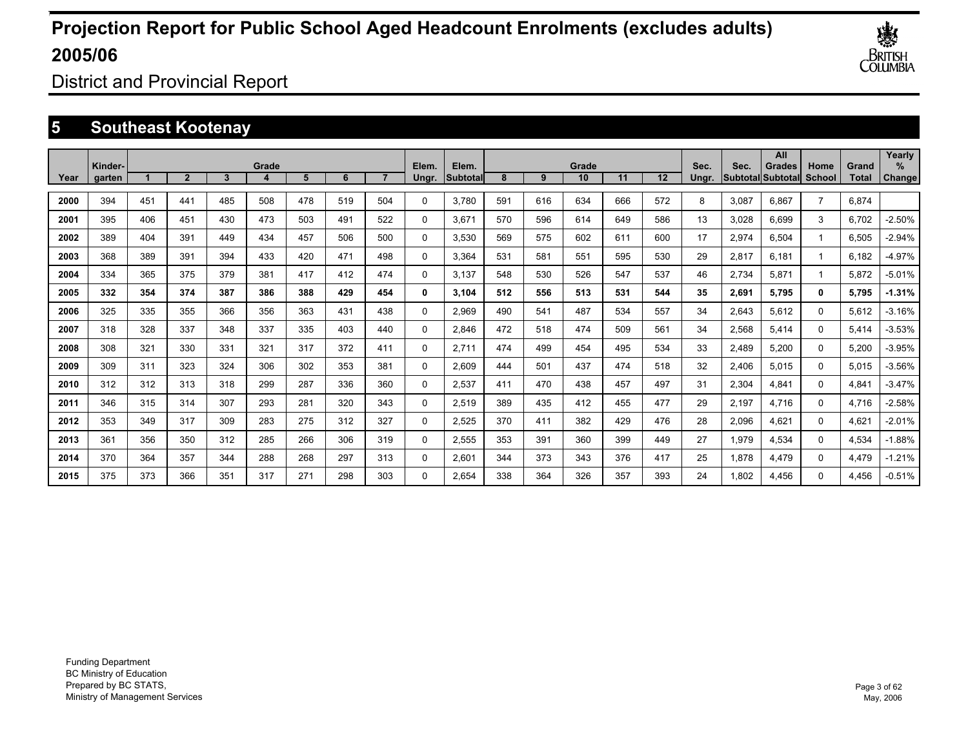

District and Provincial Report

### **5 Southeast Kootenay**

|      |                   |     |                |     |       |     |     |     |                |                          |     |     |             |     |     |               |       | All                                |                |                       | Yearly         |
|------|-------------------|-----|----------------|-----|-------|-----|-----|-----|----------------|--------------------------|-----|-----|-------------|-----|-----|---------------|-------|------------------------------------|----------------|-----------------------|----------------|
| Year | Kinder-<br>garten |     | $\overline{2}$ | 3   | Grade | 5   | 6   |     | Elem.<br>Ungr. | Elem.<br><b>Subtotal</b> | 8   | 9   | Grade<br>10 | 11  | 12  | Sec.<br>Unar. | Sec.  | Grades<br><b>Subtotal Subtotal</b> | Home<br>School | Grand<br><b>Total</b> | $\%$<br>Change |
|      |                   |     |                |     |       |     |     |     |                |                          |     |     |             |     |     |               |       |                                    |                |                       |                |
| 2000 | 394               | 451 | 441            | 485 | 508   | 478 | 519 | 504 | $\Omega$       | 3.780                    | 591 | 616 | 634         | 666 | 572 | 8             | 3,087 | 6.867                              | $\overline{7}$ | 6.874                 |                |
| 2001 | 395               | 406 | 451            | 430 | 473   | 503 | 491 | 522 | 0              | 3.671                    | 570 | 596 | 614         | 649 | 586 | 13            | 3,028 | 6.699                              | 3              | 6,702                 | $-2.50%$       |
| 2002 | 389               | 404 | 391            | 449 | 434   | 457 | 506 | 500 | 0              | 3,530                    | 569 | 575 | 602         | 611 | 600 | 17            | 2,974 | 6,504                              | 1              | 6,505                 | $-2.94%$       |
| 2003 | 368               | 389 | 391            | 394 | 433   | 420 | 471 | 498 | 0              | 3,364                    | 531 | 581 | 551         | 595 | 530 | 29            | 2,817 | 6.181                              | $\overline{ }$ | 6.182                 | $-4.97%$       |
| 2004 | 334               | 365 | 375            | 379 | 381   | 417 | 412 | 474 | 0              | 3.137                    | 548 | 530 | 526         | 547 | 537 | 46            | 2,734 | 5,871                              | 1              | 5,872                 | $-5.01%$       |
| 2005 | 332               | 354 | 374            | 387 | 386   | 388 | 429 | 454 | 0              | 3.104                    | 512 | 556 | 513         | 531 | 544 | 35            | 2,691 | 5,795                              | 0              | 5,795                 | $-1.31%$       |
| 2006 | 325               | 335 | 355            | 366 | 356   | 363 | 431 | 438 | 0              | 2,969                    | 490 | 541 | 487         | 534 | 557 | 34            | 2,643 | 5,612                              | $\Omega$       | 5,612                 | $-3.16%$       |
| 2007 | 318               | 328 | 337            | 348 | 337   | 335 | 403 | 440 | 0              | 2,846                    | 472 | 518 | 474         | 509 | 561 | 34            | 2,568 | 5,414                              | $\Omega$       | 5,414                 | $-3.53%$       |
| 2008 | 308               | 321 | 330            | 331 | 321   | 317 | 372 | 411 | 0              | 2.711                    | 474 | 499 | 454         | 495 | 534 | 33            | 2,489 | 5,200                              | 0              | 5,200                 | $-3.95%$       |
| 2009 | 309               | 311 | 323            | 324 | 306   | 302 | 353 | 381 | 0              | 2,609                    | 444 | 501 | 437         | 474 | 518 | 32            | 2,406 | 5,015                              | 0              | 5,015                 | $-3.56%$       |
| 2010 | 312               | 312 | 313            | 318 | 299   | 287 | 336 | 360 | 0              | 2,537                    | 411 | 470 | 438         | 457 | 497 | 31            | 2,304 | 4,841                              | 0              | 4,841                 | $-3.47%$       |
| 2011 | 346               | 315 | 314            | 307 | 293   | 281 | 320 | 343 | 0              | 2,519                    | 389 | 435 | 412         | 455 | 477 | 29            | 2,197 | 4,716                              | 0              | 4,716                 | $-2.58%$       |
| 2012 | 353               | 349 | 317            | 309 | 283   | 275 | 312 | 327 | 0              | 2,525                    | 370 | 411 | 382         | 429 | 476 | 28            | 2,096 | 4.621                              | 0              | 4,621                 | $-2.01%$       |
| 2013 | 361               | 356 | 350            | 312 | 285   | 266 | 306 | 319 | 0              | 2,555                    | 353 | 391 | 360         | 399 | 449 | 27            | 1,979 | 4,534                              | $\Omega$       | 4,534                 | $-1.88%$       |
| 2014 | 370               | 364 | 357            | 344 | 288   | 268 | 297 | 313 | 0              | 2.601                    | 344 | 373 | 343         | 376 | 417 | 25            | 1,878 | 4,479                              | $\Omega$       | 4,479                 | $-1.21%$       |
| 2015 | 375               | 373 | 366            | 351 | 317   | 271 | 298 | 303 | $\Omega$       | 2.654                    | 338 | 364 | 326         | 357 | 393 | 24            | 1.802 | 4.456                              | $\Omega$       | 4.456                 | $-0.51%$       |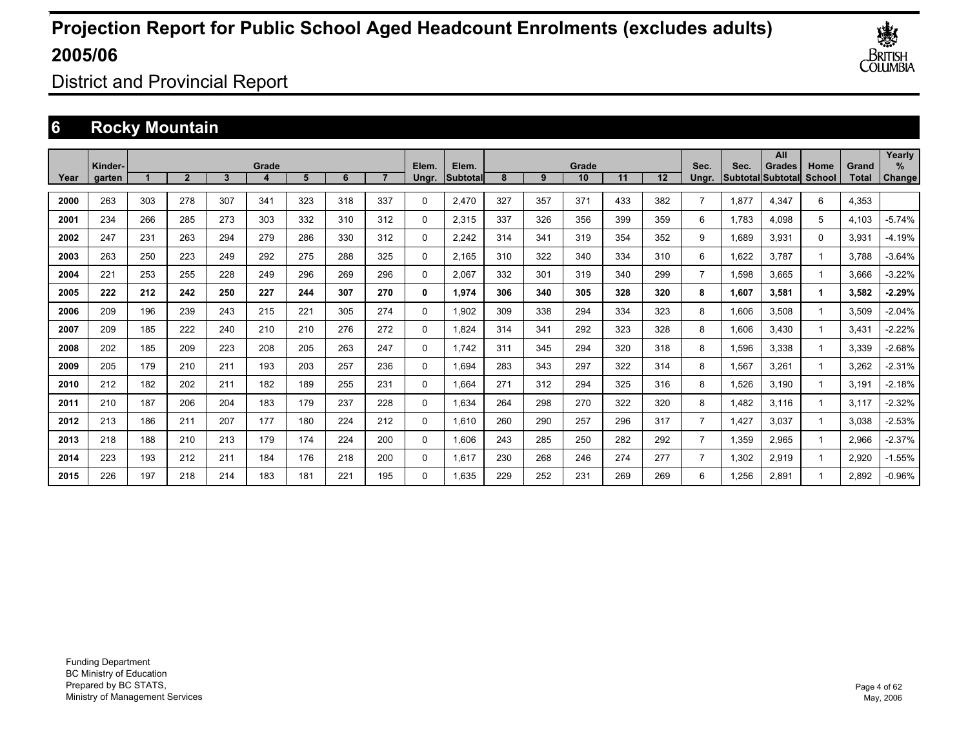

District and Provincial Report

### **6 Rocky Mountain**

|      | Kinder- |     |                |     | Grade |     |     |     | Elem.       | Elem.     |     |     | Grade |     |     | Sec.           | Sec.  | All<br><b>Grades</b> | Home     | Grand        | Yearly<br>% |
|------|---------|-----|----------------|-----|-------|-----|-----|-----|-------------|-----------|-----|-----|-------|-----|-----|----------------|-------|----------------------|----------|--------------|-------------|
| Year | garten  |     | $\overline{2}$ | 3   |       | 5   | 6   |     | Ungr.       | Subtotall | 8   | 9   | 10    | 11  | 12  | Ungr.          |       | Subtotal Subtotal    | School   | <b>Total</b> | Change      |
| 2000 | 263     | 303 | 278            | 307 | 341   | 323 | 318 | 337 | 0           | 2,470     | 327 | 357 | 371   | 433 | 382 | $\overline{7}$ | 1,877 | 4,347                | 6        | 4,353        |             |
| 2001 | 234     | 266 | 285            | 273 | 303   | 332 | 310 | 312 | 0           | 2,315     | 337 | 326 | 356   | 399 | 359 | 6              | 1.783 | 4.098                | 5        | 4,103        | $-5.74%$    |
| 2002 | 247     | 231 | 263            | 294 | 279   | 286 | 330 | 312 | 0           | 2,242     | 314 | 341 | 319   | 354 | 352 | 9              | 1,689 | 3,931                | $\Omega$ | 3,931        | $-4.19%$    |
| 2003 | 263     | 250 | 223            | 249 | 292   | 275 | 288 | 325 | 0           | 2,165     | 310 | 322 | 340   | 334 | 310 | 6              | 1,622 | 3,787                |          | 3.788        | $-3.64%$    |
| 2004 | 221     | 253 | 255            | 228 | 249   | 296 | 269 | 296 | 0           | 2,067     | 332 | 301 | 319   | 340 | 299 | $\overline{7}$ | 1,598 | 3.665                |          | 3.666        | $-3.22%$    |
| 2005 | 222     | 212 | 242            | 250 | 227   | 244 | 307 | 270 | 0           | 1,974     | 306 | 340 | 305   | 328 | 320 | 8              | 1,607 | 3,581                |          | 3,582        | $-2.29%$    |
| 2006 | 209     | 196 | 239            | 243 | 215   | 221 | 305 | 274 | 0           | 1,902     | 309 | 338 | 294   | 334 | 323 | 8              | 1,606 | 3.508                |          | 3.509        | $-2.04%$    |
| 2007 | 209     | 185 | 222            | 240 | 210   | 210 | 276 | 272 | $\mathbf 0$ | 1,824     | 314 | 341 | 292   | 323 | 328 | 8              | 1,606 | 3,430                |          | 3,431        | $-2.22%$    |
| 2008 | 202     | 185 | 209            | 223 | 208   | 205 | 263 | 247 | 0           | 1.742     | 311 | 345 | 294   | 320 | 318 | 8              | 1,596 | 3,338                |          | 3,339        | $-2.68%$    |
| 2009 | 205     | 179 | 210            | 211 | 193   | 203 | 257 | 236 | 0           | 1.694     | 283 | 343 | 297   | 322 | 314 | 8              | 1,567 | 3,261                |          | 3,262        | $-2.31%$    |
| 2010 | 212     | 182 | 202            | 211 | 182   | 189 | 255 | 231 | $\mathbf 0$ | 1,664     | 271 | 312 | 294   | 325 | 316 | 8              | 1,526 | 3,190                |          | 3,191        | $-2.18%$    |
| 2011 | 210     | 187 | 206            | 204 | 183   | 179 | 237 | 228 | $\mathbf 0$ | 1,634     | 264 | 298 | 270   | 322 | 320 | 8              | 1,482 | 3,116                |          | 3,117        | $-2.32%$    |
| 2012 | 213     | 186 | 211            | 207 | 177   | 180 | 224 | 212 | 0           | 1,610     | 260 | 290 | 257   | 296 | 317 | $\overline{7}$ | 1,427 | 3,037                |          | 3,038        | $-2.53%$    |
| 2013 | 218     | 188 | 210            | 213 | 179   | 174 | 224 | 200 | 0           | 1.606     | 243 | 285 | 250   | 282 | 292 | $\overline{7}$ | 1,359 | 2,965                |          | 2,966        | $-2.37%$    |
| 2014 | 223     | 193 | 212            | 211 | 184   | 176 | 218 | 200 | 0           | 1.617     | 230 | 268 | 246   | 274 | 277 | $\overline{7}$ | 1,302 | 2,919                |          | 2,920        | $-1.55%$    |
| 2015 | 226     | 197 | 218            | 214 | 183   | 181 | 221 | 195 | $\Omega$    | 1.635     | 229 | 252 | 231   | 269 | 269 | 6              | 1.256 | 2.891                |          | 2.892        | $-0.96%$    |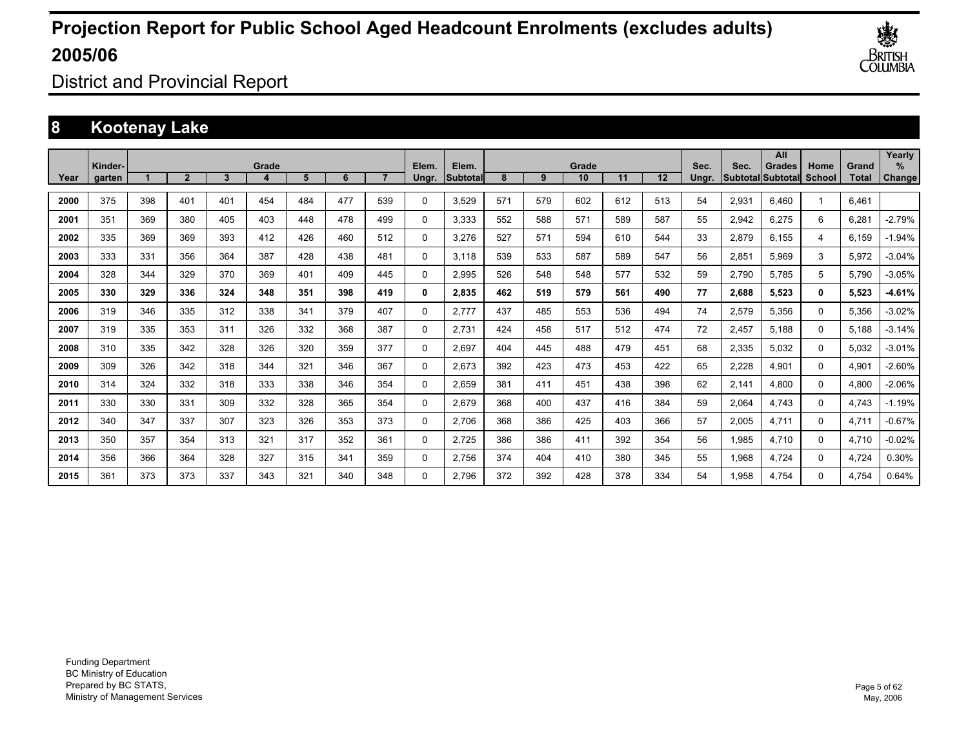

District and Provincial Report

### **8 Kootenay Lake**

|      | Kinder- |     |                |     | Grade |     |     |     | Elem.    | Elem.    |     |     | Grade |     |                   | Sec.  | Sec.  | All<br><b>Grades</b>     | Home          | Grand        | Yearly<br>$\%$ |
|------|---------|-----|----------------|-----|-------|-----|-----|-----|----------|----------|-----|-----|-------|-----|-------------------|-------|-------|--------------------------|---------------|--------------|----------------|
| Year | garten  |     | $\overline{2}$ | 3   | 4     | 5   | 6   |     | Ungr.    | Subtotal | 8   | 9   | 10    | 11  | $12 \overline{ }$ | Unar. |       | <b>Subtotal Subtotal</b> | <b>School</b> | <b>Total</b> | Change         |
| 2000 | 375     | 398 | 401            | 401 | 454   | 484 | 477 | 539 | $\Omega$ | 3,529    | 571 | 579 | 602   | 612 | 513               | 54    | 2,931 | 6.460                    |               | 6,461        |                |
| 2001 | 351     | 369 | 380            | 405 | 403   | 448 | 478 | 499 | $\Omega$ | 3,333    | 552 | 588 | 571   | 589 | 587               | 55    | 2,942 | 6,275                    | 6             | 6,281        | $-2.79%$       |
| 2002 | 335     | 369 | 369            | 393 | 412   | 426 | 460 | 512 | 0        | 3,276    | 527 | 571 | 594   | 610 | 544               | 33    | 2,879 | 6,155                    | 4             | 6,159        | $-1.94%$       |
| 2003 | 333     | 331 | 356            | 364 | 387   | 428 | 438 | 481 | 0        | 3.118    | 539 | 533 | 587   | 589 | 547               | 56    | 2,851 | 5.969                    | 3             | 5,972        | $-3.04%$       |
| 2004 | 328     | 344 | 329            | 370 | 369   | 401 | 409 | 445 | 0        | 2.995    | 526 | 548 | 548   | 577 | 532               | 59    | 2.790 | 5.785                    | 5             | 5.790        | $-3.05%$       |
| 2005 | 330     | 329 | 336            | 324 | 348   | 351 | 398 | 419 | 0        | 2,835    | 462 | 519 | 579   | 561 | 490               | 77    | 2,688 | 5,523                    | 0             | 5,523        | $-4.61%$       |
| 2006 | 319     | 346 | 335            | 312 | 338   | 341 | 379 | 407 | $\Omega$ | 2,777    | 437 | 485 | 553   | 536 | 494               | 74    | 2,579 | 5,356                    | $\Omega$      | 5,356        | $-3.02%$       |
| 2007 | 319     | 335 | 353            | 311 | 326   | 332 | 368 | 387 | $\Omega$ | 2,731    | 424 | 458 | 517   | 512 | 474               | 72    | 2,457 | 5.188                    | $\Omega$      | 5,188        | $-3.14%$       |
| 2008 | 310     | 335 | 342            | 328 | 326   | 320 | 359 | 377 | 0        | 2.697    | 404 | 445 | 488   | 479 | 451               | 68    | 2,335 | 5,032                    | 0             | 5,032        | $-3.01%$       |
| 2009 | 309     | 326 | 342            | 318 | 344   | 321 | 346 | 367 | 0        | 2,673    | 392 | 423 | 473   | 453 | 422               | 65    | 2,228 | 4,901                    | 0             | 4,901        | $-2.60%$       |
| 2010 | 314     | 324 | 332            | 318 | 333   | 338 | 346 | 354 | 0        | 2.659    | 381 | 411 | 451   | 438 | 398               | 62    | 2.141 | 4.800                    | 0             | 4,800        | $-2.06%$       |
| 2011 | 330     | 330 | 331            | 309 | 332   | 328 | 365 | 354 | 0        | 2,679    | 368 | 400 | 437   | 416 | 384               | 59    | 2,064 | 4,743                    | 0             | 4,743        | $-1.19%$       |
| 2012 | 340     | 347 | 337            | 307 | 323   | 326 | 353 | 373 | 0        | 2,706    | 368 | 386 | 425   | 403 | 366               | 57    | 2,005 | 4,711                    | $\Omega$      | 4,711        | $-0.67%$       |
| 2013 | 350     | 357 | 354            | 313 | 321   | 317 | 352 | 361 | $\Omega$ | 2,725    | 386 | 386 | 411   | 392 | 354               | 56    | 1,985 | 4,710                    | $\Omega$      | 4,710        | $-0.02%$       |
| 2014 | 356     | 366 | 364            | 328 | 327   | 315 | 341 | 359 | 0        | 2.756    | 374 | 404 | 410   | 380 | 345               | 55    | 1,968 | 4.724                    | 0             | 4,724        | 0.30%          |
| 2015 | 361     | 373 | 373            | 337 | 343   | 321 | 340 | 348 | $\Omega$ | 2.796    | 372 | 392 | 428   | 378 | 334               | 54    | 1.958 | 4.754                    | $\Omega$      | 4.754        | 0.64%          |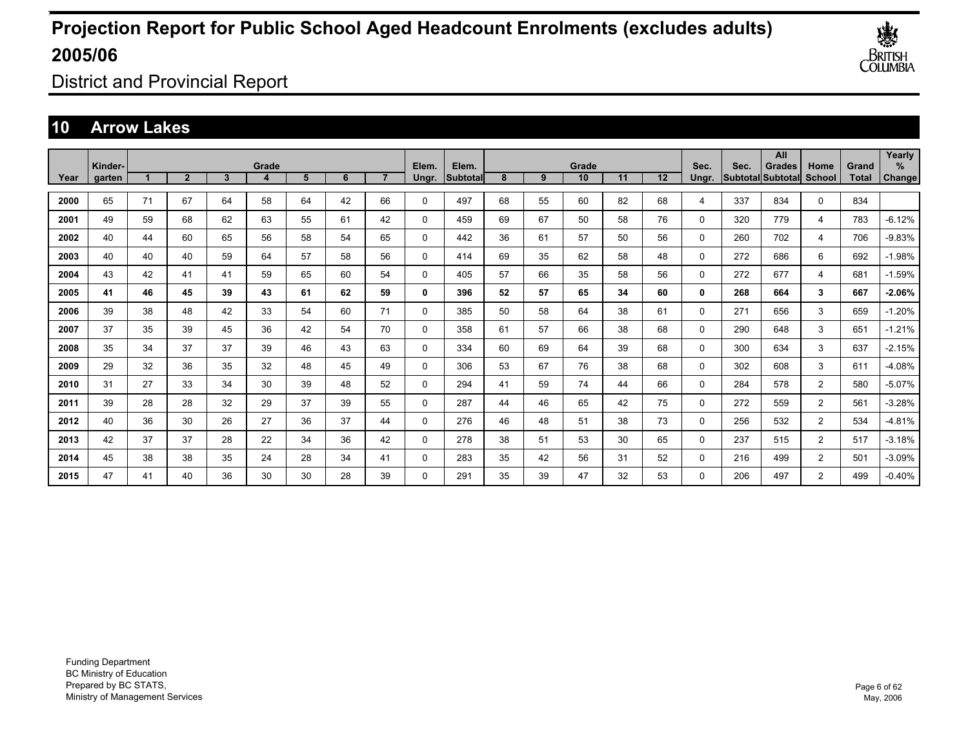

District and Provincial Report

### **10 Arrow Lakes**

|      | Kinder- |    |                |    | Grade |    |    |                | Elem.        | Elem.           |    |    | Grade |    |    | Sec.     | Sec. | All<br><b>Grades</b>     | Home           | Grand        | Yearly<br>$\%$ |
|------|---------|----|----------------|----|-------|----|----|----------------|--------------|-----------------|----|----|-------|----|----|----------|------|--------------------------|----------------|--------------|----------------|
| Year | garten  |    | $\overline{2}$ | 3  | 4     | 5  | 6  | $\overline{7}$ | Ungr.        | <b>Subtotal</b> | 8  | 9  | 10    | 11 | 12 | Ungr.    |      | <b>Subtotal Subtotal</b> | <b>School</b>  | <b>Total</b> | Change         |
| 2000 | 65      | 71 | 67             | 64 | 58    | 64 | 42 | 66             | $\mathbf 0$  | 497             | 68 | 55 | 60    | 82 | 68 | 4        | 337  | 834                      | 0              | 834          |                |
| 2001 | 49      | 59 | 68             | 62 | 63    | 55 | 61 | 42             | $\mathbf 0$  | 459             | 69 | 67 | 50    | 58 | 76 | $\Omega$ | 320  | 779                      | $\overline{4}$ | 783          | $-6.12%$       |
| 2002 | 40      | 44 | 60             | 65 | 56    | 58 | 54 | 65             | $\mathbf 0$  | 442             | 36 | 61 | 57    | 50 | 56 | 0        | 260  | 702                      | 4              | 706          | $-9.83%$       |
| 2003 | 40      | 40 | 40             | 59 | 64    | 57 | 58 | 56             | 0            | 414             | 69 | 35 | 62    | 58 | 48 | 0        | 272  | 686                      | 6              | 692          | $-1.98%$       |
| 2004 | 43      | 42 | 41             | 41 | 59    | 65 | 60 | 54             | $\mathbf 0$  | 405             | 57 | 66 | 35    | 58 | 56 | 0        | 272  | 677                      | 4              | 681          | $-1.59%$       |
| 2005 | 41      | 46 | 45             | 39 | 43    | 61 | 62 | 59             | $\mathbf{0}$ | 396             | 52 | 57 | 65    | 34 | 60 | 0        | 268  | 664                      | 3              | 667          | $-2.06%$       |
| 2006 | 39      | 38 | 48             | 42 | 33    | 54 | 60 | 71             | $\mathbf 0$  | 385             | 50 | 58 | 64    | 38 | 61 | 0        | 271  | 656                      | 3              | 659          | $-1.20%$       |
| 2007 | 37      | 35 | 39             | 45 | 36    | 42 | 54 | 70             | $\mathbf 0$  | 358             | 61 | 57 | 66    | 38 | 68 | 0        | 290  | 648                      | 3              | 651          | $-1.21%$       |
| 2008 | 35      | 34 | 37             | 37 | 39    | 46 | 43 | 63             | 0            | 334             | 60 | 69 | 64    | 39 | 68 | 0        | 300  | 634                      | 3              | 637          | $-2.15%$       |
| 2009 | 29      | 32 | 36             | 35 | 32    | 48 | 45 | 49             | 0            | 306             | 53 | 67 | 76    | 38 | 68 | 0        | 302  | 608                      | 3              | 611          | $-4.08%$       |
| 2010 | 31      | 27 | 33             | 34 | 30    | 39 | 48 | 52             | 0            | 294             | 41 | 59 | 74    | 44 | 66 | 0        | 284  | 578                      | $\overline{2}$ | 580          | $-5.07%$       |
| 2011 | 39      | 28 | 28             | 32 | 29    | 37 | 39 | 55             | $\mathbf 0$  | 287             | 44 | 46 | 65    | 42 | 75 | 0        | 272  | 559                      | $\overline{2}$ | 561          | $-3.28%$       |
| 2012 | 40      | 36 | 30             | 26 | 27    | 36 | 37 | 44             | $\mathbf 0$  | 276             | 46 | 48 | 51    | 38 | 73 | 0        | 256  | 532                      | $\overline{2}$ | 534          | $-4.81%$       |
| 2013 | 42      | 37 | 37             | 28 | 22    | 34 | 36 | 42             | $\mathbf 0$  | 278             | 38 | 51 | 53    | 30 | 65 | 0        | 237  | 515                      | $\overline{2}$ | 517          | $-3.18%$       |
| 2014 | 45      | 38 | 38             | 35 | 24    | 28 | 34 | 41             | 0            | 283             | 35 | 42 | 56    | 31 | 52 | 0        | 216  | 499                      | $\overline{2}$ | 501          | $-3.09%$       |
| 2015 | 47      | 41 | 40             | 36 | 30    | 30 | 28 | 39             | 0            | 291             | 35 | 39 | 47    | 32 | 53 | 0        | 206  | 497                      | $\overline{2}$ | 499          | $-0.40%$       |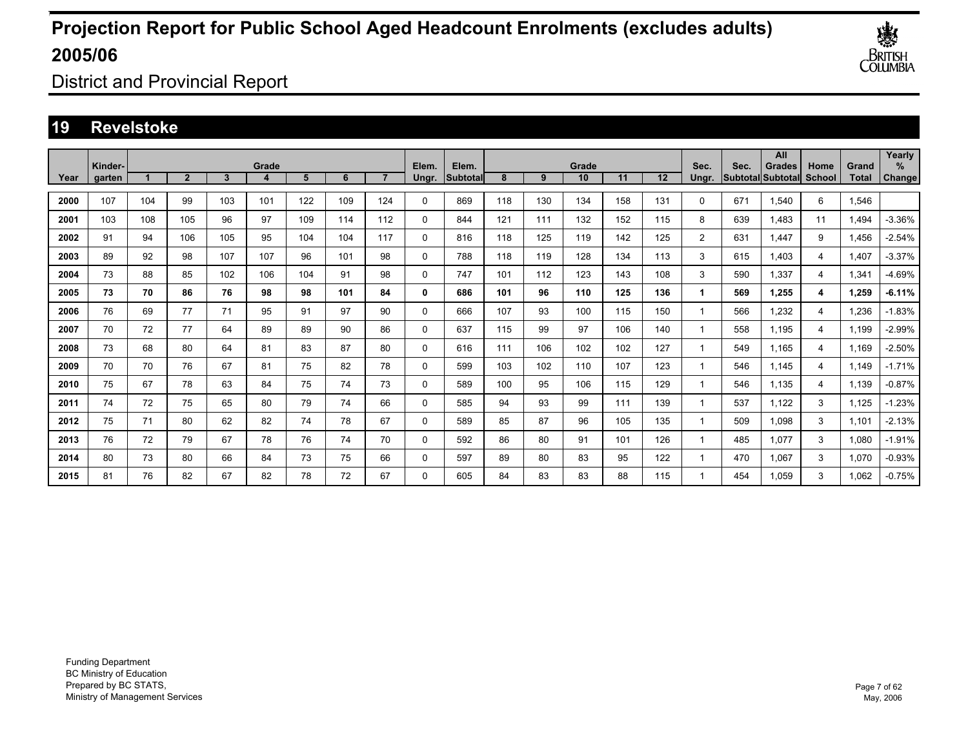

District and Provincial Report

### **19 Revelstoke**

|      | Kinder- |     |                |     | Grade |     |     |                | Elem.       | Elem.            |     |     | Grade |     |     | Sec.           | Sec. | All<br><b>Grades</b>     | Home           | Grand        | Yearly<br>$\%$ |
|------|---------|-----|----------------|-----|-------|-----|-----|----------------|-------------|------------------|-----|-----|-------|-----|-----|----------------|------|--------------------------|----------------|--------------|----------------|
| Year | aarten  |     | $\overline{2}$ | 3   | 4     | 5   | 6   | $\overline{ }$ | Ungr.       | <b>Subtotall</b> | 8   | 9   | 10    | 11  | 12  | Unar.          |      | <b>Subtotal Subtotal</b> | School         | <b>Total</b> | Change         |
| 2000 | 107     | 104 | 99             | 103 | 101   | 122 | 109 | 124            | $\mathbf 0$ | 869              | 118 | 130 | 134   | 158 | 131 | 0              | 671  | 1,540                    | 6              | 1,546        |                |
| 2001 | 103     | 108 | 105            | 96  | 97    | 109 | 114 | 112            | $\mathbf 0$ | 844              | 121 | 111 | 132   | 152 | 115 | 8              | 639  | 1,483                    | 11             | 1,494        | $-3.36%$       |
| 2002 | 91      | 94  | 106            | 105 | 95    | 104 | 104 | 117            | $\mathbf 0$ | 816              | 118 | 125 | 119   | 142 | 125 | $\overline{2}$ | 631  | 1.447                    | 9              | 1,456        | $-2.54%$       |
| 2003 | 89      | 92  | 98             | 107 | 107   | 96  | 101 | 98             | $\mathbf 0$ | 788              | 118 | 119 | 128   | 134 | 113 | 3              | 615  | 1.403                    | 4              | 1.407        | $-3.37%$       |
| 2004 | 73      | 88  | 85             | 102 | 106   | 104 | 91  | 98             | 0           | 747              | 101 | 112 | 123   | 143 | 108 | 3              | 590  | 1.337                    | 4              | 1,341        | -4.69%         |
| 2005 | 73      | 70  | 86             | 76  | 98    | 98  | 101 | 84             | 0           | 686              | 101 | 96  | 110   | 125 | 136 | 1              | 569  | 1,255                    | 4              | 1,259        | $-6.11%$       |
| 2006 | 76      | 69  | 77             | 71  | 95    | 91  | 97  | 90             | $\mathbf 0$ | 666              | 107 | 93  | 100   | 115 | 150 | 1              | 566  | 1,232                    | 4              | 1,236        | $-1.83%$       |
| 2007 | 70      | 72  | 77             | 64  | 89    | 89  | 90  | 86             | $\mathbf 0$ | 637              | 115 | 99  | 97    | 106 | 140 | 1              | 558  | 1.195                    | $\overline{4}$ | 1,199        | $-2.99%$       |
| 2008 | 73      | 68  | 80             | 64  | 81    | 83  | 87  | 80             | 0           | 616              | 111 | 106 | 102   | 102 | 127 | 1              | 549  | 1.165                    | 4              | 1,169        | $-2.50%$       |
| 2009 | 70      | 70  | 76             | 67  | 81    | 75  | 82  | 78             | 0           | 599              | 103 | 102 | 110   | 107 | 123 | 1              | 546  | 1.145                    | 4              | 1.149        | $-1.71%$       |
| 2010 | 75      | 67  | 78             | 63  | 84    | 75  | 74  | 73             | 0           | 589              | 100 | 95  | 106   | 115 | 129 | 1              | 546  | 1.135                    | $\overline{4}$ | 1,139        | $-0.87%$       |
| 2011 | 74      | 72  | 75             | 65  | 80    | 79  | 74  | 66             | 0           | 585              | 94  | 93  | 99    | 111 | 139 | 1              | 537  | 1,122                    | 3              | 1,125        | $-1.23%$       |
| 2012 | 75      | 71  | 80             | 62  | 82    | 74  | 78  | 67             | 0           | 589              | 85  | 87  | 96    | 105 | 135 | 1              | 509  | 1,098                    | 3              | 1,101        | $-2.13%$       |
| 2013 | 76      | 72  | 79             | 67  | 78    | 76  | 74  | 70             | 0           | 592              | 86  | 80  | 91    | 101 | 126 | 1              | 485  | 1,077                    | 3              | 1,080        | $-1.91%$       |
| 2014 | 80      | 73  | 80             | 66  | 84    | 73  | 75  | 66             | 0           | 597              | 89  | 80  | 83    | 95  | 122 | 1              | 470  | 1,067                    | 3              | 1,070        | $-0.93%$       |
| 2015 | 81      | 76  | 82             | 67  | 82    | 78  | 72  | 67             | 0           | 605              | 84  | 83  | 83    | 88  | 115 | 1              | 454  | 1.059                    | 3              | 1.062        | $-0.75%$       |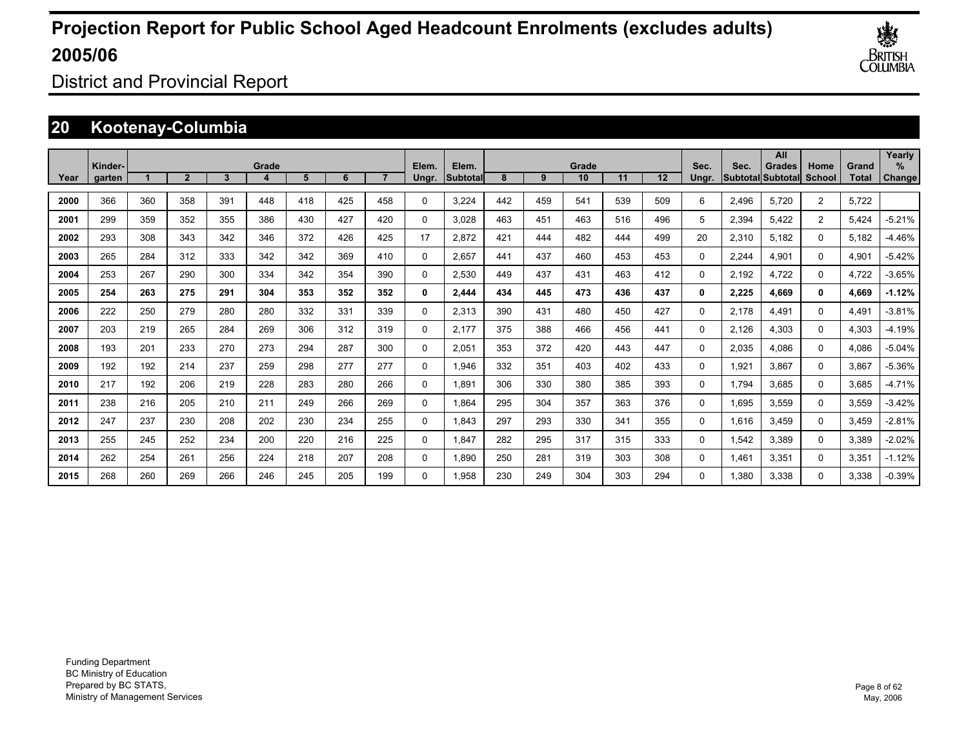

District and Provincial Report

### **20 Kootenay-Columbia**

|      | Kinder- |     |                |     | Grade |     |     |     | Elem.    | Elem.     |     |     | Grade |     |     | Sec.     | Sec.  | All<br><b>Grades</b>      | Home           | Grand | Yearly<br>$\%$ |
|------|---------|-----|----------------|-----|-------|-----|-----|-----|----------|-----------|-----|-----|-------|-----|-----|----------|-------|---------------------------|----------------|-------|----------------|
| Year | garten  |     | $\overline{2}$ | 3   |       | 5   | 6   |     | Ungr.    | lSubtotal | 8   | 9   | 10    | 11  | 12  | Unar.    |       | <b>SubtotallSubtotall</b> | School         | Total | Change         |
| 2000 | 366     | 360 | 358            | 391 | 448   | 418 | 425 | 458 | 0        | 3,224     | 442 | 459 | 541   | 539 | 509 | 6        | 2.496 | 5.720                     | $\overline{2}$ | 5,722 |                |
| 2001 | 299     | 359 | 352            | 355 | 386   | 430 | 427 | 420 | 0        | 3,028     | 463 | 451 | 463   | 516 | 496 | 5        | 2,394 | 5,422                     | $\overline{2}$ | 5,424 | $-5.21%$       |
| 2002 | 293     | 308 | 343            | 342 | 346   | 372 | 426 | 425 | 17       | 2,872     | 421 | 444 | 482   | 444 | 499 | 20       | 2,310 | 5,182                     | 0              | 5,182 | $-4.46%$       |
| 2003 | 265     | 284 | 312            | 333 | 342   | 342 | 369 | 410 | 0        | 2,657     | 441 | 437 | 460   | 453 | 453 | 0        | 2,244 | 4,901                     | 0              | 4,901 | $-5.42%$       |
| 2004 | 253     | 267 | 290            | 300 | 334   | 342 | 354 | 390 | 0        | 2,530     | 449 | 437 | 431   | 463 | 412 | 0        | 2.192 | 4.722                     | 0              | 4,722 | $-3.65%$       |
| 2005 | 254     | 263 | 275            | 291 | 304   | 353 | 352 | 352 | 0        | 2,444     | 434 | 445 | 473   | 436 | 437 | 0        | 2,225 | 4.669                     | 0              | 4,669 | $-1.12%$       |
| 2006 | 222     | 250 | 279            | 280 | 280   | 332 | 331 | 339 | 0        | 2,313     | 390 | 431 | 480   | 450 | 427 | 0        | 2.178 | 4,491                     | 0              | 4,491 | $-3.81%$       |
| 2007 | 203     | 219 | 265            | 284 | 269   | 306 | 312 | 319 | 0        | 2.177     | 375 | 388 | 466   | 456 | 441 | 0        | 2.126 | 4,303                     | 0              | 4,303 | $-4.19%$       |
| 2008 | 193     | 201 | 233            | 270 | 273   | 294 | 287 | 300 | 0        | 2,051     | 353 | 372 | 420   | 443 | 447 | 0        | 2,035 | 4.086                     | 0              | 4,086 | $-5.04%$       |
| 2009 | 192     | 192 | 214            | 237 | 259   | 298 | 277 | 277 | 0        | 1,946     | 332 | 351 | 403   | 402 | 433 | 0        | 1,921 | 3,867                     | 0              | 3,867 | $-5.36%$       |
| 2010 | 217     | 192 | 206            | 219 | 228   | 283 | 280 | 266 | 0        | 1,891     | 306 | 330 | 380   | 385 | 393 | 0        | 1.794 | 3,685                     | 0              | 3,685 | $-4.71%$       |
| 2011 | 238     | 216 | 205            | 210 | 211   | 249 | 266 | 269 | 0        | 1,864     | 295 | 304 | 357   | 363 | 376 | 0        | 1,695 | 3,559                     | 0              | 3,559 | $-3.42%$       |
| 2012 | 247     | 237 | 230            | 208 | 202   | 230 | 234 | 255 | 0        | 1.843     | 297 | 293 | 330   | 341 | 355 | 0        | 1,616 | 3,459                     | 0              | 3,459 | $-2.81%$       |
| 2013 | 255     | 245 | 252            | 234 | 200   | 220 | 216 | 225 | 0        | 1.847     | 282 | 295 | 317   | 315 | 333 | $\Omega$ | 1,542 | 3,389                     | 0              | 3,389 | $-2.02%$       |
| 2014 | 262     | 254 | 261            | 256 | 224   | 218 | 207 | 208 | 0        | 1.890     | 250 | 281 | 319   | 303 | 308 | $\Omega$ | 1.461 | 3,351                     | 0              | 3,351 | $-1.12%$       |
| 2015 | 268     | 260 | 269            | 266 | 246   | 245 | 205 | 199 | $\Omega$ | 1.958     | 230 | 249 | 304   | 303 | 294 | 0        | 1.380 | 3.338                     | $\Omega$       | 3,338 | $-0.39%$       |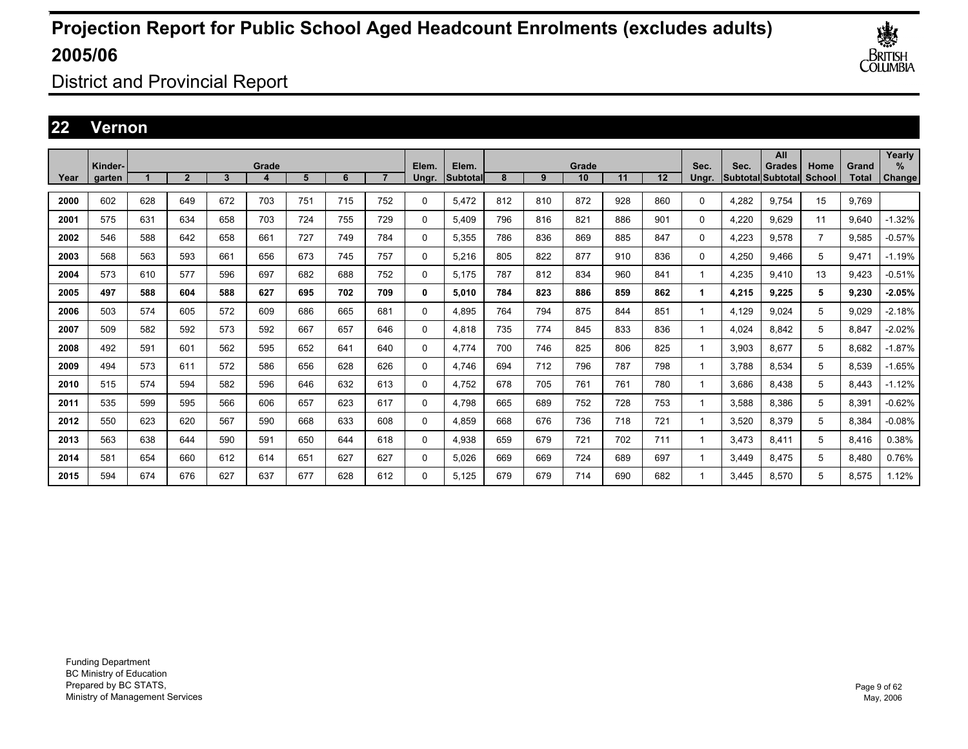

District and Provincial Report

### **22 Vernon**

|      |                   |     |                |     |       |     |     |                |                |                          |     |     |             |     |     |               |                                  | All           |                       |                       | Yearly                |
|------|-------------------|-----|----------------|-----|-------|-----|-----|----------------|----------------|--------------------------|-----|-----|-------------|-----|-----|---------------|----------------------------------|---------------|-----------------------|-----------------------|-----------------------|
| Year | Kinder-<br>garten |     | $\overline{2}$ | 3   | Grade | 5   | 6   | $\overline{ }$ | Elem.<br>Ungr. | Elem.<br><b>Subtotal</b> | 8   | 9   | Grade<br>10 | 11  | 12  | Sec.<br>Ungr. | Sec.<br><b>Subtotal</b> Subtotal | <b>Grades</b> | Home<br><b>School</b> | Grand<br><b>Total</b> | $\%$<br><b>Change</b> |
|      |                   |     |                |     |       |     |     |                |                |                          |     |     |             |     |     |               |                                  |               |                       |                       |                       |
| 2000 | 602               | 628 | 649            | 672 | 703   | 751 | 715 | 752            | $\mathbf{0}$   | 5.472                    | 812 | 810 | 872         | 928 | 860 | 0             | 4,282                            | 9.754         | 15                    | 9.769                 |                       |
| 2001 | 575               | 631 | 634            | 658 | 703   | 724 | 755 | 729            | $\mathbf{0}$   | 5.409                    | 796 | 816 | 821         | 886 | 901 | 0             | 4,220                            | 9.629         | 11                    | 9,640                 | $-1.32%$              |
| 2002 | 546               | 588 | 642            | 658 | 661   | 727 | 749 | 784            | 0              | 5,355                    | 786 | 836 | 869         | 885 | 847 | 0             | 4,223                            | 9,578         | $\overline{7}$        | 9,585                 | $-0.57%$              |
| 2003 | 568               | 563 | 593            | 661 | 656   | 673 | 745 | 757            | 0              | 5.216                    | 805 | 822 | 877         | 910 | 836 | 0             | 4,250                            | 9.466         | 5                     | 9,471                 | $-1.19%$              |
| 2004 | 573               | 610 | 577            | 596 | 697   | 682 | 688 | 752            | 0              | 5.175                    | 787 | 812 | 834         | 960 | 841 | 1             | 4.235                            | 9.410         | 13                    | 9,423                 | $-0.51%$              |
| 2005 | 497               | 588 | 604            | 588 | 627   | 695 | 702 | 709            | 0              | 5.010                    | 784 | 823 | 886         | 859 | 862 | 1.            | 4,215                            | 9.225         | 5                     | 9,230                 | $-2.05%$              |
| 2006 | 503               | 574 | 605            | 572 | 609   | 686 | 665 | 681            | 0              | 4.895                    | 764 | 794 | 875         | 844 | 851 | 1             | 4.129                            | 9.024         | 5                     | 9.029                 | $-2.18%$              |
| 2007 | 509               | 582 | 592            | 573 | 592   | 667 | 657 | 646            | 0              | 4.818                    | 735 | 774 | 845         | 833 | 836 | 1.            | 4.024                            | 8.842         | 5                     | 8.847                 | $-2.02%$              |
| 2008 | 492               | 591 | 601            | 562 | 595   | 652 | 641 | 640            | 0              | 4.774                    | 700 | 746 | 825         | 806 | 825 | 1.            | 3.903                            | 8.677         | 5                     | 8.682                 | $-1.87%$              |
| 2009 | 494               | 573 | 611            | 572 | 586   | 656 | 628 | 626            | $\mathbf{0}$   | 4.746                    | 694 | 712 | 796         | 787 | 798 | 1.            | 3.788                            | 8,534         | 5                     | 8,539                 | $-1.65%$              |
| 2010 | 515               | 574 | 594            | 582 | 596   | 646 | 632 | 613            | $\mathbf{0}$   | 4,752                    | 678 | 705 | 761         | 761 | 780 | 1             | 3,686                            | 8.438         | 5                     | 8,443                 | $-1.12%$              |
| 2011 | 535               | 599 | 595            | 566 | 606   | 657 | 623 | 617            | $\mathbf{0}$   | 4.798                    | 665 | 689 | 752         | 728 | 753 | 1             | 3,588                            | 8.386         | 5                     | 8,391                 | $-0.62%$              |
| 2012 | 550               | 623 | 620            | 567 | 590   | 668 | 633 | 608            | $\mathbf{0}$   | 4.859                    | 668 | 676 | 736         | 718 | 721 | 1             | 3.520                            | 8.379         | 5                     | 8,384                 | $-0.08%$              |
| 2013 | 563               | 638 | 644            | 590 | 591   | 650 | 644 | 618            | $\mathbf{0}$   | 4.938                    | 659 | 679 | 721         | 702 | 711 | 1             | 3.473                            | 8.411         | 5                     | 8,416                 | 0.38%                 |
| 2014 | 581               | 654 | 660            | 612 | 614   | 651 | 627 | 627            | 0              | 5.026                    | 669 | 669 | 724         | 689 | 697 | 1             | 3.449                            | 8.475         | 5                     | 8.480                 | 0.76%                 |
| 2015 | 594               | 674 | 676            | 627 | 637   | 677 | 628 | 612            | 0              | 5.125                    | 679 | 679 | 714         | 690 | 682 |               | 3.445                            | 8.570         | 5                     | 8.575                 | 1.12%                 |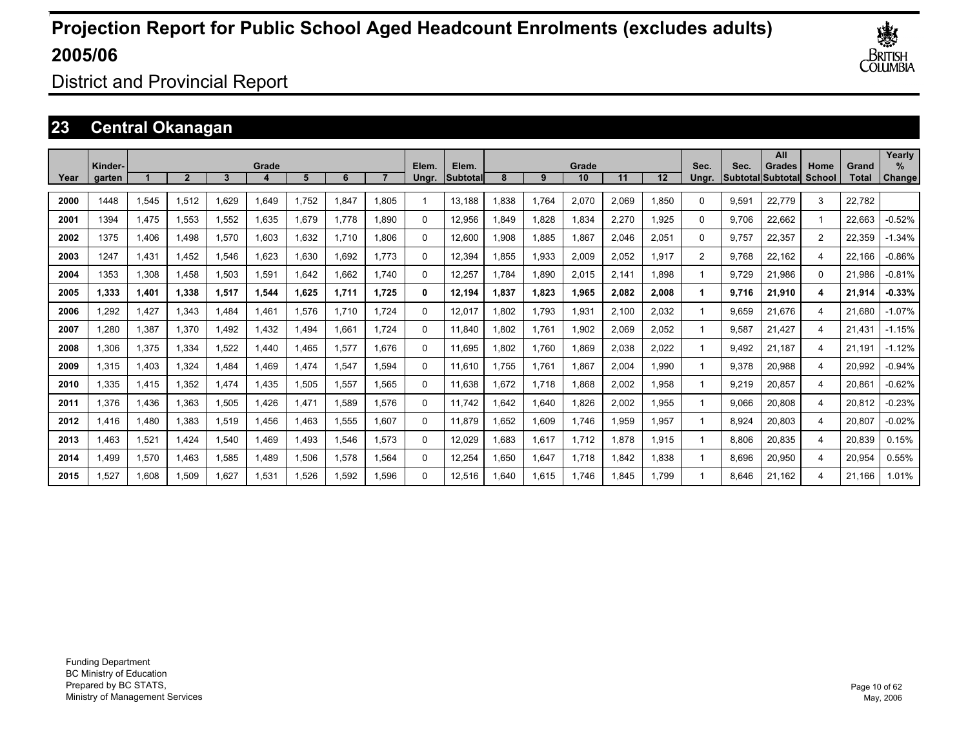

District and Provincial Report

### **23 Central Okanagan**

|      | Kinder- |       |       |             | Grade |       |       |       | Elem.    | Elem.    |      |       | Grade |       |       | Sec.           | Sec.  | All<br>Grades     | Home           | Grand  | Yearly<br>% |
|------|---------|-------|-------|-------------|-------|-------|-------|-------|----------|----------|------|-------|-------|-------|-------|----------------|-------|-------------------|----------------|--------|-------------|
| Year | garten  |       | 2     | 3           |       | 5     | 6     |       | Ungr.    | Subtotal | 8    | 9     | 10    | 11    | 12    | Ungr.          |       | Subtotal Subtotal | School         | Total  | Change      |
| 2000 | 1448    | 1,545 | 1,512 | .629        | 1,649 | 1.752 | 1.847 | 1.805 | 1        | 13.188   | .838 | 1,764 | 2,070 | 2,069 | 1.850 | 0              | 9,591 | 22,779            | 3              | 22,782 |             |
| 2001 | 1394    | 1,475 | 1.553 | 1,552       | 1,635 | 1.679 | 1.778 | 1.890 | 0        | 12.956   | .849 | 1,828 | 1,834 | 2,270 | 1.925 | $\Omega$       | 9.706 | 22.662            | 1              | 22.663 | $-0.52%$    |
| 2002 | 1375    | 1.406 | 1.498 | 1,570       | 1.603 | 1.632 | 1.710 | 1.806 | 0        | 12.600   | .908 | 1,885 | 1.867 | 2,046 | 2,051 | $\Omega$       | 9.757 | 22.357            | $\overline{2}$ | 22,359 | $-1.34%$    |
| 2003 | 1247    | 1,431 | 1,452 | .546        | 1.623 | 1,630 | 1.692 | 1.773 | 0        | 12.394   | .855 | 1,933 | 2,009 | 2,052 | 1.917 | $\overline{2}$ | 9.768 | 22.162            | 4              | 22.166 | $-0.86%$    |
| 2004 | 1353    | 1,308 | 1.458 | 1,503       | 1,591 | 1,642 | 1.662 | 1.740 | 0        | 12,257   | .784 | 1,890 | 2,015 | 2,141 | 1.898 |                | 9.729 | 21.986            | $\Omega$       | 21,986 | $-0.81%$    |
| 2005 | 1.333   | 1,401 | 1.338 | 1,517       | 1,544 | 1.625 | 1.711 | 1.725 | 0        | 12.194   | .837 | 1,823 | 1,965 | 2,082 | 2,008 |                | 9.716 | 21.910            | 4              | 21,914 | $-0.33%$    |
| 2006 | 1.292   | 1.427 | 1.343 | .484        | 1.461 | 1.576 | 1.710 | 1.724 | $\Omega$ | 12.017   | .802 | 1.793 | 1,931 | 2.100 | 2.032 |                | 9.659 | 21.676            | 4              | 21.680 | $-1.07%$    |
| 2007 | 1,280   | 1,387 | 1,370 | <b>492.</b> | 1,432 | 1,494 | 1,661 | 1.724 | $\Omega$ | 11,840   | .802 | 1,761 | 1,902 | 2,069 | 2,052 |                | 9,587 | 21,427            | 4              | 21,431 | $-1.15%$    |
| 2008 | 1,306   | 1,375 | 1,334 | 1,522       | 1,440 | 1,465 | 1,577 | 1.676 | $\Omega$ | 11,695   | .802 | 1,760 | 1,869 | 2,038 | 2,022 |                | 9,492 | 21.187            | 4              | 21,191 | $-1.12%$    |
| 2009 | 1,315   | 1,403 | 1,324 | 1,484       | 1.469 | 1,474 | 1,547 | 1.594 | $\Omega$ | 11.610   | ,755 | 1,761 | 1,867 | 2,004 | 1,990 |                | 9,378 | 20,988            | 4              | 20,992 | $-0.94%$    |
| 2010 | 1,335   | 1,415 | 1,352 | 1,474       | 1,435 | 1,505 | 1,557 | 1,565 | $\Omega$ | 11,638   | .672 | 1,718 | 1,868 | 2,002 | 1,958 |                | 9,219 | 20,857            | 4              | 20,861 | $-0.62%$    |
| 2011 | 1,376   | 1,436 | 1,363 | 1,505       | 1,426 | 1,471 | 1,589 | 1,576 | 0        | 11.742   | ,642 | 1,640 | 1,826 | 2,002 | 1,955 |                | 9,066 | 20,808            | 4              | 20,812 | $-0.23%$    |
| 2012 | 1.416   | 1.480 | 1,383 | 1,519       | 1.456 | 1,463 | 1,555 | 1,607 | 0        | 11.879   | .652 | 1,609 | 1,746 | 1,959 | 1,957 |                | 8,924 | 20,803            | 4              | 20,807 | $-0.02%$    |
| 2013 | 1,463   | 1,521 | 1.424 | ,540        | 1.469 | 1,493 | 1,546 | 1,573 | 0        | 12,029   | .683 | 1,617 | 1,712 | 1.878 | 1,915 |                | 8,806 | 20,835            | 4              | 20,839 | 0.15%       |
| 2014 | 1.499   | 1,570 | 1.463 | 1,585       | 1.489 | 1,506 | 1,578 | 1.564 | 0        | 12,254   | .650 | 1,647 | 1.718 | 1.842 | 1.838 |                | 8,696 | 20,950            | 4              | 20,954 | 0.55%       |
| 2015 | 1.527   | 1.608 | 1.509 | 1.627       | 1.531 | 1.526 | 1.592 | 1.596 | $\Omega$ | 12.516   | .640 | 1.615 | 1.746 | .845  | 1.799 |                | 8.646 | 21.162            | 4              | 21.166 | 1.01%       |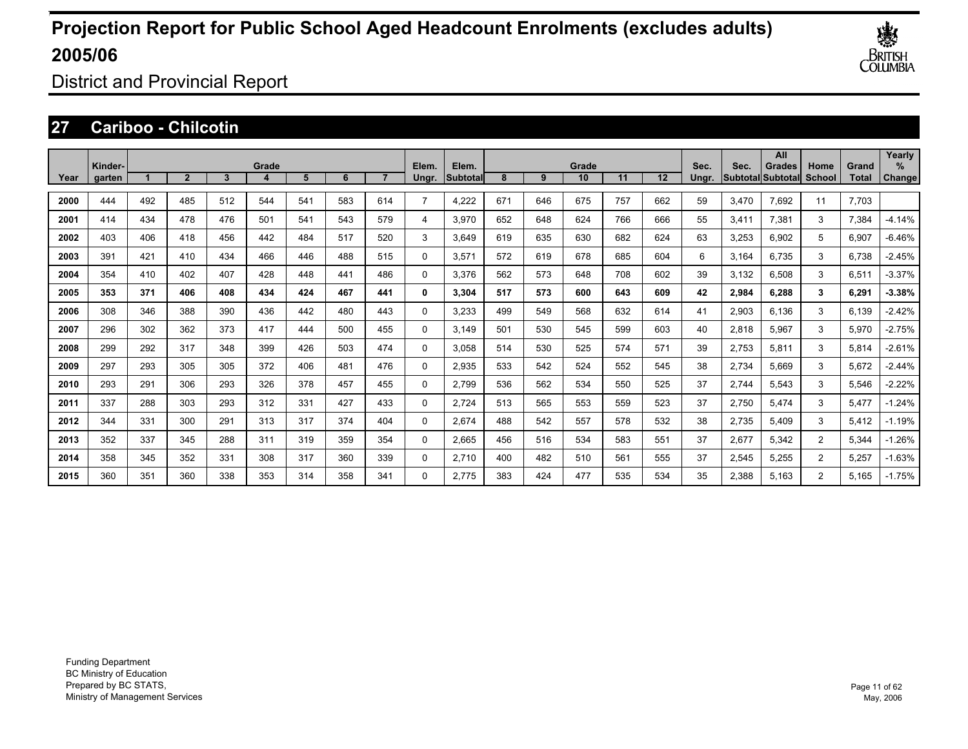

District and Provincial Report

### **27 Cariboo - Chilcotin**

|      |                   |     |                |     |       |     |     |     |                |                    |     |     |             |     |     |               |       | All                                |                |                | Yearly      |
|------|-------------------|-----|----------------|-----|-------|-----|-----|-----|----------------|--------------------|-----|-----|-------------|-----|-----|---------------|-------|------------------------------------|----------------|----------------|-------------|
| Year | Kinder-<br>garten |     | $\overline{2}$ | 3   | Grade | 5   | 6   |     | Elem.<br>Ungr. | Elem.<br>Subtotall | 8   | 9   | Grade<br>10 | 11  | 12  | Sec.<br>Ungr. | Sec.  | Grades<br><b>Subtotal Subtotal</b> | Home<br>School | Grand<br>Total | %<br>Change |
|      |                   |     |                |     |       |     |     |     |                |                    |     |     |             |     |     |               |       |                                    |                |                |             |
| 2000 | 444               | 492 | 485            | 512 | 544   | 541 | 583 | 614 | $\overline{7}$ | 4,222              | 671 | 646 | 675         | 757 | 662 | 59            | 3,470 | 7.692                              | 11             | 7.703          |             |
| 2001 | 414               | 434 | 478            | 476 | 501   | 541 | 543 | 579 | 4              | 3,970              | 652 | 648 | 624         | 766 | 666 | 55            | 3,411 | 7,381                              | 3              | 7,384          | $-4.14%$    |
| 2002 | 403               | 406 | 418            | 456 | 442   | 484 | 517 | 520 | 3              | 3,649              | 619 | 635 | 630         | 682 | 624 | 63            | 3,253 | 6,902                              | 5              | 6,907          | $-6.46%$    |
| 2003 | 391               | 421 | 410            | 434 | 466   | 446 | 488 | 515 | 0              | 3,571              | 572 | 619 | 678         | 685 | 604 | 6             | 3,164 | 6.735                              | 3              | 6,738          | $-2.45%$    |
| 2004 | 354               | 410 | 402            | 407 | 428   | 448 | 441 | 486 | 0              | 3,376              | 562 | 573 | 648         | 708 | 602 | 39            | 3,132 | 6,508                              | 3              | 6,511          | $-3.37%$    |
| 2005 | 353               | 371 | 406            | 408 | 434   | 424 | 467 | 441 | 0              | 3,304              | 517 | 573 | 600         | 643 | 609 | 42            | 2,984 | 6,288                              | 3              | 6,291          | $-3.38%$    |
| 2006 | 308               | 346 | 388            | 390 | 436   | 442 | 480 | 443 | 0              | 3,233              | 499 | 549 | 568         | 632 | 614 | 41            | 2,903 | 6.136                              | 3              | 6.139          | $-2.42%$    |
| 2007 | 296               | 302 | 362            | 373 | 417   | 444 | 500 | 455 | 0              | 3.149              | 501 | 530 | 545         | 599 | 603 | 40            | 2,818 | 5.967                              | 3              | 5,970          | $-2.75%$    |
| 2008 | 299               | 292 | 317            | 348 | 399   | 426 | 503 | 474 | 0              | 3,058              | 514 | 530 | 525         | 574 | 571 | 39            | 2,753 | 5,811                              | 3              | 5,814          | $-2.61%$    |
| 2009 | 297               | 293 | 305            | 305 | 372   | 406 | 481 | 476 | 0              | 2,935              | 533 | 542 | 524         | 552 | 545 | 38            | 2,734 | 5,669                              | 3              | 5,672          | $-2.44%$    |
| 2010 | 293               | 291 | 306            | 293 | 326   | 378 | 457 | 455 | 0              | 2,799              | 536 | 562 | 534         | 550 | 525 | 37            | 2,744 | 5,543                              | 3              | 5,546          | $-2.22%$    |
| 2011 | 337               | 288 | 303            | 293 | 312   | 331 | 427 | 433 | 0              | 2,724              | 513 | 565 | 553         | 559 | 523 | 37            | 2,750 | 5,474                              | 3              | 5,477          | $-1.24%$    |
| 2012 | 344               | 331 | 300            | 291 | 313   | 317 | 374 | 404 | 0              | 2,674              | 488 | 542 | 557         | 578 | 532 | 38            | 2,735 | 5.409                              | 3              | 5,412          | $-1.19%$    |
| 2013 | 352               | 337 | 345            | 288 | 311   | 319 | 359 | 354 | 0              | 2,665              | 456 | 516 | 534         | 583 | 551 | 37            | 2,677 | 5,342                              | $\overline{2}$ | 5,344          | $-1.26%$    |
| 2014 | 358               | 345 | 352            | 331 | 308   | 317 | 360 | 339 | 0              | 2,710              | 400 | 482 | 510         | 561 | 555 | 37            | 2,545 | 5,255                              | $\overline{2}$ | 5,257          | $-1.63%$    |
| 2015 | 360               | 351 | 360            | 338 | 353   | 314 | 358 | 341 | $\Omega$       | 2.775              | 383 | 424 | 477         | 535 | 534 | 35            | 2,388 | 5.163                              | $\overline{2}$ | 5.165          | $-1.75%$    |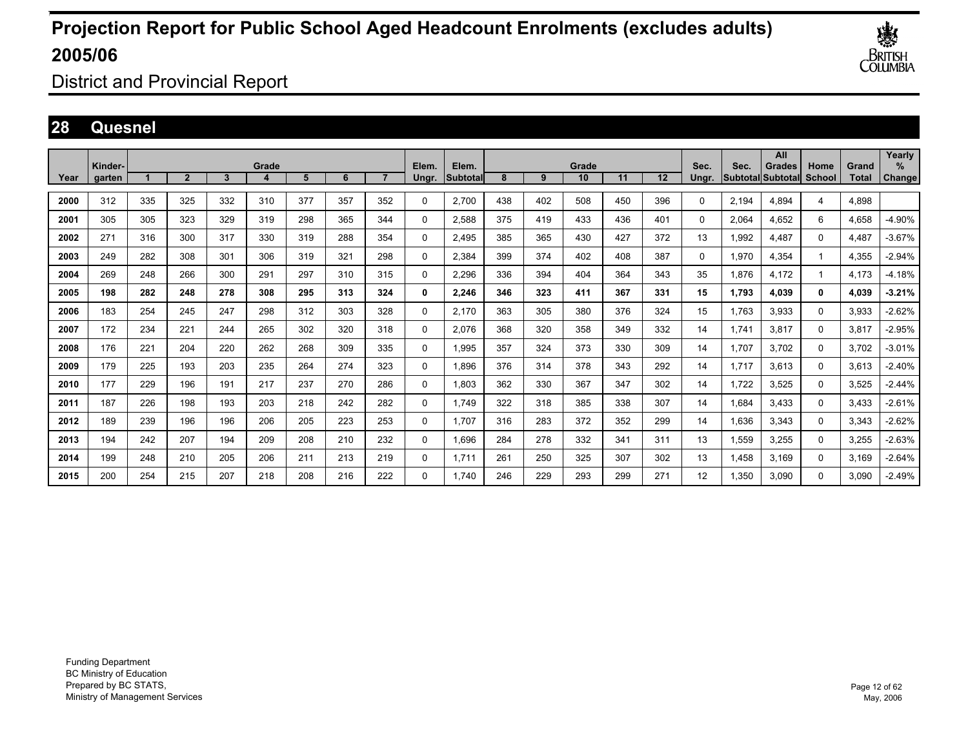

District and Provincial Report

### **28 Quesnel**

|      | Kinder- |     |                |     | Grade |     |     |     | Elem.    | Elem.    |     |     | Grade |     |         | Sec.     | Sec.  | All<br><b>Grades</b>     | Home          | Grand        | Yearly<br>$\%$ |
|------|---------|-----|----------------|-----|-------|-----|-----|-----|----------|----------|-----|-----|-------|-----|---------|----------|-------|--------------------------|---------------|--------------|----------------|
| Year | garten  |     | $\overline{2}$ | 3   | 4     | 5   | 6   |     | Ungr.    | Subtotal | 8   | 9   | 10    | 11  | $12 \,$ | Unar.    |       | <b>Subtotal Subtotal</b> | <b>School</b> | <b>Total</b> | Change         |
| 2000 | 312     | 335 | 325            | 332 | 310   | 377 | 357 | 352 | 0        | 2,700    | 438 | 402 | 508   | 450 | 396     | 0        | 2,194 | 4,894                    | 4             | 4,898        |                |
| 2001 | 305     | 305 | 323            | 329 | 319   | 298 | 365 | 344 | 0        | 2,588    | 375 | 419 | 433   | 436 | 401     | $\Omega$ | 2,064 | 4,652                    | 6             | 4,658        | -4.90%         |
| 2002 | 271     | 316 | 300            | 317 | 330   | 319 | 288 | 354 | 0        | 2,495    | 385 | 365 | 430   | 427 | 372     | 13       | 1,992 | 4.487                    | 0             | 4,487        | $-3.67%$       |
| 2003 | 249     | 282 | 308            | 301 | 306   | 319 | 321 | 298 | 0        | 2,384    | 399 | 374 | 402   | 408 | 387     | 0        | 1,970 | 4.354                    |               | 4,355        | $-2.94%$       |
| 2004 | 269     | 248 | 266            | 300 | 291   | 297 | 310 | 315 | 0        | 2.296    | 336 | 394 | 404   | 364 | 343     | 35       | 1.876 | 4.172                    |               | 4.173        | $-4.18%$       |
| 2005 | 198     | 282 | 248            | 278 | 308   | 295 | 313 | 324 | 0        | 2,246    | 346 | 323 | 411   | 367 | 331     | 15       | 1,793 | 4,039                    | 0             | 4,039        | $-3.21%$       |
| 2006 | 183     | 254 | 245            | 247 | 298   | 312 | 303 | 328 | $\Omega$ | 2,170    | 363 | 305 | 380   | 376 | 324     | 15       | 1.763 | 3,933                    | $\Omega$      | 3,933        | $-2.62%$       |
| 2007 | 172     | 234 | 221            | 244 | 265   | 302 | 320 | 318 | $\Omega$ | 2,076    | 368 | 320 | 358   | 349 | 332     | 14       | 1.741 | 3,817                    | $\Omega$      | 3,817        | $-2.95%$       |
| 2008 | 176     | 221 | 204            | 220 | 262   | 268 | 309 | 335 | 0        | 1,995    | 357 | 324 | 373   | 330 | 309     | 14       | 1.707 | 3.702                    | 0             | 3,702        | $-3.01%$       |
| 2009 | 179     | 225 | 193            | 203 | 235   | 264 | 274 | 323 | 0        | 1.896    | 376 | 314 | 378   | 343 | 292     | 14       | 1.717 | 3,613                    | 0             | 3,613        | $-2.40%$       |
| 2010 | 177     | 229 | 196            | 191 | 217   | 237 | 270 | 286 | 0        | 1.803    | 362 | 330 | 367   | 347 | 302     | 14       | 1,722 | 3,525                    | 0             | 3,525        | $-2.44%$       |
| 2011 | 187     | 226 | 198            | 193 | 203   | 218 | 242 | 282 | 0        | 1,749    | 322 | 318 | 385   | 338 | 307     | 14       | 1,684 | 3,433                    | 0             | 3,433        | $-2.61%$       |
| 2012 | 189     | 239 | 196            | 196 | 206   | 205 | 223 | 253 | 0        | 1,707    | 316 | 283 | 372   | 352 | 299     | 14       | 1,636 | 3,343                    | $\Omega$      | 3,343        | $-2.62%$       |
| 2013 | 194     | 242 | 207            | 194 | 209   | 208 | 210 | 232 | $\Omega$ | 1,696    | 284 | 278 | 332   | 341 | 311     | 13       | 1,559 | 3,255                    | $\Omega$      | 3,255        | $-2.63%$       |
| 2014 | 199     | 248 | 210            | 205 | 206   | 211 | 213 | 219 | 0        | 1.711    | 261 | 250 | 325   | 307 | 302     | 13       | 1.458 | 3,169                    | 0             | 3,169        | $-2.64%$       |
| 2015 | 200     | 254 | 215            | 207 | 218   | 208 | 216 | 222 | $\Omega$ | 1.740    | 246 | 229 | 293   | 299 | 271     | 12       | 1.350 | 3.090                    | $\Omega$      | 3.090        | $-2.49%$       |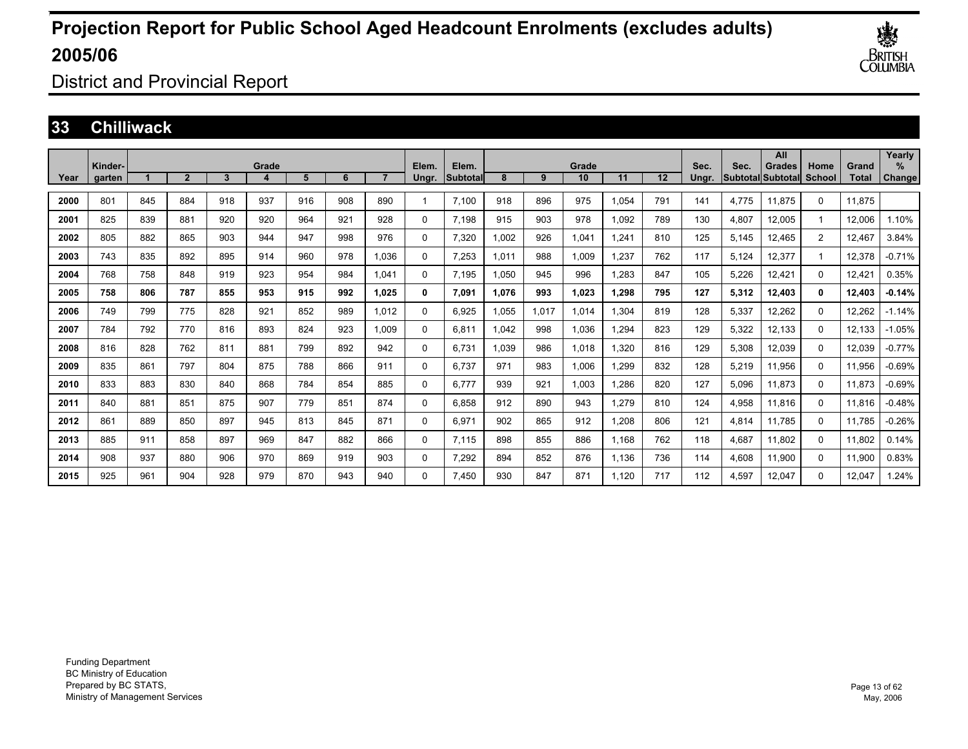

District and Provincial Report

#### **33 Chilliwack**

|      | Kinder- |     |                |     | Grade |     |     |                | Elem.       | Elem.     |       |       | Grade |       |     | Sec.  | Sec.  | All<br>Grades     | Home           | Grand        | Yearly<br>% |
|------|---------|-----|----------------|-----|-------|-----|-----|----------------|-------------|-----------|-------|-------|-------|-------|-----|-------|-------|-------------------|----------------|--------------|-------------|
| Year | garten  |     | $\overline{2}$ | 3   | 4     | 5   | 6   | $\overline{ }$ | Ungr.       | Subtotall | 8     | 9     | 10    | 11    | 12  | Ungr. |       | Subtotal Subtotal | School         | <b>Total</b> | Change      |
| 2000 | 801     | 845 | 884            | 918 | 937   | 916 | 908 | 890            |             | 7,100     | 918   | 896   | 975   | 1,054 | 791 | 141   | 4,775 | 11,875            | 0              | 11,875       |             |
| 2001 | 825     | 839 | 881            | 920 | 920   | 964 | 921 | 928            | 0           | 7.198     | 915   | 903   | 978   | 1,092 | 789 | 130   | 4,807 | 12,005            |                | 12.006       | 1.10%       |
| 2002 | 805     | 882 | 865            | 903 | 944   | 947 | 998 | 976            | 0           | 7,320     | 1.002 | 926   | 1.041 | .241  | 810 | 125   | 5,145 | 12,465            | $\overline{2}$ | 12.467       | 3.84%       |
| 2003 | 743     | 835 | 892            | 895 | 914   | 960 | 978 | 1.036          | 0           | 7,253     | 1,011 | 988   | 1,009 | .237  | 762 | 117   | 5,124 | 12,377            | 1              | 12,378       | $-0.71%$    |
| 2004 | 768     | 758 | 848            | 919 | 923   | 954 | 984 | 1.041          | $\mathbf 0$ | 7.195     | 1.050 | 945   | 996   | ,283  | 847 | 105   | 5,226 | 12,421            | $\Omega$       | 12,421       | 0.35%       |
| 2005 | 758     | 806 | 787            | 855 | 953   | 915 | 992 | 1.025          | 0           | 7,091     | 1.076 | 993   | 1.023 | 1,298 | 795 | 127   | 5,312 | 12,403            | 0              | 12.403       | $-0.14%$    |
| 2006 | 749     | 799 | 775            | 828 | 921   | 852 | 989 | 1.012          | $\Omega$    | 6.925     | 1.055 | 1,017 | 1.014 | 1,304 | 819 | 128   | 5,337 | 12,262            | $\Omega$       | 12.262       | $-1.14%$    |
| 2007 | 784     | 792 | 770            | 816 | 893   | 824 | 923 | 1,009          | 0           | 6,811     | 1,042 | 998   | 1,036 | ,294  | 823 | 129   | 5,322 | 12,133            | $\Omega$       | 12,133       | $-1.05%$    |
| 2008 | 816     | 828 | 762            | 811 | 881   | 799 | 892 | 942            | $\mathbf 0$ | 6,731     | 1,039 | 986   | 1,018 | 1,320 | 816 | 129   | 5,308 | 12,039            | 0              | 12,039       | $-0.77%$    |
| 2009 | 835     | 861 | 797            | 804 | 875   | 788 | 866 | 911            | 0           | 6.737     | 971   | 983   | 1,006 | ,299  | 832 | 128   | 5,219 | 11,956            | 0              | 11,956       | $-0.69%$    |
| 2010 | 833     | 883 | 830            | 840 | 868   | 784 | 854 | 885            | 0           | 6,777     | 939   | 921   | 1,003 | ,286  | 820 | 127   | 5,096 | 11,873            | $\Omega$       | 11,873       | $-0.69%$    |
| 2011 | 840     | 881 | 851            | 875 | 907   | 779 | 851 | 874            | $\Omega$    | 6,858     | 912   | 890   | 943   | 1,279 | 810 | 124   | 4,958 | 11,816            | $\Omega$       | 11,816       | $-0.48%$    |
| 2012 | 861     | 889 | 850            | 897 | 945   | 813 | 845 | 871            | 0           | 6,971     | 902   | 865   | 912   | 1,208 | 806 | 121   | 4,814 | 11.785            | 0              | 11,785       | $-0.26%$    |
| 2013 | 885     | 911 | 858            | 897 | 969   | 847 | 882 | 866            | 0           | 7.115     | 898   | 855   | 886   | 1,168 | 762 | 118   | 4,687 | 11.802            | $\Omega$       | 11,802       | 0.14%       |
| 2014 | 908     | 937 | 880            | 906 | 970   | 869 | 919 | 903            | 0           | 7,292     | 894   | 852   | 876   | 1,136 | 736 | 114   | 4,608 | 11,900            | $\Omega$       | 11,900       | 0.83%       |
| 2015 | 925     | 961 | 904            | 928 | 979   | 870 | 943 | 940            | $\Omega$    | 7,450     | 930   | 847   | 871   | 1,120 | 717 | 112   | 4,597 | 12,047            | $\Omega$       | 12,047       | 1.24%       |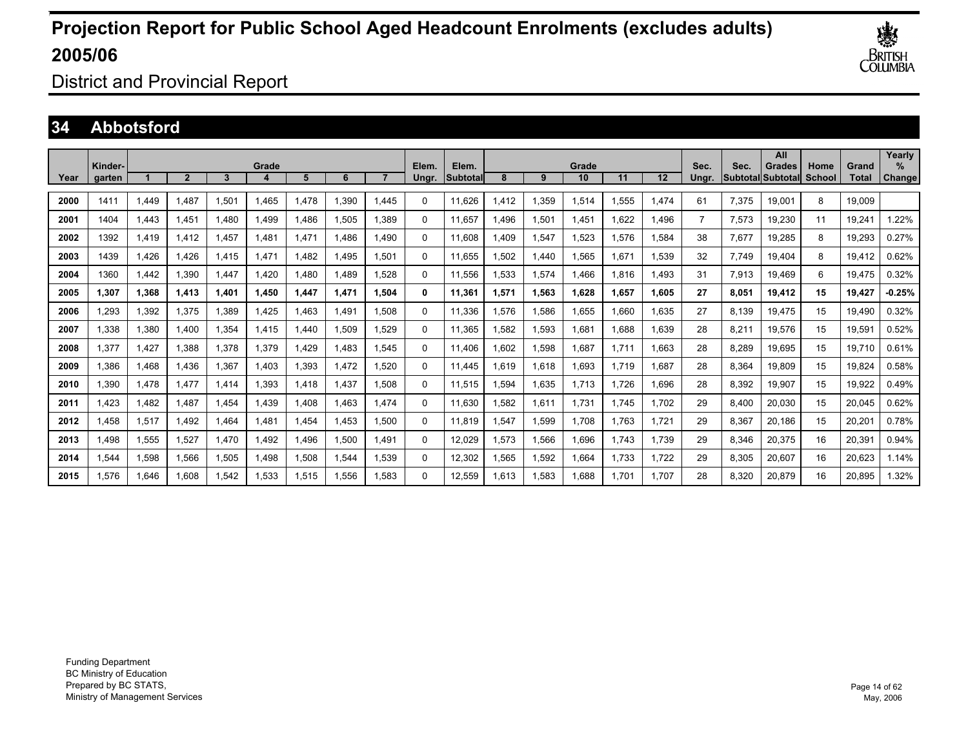

District and Provincial Report

### **34 Abbotsford**

|      | Kinder- |       |                |       | Grade |      |       |       | Elem. | Elem.    |             |       | Grade |       |       | Sec.  | Sec.  | All<br><b>Grades</b>     | Home          | Grand  | Yearly<br>% |
|------|---------|-------|----------------|-------|-------|------|-------|-------|-------|----------|-------------|-------|-------|-------|-------|-------|-------|--------------------------|---------------|--------|-------------|
| Year | garten  |       | $\overline{2}$ | 3     | 4     | 5    | 6     |       | Unar. | Subtotal | 8           | 9     | 10    | 11    | 12    | Unar. |       | <b>Subtotal Subtotal</b> | <b>School</b> | Total  | Change      |
| 2000 | 1411    | .449  | .487           | 1,501 | 1,465 | .478 | 1,390 | 1.445 | 0     | 11,626   | 1.412       | 1,359 | 1,514 | .555  | 1,474 | 61    | 7,375 | 19,001                   | 8             | 19.009 |             |
| 2001 | 1404    | 1,443 | 1,451          | 1.480 | 1,499 | ,486 | 1,505 | 1,389 | 0     | 11,657   | <b>.496</b> | 1,501 | 1,451 | ,622  | 1,496 | 7     | 7,573 | 19,230                   | 11            | 19,241 | .22%        |
| 2002 | 1392    | 1,419 | 1.412          | l.457 | 1,481 | .471 | 1.486 | 1.490 | 0     | 11,608   | <b>.409</b> | 1,547 | 1,523 | .576  | 1,584 | 38    | 7,677 | 19,285                   | 8             | 19,293 | 0.27%       |
| 2003 | 1439    | 1.426 | .426           | 1.415 | 1,471 | .482 | 1.495 | 1.501 | 0     | 11.655   | .502        | 1,440 | 1.565 | 1.671 | 1,539 | 32    | 7.749 | 19.404                   | 8             | 19,412 | 0.62%       |
| 2004 | 1360    | 1.442 | .390           | 1.447 | 1.420 | .480 | 1.489 | 1.528 | 0     | 11.556   | .533        | 1,574 | 1.466 | 816.  | 1.493 | 31    | 7,913 | 19.469                   | 6             | 19.475 | 0.32%       |
| 2005 | 1,307   | 1,368 | 1,413          | 1,401 | 1,450 | ,447 | 1,471 | 1,504 | 0     | 11,361   | 1,571       | 1,563 | 1,628 | 1,657 | 1,605 | 27    | 8,051 | 19,412                   | 15            | 19,427 | $-0.25%$    |
| 2006 | 1,293   | 1,392 | 1,375          | 1,389 | 1,425 | .463 | 1.491 | 1,508 | 0     | 11,336   | 1,576       | 1,586 | 1,655 | .660  | 1,635 | 27    | 8.139 | 19.475                   | 15            | 19,490 | 0.32%       |
| 2007 | 1.338   | 1,380 | 1.400          | 1,354 | 1,415 | .440 | 1,509 | 1.529 | 0     | 11,365   | .582        | 1,593 | 1,681 | .688  | 1,639 | 28    | 8,211 | 19,576                   | 15            | 19,591 | 0.52%       |
| 2008 | 1.377   | 1.427 | 1.388          | 1,378 | 1,379 | ,429 | 1.483 | 1,545 | 0     | 11.406   | 1,602       | 1,598 | 1.687 | 1.711 | 1,663 | 28    | 8,289 | 19,695                   | 15            | 19.710 | 0.61%       |
| 2009 | 1.386   | 1.468 | 1.436          | 1,367 | 1.403 | ,393 | 1.472 | 1,520 | 0     | 11.445   | 1.619       | 1,618 | 1.693 | 1.719 | 1,687 | 28    | 8,364 | 19.809                   | 15            | 19,824 | 0.58%       |
| 2010 | 1.390   | 1.478 | 1.477          | 1.414 | 1,393 | .418 | 1.437 | 1.508 | 0     | 11,515   | .594        | 1,635 | 1.713 | .726  | 1.696 | 28    | 8,392 | 19.907                   | 15            | 19,922 | 0.49%       |
| 2011 | 1,423   | 1,482 | 1,487          | 1,454 | 1,439 | ,408 | 1,463 | 1,474 | 0     | 11,630   | .582        | 1,611 | 1,731 | 1.745 | 1,702 | 29    | 8,400 | 20,030                   | 15            | 20,045 | 0.62%       |
| 2012 | 1,458   | 1,517 | 1.492          | 1.464 | 1,481 | ,454 | 1,453 | 1,500 | 0     | 11,819   | ,547        | 1,599 | 1,708 | 1,763 | 1,721 | 29    | 8,367 | 20,186                   | 15            | 20,201 | 0.78%       |
| 2013 | 1.498   | 1,555 | 1,527          | 1.470 | 1,492 | ,496 | 1,500 | 1.491 | 0     | 12,029   | 1,573       | 1,566 | 1.696 | 1.743 | 1.739 | 29    | 8,346 | 20,375                   | 16            | 20,391 | 0.94%       |
| 2014 | 1.544   | 1,598 | 1,566          | 1,505 | 1.498 | .508 | 1,544 | 1.539 | 0     | 12,302   | .565        | 1,592 | 1.664 | 1.733 | 1.722 | 29    | 8,305 | 20.607                   | 16            | 20,623 | 1.14%       |
| 2015 | 1.576   | 1.646 | 1.608          | 1.542 | 1.533 | .515 | 1.556 | 1.583 | 0     | 12.559   | 1.613       | 1.583 | 1.688 | 1.701 | 1.707 | 28    | 8.320 | 20.879                   | 16            | 20.895 | .32%        |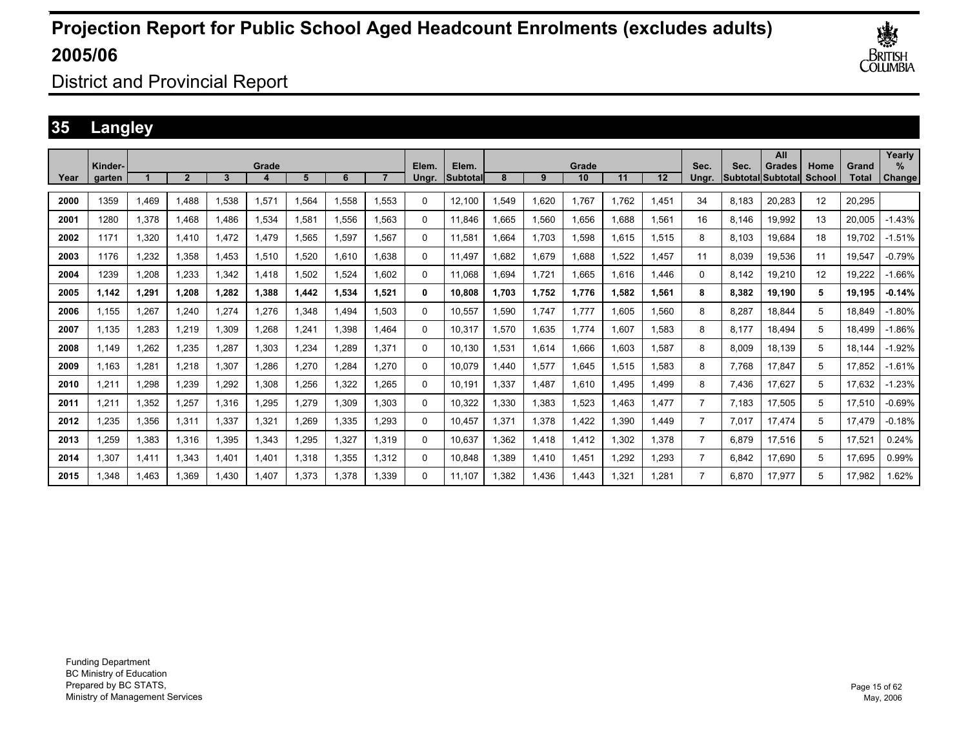

District and Provincial Report

### **35 Langley**

|      |                   |              |                |       |       |       |       |       |                |                          |       |       |             |       |       |                |       | All                                 |                |                       | Yearly         |
|------|-------------------|--------------|----------------|-------|-------|-------|-------|-------|----------------|--------------------------|-------|-------|-------------|-------|-------|----------------|-------|-------------------------------------|----------------|-----------------------|----------------|
| Year | Kinder-<br>garten |              | $\overline{2}$ | 3     | Grade | 5     | 6     |       | Elem.<br>Ungr. | Elem.<br><b>Subtotal</b> | 8     | 9     | Grade<br>10 | 11    | 12    | Sec.<br>Unar.  | Sec.  | <b>Grades</b><br> Subtotal Subtotal | Home<br>School | Grand<br><b>Total</b> | $\%$<br>Change |
| 2000 | 1359              | <b>1.469</b> | 1.488          | 1.538 | 1,571 | .564  | 1.558 | 1.553 | 0              | 12.100                   | .549  | 1.620 | 1.767       | 1.762 | 1.451 | 34             | 8.183 | 20.283                              | 12             | 20.295                |                |
| 2001 | 1280              | 1,378        | 1.468          | 1.486 | 1,534 | .581  | 1,556 | 1.563 | 0              | 11.846                   | .665  | 1,560 | 1,656       | .688  | 1,561 | 16             | 8.146 | 19,992                              | 13             | 20,005                | $-1.43%$       |
| 2002 | 1171              | 1,320        | 1.410          | 1.472 | 1,479 | .565  | 1,597 | 1.567 | 0              | 11,581                   | .664  | 1.703 | 1,598       | .615  | 1,515 | 8              | 8.103 | 19.684                              | 18             | 19.702                | $-1.51%$       |
| 2003 | 1176              | 1,232        | .358           | 1.453 | 1.510 | ,520  | 1.610 | 1.638 | 0              | 11.497                   | .682  | 1,679 | .688        | .522  | 1.457 | 11             | 8.039 | 19.536                              | 11             | 19.547                | $-0.79%$       |
| 2004 | 1239              | 1.208        | .233           | 1.342 | 1.418 | .502  | 1.524 | 1.602 | 0              | 11.068                   | .694  | 1.721 | .665        | .616  | 1.446 | 0              | 8.142 | 19.210                              | 12             | 19,222                | $-1.66%$       |
| 2005 | 1,142             | 1,291        | 1,208          | 1,282 | 1,388 | ,442  | 1,534 | 1,521 | 0              | 10,808                   | 1.703 | 1,752 | 1,776       | 1,582 | 1,561 | 8              | 8,382 | 19,190                              | 5              | 19,195                | $-0.14%$       |
| 2006 | 1.155             | 1.267        | 1.240          | 1.274 | 1.276 | ,348  | 1.494 | 1.503 | 0              | 10,557                   | 1.590 | 1,747 | 1.777       | .605  | 1,560 | 8              | 8.287 | 18,844                              | 5              | 18.849                | $-1.80%$       |
| 2007 | 1.135             | 1.283        | 1.219          | 1,309 | 1.268 | .241  | 1.398 | 1.464 | 0              | 10.317                   | .570  | 1,635 | 1.774       | 1.607 | 1.583 | 8              | 8.177 | 18.494                              | 5              | 18,499                | $-1.86%$       |
| 2008 | 1.149             | 1.262        | .235           | 1.287 | 1.303 | ,234  | 1.289 | 1.371 | 0              | 10.130                   | 1.531 | 1.614 | 1.666       | .603  | 1.587 | 8              | 8.009 | 18.139                              | 5              | 18.144                | $-1.92%$       |
| 2009 | 1,163             | 1,281        | 1,218          | 1,307 | 1,286 | ,270  | 1,284 | 1,270 | 0              | 10,079                   | 1,440 | 1,577 | 1,645       | 1,515 | 1,583 | 8              | 7.768 | 17,847                              | 5              | 17,852                | $-1.61%$       |
| 2010 | 1,211             | 1,298        | 1,239          | 1,292 | 1,308 | ,256  | 1,322 | 1,265 | 0              | 10,191                   | 1,337 | 1,487 | 1,610       | .495  | 1,499 | 8              | 7,436 | 17,627                              | 5              | 17,632                | $-1.23%$       |
| 2011 | 1,211             | 1,352        | 1,257          | 1,316 | 1,295 | ,279  | 1,309 | 1,303 | 0              | 10,322                   | 1,330 | 1,383 | 1,523       | .463  | 1.477 | 7              | 7.183 | 17,505                              | 5              | 17,510                | $-0.69%$       |
| 2012 | 1.235             | 1,356        | 1.311          | 1.337 | 1,321 | ,269  | 1,335 | 1,293 | 0              | 10.457                   | 1.371 | 1,378 | 1.422       | .390  | 1.449 | 7              | 7,017 | 17.474                              | 5              | 17.479                | $-0.18%$       |
| 2013 | 1,259             | 1,383        | 1,316          | 1,395 | 1,343 | ,295  | 1,327 | 1,319 | 0              | 10,637                   | 1,362 | 1,418 | 1,412       | 1,302 | 1,378 | 7              | 6,879 | 17,516                              | 5              | 17,521                | 0.24%          |
| 2014 | 1,307             | 1,411        | 1,343          | 1.401 | 1,401 | .318  | 1,355 | 1,312 | 0              | 10,848                   | 1,389 | 1,410 | 1,451       | ,292  | 1,293 | $\overline{7}$ | 6.842 | 17,690                              | 5              | 17,695                | 0.99%          |
| 2015 | 1.348             | 1.463        | 1.369          | 1.430 | 1.407 | 1.373 | 1.378 | 1.339 | 0              | 11.107                   | 1.382 | 1.436 | 1,443       | 1.321 | 1.281 | 7              | 6.870 | 17.977                              | 5              | 17.982                | 1.62%          |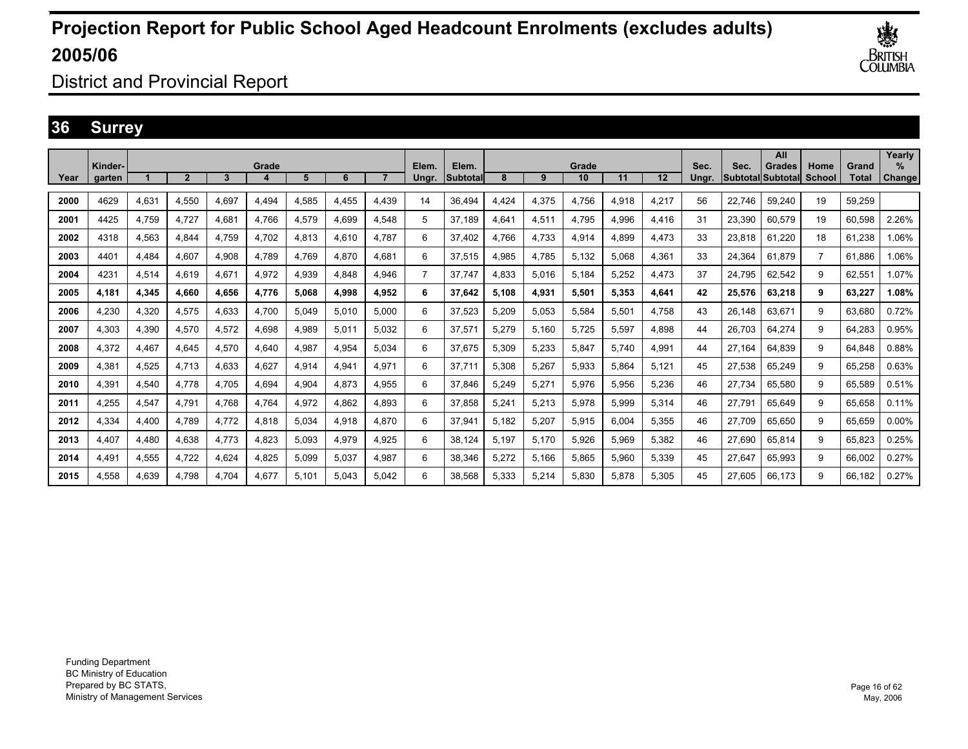

District and Provincial Report

### **36 Surrey**

|      |                   |       |                |       |       |       |       |       |                |                    |       |              |             |       |       |               |                                  | All           |                       |                       | Yearly                |
|------|-------------------|-------|----------------|-------|-------|-------|-------|-------|----------------|--------------------|-------|--------------|-------------|-------|-------|---------------|----------------------------------|---------------|-----------------------|-----------------------|-----------------------|
| Year | Kinder-<br>aarten |       | $\overline{2}$ | 3     | Grade | 5     | 6     |       | Elem.<br>Ungr. | Elem.<br>lSubtotal | 8     | $\mathbf{Q}$ | Grade<br>10 | 11    | 12    | Sec.<br>Unar. | Sec.<br><b>SubtotallSubtotal</b> | <b>Grades</b> | Home<br><b>School</b> | Grand<br><b>Total</b> | $\%$<br><b>Change</b> |
| 2000 | 4629              | 4,631 | 4.550          | 4.697 | 4.494 | 4.585 | 4.455 | 4.439 | 14             | 36.494             | 4.424 | 4,375        | 4.756       | 4.918 | 4,217 | 56            | 22.746                           | 59.240        | 19                    | 59.259                |                       |
| 2001 | 4425              | 4,759 | 4.727          | 4.681 | 4,766 | 4,579 | 4,699 | 4.548 | 5              | 37,189             | 4,641 | 4,511        | 4,795       | 4,996 | 4,416 | 31            | 23,390                           | 60,579        | 19                    | 60,598                | 2.26%                 |
| 2002 | 4318              | 4,563 | 4.844          | 4.759 | 4,702 | 4,813 | 4,610 | 4.787 | 6              | 37.402             | 4.766 | 4,733        | 4,914       | 4.899 | 4,473 | 33            | 23.818                           | 61.220        | 18                    | 61.238                | .06%                  |
| 2003 | 4401              | 4,484 | 4.607          | 4.908 | 4.789 | 4.769 | 4.870 | 4.681 | 6              | 37,515             | 4.985 | 4,785        | 5,132       | 5.068 | 4,361 | 33            | 24.364                           | 61.879        | $\overline{7}$        | 61.886                | .06%                  |
| 2004 | 4231              | 4,514 | 4.619          | 4.671 | 4,972 | 4,939 | 4.848 | 4.946 | $\overline{7}$ | 37,747             | 4.833 | 5,016        | 5.184       | 5,252 | 4.473 | 37            | 24.795                           | 62,542        | 9                     | 62.551                | 1.07%                 |
| 2005 | 4,181             | 4,345 | 4,660          | 4,656 | 4,776 | 5,068 | 4,998 | 4,952 | 6              | 37,642             | 5,108 | 4,931        | 5,501       | 5,353 | 4,641 | 42            | 25,576                           | 63,218        | 9                     | 63,227                | 1.08%                 |
| 2006 | 4.230             | 4,320 | 4.575          | 4.633 | 4,700 | 5,049 | 5,010 | 5.000 | 6              | 37,523             | 5,209 | 5,053        | 5,584       | 5,501 | 4.758 | 43            | 26,148                           | 63.671        | 9                     | 63.680                | 0.72%                 |
| 2007 | 4.303             | 4,390 | 4.570          | 4,572 | 4.698 | 4,989 | 5,011 | 5.032 | 6              | 37,571             | 5.279 | 5,160        | 5.725       | 5,597 | 4,898 | 44            | 26.703                           | 64.274        | 9                     | 64.283                | 0.95%                 |
| 2008 | 4.372             | 4,467 | 4.645          | 4.570 | 4.640 | 4,987 | 4.954 | 5.034 | 6              | 37,675             | 5.309 | 5,233        | 5.847       | 5.740 | 4,991 | 44            | 27.164                           | 64.839        | 9                     | 64.848                | 0.88%                 |
| 2009 | 4,381             | 4,525 | 4.713          | 4,633 | 4,627 | 4,914 | 4,941 | 4,971 | 6              | 37,711             | 5,308 | 5,267        | 5,933       | 5,864 | 5,121 | 45            | 27,538                           | 65,249        | 9                     | 65,258                | 0.63%                 |
| 2010 | 4,391             | 4,540 | 4.778          | 4.705 | 4,694 | 4,904 | 4,873 | 4,955 | 6              | 37,846             | 5,249 | 5,271        | 5,976       | 5,956 | 5,236 | 46            | 27,734                           | 65,580        | 9                     | 65,589                | 0.51%                 |
| 2011 | 4,255             | 4,547 | 4.791          | 4.768 | 4,764 | 4,972 | 4,862 | 4.893 | 6              | 37,858             | 5,241 | 5,213        | 5,978       | 5,999 | 5,314 | 46            | 27.791                           | 65,649        | 9                     | 65.658                | 0.11%                 |
| 2012 | 4.334             | 4,400 | 4.789          | 4.772 | 4,818 | 5.034 | 4,918 | 4.870 | 6              | 37,941             | 5.182 | 5,207        | 5,915       | 6.004 | 5.355 | 46            | 27.709                           | 65.650        | 9                     | 65.659                | 0.00%                 |
| 2013 | 4,407             | 4,480 | 4,638          | 4.773 | 4,823 | 5,093 | 4,979 | 4,925 | 6              | 38,124             | 5,197 | 5,170        | 5,926       | 5,969 | 5,382 | 46            | 27,690                           | 65,814        | 9                     | 65,823                | 0.25%                 |
| 2014 | 4,491             | 4,555 | 4,722          | 4,624 | 4,825 | 5.099 | 5,037 | 4,987 | 6              | 38,346             | 5,272 | 5,166        | 5.865       | 5,960 | 5,339 | 45            | 27.647                           | 65,993        | 9                     | 66.002                | 0.27%                 |
| 2015 | 4.558             | 4.639 | 4.798          | 4.704 | 4.677 | 5.101 | 5.043 | 5.042 | 6              | 38.568             | 5,333 | 5.214        | 5.830       | 5.878 | 5.305 | 45            | 27.605                           | 66,173        | 9                     | 66.182                | 0.27%                 |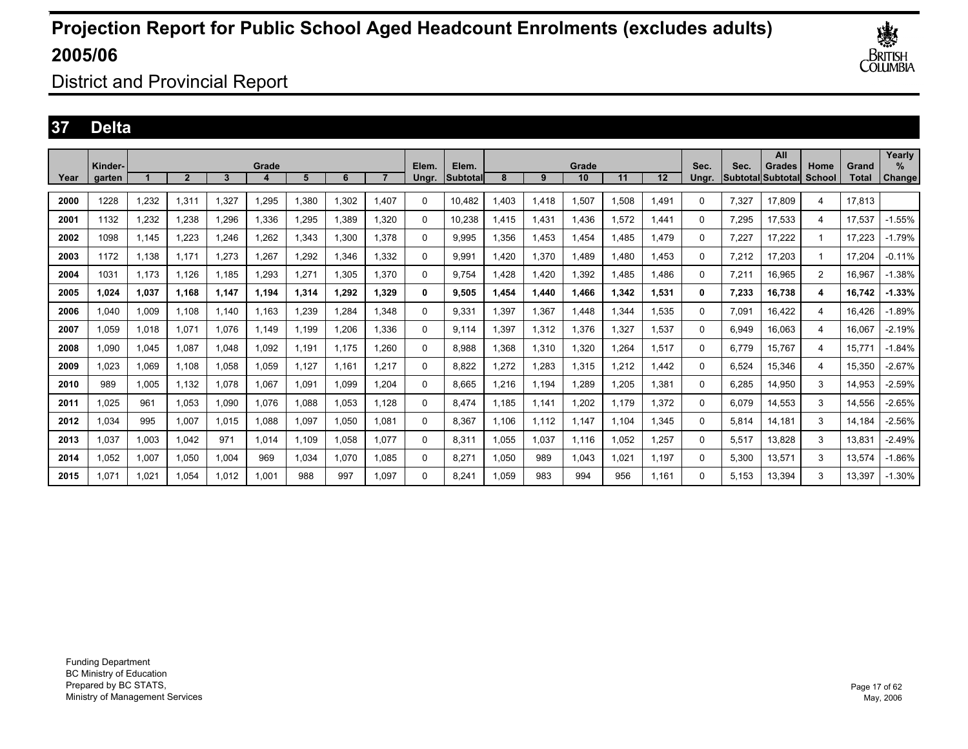

District and Provincial Report

### **37 Delta**

|      |                   |       |                |       |       |       |       |       |                |                   |       |       |             |       |       |               |       | All                          |                       |                | Yearly             |
|------|-------------------|-------|----------------|-------|-------|-------|-------|-------|----------------|-------------------|-------|-------|-------------|-------|-------|---------------|-------|------------------------------|-----------------------|----------------|--------------------|
| Year | Kinder-<br>aarten |       | $\overline{2}$ | 3     | Grade | 5     | 6     |       | Elem.<br>Unar. | Elem.<br>Subtotal | 8     | 9     | Grade<br>10 | 11    | 12    | Sec.<br>Unar. | Sec.  | Grades<br> Subtotal Subtotal | Home<br><b>School</b> | Grand<br>Total | %<br><b>Change</b> |
| 2000 | 1228              | 1,232 | 1,311          | 327   | ,295  | 1,380 | 1,302 | 1.407 | $\Omega$       | 10.482            | .403  | 1,418 | 1,507       | .508  | 1,491 | $\Omega$      | 7,327 | 17,809                       | 4                     | 17,813         |                    |
| 2001 | 1132              | 1,232 | 1.238          | 1.296 | 1,336 | 1,295 | 1.389 | 1.320 | 0              | 10,238            | 1,415 | 1,431 | 1.436       | .572  | 1.441 | $\Omega$      | 7,295 | 17,533                       | 4                     | 17.537         | -1.55%             |
| 2002 | 1098              | 1.145 | 1.223          | .246  | ,262  | 1,343 | 1.300 | 1.378 | 0              | 9.995             | 1.356 | 1.453 | 1.454       | .485  | 1.479 | $\Omega$      | 7.227 | 17.222                       | 1                     | 17.223         | $-1.79%$           |
| 2003 | 1172              | 1,138 | 1.171          | 1,273 | ,267  | 1,292 | 1,346 | 1,332 | 0              | 9,991             | 1.420 | 1,370 | 1,489       | .480  | 1.453 | $\Omega$      | 7,212 | 17,203                       | 1                     | 17,204         | $-0.11%$           |
| 2004 | 1031              | 1,173 | 1,126          | 1,185 | ,293  | 1,27' | 1,305 | 1,370 | 0              | 9.754             | 1.428 | 1,420 | 1,392       | .485  | 1.486 | $\Omega$      | 7,211 | 16,965                       | $\overline{2}$        | 16.967         | $-1.38%$           |
| 2005 | 1.024             | 1,037 | 1.168          | 1,147 | 1,194 | 1,314 | 1,292 | 1.329 | 0              | 9,505             | 1.454 | 1,440 | 1.466       | 1,342 | 1,531 | 0             | 7,233 | 16,738                       | 4                     | 16.742         | $-1.33%$           |
| 2006 | 1.040             | 1,009 | 1.108          | 1.140 | 1.163 | 1,239 | 1.284 | 1.348 | 0              | 9.331             | 1.397 | 1,367 | 1.448       | .344  | 1.535 | $\Omega$      | 7.091 | 16.422                       | 4                     | 16.426         | $-1.89%$           |
| 2007 | 1,059             | 1,018 | 1,071          | 1,076 | 1.149 | 1,199 | 1,206 | 1,336 | $\Omega$       | 9,114             | 1,397 | 1,312 | 1,376       | ,327  | 1,537 | $\Omega$      | 6,949 | 16,063                       | 4                     | 16.067         | $-2.19%$           |
| 2008 | 1.090             | 1,045 | 1,087          | 1,048 | 1,092 | 1,191 | 1.175 | 1,260 | $\Omega$       | 8.988             | 1.368 | 1,310 | 1,320       | .264  | 1,517 | $\Omega$      | 6.779 | 15.767                       | 4                     | 15.771         | $-1.84%$           |
| 2009 | 1.023             | 1,069 | 1.108          | 1,058 | 1.059 | 1,127 | 1.161 | 1.217 | 0              | 8.822             | 1.272 | 1.283 | 1,315       | .212  | 1,442 | $\Omega$      | 6.524 | 15,346                       | 4                     | 15,350         | $-2.67%$           |
| 2010 | 989               | 1.005 | 1.132          | 1,078 | 1.067 | 1.091 | 1.099 | 1.204 | 0              | 8.665             | 1.216 | 1.194 | 1.289       | .205  | 1.381 | $\Omega$      | 6.285 | 14.950                       | 3                     | 14.953         | $-2.59%$           |
| 2011 | 1,025             | 961   | 1,053          | 1,090 | 1,076 | 1,088 | 1,053 | 1,128 | $\Omega$       | 8,474             | 1.185 | 1,141 | 1,202       | 1.179 | 1,372 | $\Omega$      | 6,079 | 14,553                       | 3                     | 14,556         | $-2.65%$           |
| 2012 | 1,034             | 995   | 1,007          | 1,015 | 1,088 | 1,097 | 1,050 | 1,081 | $\Omega$       | 8,367             | 1.106 | 1,112 | 1,147       | .104  | 1,345 | $\Omega$      | 5,814 | 14,181                       | 3                     | 14,184         | $-2.56%$           |
| 2013 | 1.037             | 1,003 | 1.042          | 971   | 1.014 | 1,109 | 1,058 | 1.077 | 0              | 8,311             | 1,055 | 1,037 | 1,116       | .052  | 1,257 | $\Omega$      | 5,517 | 13,828                       | 3                     | 13,831         | $-2.49%$           |
| 2014 | 1.052             | 1,007 | 1.050          | 1,004 | 969   | 1,034 | 1,070 | 1.085 | 0              | 8.271             | 1.050 | 989   | 1.043       | 1.021 | 1.197 | $\Omega$      | 5.300 | 13,571                       | 3                     | 13,574         | $-1.86%$           |
| 2015 | .071              | 1,021 | 1,054          | 1,012 | 1,001 | 988   | 997   | 1.097 | 0              | 8.241             | 1,059 | 983   | 994         | 956   | 1.161 | 0             | 5.153 | 13,394                       | 3                     | 13,397         | $-1.30%$           |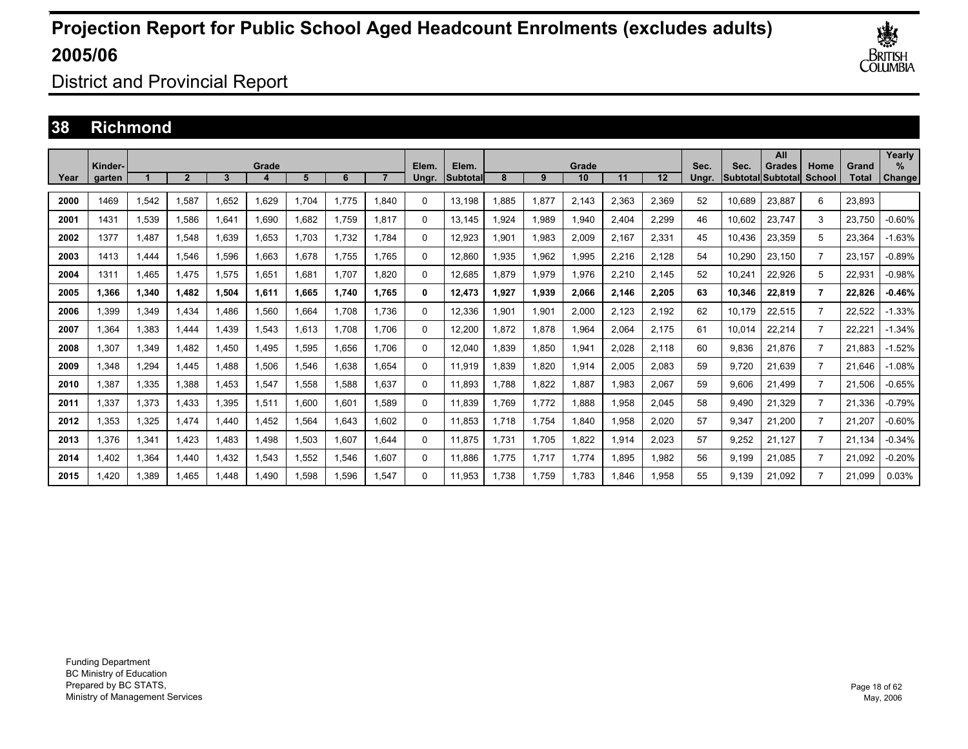

District and Provincial Report

#### **38 Richmond**

|      | Kinder- |       |                |       | Grade |       |       |       | Elem.    | Elem.    |       |       | Grade |       |       | Sec.  | Sec.   | All<br><b>Grades</b> | Home           | Grand  | Yearly<br>$\%$ |
|------|---------|-------|----------------|-------|-------|-------|-------|-------|----------|----------|-------|-------|-------|-------|-------|-------|--------|----------------------|----------------|--------|----------------|
| Year | garten  |       | $\overline{2}$ | 3     | 4     | 5     | 6     |       | Ungr.    | Subtotal | 8     | 9     | 10    | 11    | 12    | Unar. |        | Subtotal Subtotal    | School         | Total  | Change         |
| 2000 | 1469    | 1,542 | 1,587          | 1.652 | 1,629 | ,704  | 1.775 | 1,840 | $\Omega$ | 13,198   | .885  | 1,877 | 2,143 | 2,363 | 2,369 | 52    | 10.689 | 23,887               | 6              | 23,893 |                |
| 2001 | 1431    | 1,539 | .586           | 1.641 | 1.690 | .682  | 1.759 | 1.817 | 0        | 13.145   | .924  | 1,989 | 1,940 | 2.404 | 2,299 | 46    | 10.602 | 23,747               | 3              | 23.750 | $-0.60%$       |
| 2002 | 1377    | 1.487 | .548           | 1.639 | 1.653 | .703  | 1.732 | 1.784 | 0        | 12,923   | 1.901 | 1.983 | 2.009 | 2.167 | 2,331 | 45    | 10.436 | 23,359               | 5              | 23.364 | $-1.63%$       |
| 2003 | 1413    | 1,444 | .546           | 1,596 | 1,663 | .678  | 1.755 | 1.765 | 0        | 12,860   | 1,935 | 1,962 | 1,995 | 2,216 | 2,128 | 54    | 10,290 | 23,150               | $\overline{7}$ | 23,157 | $-0.89%$       |
| 2004 | 1311    | 1.465 | 1.475          | 1,575 | 1,651 | 1.681 | 1.707 | 1.820 | 0        | 12,685   | 1.879 | 1,979 | 1,976 | 2,210 | 2,145 | 52    | 10,241 | 22,926               | 5              | 22,931 | $-0.98%$       |
| 2005 | 1.366   | 1,340 | 1.482          | 1.504 | 1.611 | I.665 | 1.740 | 1.765 | 0        | 12,473   | 1.927 | 1,939 | 2.066 | 2.146 | 2,205 | 63    | 10,346 | 22,819               | $\overline{7}$ | 22.826 | $-0.46%$       |
| 2006 | 1.399   | 1,349 | 1.434          | 1.486 | 1,560 | .664  | 1.708 | 1.736 | 0        | 12,336   | 1.901 | 1,901 | 2.000 | 2.123 | 2,192 | 62    | 10.179 | 22,515               | $\overline{7}$ | 22.522 | $-1.33%$       |
| 2007 | 1,364   | 1,383 | 1.444          | 1,439 | 1,543 | .613  | 1,708 | 1.706 | 0        | 12,200   | 1,872 | 1,878 | 1,964 | 2,064 | 2,175 | 61    | 10,014 | 22,214               | $\overline{7}$ | 22.22' | $-1.34%$       |
| 2008 | 1,307   | 1,349 | 1,482          | 1,450 | 1,495 | .595  | 1,656 | 1.706 | 0        | 12,040   | 839.  | 1,850 | 1,941 | 2,028 | 2,118 | 60    | 9,836  | 21,876               | $\overline{7}$ | 21.883 | $-1.52%$       |
| 2009 | 1.348   | 1,294 | 1.445          | 1.488 | 1,506 | .546  | 1.638 | 1.654 | 0        | 11,919   | 839.  | 1,820 | 1,914 | 2,005 | 2,083 | 59    | 9.720  | 21,639               | $\overline{7}$ | 21.646 | $-1.08%$       |
| 2010 | 1,387   | 1,335 | 1,388          | 1,453 | 1,547 | .558  | 1,588 | 1,637 | $\Omega$ | 11,893   | 1.788 | 1,822 | 1,887 | 1,983 | 2,067 | 59    | 9,606  | 21,499               | $\overline{7}$ | 21,506 | $-0.65%$       |
| 2011 | 1,337   | 1,373 | 1.433          | 1,395 | 1,511 | .600  | 1,601 | 1.589 | $\Omega$ | 11,839   | 1.769 | 1.772 | 1,888 | 1,958 | 2,045 | 58    | 9.490  | 21,329               | $\overline{7}$ | 21,336 | $-0.79%$       |
| 2012 | 1.353   | 1,325 | 1.474          | l.440 | 1,452 | .564  | 1.643 | 1.602 | 0        | 11,853   | 1.718 | 1.754 | 1.840 | 1,958 | 2,020 | 57    | 9,347  | 21.200               | $\overline{7}$ | 21,207 | $-0.60%$       |
| 2013 | 1.376   | 1,341 | 1.423          | 1.483 | 1.498 | .503  | 1.607 | 1.644 | $\Omega$ | 11,875   | 1.731 | 1.705 | 1.822 | 1.914 | 2,023 | 57    | 9.252  | 21.127               | $\overline{7}$ | 21.134 | $-0.34%$       |
| 2014 | 1,402   | 1,364 | 1.440          | 1,432 | 1,543 | .552  | 1,546 | 1,607 | $\Omega$ | 11,886   | 1.775 | 1,717 | 1,774 | .895  | 1,982 | 56    | 9,199  | 21,085               | $\overline{7}$ | 21,092 | $-0.20%$       |
| 2015 | 1.420   | 1,389 | 1.465          | .448  | 1.490 | .598  | 1,596 | 1,547 | 0        | 11,953   | 1.738 | 1.759 | 1,783 | .846  | 1,958 | 55    | 9.139  | 21.092               | $\overline{7}$ | 21.099 | 0.03%          |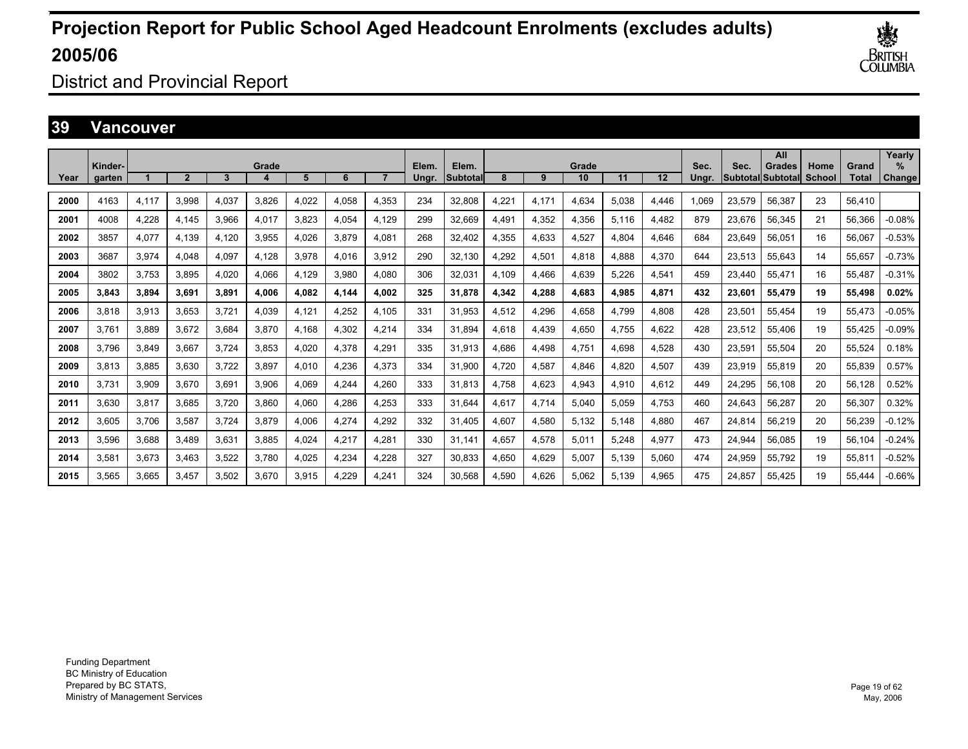

District and Provincial Report

#### **39 Vancouver**

|      | Kinder- |       |                |       | Grade |       |       |       | Elem. | Elem.    |       |       | Grade |       |       | Sec.  | Sec.   | All<br>Grades     | Home   | Grand        | Yearly<br>$\%$ |
|------|---------|-------|----------------|-------|-------|-------|-------|-------|-------|----------|-------|-------|-------|-------|-------|-------|--------|-------------------|--------|--------------|----------------|
| Year | garten  |       | $\overline{2}$ | 3     | 4     | 5     | 6     |       | Ungr. | Subtotal | 8     | 9     | 10    | 11    | 12    | Unar. |        | Subtotal Subtotal | School | <b>Total</b> | Change         |
| 2000 | 4163    | 4,117 | 3,998          | 4.037 | 3.826 | 4,022 | 4,058 | 4,353 | 234   | 32,808   | 4,221 | 4,171 | 4,634 | 5.038 | 4,446 | 069   | 23,579 | 56,387            | 23     | 56.410       |                |
| 2001 | 4008    | 4,228 | 4.145          | 3.966 | 4,017 | 3,823 | 4,054 | 4.129 | 299   | 32,669   | 4.491 | 4,352 | 4,356 | 5,116 | 4,482 | 879   | 23,676 | 56,345            | 21     | 56,366       | $-0.08%$       |
| 2002 | 3857    | 4,077 | 4.139          | 4.120 | 3.955 | 4.026 | 3.879 | 4.081 | 268   | 32.402   | 4.355 | 4.633 | 4.527 | 4.804 | 4.646 | 684   | 23.649 | 56.051            | 16     | 56.067       | $-0.53%$       |
| 2003 | 3687    | 3,974 | 4.048          | 4.097 | 4.128 | 3,978 | 4,016 | 3,912 | 290   | 32,130   | 4,292 | 4,501 | 4.818 | 4.888 | 4,370 | 644   | 23,513 | 55,643            | 14     | 55,657       | $-0.73%$       |
| 2004 | 3802    | 3,753 | 3.895          | 4.020 | 4,066 | 4.129 | 3,980 | 4,080 | 306   | 32,031   | 4.109 | 4,466 | 4.639 | 5.226 | 4,541 | 459   | 23,440 | 55,471            | 16     | 55.487       | $-0.31%$       |
| 2005 | 3.843   | 3,894 | 3.691          | 3.891 | 4.006 | 4.082 | 4,144 | 4.002 | 325   | 31,878   | 4,342 | 4,288 | 4.683 | 4,985 | 4,871 | 432   | 23,601 | 55.479            | 19     | 55,498       | 0.02%          |
| 2006 | 3.818   | 3,913 | 3.653          | 3.721 | 4.039 | 4.121 | 4,252 | 4.105 | 331   | 31.953   | 4.512 | 4,296 | 4.658 | 4.799 | 4,808 | 428   | 23,501 | 55.454            | 19     | 55.473       | $-0.05%$       |
| 2007 | 3.761   | 3,889 | 3,672          | 3,684 | 3,870 | 4,168 | 4,302 | 4,214 | 334   | 31,894   | 4,618 | 4,439 | 4,650 | 4,755 | 4,622 | 428   | 23,512 | 55,406            | 19     | 55,425       | $-0.09%$       |
| 2008 | 3.796   | 3,849 | 3,667          | 3.724 | 3,853 | 4,020 | 4,378 | 4,291 | 335   | 31,913   | 4,686 | 4,498 | 4,751 | 4.698 | 4,528 | 430   | 23,591 | 55,504            | 20     | 55,524       | 0.18%          |
| 2009 | 3.813   | 3,885 | 3,630          | 3.722 | 3,897 | 4.010 | 4,236 | 4,373 | 334   | 31,900   | 4.720 | 4,587 | 4.846 | 4.820 | 4,507 | 439   | 23,919 | 55,819            | 20     | 55,839       | 0.57%          |
| 2010 | 3,731   | 3,909 | 3,670          | 3,691 | 3,906 | 4,069 | 4,244 | 4,260 | 333   | 31,813   | 4.758 | 4,623 | 4,943 | 4,910 | 4,612 | 449   | 24,295 | 56,108            | 20     | 56,128       | 0.52%          |
| 2011 | 3.630   | 3,817 | 3,685          | 3.720 | 3,860 | 4,060 | 4,286 | 4,253 | 333   | 31.644   | 4,617 | 4,714 | 5,040 | 5.059 | 4,753 | 460   | 24,643 | 56,287            | 20     | 56,307       | 0.32%          |
| 2012 | 3.605   | 3.706 | 3,587          | 3.724 | 3,879 | 4,006 | 4,274 | 4,292 | 332   | 31,405   | 4.607 | 4,580 | 5,132 | 5.148 | 4,880 | 467   | 24.814 | 56,219            | 20     | 56,239       | $-0.12%$       |
| 2013 | 3.596   | 3.688 | 3.489          | 3.631 | 3.885 | 4.024 | 4.217 | 4.281 | 330   | 31.141   | 4.657 | 4,578 | 5,011 | 5.248 | 4,977 | 473   | 24.944 | 56.085            | 19     | 56.104       | $-0.24%$       |
| 2014 | 3,581   | 3,673 | 3,463          | 3,522 | 3,780 | 4,025 | 4,234 | 4,228 | 327   | 30,833   | 4,650 | 4,629 | 5,007 | 5,139 | 5,060 | 474   | 24,959 | 55,792            | 19     | 55,811       | $-0.52%$       |
| 2015 | 3,565   | 3,665 | 3,457          | 3.502 | 3.670 | 3,915 | 4,229 | 4,241 | 324   | 30,568   | 4,590 | 4,626 | 5,062 | 5.139 | 4,965 | 475   | 24.857 | 55,425            | 19     | 55.444       | $-0.66%$       |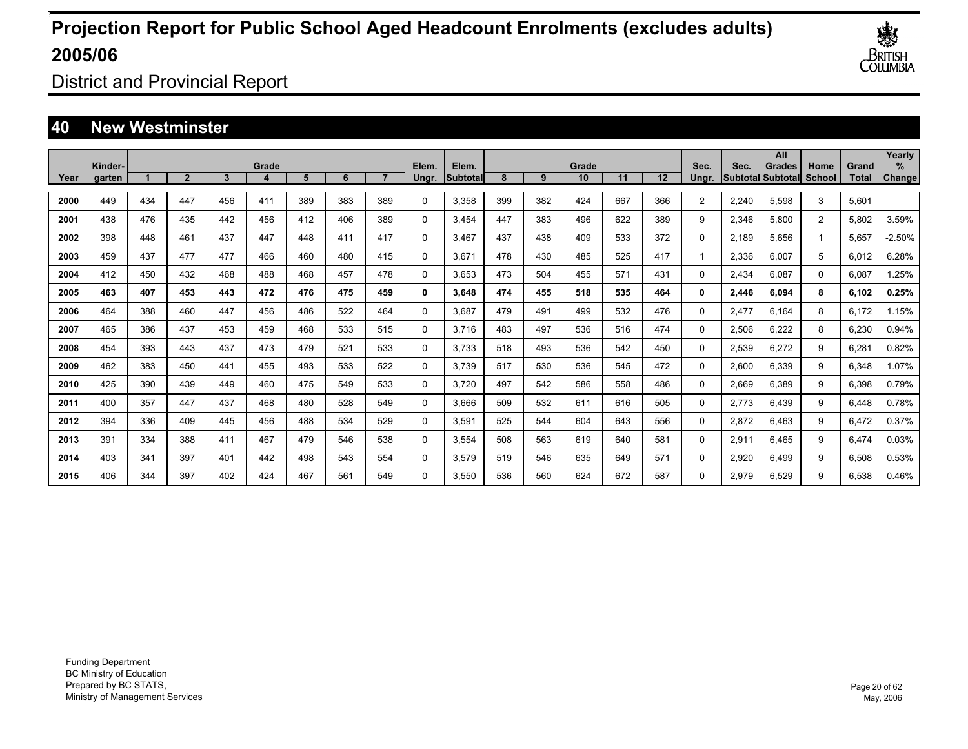

District and Provincial Report

### **40 New Westminster**

|      |                   |     |                |     |       |     |     |     |                |                    |     |     |             |     |     |                |       | All                          |                |                | Yearly                |
|------|-------------------|-----|----------------|-----|-------|-----|-----|-----|----------------|--------------------|-----|-----|-------------|-----|-----|----------------|-------|------------------------------|----------------|----------------|-----------------------|
| Year | Kinder-<br>garten |     | $\overline{2}$ | 3   | Grade | 5   | 6   |     | Elem.<br>Ungr. | Elem.<br>Subtotall | 8   | 9   | Grade<br>10 | 11  | 12  | Sec.<br>Ungr.  | Sec.  | Grades<br> Subtotal Subtotal | Home<br>School | Grand<br>Total | $\%$<br><b>Change</b> |
|      |                   |     |                |     |       |     |     |     |                |                    |     |     |             |     |     |                |       |                              |                |                |                       |
| 2000 | 449               | 434 | 447            | 456 | 411   | 389 | 383 | 389 | $\Omega$       | 3,358              | 399 | 382 | 424         | 667 | 366 | $\overline{2}$ | 2,240 | 5,598                        | 3              | 5,601          |                       |
| 2001 | 438               | 476 | 435            | 442 | 456   | 412 | 406 | 389 | 0              | 3,454              | 447 | 383 | 496         | 622 | 389 | 9              | 2,346 | 5,800                        | $\overline{2}$ | 5,802          | 3.59%                 |
| 2002 | 398               | 448 | 461            | 437 | 447   | 448 | 411 | 417 | 0              | 3,467              | 437 | 438 | 409         | 533 | 372 | 0              | 2,189 | 5,656                        | 1              | 5,657          | $-2.50%$              |
| 2003 | 459               | 437 | 477            | 477 | 466   | 460 | 480 | 415 | 0              | 3.671              | 478 | 430 | 485         | 525 | 417 |                | 2,336 | 6,007                        | 5              | 6,012          | 6.28%                 |
| 2004 | 412               | 450 | 432            | 468 | 488   | 468 | 457 | 478 | 0              | 3.653              | 473 | 504 | 455         | 571 | 431 | 0              | 2,434 | 6.087                        | 0              | 6.087          | 1.25%                 |
| 2005 | 463               | 407 | 453            | 443 | 472   | 476 | 475 | 459 | 0              | 3,648              | 474 | 455 | 518         | 535 | 464 | 0              | 2,446 | 6.094                        | 8              | 6,102          | 0.25%                 |
| 2006 | 464               | 388 | 460            | 447 | 456   | 486 | 522 | 464 | 0              | 3.687              | 479 | 491 | 499         | 532 | 476 | 0              | 2,477 | 6.164                        | 8              | 6.172          | 1.15%                 |
| 2007 | 465               | 386 | 437            | 453 | 459   | 468 | 533 | 515 | 0              | 3.716              | 483 | 497 | 536         | 516 | 474 | 0              | 2,506 | 6,222                        | 8              | 6,230          | 0.94%                 |
| 2008 | 454               | 393 | 443            | 437 | 473   | 479 | 521 | 533 | 0              | 3.733              | 518 | 493 | 536         | 542 | 450 | 0              | 2,539 | 6,272                        | 9              | 6,281          | 0.82%                 |
| 2009 | 462               | 383 | 450            | 441 | 455   | 493 | 533 | 522 | 0              | 3.739              | 517 | 530 | 536         | 545 | 472 | 0              | 2,600 | 6,339                        | 9              | 6,348          | 1.07%                 |
| 2010 | 425               | 390 | 439            | 449 | 460   | 475 | 549 | 533 | 0              | 3.720              | 497 | 542 | 586         | 558 | 486 | 0              | 2,669 | 6,389                        | 9              | 6,398          | 0.79%                 |
| 2011 | 400               | 357 | 447            | 437 | 468   | 480 | 528 | 549 | 0              | 3,666              | 509 | 532 | 611         | 616 | 505 | 0              | 2,773 | 6.439                        | 9              | 6,448          | 0.78%                 |
| 2012 | 394               | 336 | 409            | 445 | 456   | 488 | 534 | 529 | 0              | 3,591              | 525 | 544 | 604         | 643 | 556 | 0              | 2,872 | 6.463                        | 9              | 6,472          | 0.37%                 |
| 2013 | 391               | 334 | 388            | 411 | 467   | 479 | 546 | 538 | 0              | 3,554              | 508 | 563 | 619         | 640 | 581 | 0              | 2,911 | 6.465                        | 9              | 6,474          | 0.03%                 |
| 2014 | 403               | 341 | 397            | 401 | 442   | 498 | 543 | 554 | 0              | 3,579              | 519 | 546 | 635         | 649 | 571 | $\Omega$       | 2,920 | 6.499                        | 9              | 6,508          | 0.53%                 |
| 2015 | 406               | 344 | 397            | 402 | 424   | 467 | 561 | 549 | $\Omega$       | 3.550              | 536 | 560 | 624         | 672 | 587 | 0              | 2,979 | 6.529                        | 9              | 6.538          | 0.46%                 |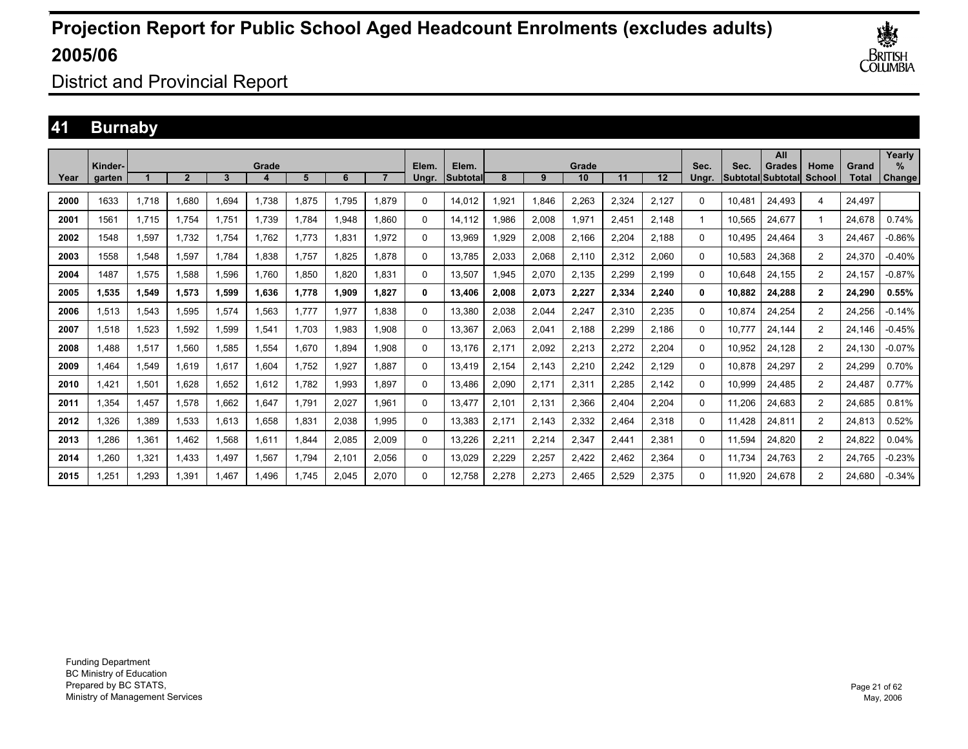

District and Provincial Report

### **41 Burnaby**

|      | Kinder- |       |                |       | Grade |       |       |       | Elem.    | Elem.    |       |       | Grade |       |       | Sec.  | Sec.   | All<br><b>Grades</b>     | Home           | Grand  | Yearly<br>% |
|------|---------|-------|----------------|-------|-------|-------|-------|-------|----------|----------|-------|-------|-------|-------|-------|-------|--------|--------------------------|----------------|--------|-------------|
| Year | garten  |       | $\overline{2}$ | 3     | 4     | 5     | 6     |       | Unar.    | Subtotal | 8     | 9     | 10    | 11    | 12    | Unar. |        | <b>Subtotal Subtotal</b> | <b>School</b>  | Total  | Change      |
| 2000 | 1633    | 1,718 | 1,680          | 1,694 | 1,738 | ,875  | 1.795 | 1,879 | $\Omega$ | 14,012   | 1.921 | 1,846 | 2,263 | 2,324 | 2,127 | 0     | 10.481 | 24.493                   | 4              | 24.497 |             |
| 2001 | 1561    | 1,715 | 1.754          | 1.751 | 1.739 | ,784  | 1,948 | 1,860 | 0        | 14,112   | 986.  | 2,008 | 1,971 | 2,451 | 2,148 |       | 10,565 | 24,677                   |                | 24,678 | 0.74%       |
| 2002 | 1548    | 1,597 | 1,732          | 1.754 | 1.762 | .773  | 1.831 | 1.972 | 0        | 13,969   | 929.  | 2,008 | 2,166 | 2,204 | 2.188 | 0     | 10.495 | 24,464                   | 3              | 24.467 | $-0.86%$    |
| 2003 | 1558    | 1,548 | .597           | 1.784 | 1.838 | .757  | 1.825 | 1.878 | 0        | 13.785   | 2.033 | 2,068 | 2.110 | 2,312 | 2,060 | 0     | 10.583 | 24,368                   | $\overline{2}$ | 24,370 | $-0.40%$    |
| 2004 | 1487    | 1,575 | .588           | 1.596 | 1.760 | .850  | 1.820 | 1.831 | 0        | 13.507   | 1.945 | 2,070 | 2,135 | 2.299 | 2.199 | 0     | 10.648 | 24.155                   | $\overline{2}$ | 24.157 | $-0.87%$    |
| 2005 | 1,535   | 1,549 | 1,573          | 1,599 | 1,636 | 1,778 | 1,909 | 1,827 | 0        | 13,406   | 2,008 | 2,073 | 2,227 | 2,334 | 2,240 | 0     | 10,882 | 24,288                   | $\overline{2}$ | 24,290 | 0.55%       |
| 2006 | 1,513   | 1,543 | 1,595          | 1,574 | 1,563 | 1.777 | 1,977 | 1.838 | 0        | 13,380   | 2,038 | 2,044 | 2,247 | 2,310 | 2,235 | 0     | 10.874 | 24,254                   | $\overline{2}$ | 24,256 | $-0.14%$    |
| 2007 | 1,518   | 1,523 | 1,592          | 1,599 | 1,541 | .703  | 1,983 | 1,908 | 0        | 13,367   | 2.063 | 2,041 | 2,188 | 2,299 | 2,186 | 0     | 10.777 | 24.144                   | $\overline{2}$ | 24.146 | $-0.45%$    |
| 2008 | 1.488   | 1,517 | 1.560          | 1.585 | 1,554 | .670  | 1.894 | 1,908 | 0        | 13.176   | 2.171 | 2,092 | 2,213 | 2,272 | 2,204 | 0     | 10,952 | 24.128                   | $\overline{2}$ | 24.130 | $-0.07%$    |
| 2009 | 1.464   | 1,549 | 1.619          | 1.617 | 1,604 | .752  | 1.927 | 1.887 | 0        | 13,419   | 2.154 | 2,143 | 2,210 | 2,242 | 2,129 | 0     | 10.878 | 24.297                   | $\overline{2}$ | 24,299 | 0.70%       |
| 2010 | 1.421   | 1,501 | 1.628          | 1.652 | 1.612 | .782  | 1.993 | 1.897 | 0        | 13.486   | 2.090 | 2,171 | 2,311 | 2,285 | 2,142 | 0     | 10,999 | 24.485                   | $\overline{2}$ | 24.487 | 0.77%       |
| 2011 | 1,354   | 1,457 | 1,578          | 1,662 | 1,647 | .791  | 2,027 | 1,961 | 0        | 13,477   | 2,101 | 2,131 | 2,366 | 2,404 | 2,204 | 0     | 11,206 | 24,683                   | $\overline{2}$ | 24,685 | 0.81%       |
| 2012 | 1,326   | 1,389 | 1,533          | 1,613 | 1,658 | .831  | 2,038 | 1,995 | 0        | 13,383   | 2,171 | 2,143 | 2,332 | 2,464 | 2,318 | 0     | 11.428 | 24,811                   | $\overline{2}$ | 24,813 | 0.52%       |
| 2013 | 286.    | 1,361 | 1.462          | 1,568 | 1,611 | .844  | 2,085 | 2,009 | 0        | 13,226   | 2,211 | 2,214 | 2,347 | 2,441 | 2,381 | 0     | 11,594 | 24,820                   | $\overline{2}$ | 24,822 | 0.04%       |
| 2014 | 1,260   | 1,321 | 1.433          | 1.497 | 1,567 | .794  | 2,101 | 2,056 | 0        | 13,029   | 2,229 | 2,257 | 2,422 | 2,462 | 2,364 | 0     | 11.734 | 24.763                   | $\overline{2}$ | 24.765 | $-0.23%$    |
| 2015 | 1.251   | 1.293 | 1.391          | 1.467 | 1.496 | .745  | 2.045 | 2,070 | 0        | 12.758   | 2.278 | 2,273 | 2.465 | 2.529 | 2.375 | 0     | 11.920 | 24.678                   | $\overline{2}$ | 24.680 | $-0.34%$    |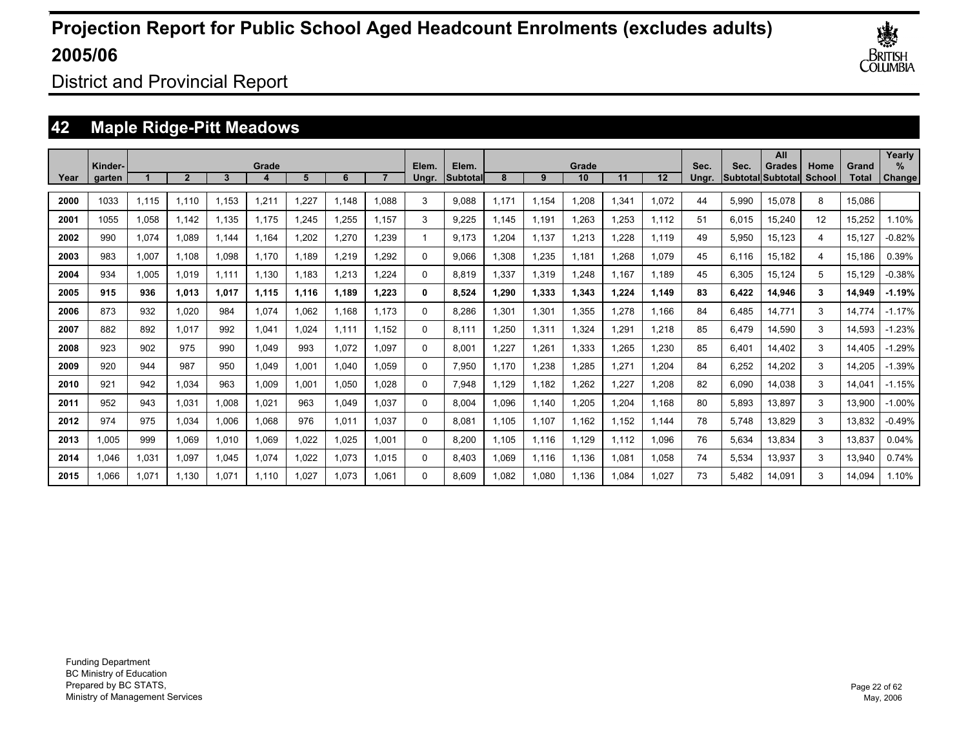

District and Provincial Report

### **42 Maple Ridge-Pitt Meadows**

|      | Kinder- |       |                |       | Grade |       |       |       | Elem.    | Elem.     |       |       | Grade |       |       | Sec.  | Sec.  | All<br>Grades            | Home   | Grand        | Yearly<br>$\%$ |
|------|---------|-------|----------------|-------|-------|-------|-------|-------|----------|-----------|-------|-------|-------|-------|-------|-------|-------|--------------------------|--------|--------------|----------------|
| Year | garten  |       | $\overline{2}$ | 3     |       | 5     | 6     |       | Unar.    | Subtotall | 8     | 9     | 10    | 11    | 12    | Ungr. |       | <b>Subtotal Subtotal</b> | School | <b>Total</b> | <b>Change!</b> |
| 2000 | 1033    | 1,115 | 1.110          | 1,153 | 1,211 | 1,227 | 1.148 | 1,088 | 3        | 9,088     | 1.171 | 1,154 | 1,208 | 1,341 | 1,072 | 44    | 5,990 | 15,078                   | 8      | 15,086       |                |
| 2001 | 1055    | 1,058 | 1.142          | 1,135 | 1,175 | 1,245 | 1,255 | 1.157 | 3        | 9,225     | 1.145 | 1,191 | 1,263 | 1,253 | 1,112 | 51    | 6,015 | 15,240                   | 12     | 15,252       | 1.10%          |
| 2002 | 990     | 1,074 | 1.089          | 1.144 | 1.164 | .202  | 1,270 | 1,239 |          | 9.173     | 1,204 | 1,137 | 1,213 | ,228  | 1,119 | 49    | 5,950 | 15,123                   | 4      | 15,127       | $-0.82%$       |
| 2003 | 983     | 1,007 | 1,108          | 1.098 | 1.170 | 1,189 | 1,219 | 1,292 | $\Omega$ | 9,066     | 1,308 | 1,235 | 1,181 | .268  | 1.079 | 45    | 6,116 | 15,182                   | 4      | 15,186       | 0.39%          |
| 2004 | 934     | 1,005 | 1.019          | 1.111 | 1.130 | 1,183 | 1.213 | 1.224 | 0        | 8,819     | 1,337 | 1,319 | 1.248 | 1.167 | 1.189 | 45    | 6,305 | 15,124                   | 5      | 15,129       | $-0.38%$       |
| 2005 | 915     | 936   | 1.013          | 1.017 | 1,115 | 1.116 | 1.189 | 1.223 | 0        | 8,524     | 1,290 | 1,333 | 1,343 | 1.224 | 1.149 | 83    | 6,422 | 14,946                   | 3      | 14,949       | $-1.19%$       |
| 2006 | 873     | 932   | 1.020          | 984   | 1.074 | 1.062 | 1.168 | 1.173 | $\Omega$ | 8.286     | 1.301 | 1,301 | 1,355 | .278  | 1.166 | 84    | 6,485 | 14.771                   | 3      | 14,774       | $-1.17%$       |
| 2007 | 882     | 892   | 1.017          | 992   | 1,041 | 1.024 | 1.111 | 1.152 | $\Omega$ | 8,111     | 1.250 | 1,311 | 1,324 | 1,291 | 1.218 | 85    | 6,479 | 14,590                   | 3      | 14,593       | $-1.23%$       |
| 2008 | 923     | 902   | 975            | 990   | 1.049 | 993   | 1,072 | 1.097 | $\Omega$ | 8,001     | 1.227 | 1,261 | 1,333 | .265  | 1.230 | 85    | 6,401 | 14.402                   | 3      | 14,405       | $-1.29%$       |
| 2009 | 920     | 944   | 987            | 950   | 1.049 | 1.001 | 1.040 | 1.059 | $\Omega$ | 7.950     | 1.170 | 1,238 | 1,285 | 1.271 | 1.204 | 84    | 6,252 | 14,202                   | 3      | 14,205       | $-1.39%$       |
| 2010 | 921     | 942   | 1.034          | 963   | 1.009 | 1.001 | 1.050 | 1.028 | $\Omega$ | 7.948     | 1.129 | 1.182 | 1.262 | .227  | 1.208 | 82    | 6,090 | 14.038                   | 3      | 14.041       | $-1.15%$       |
| 2011 | 952     | 943   | 1,031          | 1,008 | 1,021 | 963   | 1,049 | 1,037 | $\Omega$ | 8,004     | 1,096 | 1,140 | 1,205 | 1,204 | 1,168 | 80    | 5,893 | 13,897                   | 3      | 13,900       | $-1.00%$       |
| 2012 | 974     | 975   | 1,034          | 1,006 | 1,068 | 976   | 1,011 | 1.037 | $\Omega$ | 8,081     | 1.105 | 1,107 | 1,162 | 1,152 | 1.144 | 78    | 5,748 | 13,829                   | 3      | 13,832       | $-0.49%$       |
| 2013 | 1,005   | 999   | 1.069          | 1,010 | 1,069 | 1,022 | 1,025 | 1,001 | $\Omega$ | 8,200     | 1.105 | 1,116 | 1,129 | 1.112 | 1,096 | 76    | 5,634 | 13,834                   | 3      | 13,837       | 0.04%          |
| 2014 | 046. ا  | 1,031 | 1,097          | 1,045 | 1,074 | 1,022 | 1,073 | 1.015 | $\Omega$ | 8,403     | 1,069 | 1,116 | 1,136 | 1,081 | 1,058 | 74    | 5,534 | 13,937                   | 3      | 13,940       | 0.74%          |
| 2015 | 1,066   | 1,071 | 1.130          | 1,071 | 1,110 | 1.027 | 1.073 | 1.061 | $\Omega$ | 8.609     | 1.082 | 1,080 | 1,136 | 1.084 | 1.027 | 73    | 5.482 | 14,091                   | 3      | 14,094       | 1.10%          |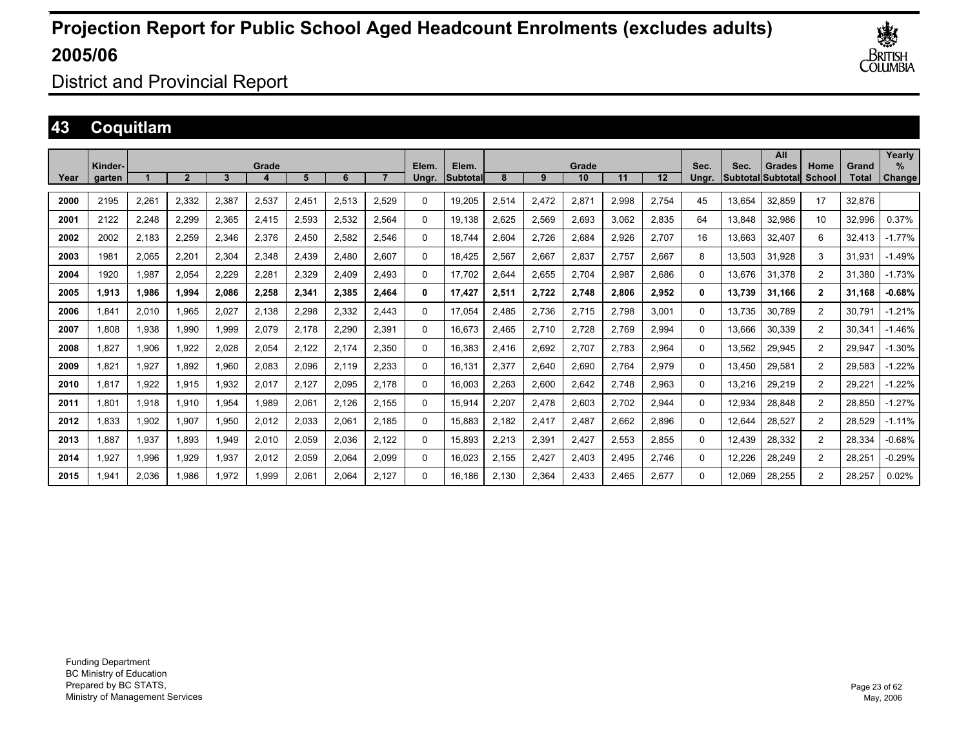

District and Provincial Report

### **43 Coquitlam**

|      | Kinder- |       |                |       | Grade |       |       |       | Elem.    | Elem.    |       |       | Grade |       |       | Sec.     | Sec.   | All<br><b>Grades</b>      | Home           | Grand  | Yearly<br>$\%$ |
|------|---------|-------|----------------|-------|-------|-------|-------|-------|----------|----------|-------|-------|-------|-------|-------|----------|--------|---------------------------|----------------|--------|----------------|
| Year | garten  |       | $\overline{2}$ | 3     |       | 5     | 6     |       | Ungr.    | Subtotal | 8     | 9     | 10    | 11    | 12    | Unar.    |        | <b>SubtotallSubtotall</b> | School         | Total  | Change         |
| 2000 | 2195    | 2,261 | 2,332          | 2,387 | 2,537 | 2,451 | 2,513 | 2,529 | 0        | 19,205   | 2,514 | 2,472 | 2,871 | 2,998 | 2,754 | 45       | 13,654 | 32,859                    | 17             | 32,876 |                |
| 2001 | 2122    | 2,248 | 2,299          | 2,365 | 2,415 | 2,593 | 2,532 | 2,564 | $\Omega$ | 19,138   | 2.625 | 2,569 | 2,693 | 3.062 | 2,835 | 64       | 13,848 | 32,986                    | 10             | 32,996 | 0.37%          |
| 2002 | 2002    | 2,183 | 2.259          | 2,346 | 2,376 | 2.450 | 2,582 | 2.546 | $\Omega$ | 18.744   | 2.604 | 2,726 | 2,684 | 2.926 | 2.707 | 16       | 13.663 | 32,407                    | 6              | 32.413 | $-1.77%$       |
| 2003 | 1981    | 2,065 | 2,201          | 2,304 | 2,348 | 2,439 | 2,480 | 2,607 | $\Omega$ | 18.425   | 2,567 | 2,667 | 2,837 | 2.757 | 2,667 | 8        | 13,503 | 31.928                    | 3              | 31,931 | $-1.49%$       |
| 2004 | 1920    | 1,987 | 2,054          | 2.229 | 2,281 | 2,329 | 2,409 | 2.493 | $\Omega$ | 17.702   | 2,644 | 2,655 | 2,704 | 2,987 | 2,686 | 0        | 13.676 | 31.378                    | $\overline{2}$ | 31.380 | $-1.73%$       |
| 2005 | 1.913   | 1,986 | 1.994          | 2.086 | 2,258 | 2,341 | 2,385 | 2,464 | 0        | 17.427   | 2,511 | 2,722 | 2,748 | 2.806 | 2,952 | 0        | 13,739 | 31.166                    | $\mathbf{2}$   | 31.168 | $-0.68%$       |
| 2006 | 841.ا   | 2,010 | 1.965          | 2.027 | 2,138 | 2,298 | 2,332 | 2.443 | $\Omega$ | 17.054   | 2.485 | 2,736 | 2,715 | 2.798 | 3.001 | 0        | 13.735 | 30.789                    | $\overline{2}$ | 30.791 | $-1.21%$       |
| 2007 | 1.808   | 1,938 | 1,990          | 1,999 | 2,079 | 2,178 | 2,290 | 2,391 | $\Omega$ | 16,673   | 2,465 | 2,710 | 2,728 | 2,769 | 2,994 | 0        | 13,666 | 30,339                    | $\overline{2}$ | 30,341 | $-1.46%$       |
| 2008 | 827.    | 1,906 | 1,922          | 2,028 | 2,054 | 2,122 | 2,174 | 2,350 | 0        | 16,383   | 2,416 | 2,692 | 2,707 | 2,783 | 2,964 | 0        | 13,562 | 29,945                    | $\overline{2}$ | 29,947 | $-1.30%$       |
| 2009 | 1.821   | 1,927 | 1,892          | 1,960 | 2,083 | 2,096 | 2,119 | 2,233 | 0        | 16,131   | 2,377 | 2,640 | 2,690 | 2,764 | 2,979 | 0        | 13.450 | 29,581                    | $\overline{2}$ | 29,583 | $-1.22%$       |
| 2010 | 1,817   | 1,922 | 1,915          | 1,932 | 2,017 | 2,127 | 2,095 | 2,178 | $\Omega$ | 16,003   | 2,263 | 2,600 | 2,642 | 2,748 | 2,963 | $\Omega$ | 13,216 | 29,219                    | $\overline{2}$ | 29.22' | $-1.22%$       |
| 2011 | 1.801   | 1,918 | 1,910          | 1,954 | 1,989 | 2,061 | 2,126 | 2,155 | $\Omega$ | 15,914   | 2,207 | 2,478 | 2,603 | 2,702 | 2,944 | 0        | 12,934 | 28,848                    | $\overline{2}$ | 28,850 | $-1.27%$       |
| 2012 | 1.833   | 1,902 | 1.907          | 1,950 | 2,012 | 2,033 | 2,061 | 2.185 | $\Omega$ | 15,883   | 2.182 | 2,417 | 2,487 | 2.662 | 2,896 | 0        | 12,644 | 28,527                    | $\overline{2}$ | 28,529 | $-1.11%$       |
| 2013 | 1.887   | 1,937 | 1.893          | 1.949 | 2,010 | 2,059 | 2,036 | 2.122 | $\Omega$ | 15,893   | 2,213 | 2,391 | 2,427 | 2,553 | 2,855 | $\Omega$ | 12.439 | 28,332                    | $\overline{2}$ | 28,334 | $-0.68%$       |
| 2014 | 927.    | 1,996 | 1,929          | 1,937 | 2,012 | 2,059 | 2,064 | 2,099 | $\Omega$ | 16,023   | 2,155 | 2,427 | 2,403 | 2,495 | 2,746 | $\Omega$ | 12,226 | 28,249                    | $\overline{2}$ | 28,251 | $-0.29%$       |
| 2015 | .941    | 2,036 | 1.986          | 1,972 | 1,999 | 2,061 | 2,064 | 2,127 | $\Omega$ | 16,186   | 2,130 | 2,364 | 2,433 | 2.465 | 2,677 | 0        | 12.069 | 28,255                    | $\overline{2}$ | 28,257 | 0.02%          |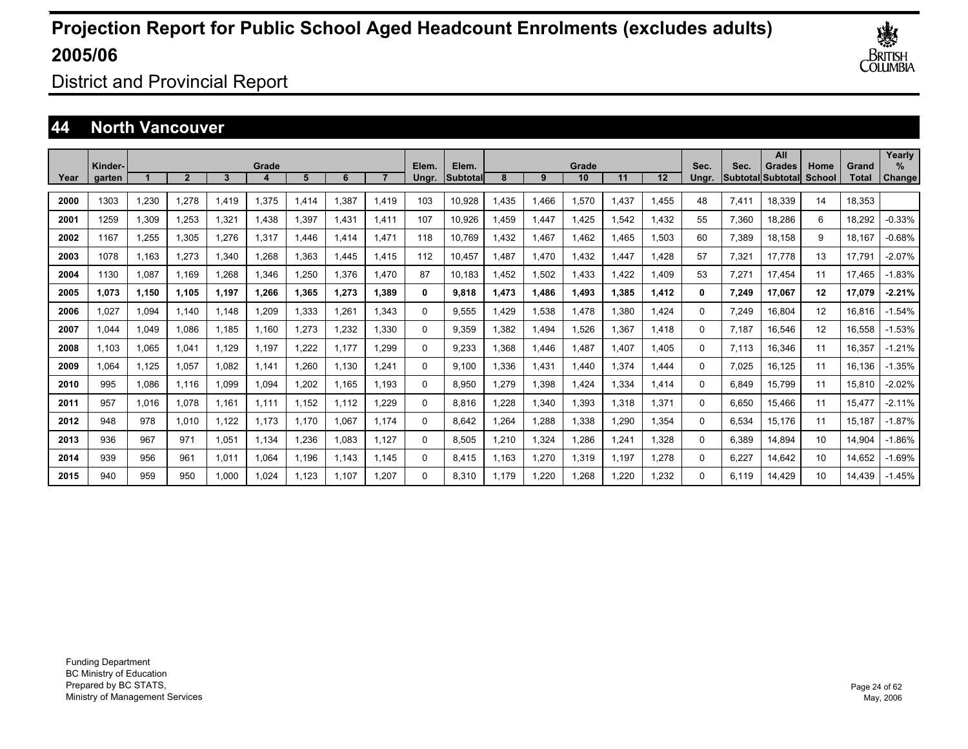

District and Provincial Report

### **44 North Vancouver**

|      | Kinder- |       |             |       | Grade |       |       |       | Elem. | Elem.    |       |       | Grade |       |                   | Sec.     | Sec.  | All<br>Grades     | Home   | Grand  | Yearly<br>$\%$ |
|------|---------|-------|-------------|-------|-------|-------|-------|-------|-------|----------|-------|-------|-------|-------|-------------------|----------|-------|-------------------|--------|--------|----------------|
| Year | garten  |       | $\mathbf 2$ | 3     |       | 5     | 6     |       | Ungr. | Subtotal | 8     | 9     | 10    | 11    | $12 \overline{ }$ | Unar.    |       | Subtotal Subtotal | School | Total  | Change         |
| 2000 | 1303    | 1.230 | 1.278       | 1.419 | 1,375 | .414  | 1.387 | 1,419 | 103   | 10,928   | 1.435 | 1.466 | 1.570 | .437  | 1.455             | 48       | 7.411 | 18.339            | 14     | 18.353 |                |
| 2001 | 1259    | 1.309 | 1.253       | 1.321 | 1.438 | .397  | 1.431 | 1.411 | 107   | 10.926   | 1.459 | 1.447 | 1.425 | .542  | 1.432             | 55       | 7,360 | 18.286            | 6      | 18.292 | $-0.33%$       |
| 2002 | 1167    | 1,255 | 1,305       | 1,276 | 1,317 | .446  | 1.414 | 1,471 | 118   | 10,769   | 1,432 | 1,467 | 1,462 | .465  | 1,503             | 60       | 7,389 | 18,158            | 9      | 18,167 | $-0.68%$       |
| 2003 | 1078    | 1.163 | 1,273       | 1,340 | 1,268 | .363  | 1.445 | 1.415 | 112   | 10,457   | .487  | 1,470 | 1,432 | .447  | 1,428             | 57       | 7,321 | 17.778            | 13     | 17,791 | $-2.07%$       |
| 2004 | 1130    | 1,087 | 1,169       | 1.268 | 1,346 | ,250  | 1,376 | 1.470 | 87    | 10.183   | .452  | 1,502 | 1,433 | .422  | 1,409             | 53       | 7,271 | 17.454            | 11     | 17.465 | $-1.83%$       |
| 2005 | 1.073   | 1,150 | 1.105       | 1.197 | 1,266 | 1.365 | 1,273 | 1.389 | 0     | 9,818    | 1.473 | 1,486 | 1,493 | 1.385 | 1,412             | 0        | 7,249 | 17,067            | 12     | 17,079 | $-2.21%$       |
| 2006 | 1.027   | 1,094 | 1.140       | 1.148 | 1,209 | .333  | 1,261 | 1.343 | 0     | 9,555    | 1.429 | 1,538 | 1.478 | .380  | 1.424             | 0        | 7,249 | 16,804            | 12     | 16,816 | $-1.54%$       |
| 2007 | 1.044   | 1,049 | 1.086       | 1.185 | 1.160 | ,273  | 1,232 | 1,330 | 0     | 9.359    | 1.382 | 1.494 | 1.526 | 1.367 | 1.418             | 0        | 7.187 | 16,546            | 12     | 16,558 | $-1.53%$       |
| 2008 | 1,103   | 1,065 | 1,041       | 1,129 | 1,197 | ,222  | 1.177 | 1,299 | 0     | 9,233    | 1,368 | 1,446 | 1,487 | .407  | 1,405             | 0        | 7,113 | 16,346            | 11     | 16,357 | $-1.21%$       |
| 2009 | 1.064   | 1,125 | 1,057       | 1.082 | 1.141 | .260  | 1.130 | 1,241 | 0     | 9.100    | 1,336 | 1,431 | 1.440 | 1,374 | 1,444             | 0        | 7,025 | 16,125            | 11     | 16,136 | $-1.35%$       |
| 2010 | 995     | 1.086 | 1.116       | 1.099 | 1.094 | ,202  | 1.165 | 1.193 | 0     | 8,950    | 1.279 | 1,398 | 1,424 | 1,334 | 1,414             | 0        | 6.849 | 15.799            | 11     | 15,810 | $-2.02%$       |
| 2011 | 957     | 1.016 | 1.078       | 1.161 | 1.111 | 1.152 | 1.112 | 1.229 | 0     | 8.816    | .228  | 1,340 | 1,393 | 1.318 | 1,371             | $\Omega$ | 6.650 | 15.466            | 11     | 15,477 | $-2.11%$       |
| 2012 | 948     | 978   | 1.010       | 1.122 | 1.173 | 1,170 | 1.067 | 1.174 | 0     | 8.642    | .264  | 1.288 | 1.338 | .290  | 1.354             | $\Omega$ | 6,534 | 15.176            | 11     | 15.187 | $-1.87%$       |
| 2013 | 936     | 967   | 971         | 1.051 | 1.134 | .236  | 1.083 | 1.127 | 0     | 8.505    | 1.210 | 1.324 | 1.286 | .241  | 1.328             | $\Omega$ | 6.389 | 14.894            | 10     | 14.904 | $-1.86%$       |
| 2014 | 939     | 956   | 961         | 1,011 | 1,064 | 1,196 | 1.143 | 1.145 | 0     | 8,415    | 1.163 | 1,270 | 1,319 | 1,197 | 1,278             | 0        | 6,227 | 14,642            | 10     | 14,652 | $-1.69%$       |
| 2015 | 940     | 959   | 950         | 1.000 | 1.024 | 1,123 | 1.107 | 1.207 | 0     | 8.310    | 1.179 | 1,220 | 1,268 | .220  | 1,232             | 0        | 6.119 | 14.429            | 10     | 14.439 | $-1.45%$       |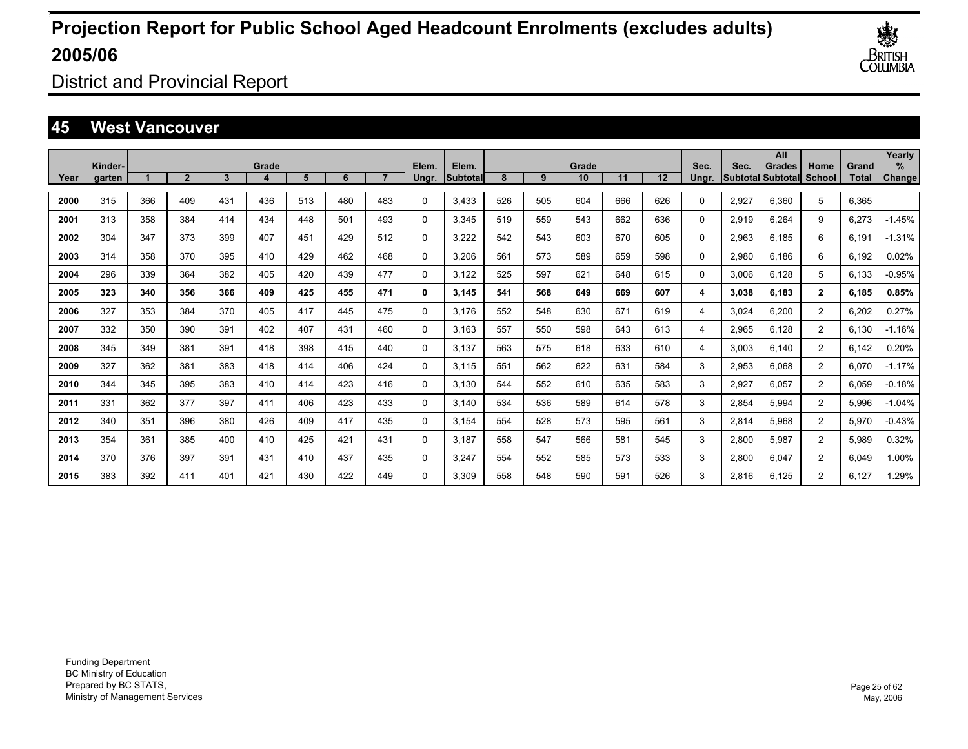

District and Provincial Report

### **45 West Vancouver**

|      |                   |     |                |     |       |     |     |     |                |                    |     |     |             |     |     |               |       | All                                |                |                | Yearly         |
|------|-------------------|-----|----------------|-----|-------|-----|-----|-----|----------------|--------------------|-----|-----|-------------|-----|-----|---------------|-------|------------------------------------|----------------|----------------|----------------|
| Year | Kinder-<br>garten |     | $\overline{2}$ | 3   | Grade | 5   | 6   |     | Elem.<br>Ungr. | Elem.<br>Subtotall | 8   | 9   | Grade<br>10 | 11  | 12  | Sec.<br>Ungr. | Sec.  | Grades<br><b>Subtotal Subtotal</b> | Home<br>School | Grand<br>Total | $\%$<br>Change |
|      |                   |     |                |     |       |     |     |     |                |                    |     |     |             |     |     |               |       |                                    |                |                |                |
| 2000 | 315               | 366 | 409            | 431 | 436   | 513 | 480 | 483 | $\Omega$       | 3,433              | 526 | 505 | 604         | 666 | 626 | 0             | 2,927 | 6.360                              | 5              | 6,365          |                |
| 2001 | 313               | 358 | 384            | 414 | 434   | 448 | 501 | 493 | 0              | 3,345              | 519 | 559 | 543         | 662 | 636 | 0             | 2,919 | 6,264                              | 9              | 6,273          | $-1.45%$       |
| 2002 | 304               | 347 | 373            | 399 | 407   | 451 | 429 | 512 | 0              | 3,222              | 542 | 543 | 603         | 670 | 605 | 0             | 2,963 | 6.185                              | 6              | 6,191          | $-1.31%$       |
| 2003 | 314               | 358 | 370            | 395 | 410   | 429 | 462 | 468 | 0              | 3,206              | 561 | 573 | 589         | 659 | 598 | 0             | 2,980 | 6.186                              | 6              | 6,192          | 0.02%          |
| 2004 | 296               | 339 | 364            | 382 | 405   | 420 | 439 | 477 | 0              | 3,122              | 525 | 597 | 621         | 648 | 615 | 0             | 3,006 | 6.128                              | 5              | 6,133          | $-0.95%$       |
| 2005 | 323               | 340 | 356            | 366 | 409   | 425 | 455 | 471 | 0              | 3,145              | 541 | 568 | 649         | 669 | 607 | 4             | 3,038 | 6.183                              | $\mathbf{2}$   | 6,185          | 0.85%          |
| 2006 | 327               | 353 | 384            | 370 | 405   | 417 | 445 | 475 | 0              | 3.176              | 552 | 548 | 630         | 671 | 619 | 4             | 3,024 | 6,200                              | $\overline{2}$ | 6,202          | 0.27%          |
| 2007 | 332               | 350 | 390            | 391 | 402   | 407 | 431 | 460 | 0              | 3,163              | 557 | 550 | 598         | 643 | 613 | 4             | 2,965 | 6.128                              | $\overline{2}$ | 6.130          | $-1.16%$       |
| 2008 | 345               | 349 | 381            | 391 | 418   | 398 | 415 | 440 | 0              | 3,137              | 563 | 575 | 618         | 633 | 610 | 4             | 3,003 | 6.140                              | $\overline{2}$ | 6,142          | 0.20%          |
| 2009 | 327               | 362 | 381            | 383 | 418   | 414 | 406 | 424 | 0              | 3,115              | 551 | 562 | 622         | 631 | 584 | 3             | 2,953 | 6.068                              | $\overline{2}$ | 6,070          | $-1.17%$       |
| 2010 | 344               | 345 | 395            | 383 | 410   | 414 | 423 | 416 | 0              | 3,130              | 544 | 552 | 610         | 635 | 583 | 3             | 2,927 | 6,057                              | $\overline{2}$ | 6,059          | $-0.18%$       |
| 2011 | 331               | 362 | 377            | 397 | 411   | 406 | 423 | 433 | 0              | 3.140              | 534 | 536 | 589         | 614 | 578 | 3             | 2,854 | 5,994                              | $\overline{2}$ | 5,996          | $-1.04%$       |
| 2012 | 340               | 351 | 396            | 380 | 426   | 409 | 417 | 435 | 0              | 3.154              | 554 | 528 | 573         | 595 | 561 | 3             | 2,814 | 5.968                              | $\overline{2}$ | 5,970          | $-0.43%$       |
| 2013 | 354               | 361 | 385            | 400 | 410   | 425 | 421 | 431 | 0              | 3.187              | 558 | 547 | 566         | 581 | 545 | 3             | 2,800 | 5.987                              | $\overline{2}$ | 5,989          | 0.32%          |
| 2014 | 370               | 376 | 397            | 391 | 431   | 410 | 437 | 435 | 0              | 3,247              | 554 | 552 | 585         | 573 | 533 | 3             | 2,800 | 6.047                              | $\overline{2}$ | 6.049          | 1.00%          |
| 2015 | 383               | 392 | 411            | 401 | 421   | 430 | 422 | 449 | $\Omega$       | 3.309              | 558 | 548 | 590         | 591 | 526 | 3             | 2.816 | 6.125                              | $\overline{2}$ | 6.127          | 1.29%          |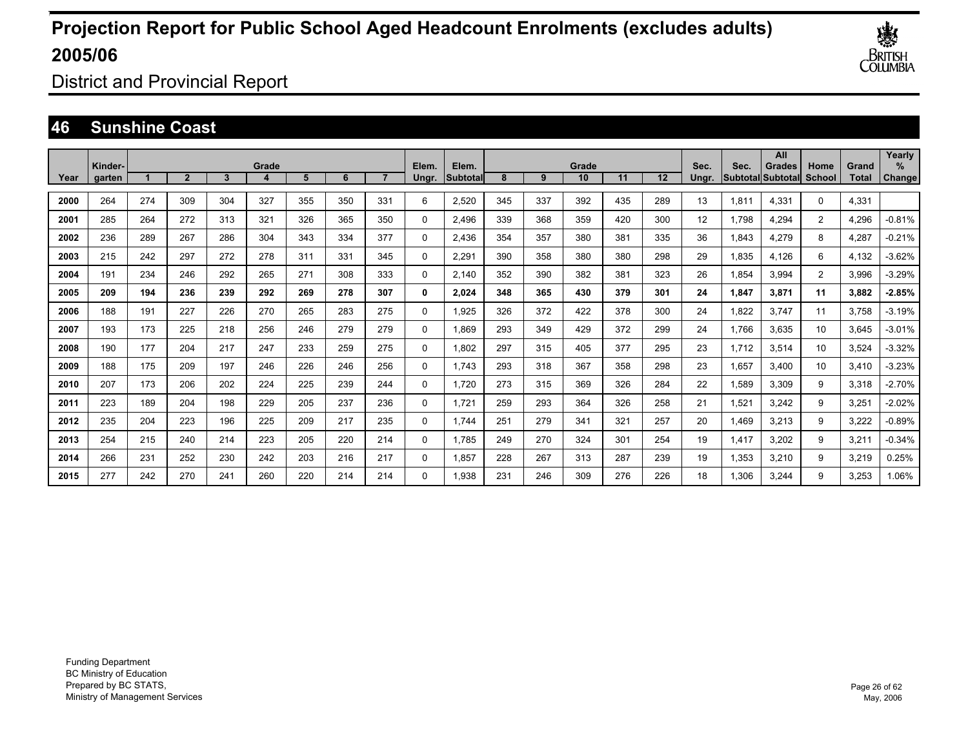

District and Provincial Report

### **46 Sunshine Coast**

|      | Kinder- |     |                |     | Grade |     |     |     | Elem.    | Elem.     |     |     | Grade |     |     | Sec.  | Sec.  | All                                        |                |                       | Yearly<br>$\%$ |
|------|---------|-----|----------------|-----|-------|-----|-----|-----|----------|-----------|-----|-----|-------|-----|-----|-------|-------|--------------------------------------------|----------------|-----------------------|----------------|
| Year | garten  |     | $\overline{2}$ | 3   |       | 5   | 6   |     | Ungr.    | Subtotall | 8   | 9   | 10    | 11  | 12  | Ungr. |       | <b>Grades</b><br><b>Subtotal Subtotall</b> | Home<br>School | Grand<br><b>Total</b> | Change         |
| 2000 | 264     | 274 | 309            | 304 | 327   | 355 | 350 | 331 | 6        | 2,520     | 345 | 337 | 392   | 435 | 289 | 13    | 1,811 | 4,331                                      | $\Omega$       | 4,331                 |                |
| 2001 | 285     | 264 | 272            | 313 | 321   | 326 | 365 | 350 | 0        | 2,496     | 339 | 368 | 359   | 420 | 300 | 12    | 1,798 | 4,294                                      | $\overline{2}$ | 4,296                 | $-0.81%$       |
| 2002 | 236     | 289 | 267            | 286 | 304   | 343 | 334 | 377 | 0        | 2,436     | 354 | 357 | 380   | 381 | 335 | 36    | 1,843 | 4,279                                      | 8              | 4,287                 | $-0.21%$       |
| 2003 | 215     | 242 | 297            | 272 | 278   | 311 | 331 | 345 | 0        | 2,291     | 390 | 358 | 380   | 380 | 298 | 29    | 1,835 | 4.126                                      | 6              | 4,132                 | $-3.62%$       |
| 2004 | 191     | 234 | 246            | 292 | 265   | 271 | 308 | 333 | 0        | 2,140     | 352 | 390 | 382   | 381 | 323 | 26    | 1,854 | 3,994                                      | $\overline{2}$ | 3,996                 | $-3.29%$       |
| 2005 | 209     | 194 | 236            | 239 | 292   | 269 | 278 | 307 | 0        | 2,024     | 348 | 365 | 430   | 379 | 301 | 24    | 1,847 | 3,871                                      | 11             | 3,882                 | $-2.85%$       |
| 2006 | 188     | 191 | 227            | 226 | 270   | 265 | 283 | 275 | 0        | 1.925     | 326 | 372 | 422   | 378 | 300 | 24    | 1,822 | 3.747                                      | 11             | 3,758                 | $-3.19%$       |
| 2007 | 193     | 173 | 225            | 218 | 256   | 246 | 279 | 279 | 0        | 1.869     | 293 | 349 | 429   | 372 | 299 | 24    | 1.766 | 3,635                                      | 10             | 3,645                 | $-3.01%$       |
| 2008 | 190     | 177 | 204            | 217 | 247   | 233 | 259 | 275 | 0        | 1.802     | 297 | 315 | 405   | 377 | 295 | 23    | 1.712 | 3,514                                      | 10             | 3,524                 | $-3.32%$       |
| 2009 | 188     | 175 | 209            | 197 | 246   | 226 | 246 | 256 | 0        | 1.743     | 293 | 318 | 367   | 358 | 298 | 23    | 1,657 | 3,400                                      | 10             | 3,410                 | $-3.23%$       |
| 2010 | 207     | 173 | 206            | 202 | 224   | 225 | 239 | 244 | 0        | 1,720     | 273 | 315 | 369   | 326 | 284 | 22    | 1,589 | 3,309                                      | 9              | 3,318                 | $-2.70%$       |
| 2011 | 223     | 189 | 204            | 198 | 229   | 205 | 237 | 236 | 0        | 1,721     | 259 | 293 | 364   | 326 | 258 | 21    | 1,521 | 3,242                                      | 9              | 3,251                 | $-2.02%$       |
| 2012 | 235     | 204 | 223            | 196 | 225   | 209 | 217 | 235 | 0        | 1.744     | 251 | 279 | 341   | 321 | 257 | 20    | 1,469 | 3,213                                      | 9              | 3,222                 | $-0.89%$       |
| 2013 | 254     | 215 | 240            | 214 | 223   | 205 | 220 | 214 | 0        | 1.785     | 249 | 270 | 324   | 301 | 254 | 19    | 1,417 | 3,202                                      | 9              | 3,211                 | $-0.34%$       |
| 2014 | 266     | 231 | 252            | 230 | 242   | 203 | 216 | 217 | 0        | 1.857     | 228 | 267 | 313   | 287 | 239 | 19    | 1,353 | 3,210                                      | 9              | 3,219                 | 0.25%          |
| 2015 | 277     | 242 | 270            | 241 | 260   | 220 | 214 | 214 | $\Omega$ | 1.938     | 231 | 246 | 309   | 276 | 226 | 18    | 1.306 | 3.244                                      | 9              | 3.253                 | 1.06%          |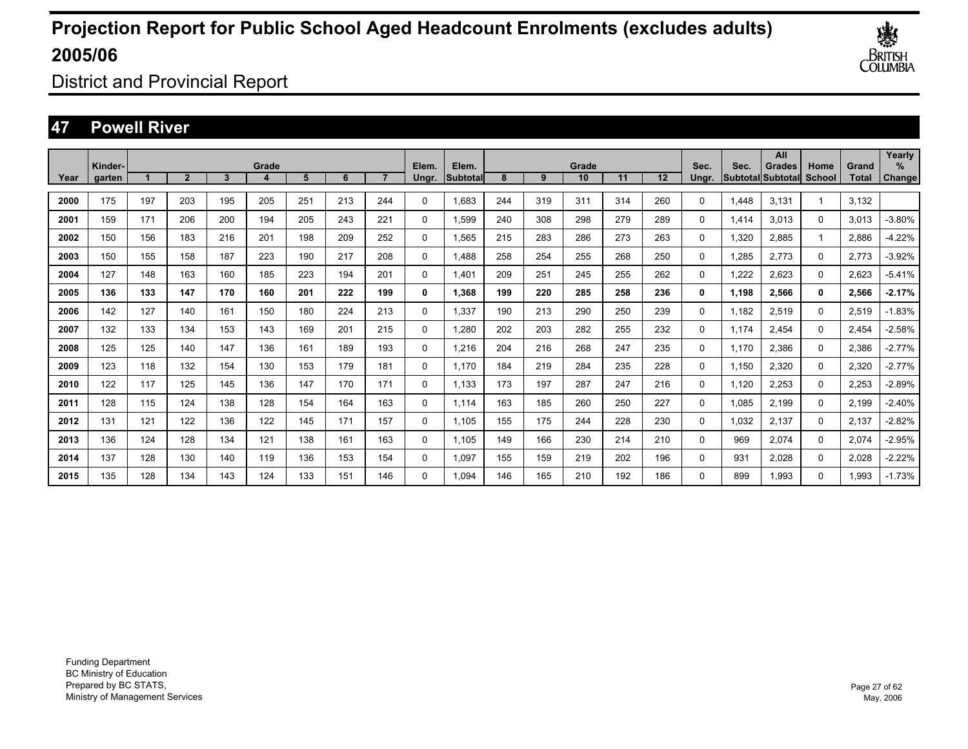

District and Provincial Report

### **47 Powell River**

|      | Kinder- |     |              |     | Grade |     |     |     | Elem.        | Elem.    |     |     | Grade |     |                   | Sec.  | Sec.  | All<br><b>Grades</b>     | Home        | Grand | Yearly<br>$\%$ |
|------|---------|-----|--------------|-----|-------|-----|-----|-----|--------------|----------|-----|-----|-------|-----|-------------------|-------|-------|--------------------------|-------------|-------|----------------|
| Year | garten  |     | $\mathbf{2}$ | 3   |       | 5   | 6   |     | Ungr.        | Subtotal | 8   | 9   | 10    | 11  | $12 \overline{ }$ | Unar. |       | <b>SubtotallSubtotal</b> | School      | Total | Change         |
| 2000 | 175     | 197 | 203          | 195 | 205   | 251 | 213 | 244 | 0            | 1.683    | 244 | 319 | 311   | 314 | 260               | 0     | 1.448 | 3,131                    |             | 3,132 |                |
| 2001 | 159     | 171 | 206          | 200 | 194   | 205 | 243 | 221 | 0            | 1,599    | 240 | 308 | 298   | 279 | 289               | 0     | 1,414 | 3,013                    | 0           | 3,013 | $-3.80%$       |
| 2002 | 150     | 156 | 183          | 216 | 201   | 198 | 209 | 252 | 0            | 1,565    | 215 | 283 | 286   | 273 | 263               | 0     | 1,320 | 2.885                    |             | 2,886 | $-4.22%$       |
| 2003 | 150     | 155 | 158          | 187 | 223   | 190 | 217 | 208 | 0            | 1.488    | 258 | 254 | 255   | 268 | 250               | 0     | 1,285 | 2,773                    | 0           | 2,773 | $-3.92%$       |
| 2004 | 127     | 148 | 163          | 160 | 185   | 223 | 194 | 201 | 0            | 1.401    | 209 | 251 | 245   | 255 | 262               | 0     | 1.222 | 2,623                    | 0           | 2,623 | $-5.41%$       |
| 2005 | 136     | 133 | 147          | 170 | 160   | 201 | 222 | 199 | 0            | 1.368    | 199 | 220 | 285   | 258 | 236               | 0     | 1.198 | 2,566                    | 0           | 2,566 | $-2.17%$       |
| 2006 | 142     | 127 | 140          | 161 | 150   | 180 | 224 | 213 | 0            | 1.337    | 190 | 213 | 290   | 250 | 239               | 0     | 1.182 | 2,519                    | 0           | 2,519 | $-1.83%$       |
| 2007 | 132     | 133 | 134          | 153 | 143   | 169 | 201 | 215 | 0            | 1,280    | 202 | 203 | 282   | 255 | 232               | 0     | 1,174 | 2,454                    | $\mathbf 0$ | 2,454 | $-2.58%$       |
| 2008 | 125     | 125 | 140          | 147 | 136   | 161 | 189 | 193 | 0            | 1,216    | 204 | 216 | 268   | 247 | 235               | 0     | 1,170 | 2,386                    | $\mathbf 0$ | 2,386 | $-2.77%$       |
| 2009 | 123     | 118 | 132          | 154 | 130   | 153 | 179 | 181 | 0            | 1.170    | 184 | 219 | 284   | 235 | 228               | 0     | 1,150 | 2,320                    | $\mathbf 0$ | 2,320 | $-2.77%$       |
| 2010 | 122     | 117 | 125          | 145 | 136   | 147 | 170 | 171 | 0            | 1,133    | 173 | 197 | 287   | 247 | 216               | 0     | 1,120 | 2,253                    | $\mathbf 0$ | 2,253 | $-2.89%$       |
| 2011 | 128     | 115 | 124          | 138 | 128   | 154 | 164 | 163 | 0            | 1.114    | 163 | 185 | 260   | 250 | 227               | 0     | 1,085 | 2,199                    | $\mathbf 0$ | 2,199 | $-2.40%$       |
| 2012 | 131     | 121 | 122          | 136 | 122   | 145 | 171 | 157 | 0            | 1,105    | 155 | 175 | 244   | 228 | 230               | 0     | 1,032 | 2,137                    | 0           | 2,137 | $-2.82%$       |
| 2013 | 136     | 124 | 128          | 134 | 121   | 138 | 161 | 163 | 0            | 1.105    | 149 | 166 | 230   | 214 | 210               | 0     | 969   | 2,074                    | 0           | 2,074 | $-2.95%$       |
| 2014 | 137     | 128 | 130          | 140 | 119   | 136 | 153 | 154 | 0            | 1.097    | 155 | 159 | 219   | 202 | 196               | 0     | 931   | 2,028                    | 0           | 2,028 | $-2.22%$       |
| 2015 | 135     | 128 | 134          | 143 | 124   | 133 | 151 | 146 | $\mathbf{0}$ | 1.094    | 146 | 165 | 210   | 192 | 186               | 0     | 899   | 1.993                    | 0           | 1.993 | $-1.73%$       |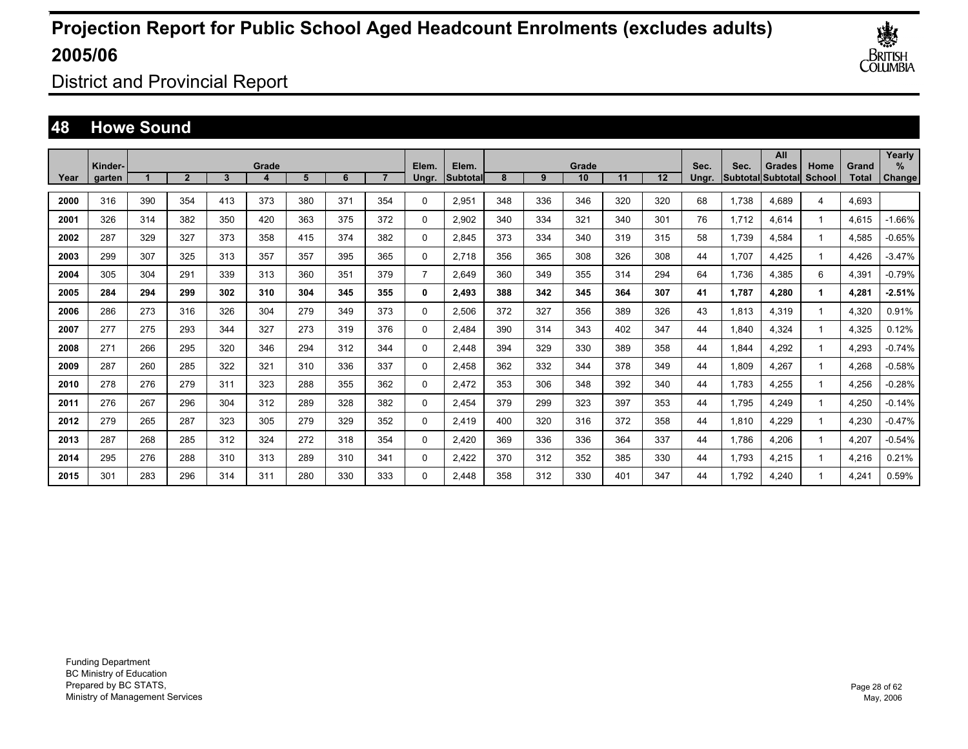

District and Provincial Report

### **48 Howe Sound**

|      | Kinder- |     |              |     | Grade |     |     |     | Elem.          | Elem.    |     |     | Grade |     |                   | Sec.  | Sec.  | All<br>Grades            | Home          | Grand        | Yearly<br>$\%$ |
|------|---------|-----|--------------|-----|-------|-----|-----|-----|----------------|----------|-----|-----|-------|-----|-------------------|-------|-------|--------------------------|---------------|--------------|----------------|
| Year | garten  |     | $\mathbf{2}$ | 3   |       | 5   | 6   |     | Ungr.          | Subtotal | 8   | 9   | 10    | 11  | $12 \overline{ }$ | Unar. |       | <b>Subtotal Subtotal</b> | <b>School</b> | <b>Total</b> | Change         |
| 2000 | 316     | 390 | 354          | 413 | 373   | 380 | 371 | 354 | 0              | 2,951    | 348 | 336 | 346   | 320 | 320               | 68    | 1.738 | 4.689                    | 4             | 4,693        |                |
| 2001 | 326     | 314 | 382          | 350 | 420   | 363 | 375 | 372 | 0              | 2,902    | 340 | 334 | 321   | 340 | 301               | 76    | 1.712 | 4.614                    |               | 4.615        | $-1.66%$       |
| 2002 | 287     | 329 | 327          | 373 | 358   | 415 | 374 | 382 | 0              | 2.845    | 373 | 334 | 340   | 319 | 315               | 58    | 1.739 | 4.584                    |               | 4,585        | $-0.65%$       |
| 2003 | 299     | 307 | 325          | 313 | 357   | 357 | 395 | 365 | 0              | 2.718    | 356 | 365 | 308   | 326 | 308               | 44    | 1.707 | 4.425                    |               | 4,426        | $-3.47%$       |
| 2004 | 305     | 304 | 291          | 339 | 313   | 360 | 351 | 379 | $\overline{7}$ | 2.649    | 360 | 349 | 355   | 314 | 294               | 64    | 1.736 | 4.385                    | 6             | 4,391        | $-0.79%$       |
| 2005 | 284     | 294 | 299          | 302 | 310   | 304 | 345 | 355 | 0              | 2,493    | 388 | 342 | 345   | 364 | 307               | 41    | 1.787 | 4.280                    | 1             | 4,281        | $-2.51%$       |
| 2006 | 286     | 273 | 316          | 326 | 304   | 279 | 349 | 373 | 0              | 2.506    | 372 | 327 | 356   | 389 | 326               | 43    | 1.813 | 4,319                    |               | 4,320        | 0.91%          |
| 2007 | 277     | 275 | 293          | 344 | 327   | 273 | 319 | 376 | 0              | 2,484    | 390 | 314 | 343   | 402 | 347               | 44    | 1,840 | 4,324                    |               | 4,325        | 0.12%          |
| 2008 | 271     | 266 | 295          | 320 | 346   | 294 | 312 | 344 | $\Omega$       | 2,448    | 394 | 329 | 330   | 389 | 358               | 44    | 1,844 | 4,292                    |               | 4,293        | $-0.74%$       |
| 2009 | 287     | 260 | 285          | 322 | 321   | 310 | 336 | 337 | 0              | 2,458    | 362 | 332 | 344   | 378 | 349               | 44    | 1,809 | 4,267                    |               | 4,268        | $-0.58%$       |
| 2010 | 278     | 276 | 279          | 311 | 323   | 288 | 355 | 362 | 0              | 2,472    | 353 | 306 | 348   | 392 | 340               | 44    | 1,783 | 4,255                    |               | 4,256        | $-0.28%$       |
| 2011 | 276     | 267 | 296          | 304 | 312   | 289 | 328 | 382 | 0              | 2,454    | 379 | 299 | 323   | 397 | 353               | 44    | 1,795 | 4,249                    |               | 4,250        | $-0.14%$       |
| 2012 | 279     | 265 | 287          | 323 | 305   | 279 | 329 | 352 | 0              | 2,419    | 400 | 320 | 316   | 372 | 358               | 44    | 1,810 | 4,229                    |               | 4,230        | $-0.47%$       |
| 2013 | 287     | 268 | 285          | 312 | 324   | 272 | 318 | 354 | 0              | 2,420    | 369 | 336 | 336   | 364 | 337               | 44    | 1,786 | 4,206                    |               | 4,207        | $-0.54%$       |
| 2014 | 295     | 276 | 288          | 310 | 313   | 289 | 310 | 341 | 0              | 2,422    | 370 | 312 | 352   | 385 | 330               | 44    | 1.793 | 4,215                    |               | 4,216        | 0.21%          |
| 2015 | 301     | 283 | 296          | 314 | 311   | 280 | 330 | 333 | $\Omega$       | 2.448    | 358 | 312 | 330   | 401 | 347               | 44    | 1.792 | 4.240                    |               | 4.241        | 0.59%          |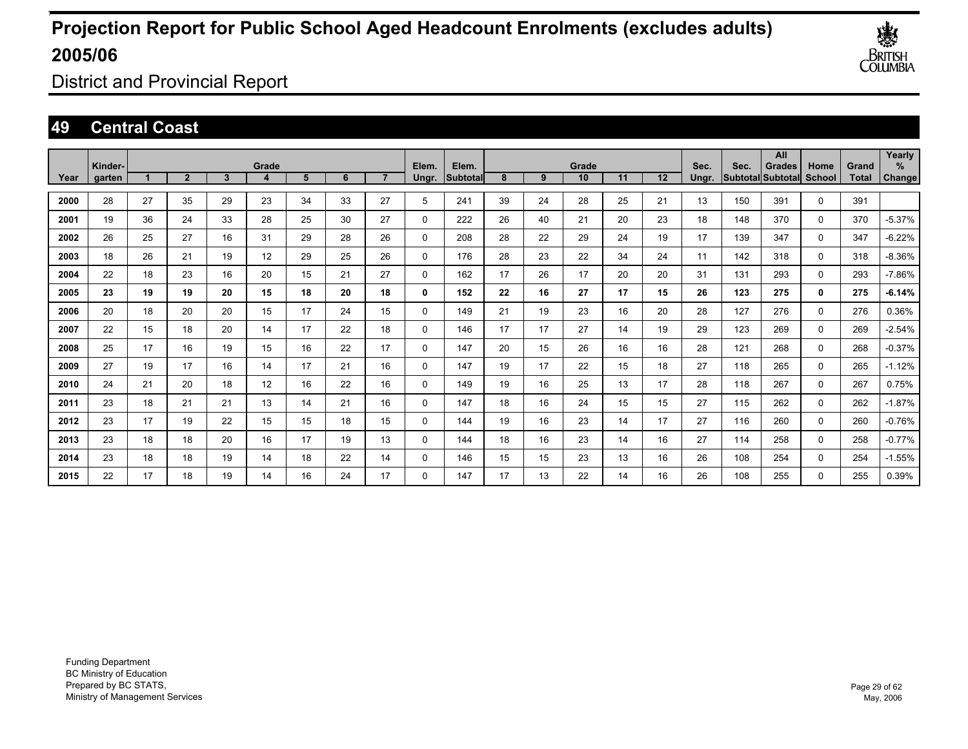

District and Provincial Report

### **49 Central Coast**

|      | Kinder- |    |                |    | Grade             |    |    |                | Elem.       | Elem.    |    |    | Grade |    |    | Sec.  | Sec. | All<br><b>Grades</b> | Home        | Grand        | Yearly<br>$\%$ |
|------|---------|----|----------------|----|-------------------|----|----|----------------|-------------|----------|----|----|-------|----|----|-------|------|----------------------|-------------|--------------|----------------|
| Year | garten  |    | $\overline{2}$ | 3  | 4                 | 5  | 6  | $\overline{ }$ | Ungr.       | Subtotal | 8  | 9  | 10    | 11 | 12 | Ungr. |      | Subtotal Subtotal    | School      | <b>Total</b> | Change         |
| 2000 | 28      | 27 | 35             | 29 | 23                | 34 | 33 | 27             | 5           | 241      | 39 | 24 | 28    | 25 | 21 | 13    | 150  | 391                  | 0           | 391          |                |
| 2001 | 19      | 36 | 24             | 33 | 28                | 25 | 30 | 27             | 0           | 222      | 26 | 40 | 21    | 20 | 23 | 18    | 148  | 370                  | $\mathbf 0$ | 370          | $-5.37%$       |
| 2002 | 26      | 25 | 27             | 16 | 31                | 29 | 28 | 26             | 0           | 208      | 28 | 22 | 29    | 24 | 19 | 17    | 139  | 347                  | 0           | 347          | $-6.22%$       |
| 2003 | 18      | 26 | 21             | 19 | 12                | 29 | 25 | 26             | 0           | 176      | 28 | 23 | 22    | 34 | 24 | 11    | 142  | 318                  | 0           | 318          | $-8.36%$       |
| 2004 | 22      | 18 | 23             | 16 | 20                | 15 | 21 | 27             | 0           | 162      | 17 | 26 | 17    | 20 | 20 | 31    | 131  | 293                  | 0           | 293          | $-7.86%$       |
| 2005 | 23      | 19 | 19             | 20 | 15                | 18 | 20 | 18             | 0           | 152      | 22 | 16 | 27    | 17 | 15 | 26    | 123  | 275                  | 0           | 275          | $-6.14%$       |
| 2006 | 20      | 18 | 20             | 20 | 15                | 17 | 24 | 15             | $\Omega$    | 149      | 21 | 19 | 23    | 16 | 20 | 28    | 127  | 276                  | $\Omega$    | 276          | 0.36%          |
| 2007 | 22      | 15 | 18             | 20 | 14                | 17 | 22 | 18             | 0           | 146      | 17 | 17 | 27    | 14 | 19 | 29    | 123  | 269                  | $\Omega$    | 269          | $-2.54%$       |
| 2008 | 25      | 17 | 16             | 19 | 15                | 16 | 22 | 17             | 0           | 147      | 20 | 15 | 26    | 16 | 16 | 28    | 121  | 268                  | 0           | 268          | $-0.37%$       |
| 2009 | 27      | 19 | 17             | 16 | 14                | 17 | 21 | 16             | 0           | 147      | 19 | 17 | 22    | 15 | 18 | 27    | 118  | 265                  | 0           | 265          | $-1.12%$       |
| 2010 | 24      | 21 | 20             | 18 | $12 \overline{ }$ | 16 | 22 | 16             | $\mathbf 0$ | 149      | 19 | 16 | 25    | 13 | 17 | 28    | 118  | 267                  | 0           | 267          | 0.75%          |
| 2011 | 23      | 18 | 21             | 21 | 13                | 14 | 21 | 16             | 0           | 147      | 18 | 16 | 24    | 15 | 15 | 27    | 115  | 262                  | $\Omega$    | 262          | $-1.87%$       |
| 2012 | 23      | 17 | 19             | 22 | 15                | 15 | 18 | 15             | 0           | 144      | 19 | 16 | 23    | 14 | 17 | 27    | 116  | 260                  | $\Omega$    | 260          | $-0.76%$       |
| 2013 | 23      | 18 | 18             | 20 | 16                | 17 | 19 | 13             | $\Omega$    | 144      | 18 | 16 | 23    | 14 | 16 | 27    | 114  | 258                  | $\Omega$    | 258          | $-0.77%$       |
| 2014 | 23      | 18 | 18             | 19 | 14                | 18 | 22 | 14             | 0           | 146      | 15 | 15 | 23    | 13 | 16 | 26    | 108  | 254                  | 0           | 254          | $-1.55%$       |
| 2015 | 22      | 17 | 18             | 19 | 14                | 16 | 24 | 17             | 0           | 147      | 17 | 13 | 22    | 14 | 16 | 26    | 108  | 255                  | $\Omega$    | 255          | 0.39%          |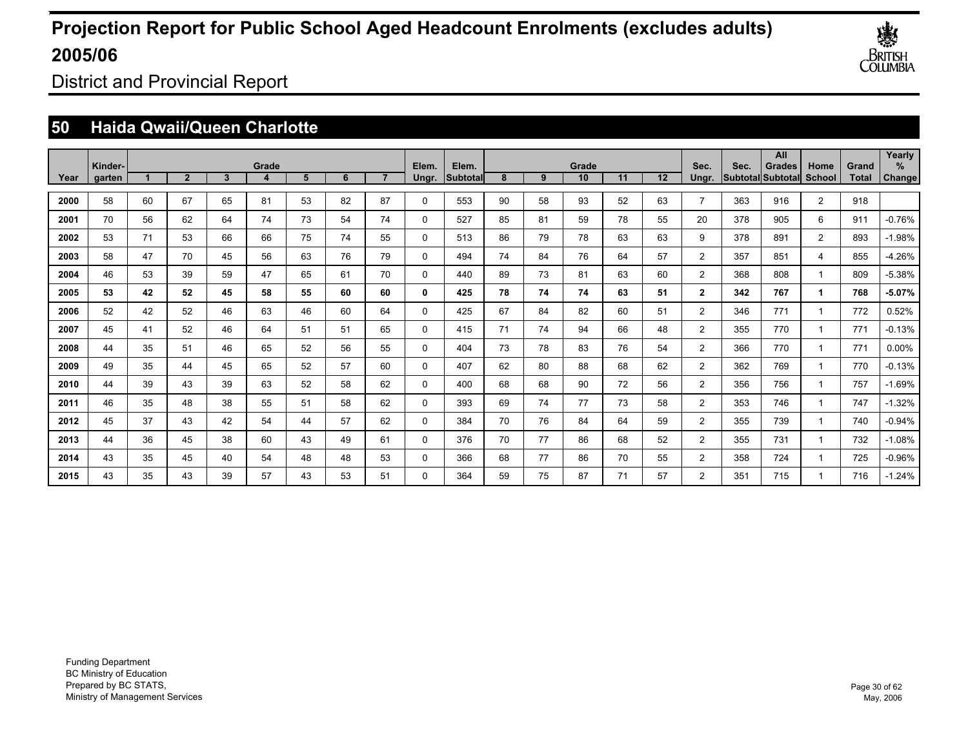

District and Provincial Report

### **50 Haida Qwaii/Queen Charlotte**

|      | Kinder- |    |                |    | Grade |    |    |                | Elem.    | Elem.    |    |    | Grade |    |    | Sec.           | Sec. | All<br><b>Grades</b> | Home           | Grand | Yearly<br>% |
|------|---------|----|----------------|----|-------|----|----|----------------|----------|----------|----|----|-------|----|----|----------------|------|----------------------|----------------|-------|-------------|
| Year | garten  |    | $\overline{2}$ | 3  | 4     | 5  | 6  | $\overline{7}$ | Ungr.    | Subtotal | 8  | 9  | 10    | 11 | 12 | Ungr.          |      | Subtotal Subtotal    | School         | Total | Change      |
| 2000 | 58      | 60 | 67             | 65 | 81    | 53 | 82 | 87             | $\Omega$ | 553      | 90 | 58 | 93    | 52 | 63 | $\overline{7}$ | 363  | 916                  | $\overline{2}$ | 918   |             |
| 2001 | 70      | 56 | 62             | 64 | 74    | 73 | 54 | 74             | $\Omega$ | 527      | 85 | 81 | 59    | 78 | 55 | 20             | 378  | 905                  | 6              | 911   | $-0.76%$    |
| 2002 | 53      | 71 | 53             | 66 | 66    | 75 | 74 | 55             | $\Omega$ | 513      | 86 | 79 | 78    | 63 | 63 | 9              | 378  | 891                  | 2              | 893   | $-1.98%$    |
| 2003 | 58      | 47 | 70             | 45 | 56    | 63 | 76 | 79             | $\Omega$ | 494      | 74 | 84 | 76    | 64 | 57 | $\overline{2}$ | 357  | 851                  | 4              | 855   | $-4.26%$    |
| 2004 | 46      | 53 | 39             | 59 | 47    | 65 | 61 | 70             | $\Omega$ | 440      | 89 | 73 | 81    | 63 | 60 | $\overline{2}$ | 368  | 808                  | 1              | 809   | $-5.38%$    |
| 2005 | 53      | 42 | 52             | 45 | 58    | 55 | 60 | 60             | 0        | 425      | 78 | 74 | 74    | 63 | 51 | $\overline{2}$ | 342  | 767                  | 1              | 768   | $-5.07%$    |
| 2006 | 52      | 42 | 52             | 46 | 63    | 46 | 60 | 64             | $\Omega$ | 425      | 67 | 84 | 82    | 60 | 51 | 2              | 346  | 771                  | $\mathbf 1$    | 772   | 0.52%       |
| 2007 | 45      | 41 | 52             | 46 | 64    | 51 | 51 | 65             | $\Omega$ | 415      | 71 | 74 | 94    | 66 | 48 | $\overline{2}$ | 355  | 770                  | $\mathbf 1$    | 771   | $-0.13%$    |
| 2008 | 44      | 35 | 51             | 46 | 65    | 52 | 56 | 55             | 0        | 404      | 73 | 78 | 83    | 76 | 54 | $\overline{2}$ | 366  | 770                  | $\mathbf 1$    | 771   | $0.00\%$    |
| 2009 | 49      | 35 | 44             | 45 | 65    | 52 | 57 | 60             | 0        | 407      | 62 | 80 | 88    | 68 | 62 | 2              | 362  | 769                  | 1              | 770   | $-0.13%$    |
| 2010 | 44      | 39 | 43             | 39 | 63    | 52 | 58 | 62             | 0        | 400      | 68 | 68 | 90    | 72 | 56 | 2              | 356  | 756                  | 1              | 757   | $-1.69%$    |
| 2011 | 46      | 35 | 48             | 38 | 55    | 51 | 58 | 62             | $\Omega$ | 393      | 69 | 74 | 77    | 73 | 58 | 2              | 353  | 746                  | $\mathbf 1$    | 747   | $-1.32%$    |
| 2012 | 45      | 37 | 43             | 42 | 54    | 44 | 57 | 62             | $\Omega$ | 384      | 70 | 76 | 84    | 64 | 59 | $\overline{2}$ | 355  | 739                  | $\mathbf 1$    | 740   | $-0.94%$    |
| 2013 | 44      | 36 | 45             | 38 | 60    | 43 | 49 | 61             | $\Omega$ | 376      | 70 | 77 | 86    | 68 | 52 | $\overline{2}$ | 355  | 731                  | $\mathbf 1$    | 732   | $-1.08%$    |
| 2014 | 43      | 35 | 45             | 40 | 54    | 48 | 48 | 53             | 0        | 366      | 68 | 77 | 86    | 70 | 55 | 2              | 358  | 724                  | $\mathbf 1$    | 725   | $-0.96%$    |
| 2015 | 43      | 35 | 43             | 39 | 57    | 43 | 53 | 51             | $\Omega$ | 364      | 59 | 75 | 87    | 71 | 57 | $\overline{2}$ | 351  | 715                  | 1              | 716   | $-1.24%$    |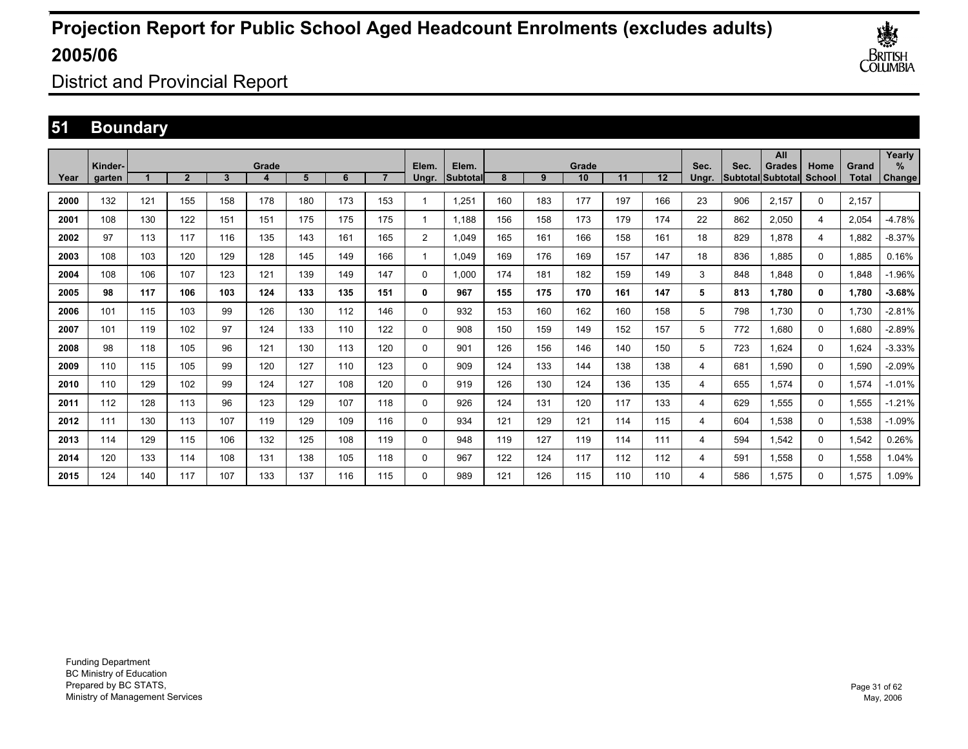

District and Provincial Report

### **51 Boundary**

|      |                   |     |                |     |       |     |     |                |                |                   |     |     |             |     |                   |               |                                  | All           |                       |                       | Yearly         |
|------|-------------------|-----|----------------|-----|-------|-----|-----|----------------|----------------|-------------------|-----|-----|-------------|-----|-------------------|---------------|----------------------------------|---------------|-----------------------|-----------------------|----------------|
| Year | Kinder-<br>garten |     | $\overline{2}$ | 3   | Grade | 5   | 6   | $\overline{7}$ | Elem.<br>Ungr. | Elem.<br>Subtotal | 8   | 9   | Grade<br>10 | 11  | $12 \overline{ }$ | Sec.<br>Ungr. | Sec.<br><b>Subtotal</b> Subtotal | <b>Grades</b> | Home<br><b>School</b> | Grand<br><b>Total</b> | $\%$<br>Change |
| 2000 | 132               | 121 | 155            | 158 | 178   | 180 | 173 | 153            | 1              | 1.251             | 160 | 183 | 177         | 197 | 166               | 23            | 906                              | 2.157         | 0                     | 2.157                 |                |
|      |                   |     |                |     |       |     |     |                |                |                   |     |     |             |     |                   |               |                                  |               |                       |                       |                |
| 2001 | 108               | 130 | 122            | 151 | 151   | 175 | 175 | 175            | 1              | 1,188             | 156 | 158 | 173         | 179 | 174               | 22            | 862                              | 2,050         | 4                     | 2,054                 | $-4.78%$       |
| 2002 | 97                | 113 | 117            | 116 | 135   | 143 | 161 | 165            | $\overline{2}$ | 1.049             | 165 | 161 | 166         | 158 | 161               | 18            | 829                              | 1.878         | 4                     | 1.882                 | $-8.37%$       |
| 2003 | 108               | 103 | 120            | 129 | 128   | 145 | 149 | 166            |                | 1.049             | 169 | 176 | 169         | 157 | 147               | 18            | 836                              | 1.885         | $\mathbf 0$           | 1.885                 | 0.16%          |
| 2004 | 108               | 106 | 107            | 123 | 121   | 139 | 149 | 147            | 0              | 1.000             | 174 | 181 | 182         | 159 | 149               | 3             | 848                              | 1.848         | $\mathbf 0$           | 1.848                 | $-1.96%$       |
| 2005 | 98                | 117 | 106            | 103 | 124   | 133 | 135 | 151            | 0              | 967               | 155 | 175 | 170         | 161 | 147               | 5             | 813                              | 1.780         | 0                     | 1,780                 | $-3.68%$       |
| 2006 | 101               | 115 | 103            | 99  | 126   | 130 | 112 | 146            | $\mathbf{0}$   | 932               | 153 | 160 | 162         | 160 | 158               | 5             | 798                              | 1.730         | $\mathbf 0$           | 1,730                 | $-2.81%$       |
| 2007 | 101               | 119 | 102            | 97  | 124   | 133 | 110 | 122            | 0              | 908               | 150 | 159 | 149         | 152 | 157               | 5             | 772                              | 1.680         | 0                     | 1.680                 | $-2.89%$       |
| 2008 | 98                | 118 | 105            | 96  | 121   | 130 | 113 | 120            | 0              | 901               | 126 | 156 | 146         | 140 | 150               | 5             | 723                              | 1.624         | 0                     | 1.624                 | $-3.33%$       |
| 2009 | 110               | 115 | 105            | 99  | 120   | 127 | 110 | 123            | 0              | 909               | 124 | 133 | 144         | 138 | 138               | 4             | 681                              | 1,590         | $\mathbf 0$           | 1,590                 | $-2.09%$       |
| 2010 | 110               | 129 | 102            | 99  | 124   | 127 | 108 | 120            | 0              | 919               | 126 | 130 | 124         | 136 | 135               | 4             | 655                              | 1,574         | $\mathbf 0$           | 1,574                 | $-1.01%$       |
| 2011 | 112               | 128 | 113            | 96  | 123   | 129 | 107 | 118            | 0              | 926               | 124 | 131 | 120         | 117 | 133               | 4             | 629                              | 1,555         | 0                     | 1,555                 | $-1.21%$       |
| 2012 | 111               | 130 | 113            | 107 | 119   | 129 | 109 | 116            | 0              | 934               | 121 | 129 | 121         | 114 | 115               | 4             | 604                              | 1.538         | 0                     | 1,538                 | $-1.09%$       |
| 2013 | 114               | 129 | 115            | 106 | 132   | 125 | 108 | 119            | 0              | 948               | 119 | 127 | 119         | 114 | 111               | 4             | 594                              | 1,542         | 0                     | 1,542                 | 0.26%          |
| 2014 | 120               | 133 | 114            | 108 | 131   | 138 | 105 | 118            | 0              | 967               | 122 | 124 | 117         | 112 | 112               | 4             | 591                              | 1,558         | $\mathbf 0$           | 1,558                 | 1.04%          |
| 2015 | 124               | 140 | 117            | 107 | 133   | 137 | 116 | 115            | $\mathbf{0}$   | 989               | 121 | 126 | 115         | 110 | 110               | 4             | 586                              | 1.575         | 0                     | 1.575                 | 1.09%          |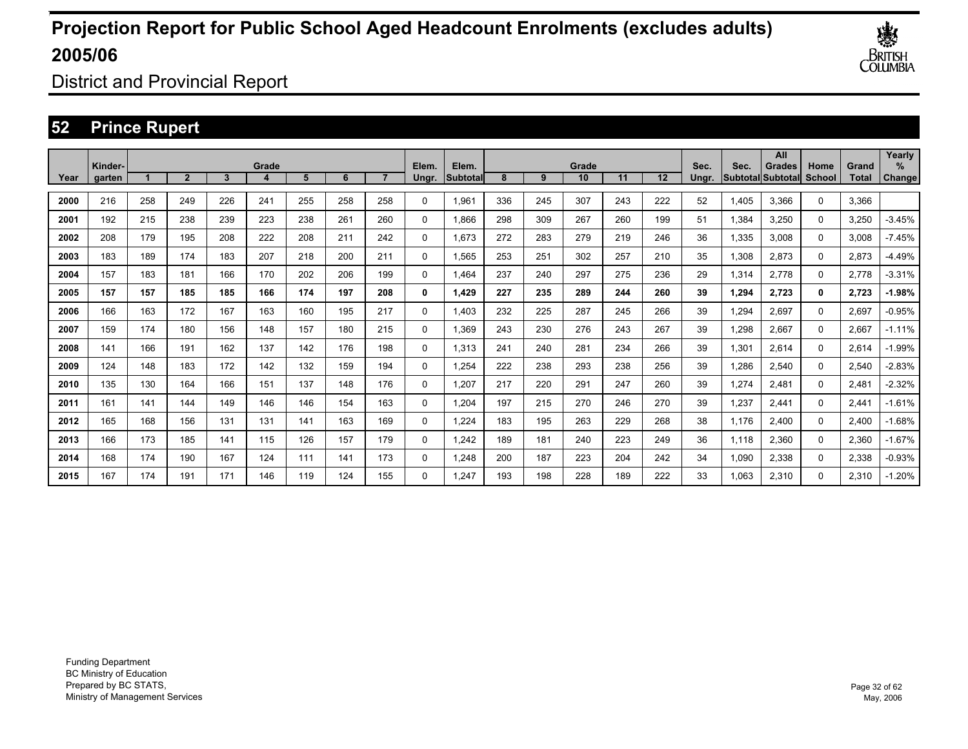

District and Provincial Report

### **52 Prince Rupert**

|      | Kinder- |     |                |     | Grade |     |     |     | Elem.       | Elem.     |     |     | Grade |     |     | Sec.  | Sec.  | All<br><b>Grades</b> | Home     | Grand        | Yearly<br>% |
|------|---------|-----|----------------|-----|-------|-----|-----|-----|-------------|-----------|-----|-----|-------|-----|-----|-------|-------|----------------------|----------|--------------|-------------|
| Year | garten  |     | $\overline{2}$ | 3   |       | 5   | 6   |     | Ungr.       | Subtotall | 8   | 9   | 10    | 11  | 12  | Ungr. |       | Subtotal Subtotal    | School   | <b>Total</b> | Change      |
| 2000 | 216     | 258 | 249            | 226 | 241   | 255 | 258 | 258 | 0           | 1,961     | 336 | 245 | 307   | 243 | 222 | 52    | 1,405 | 3,366                | $\Omega$ | 3,366        |             |
| 2001 | 192     | 215 | 238            | 239 | 223   | 238 | 261 | 260 | 0           | 1.866     | 298 | 309 | 267   | 260 | 199 | 51    | 1,384 | 3,250                | 0        | 3,250        | $-3.45%$    |
| 2002 | 208     | 179 | 195            | 208 | 222   | 208 | 211 | 242 | 0           | 1.673     | 272 | 283 | 279   | 219 | 246 | 36    | 1,335 | 3,008                | 0        | 3,008        | $-7.45%$    |
| 2003 | 183     | 189 | 174            | 183 | 207   | 218 | 200 | 211 | 0           | 1,565     | 253 | 251 | 302   | 257 | 210 | 35    | 1,308 | 2,873                | 0        | 2,873        | $-4.49%$    |
| 2004 | 157     | 183 | 181            | 166 | 170   | 202 | 206 | 199 | 0           | 1.464     | 237 | 240 | 297   | 275 | 236 | 29    | 1,314 | 2,778                | 0        | 2,778        | $-3.31%$    |
| 2005 | 157     | 157 | 185            | 185 | 166   | 174 | 197 | 208 | 0           | 1.429     | 227 | 235 | 289   | 244 | 260 | 39    | 1,294 | 2,723                | 0        | 2,723        | -1.98%      |
| 2006 | 166     | 163 | 172            | 167 | 163   | 160 | 195 | 217 | 0           | 1.403     | 232 | 225 | 287   | 245 | 266 | 39    | 1,294 | 2,697                | $\Omega$ | 2,697        | $-0.95%$    |
| 2007 | 159     | 174 | 180            | 156 | 148   | 157 | 180 | 215 | 0           | 1,369     | 243 | 230 | 276   | 243 | 267 | 39    | 1,298 | 2,667                | $\Omega$ | 2,667        | $-1.11%$    |
| 2008 | 141     | 166 | 191            | 162 | 137   | 142 | 176 | 198 | 0           | 1,313     | 241 | 240 | 281   | 234 | 266 | 39    | 1,301 | 2,614                | $\Omega$ | 2,614        | $-1.99%$    |
| 2009 | 124     | 148 | 183            | 172 | 142   | 132 | 159 | 194 | 0           | 1,254     | 222 | 238 | 293   | 238 | 256 | 39    | 1,286 | 2,540                | $\Omega$ | 2,540        | $-2.83%$    |
| 2010 | 135     | 130 | 164            | 166 | 151   | 137 | 148 | 176 | $\mathbf 0$ | 1,207     | 217 | 220 | 291   | 247 | 260 | 39    | 1,274 | 2,481                | $\Omega$ | 2,481        | $-2.32%$    |
| 2011 | 161     | 141 | 144            | 149 | 146   | 146 | 154 | 163 | $\mathbf 0$ | 1,204     | 197 | 215 | 270   | 246 | 270 | 39    | 1,237 | 2,441                | 0        | 2,441        | $-1.61%$    |
| 2012 | 165     | 168 | 156            | 131 | 131   | 141 | 163 | 169 | 0           | 1,224     | 183 | 195 | 263   | 229 | 268 | 38    | 1,176 | 2,400                | 0        | 2,400        | $-1.68%$    |
| 2013 | 166     | 173 | 185            | 141 | 115   | 126 | 157 | 179 | 0           | 1,242     | 189 | 181 | 240   | 223 | 249 | 36    | 1,118 | 2,360                | 0        | 2,360        | $-1.67%$    |
| 2014 | 168     | 174 | 190            | 167 | 124   | 111 | 141 | 173 | 0           | 1,248     | 200 | 187 | 223   | 204 | 242 | 34    | 1,090 | 2,338                | 0        | 2,338        | $-0.93%$    |
| 2015 | 167     | 174 | 191            | 171 | 146   | 119 | 124 | 155 | 0           | 1.247     | 193 | 198 | 228   | 189 | 222 | 33    | 1.063 | 2,310                | $\Omega$ | 2.310        | $-1.20%$    |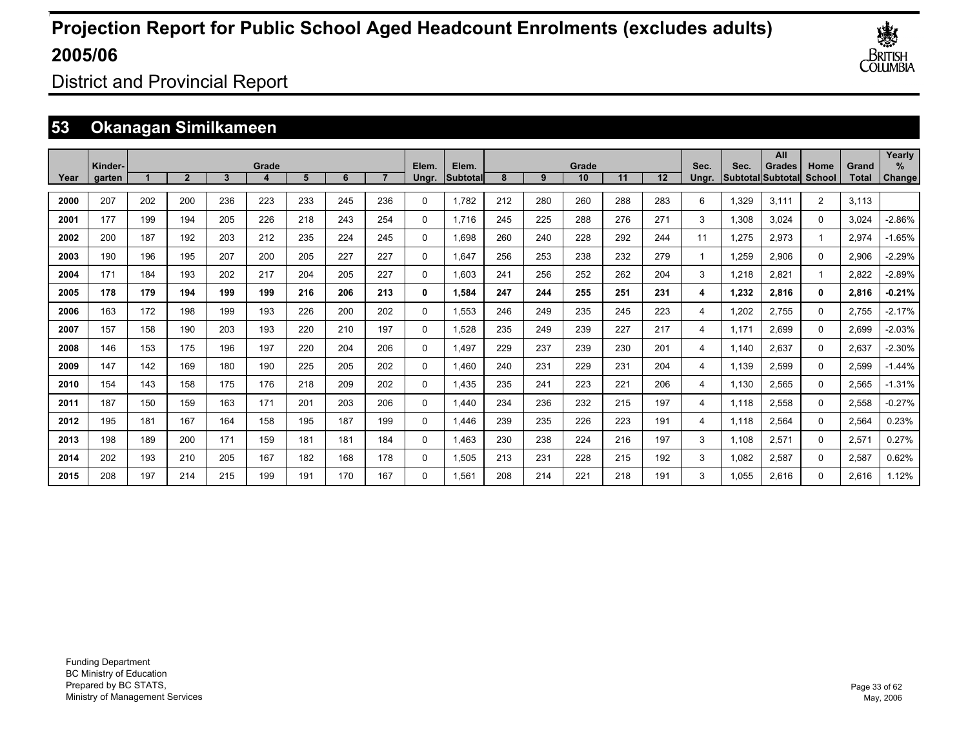

District and Provincial Report

### **53 Okanagan Similkameen**

|      | Kinder- |     |                |     | Grade |     |     |     | Elem.    | Elem.     |     |     | Grade |     |     | Sec.  | Sec.  | All<br><b>Grades</b>      | Home           | Grand | Yearly<br>$\%$ |
|------|---------|-----|----------------|-----|-------|-----|-----|-----|----------|-----------|-----|-----|-------|-----|-----|-------|-------|---------------------------|----------------|-------|----------------|
| Year | garten  |     | $\overline{2}$ | 3   |       | 5   | 6   |     | Ungr.    | lSubtotal | 8   | 9   | 10    | 11  | 12  | Unar. |       | <b>SubtotallSubtotall</b> | School         | Total | Change         |
| 2000 | 207     | 202 | 200            | 236 | 223   | 233 | 245 | 236 | 0        | 1.782     | 212 | 280 | 260   | 288 | 283 | 6     | 1,329 | 3.111                     | $\overline{2}$ | 3,113 |                |
| 2001 | 177     | 199 | 194            | 205 | 226   | 218 | 243 | 254 | 0        | 1.716     | 245 | 225 | 288   | 276 | 271 | 3     | 1,308 | 3,024                     | 0              | 3,024 | $-2.86%$       |
| 2002 | 200     | 187 | 192            | 203 | 212   | 235 | 224 | 245 | 0        | 1,698     | 260 | 240 | 228   | 292 | 244 | 11    | 1,275 | 2,973                     |                | 2,974 | $-1.65%$       |
| 2003 | 190     | 196 | 195            | 207 | 200   | 205 | 227 | 227 | 0        | 1,647     | 256 | 253 | 238   | 232 | 279 | -1    | 1,259 | 2,906                     | 0              | 2,906 | $-2.29%$       |
| 2004 | 171     | 184 | 193            | 202 | 217   | 204 | 205 | 227 | 0        | 1.603     | 241 | 256 | 252   | 262 | 204 | 3     | 1,218 | 2,821                     |                | 2,822 | $-2.89%$       |
| 2005 | 178     | 179 | 194            | 199 | 199   | 216 | 206 | 213 | 0        | 1,584     | 247 | 244 | 255   | 251 | 231 | 4     | 1,232 | 2,816                     | 0              | 2,816 | $-0.21%$       |
| 2006 | 163     | 172 | 198            | 199 | 193   | 226 | 200 | 202 | 0        | 1,553     | 246 | 249 | 235   | 245 | 223 | 4     | 1,202 | 2,755                     | 0              | 2,755 | $-2.17%$       |
| 2007 | 157     | 158 | 190            | 203 | 193   | 220 | 210 | 197 | 0        | 1.528     | 235 | 249 | 239   | 227 | 217 | 4     | 1.171 | 2,699                     | 0              | 2,699 | $-2.03%$       |
| 2008 | 146     | 153 | 175            | 196 | 197   | 220 | 204 | 206 | 0        | 1,497     | 229 | 237 | 239   | 230 | 201 | 4     | 1.140 | 2,637                     | 0              | 2,637 | $-2.30%$       |
| 2009 | 147     | 142 | 169            | 180 | 190   | 225 | 205 | 202 | 0        | 1,460     | 240 | 231 | 229   | 231 | 204 | 4     | 1.139 | 2,599                     | 0              | 2,599 | $-1.44%$       |
| 2010 | 154     | 143 | 158            | 175 | 176   | 218 | 209 | 202 | 0        | 1,435     | 235 | 241 | 223   | 221 | 206 | 4     | 1,130 | 2,565                     | 0              | 2,565 | $-1.31%$       |
| 2011 | 187     | 150 | 159            | 163 | 171   | 201 | 203 | 206 | 0        | 1,440     | 234 | 236 | 232   | 215 | 197 | 4     | 1.118 | 2,558                     | 0              | 2,558 | $-0.27%$       |
| 2012 | 195     | 181 | 167            | 164 | 158   | 195 | 187 | 199 | 0        | 1,446     | 239 | 235 | 226   | 223 | 191 | 4     | 1.118 | 2,564                     | 0              | 2,564 | 0.23%          |
| 2013 | 198     | 189 | 200            | 171 | 159   | 181 | 181 | 184 | 0        | 1,463     | 230 | 238 | 224   | 216 | 197 | 3     | 1.108 | 2,571                     | 0              | 2,571 | 0.27%          |
| 2014 | 202     | 193 | 210            | 205 | 167   | 182 | 168 | 178 | 0        | 1,505     | 213 | 231 | 228   | 215 | 192 | 3     | 1.082 | 2,587                     | 0              | 2,587 | 0.62%          |
| 2015 | 208     | 197 | 214            | 215 | 199   | 191 | 170 | 167 | $\Omega$ | 1.561     | 208 | 214 | 221   | 218 | 191 | 3     | 1.055 | 2,616                     | $\Omega$       | 2.616 | 1.12%          |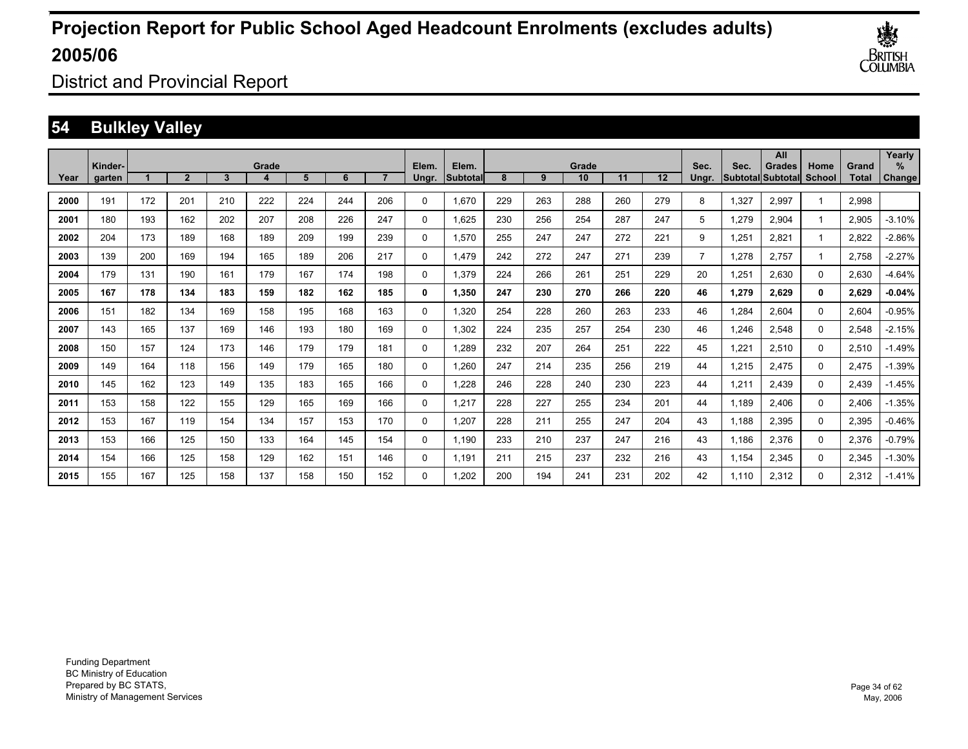

District and Provincial Report

### **54 Bulkley Valley**

|      |                   |     |                |              |       |     |     |     |                |                   |     |     |             |     |     |                |       | All                                 |                         |                | Yearly             |
|------|-------------------|-----|----------------|--------------|-------|-----|-----|-----|----------------|-------------------|-----|-----|-------------|-----|-----|----------------|-------|-------------------------------------|-------------------------|----------------|--------------------|
| Year | Kinder-<br>garten |     | $\overline{2}$ | $\mathbf{3}$ | Grade | 5   | 6   |     | Elem.<br>Ungr. | Elem.<br>Subtotal | 8   | 9   | Grade<br>10 | 11  | 12  | Sec.<br>Unar.  | Sec.  | <b>Grades</b><br> Subtotal Subtotal | Home<br>School          | Grand<br>Total | ℅<br><b>Change</b> |
|      |                   |     |                |              |       |     |     |     |                |                   |     |     |             |     |     |                |       |                                     |                         |                |                    |
| 2000 | 191               | 172 | 201            | 210          | 222   | 224 | 244 | 206 | $\Omega$       | 1,670             | 229 | 263 | 288         | 260 | 279 | 8              | 1,327 | 2,997                               | $\overline{\mathbf{1}}$ | 2,998          |                    |
| 2001 | 180               | 193 | 162            | 202          | 207   | 208 | 226 | 247 | $\Omega$       | 1,625             | 230 | 256 | 254         | 287 | 247 | 5              | 1,279 | 2,904                               | $\mathbf 1$             | 2,905          | $-3.10%$           |
| 2002 | 204               | 173 | 189            | 168          | 189   | 209 | 199 | 239 | 0              | 1.570             | 255 | 247 | 247         | 272 | 221 | 9              | 1,251 | 2.821                               | -1                      | 2,822          | $-2.86%$           |
| 2003 | 139               | 200 | 169            | 194          | 165   | 189 | 206 | 217 | 0              | 1.479             | 242 | 272 | 247         | 271 | 239 | $\overline{7}$ | 1,278 | 2.757                               | $\mathbf 1$             | 2.758          | $-2.27%$           |
| 2004 | 179               | 131 | 190            | 161          | 179   | 167 | 174 | 198 | 0              | 1,379             | 224 | 266 | 261         | 251 | 229 | 20             | 1,251 | 2,630                               | 0                       | 2,630          | $-4.64%$           |
| 2005 | 167               | 178 | 134            | 183          | 159   | 182 | 162 | 185 | 0              | 1,350             | 247 | 230 | 270         | 266 | 220 | 46             | 1,279 | 2,629                               | 0                       | 2,629          | $-0.04%$           |
| 2006 | 151               | 182 | 134            | 169          | 158   | 195 | 168 | 163 | 0              | 1,320             | 254 | 228 | 260         | 263 | 233 | 46             | 1,284 | 2,604                               | 0                       | 2,604          | $-0.95%$           |
| 2007 | 143               | 165 | 137            | 169          | 146   | 193 | 180 | 169 | 0              | 1,302             | 224 | 235 | 257         | 254 | 230 | 46             | 1,246 | 2,548                               | 0                       | 2,548          | $-2.15%$           |
| 2008 | 150               | 157 | 124            | 173          | 146   | 179 | 179 | 181 | 0              | 1,289             | 232 | 207 | 264         | 251 | 222 | 45             | 1,221 | 2,510                               | 0                       | 2,510          | $-1.49%$           |
| 2009 | 149               | 164 | 118            | 156          | 149   | 179 | 165 | 180 | 0              | 1,260             | 247 | 214 | 235         | 256 | 219 | 44             | 1,215 | 2,475                               | $\Omega$                | 2,475          | $-1.39%$           |
| 2010 | 145               | 162 | 123            | 149          | 135   | 183 | 165 | 166 | 0              | 1,228             | 246 | 228 | 240         | 230 | 223 | 44             | 1,211 | 2,439                               | $\Omega$                | 2,439          | $-1.45%$           |
| 2011 | 153               | 158 | 122            | 155          | 129   | 165 | 169 | 166 | 0              | 1,217             | 228 | 227 | 255         | 234 | 201 | 44             | 1,189 | 2,406                               | 0                       | 2,406          | $-1.35%$           |
| 2012 | 153               | 167 | 119            | 154          | 134   | 157 | 153 | 170 | 0              | 1,207             | 228 | 211 | 255         | 247 | 204 | 43             | 1,188 | 2,395                               | $\Omega$                | 2,395          | $-0.46%$           |
| 2013 | 153               | 166 | 125            | 150          | 133   | 164 | 145 | 154 | 0              | 1,190             | 233 | 210 | 237         | 247 | 216 | 43             | 1,186 | 2,376                               | $\Omega$                | 2,376          | $-0.79%$           |
| 2014 | 154               | 166 | 125            | 158          | 129   | 162 | 151 | 146 | 0              | 1.191             | 211 | 215 | 237         | 232 | 216 | 43             | 1,154 | 2,345                               | $\Omega$                | 2,345          | $-1.30%$           |
| 2015 | 155               | 167 | 125            | 158          | 137   | 158 | 150 | 152 | 0              | 1.202             | 200 | 194 | 241         | 231 | 202 | 42             | 1.110 | 2,312                               | $\Omega$                | 2.312          | $-1.41%$           |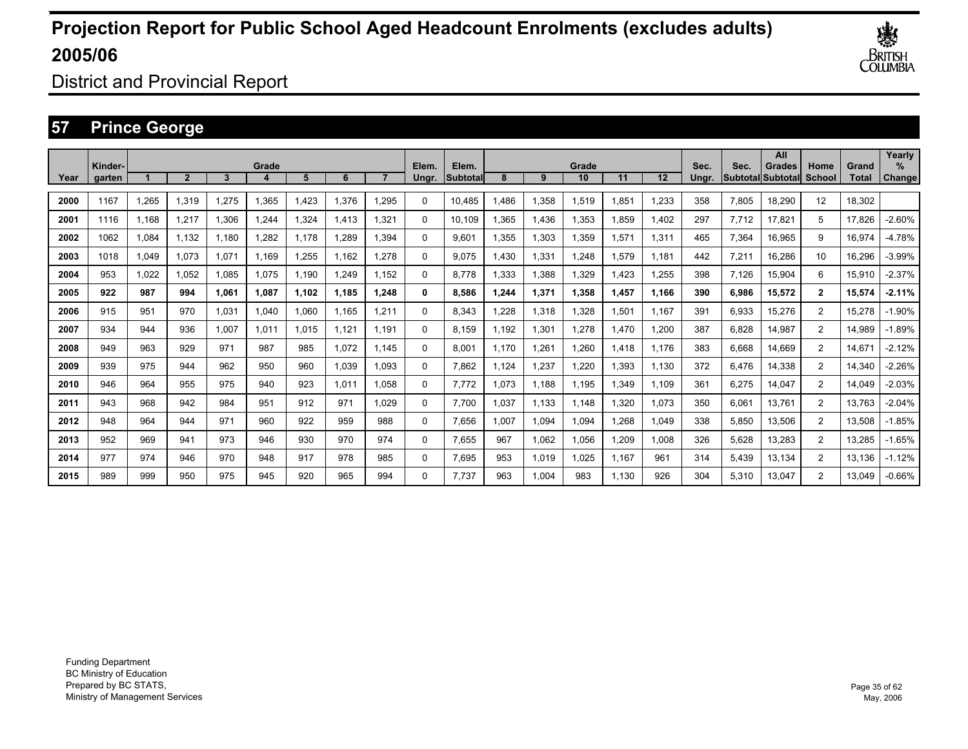

District and Provincial Report

### **57 Prince George**

|      | Kinder- |       |       |       | Grade |       |       |       | Elem. | Elem.    |       |       | Grade |       |       | Sec.  | Sec.  | All<br><b>Grades</b> | Home           | Grand  | Yearly<br>$\%$ |
|------|---------|-------|-------|-------|-------|-------|-------|-------|-------|----------|-------|-------|-------|-------|-------|-------|-------|----------------------|----------------|--------|----------------|
| Year | garten  |       | 2     | 3     |       | 5     | 6     |       | Ungr. | Subtotal | 8     | 9     | 10    | 11    | 12    | Unar. |       | Subtotal Subtotal    | School         | Total  | Change         |
| 2000 | 1167    | .265  | 1.319 | 1.275 | 1,365 | .423  | 1,376 | 1,295 | 0     | 10.485   | .486  | 1,358 | 1,519 | l.851 | 1,233 | 358   | 7,805 | 18.290               | 12             | 18.302 |                |
| 2001 | 1116    | 1.168 | 1.217 | 1,306 | 1,244 | 324   | 1.413 | 1,321 | 0     | 10.109   | .365  | 1,436 | 1,353 | l.859 | 1,402 | 297   | 7.712 | 17,821               | 5              | 17,826 | $-2.60%$       |
| 2002 | 1062    | 1,084 | 1.132 | 1.180 | 1,282 | 1.178 | 1.289 | 1.394 | 0     | 9.601    | 1,355 | 1,303 | 1,359 | 1,571 | 1,311 | 465   | 7,364 | 16,965               | 9              | 16,974 | $-4.78%$       |
| 2003 | 1018    | 1,049 | 1.073 | 1.071 | 1.169 | ,255  | 1.162 | 1,278 | 0     | 9.075    | 1.430 | 1,331 | 1.248 | 1,579 | 1.181 | 442   | 7,211 | 16,286               | 10             | 16,296 | $-3.99%$       |
| 2004 | 953     | 1,022 | 1.052 | 1.085 | 1.075 | .190  | 1.249 | 1.152 | 0     | 8.778    | 1,333 | 1,388 | 1,329 | .423  | 1,255 | 398   | 7,126 | 15,904               | 6              | 15,910 | $-2.37%$       |
| 2005 | 922     | 987   | 994   | 1.061 | 1.087 | 1.102 | 1.185 | 1.248 | 0     | 8.586    | 1.244 | 1,371 | 1.358 | l.457 | 1.166 | 390   | 6,986 | 15,572               | $\mathbf{2}$   | 15,574 | $-2.11%$       |
| 2006 | 915     | 951   | 970   | 1.031 | 1,040 | .060  | 1.165 | 1,211 | 0     | 8.343    | .228  | 1,318 | 1.328 | 1,501 | 1.167 | 391   | 6,933 | 15.276               | $\overline{2}$ | 15,278 | $-1.90%$       |
| 2007 | 934     | 944   | 936   | 1,007 | 1,011 | 1.015 | 1,121 | 1,191 | 0     | 8.159    | 1,192 | 1,301 | 1,278 | ,470  | 1,200 | 387   | 6,828 | 14,987               | $\overline{2}$ | 14,989 | $-1.89%$       |
| 2008 | 949     | 963   | 929   | 971   | 987   | 985   | 1,072 | 1.145 | 0     | 8,001    | 1.170 | 1,261 | 1,260 | .418  | 1.176 | 383   | 6,668 | 14,669               | $\overline{2}$ | 14,671 | $-2.12%$       |
| 2009 | 939     | 975   | 944   | 962   | 950   | 960   | 1,039 | 1,093 | 0     | 7,862    | 1.124 | 1,237 | 1,220 | 1,393 | 1,130 | 372   | 6,476 | 14,338               | $\overline{2}$ | 14,340 | $-2.26%$       |
| 2010 | 946     | 964   | 955   | 975   | 940   | 923   | 1,011 | 1,058 | 0     | 7,772    | 1,073 | 1.188 | 1,195 | ,349  | 1,109 | 361   | 6,275 | 14,047               | $\overline{2}$ | 14,049 | $-2.03%$       |
| 2011 | 943     | 968   | 942   | 984   | 951   | 912   | 971   | 1,029 | 0     | 7.700    | 1,037 | 1,133 | 1,148 | ,320  | 1,073 | 350   | 6,061 | 13,761               | $\overline{2}$ | 13,763 | $-2.04%$       |
| 2012 | 948     | 964   | 944   | 971   | 960   | 922   | 959   | 988   | 0     | 7,656    | 1,007 | 1,094 | 1,094 | .268  | 1,049 | 338   | 5,850 | 13,506               | $\overline{2}$ | 13,508 | $-1.85%$       |
| 2013 | 952     | 969   | 941   | 973   | 946   | 930   | 970   | 974   | 0     | 7,655    | 967   | 1,062 | 1,056 | ,209  | 1.008 | 326   | 5,628 | 13,283               | $\overline{2}$ | 13,285 | $-1.65%$       |
| 2014 | 977     | 974   | 946   | 970   | 948   | 917   | 978   | 985   | 0     | 7.695    | 953   | 1,019 | 1.025 | 1.167 | 961   | 314   | 5.439 | 13.134               | $\overline{2}$ | 13.136 | $-1.12%$       |
| 2015 | 989     | 999   | 950   | 975   | 945   | 920   | 965   | 994   | 0     | 7.737    | 963   | 1.004 | 983   | 1.130 | 926   | 304   | 5.310 | 13.047               | 2              | 13.049 | $-0.66%$       |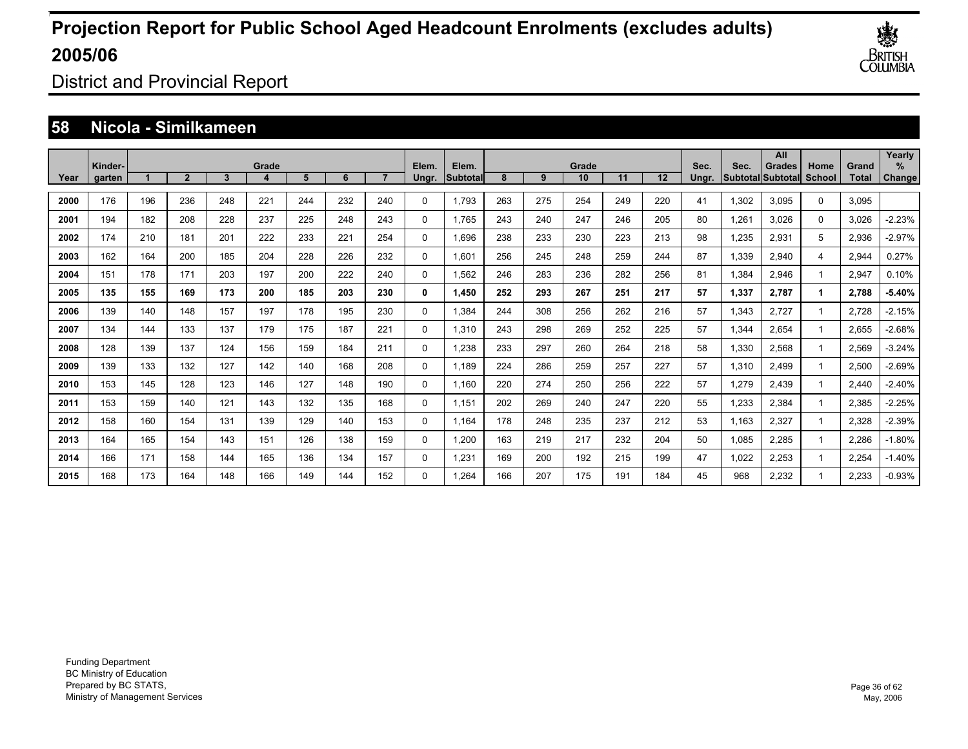

District and Provincial Report

#### **58 Nicola - Similkameen**

|      | Kinder- |     |              |     | Grade |     |     |     | Elem.    | Elem.    |     |     | Grade |     |     | Sec.  | Sec.  | All<br>Grades            | Home   | Grand        | Yearly<br>% |
|------|---------|-----|--------------|-----|-------|-----|-----|-----|----------|----------|-----|-----|-------|-----|-----|-------|-------|--------------------------|--------|--------------|-------------|
| Year | garten  |     | $\mathbf{2}$ | 3   |       | 5   | 6   |     | Ungr.    | Subtotal | 8   | 9   | 10    | 11  | 12  | Ungr. |       | <b>Subtotal</b> Subtotal | School | <b>Total</b> | Change      |
| 2000 | 176     | 196 | 236          | 248 | 221   | 244 | 232 | 240 | 0        | 1.793    | 263 | 275 | 254   | 249 | 220 | 41    | 1,302 | 3.095                    | 0      | 3,095        |             |
| 2001 | 194     | 182 | 208          | 228 | 237   | 225 | 248 | 243 | 0        | 1.765    | 243 | 240 | 247   | 246 | 205 | 80    | 1,261 | 3.026                    | 0      | 3,026        | $-2.23%$    |
| 2002 | 174     | 210 | 181          | 201 | 222   | 233 | 221 | 254 | 0        | 1.696    | 238 | 233 | 230   | 223 | 213 | 98    | 1,235 | 2,931                    | 5      | 2,936        | $-2.97%$    |
| 2003 | 162     | 164 | 200          | 185 | 204   | 228 | 226 | 232 | 0        | 1.601    | 256 | 245 | 248   | 259 | 244 | 87    | 1,339 | 2,940                    | 4      | 2,944        | 0.27%       |
| 2004 | 151     | 178 | 171          | 203 | 197   | 200 | 222 | 240 | 0        | 1,562    | 246 | 283 | 236   | 282 | 256 | 81    | 1,384 | 2,946                    |        | 2,947        | 0.10%       |
| 2005 | 135     | 155 | 169          | 173 | 200   | 185 | 203 | 230 | 0        | 1.450    | 252 | 293 | 267   | 251 | 217 | 57    | 1,337 | 2,787                    |        | 2,788        | -5.40%      |
| 2006 | 139     | 140 | 148          | 157 | 197   | 178 | 195 | 230 | 0        | 1.384    | 244 | 308 | 256   | 262 | 216 | 57    | 1,343 | 2,727                    |        | 2.728        | $-2.15%$    |
| 2007 | 134     | 144 | 133          | 137 | 179   | 175 | 187 | 221 | 0        | 1,310    | 243 | 298 | 269   | 252 | 225 | 57    | 1,344 | 2,654                    |        | 2,655        | $-2.68%$    |
| 2008 | 128     | 139 | 137          | 124 | 156   | 159 | 184 | 211 | 0        | 1,238    | 233 | 297 | 260   | 264 | 218 | 58    | 1,330 | 2,568                    |        | 2,569        | $-3.24%$    |
| 2009 | 139     | 133 | 132          | 127 | 142   | 140 | 168 | 208 | 0        | 1,189    | 224 | 286 | 259   | 257 | 227 | 57    | 1,310 | 2,499                    |        | 2,500        | $-2.69%$    |
| 2010 | 153     | 145 | 128          | 123 | 146   | 127 | 148 | 190 | 0        | 1,160    | 220 | 274 | 250   | 256 | 222 | 57    | 1,279 | 2,439                    |        | 2,440        | $-2.40%$    |
| 2011 | 153     | 159 | 140          | 121 | 143   | 132 | 135 | 168 | 0        | 1,151    | 202 | 269 | 240   | 247 | 220 | 55    | 1,233 | 2,384                    |        | 2,385        | $-2.25%$    |
| 2012 | 158     | 160 | 154          | 131 | 139   | 129 | 140 | 153 | 0        | 1,164    | 178 | 248 | 235   | 237 | 212 | 53    | 1,163 | 2,327                    |        | 2,328        | $-2.39%$    |
| 2013 | 164     | 165 | 154          | 143 | 151   | 126 | 138 | 159 | 0        | 1,200    | 163 | 219 | 217   | 232 | 204 | 50    | 1,085 | 2,285                    |        | 2,286        | $-1.80%$    |
| 2014 | 166     | 171 | 158          | 144 | 165   | 136 | 134 | 157 | 0        | 1,231    | 169 | 200 | 192   | 215 | 199 | 47    | 1,022 | 2,253                    |        | 2,254        | $-1.40%$    |
| 2015 | 168     | 173 | 164          | 148 | 166   | 149 | 144 | 152 | $\Omega$ | 1.264    | 166 | 207 | 175   | 191 | 184 | 45    | 968   | 2.232                    |        | 2.233        | $-0.93%$    |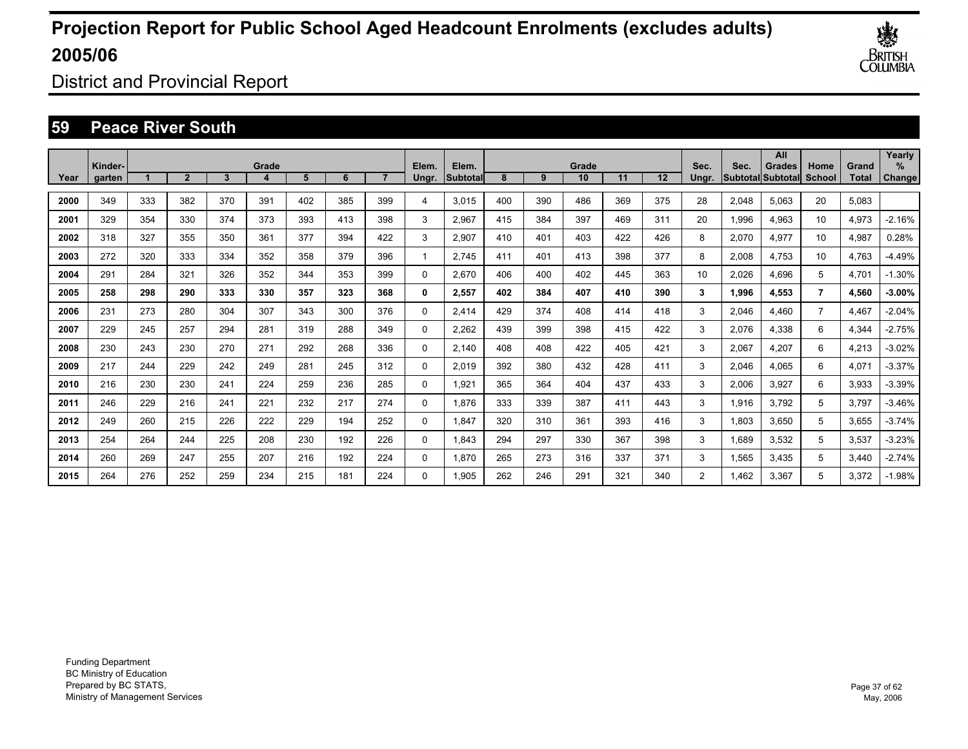

District and Provincial Report

### **59 Peace River South**

|      | Kinder- |     |              |     | Grade |     |     |     | Elem.    | Elem.    |     |     | Grade |     |                   | Sec.           | Sec.  | All<br><b>Grades</b>      | Home           | Grand | Yearly<br>$\%$ |
|------|---------|-----|--------------|-----|-------|-----|-----|-----|----------|----------|-----|-----|-------|-----|-------------------|----------------|-------|---------------------------|----------------|-------|----------------|
| Year | garten  |     | $\mathbf{2}$ | 3   |       | 5   | 6   |     | Ungr.    | Subtotal | 8   | 9   | 10    | 11  | $12 \overline{ }$ | Unar.          |       | <b>SubtotallSubtotall</b> | School         | Total | Change         |
| 2000 | 349     | 333 | 382          | 370 | 391   | 402 | 385 | 399 | 4        | 3.015    | 400 | 390 | 486   | 369 | 375               | 28             | 2,048 | 5.063                     | 20             | 5,083 |                |
| 2001 | 329     | 354 | 330          | 374 | 373   | 393 | 413 | 398 | 3        | 2.967    | 415 | 384 | 397   | 469 | 311               | 20             | 1,996 | 4,963                     | 10             | 4,973 | $-2.16%$       |
| 2002 | 318     | 327 | 355          | 350 | 361   | 377 | 394 | 422 | 3        | 2,907    | 410 | 401 | 403   | 422 | 426               | 8              | 2,070 | 4,977                     | 10             | 4,987 | 0.28%          |
| 2003 | 272     | 320 | 333          | 334 | 352   | 358 | 379 | 396 | 1        | 2.745    | 411 | 401 | 413   | 398 | 377               | 8              | 2,008 | 4.753                     | 10             | 4.763 | $-4.49%$       |
| 2004 | 291     | 284 | 321          | 326 | 352   | 344 | 353 | 399 | 0        | 2.670    | 406 | 400 | 402   | 445 | 363               | 10             | 2,026 | 4.696                     | 5              | 4.701 | $-1.30%$       |
| 2005 | 258     | 298 | 290          | 333 | 330   | 357 | 323 | 368 | 0        | 2,557    | 402 | 384 | 407   | 410 | 390               | 3              | 1,996 | 4.553                     | $\overline{7}$ | 4,560 | $-3.00%$       |
| 2006 | 231     | 273 | 280          | 304 | 307   | 343 | 300 | 376 | 0        | 2.414    | 429 | 374 | 408   | 414 | 418               | 3              | 2,046 | 4.460                     | $\overline{7}$ | 4.467 | $-2.04%$       |
| 2007 | 229     | 245 | 257          | 294 | 281   | 319 | 288 | 349 | 0        | 2,262    | 439 | 399 | 398   | 415 | 422               | 3              | 2,076 | 4,338                     | 6              | 4,344 | $-2.75%$       |
| 2008 | 230     | 243 | 230          | 270 | 271   | 292 | 268 | 336 | $\Omega$ | 2.140    | 408 | 408 | 422   | 405 | 421               | 3              | 2,067 | 4,207                     | 6              | 4,213 | $-3.02%$       |
| 2009 | 217     | 244 | 229          | 242 | 249   | 281 | 245 | 312 | 0        | 2,019    | 392 | 380 | 432   | 428 | 411               | 3              | 2,046 | 4,065                     | 6              | 4,071 | $-3.37%$       |
| 2010 | 216     | 230 | 230          | 241 | 224   | 259 | 236 | 285 | 0        | 1,921    | 365 | 364 | 404   | 437 | 433               | 3              | 2,006 | 3,927                     | 6              | 3,933 | $-3.39%$       |
| 2011 | 246     | 229 | 216          | 241 | 221   | 232 | 217 | 274 | 0        | 1,876    | 333 | 339 | 387   | 411 | 443               | 3              | 1,916 | 3,792                     | 5              | 3,797 | $-3.46%$       |
| 2012 | 249     | 260 | 215          | 226 | 222   | 229 | 194 | 252 | 0        | 1,847    | 320 | 310 | 361   | 393 | 416               | 3              | 1,803 | 3,650                     | 5              | 3,655 | $-3.74%$       |
| 2013 | 254     | 264 | 244          | 225 | 208   | 230 | 192 | 226 | 0        | 1.843    | 294 | 297 | 330   | 367 | 398               | 3              | 1,689 | 3,532                     | 5              | 3,537 | $-3.23%$       |
| 2014 | 260     | 269 | 247          | 255 | 207   | 216 | 192 | 224 | 0        | 1.870    | 265 | 273 | 316   | 337 | 371               | 3              | 1,565 | 3,435                     | 5              | 3,440 | $-2.74%$       |
| 2015 | 264     | 276 | 252          | 259 | 234   | 215 | 181 | 224 | $\Omega$ | 1.905    | 262 | 246 | 291   | 321 | 340               | $\overline{2}$ | 1.462 | 3.367                     | 5              | 3.372 | $-1.98%$       |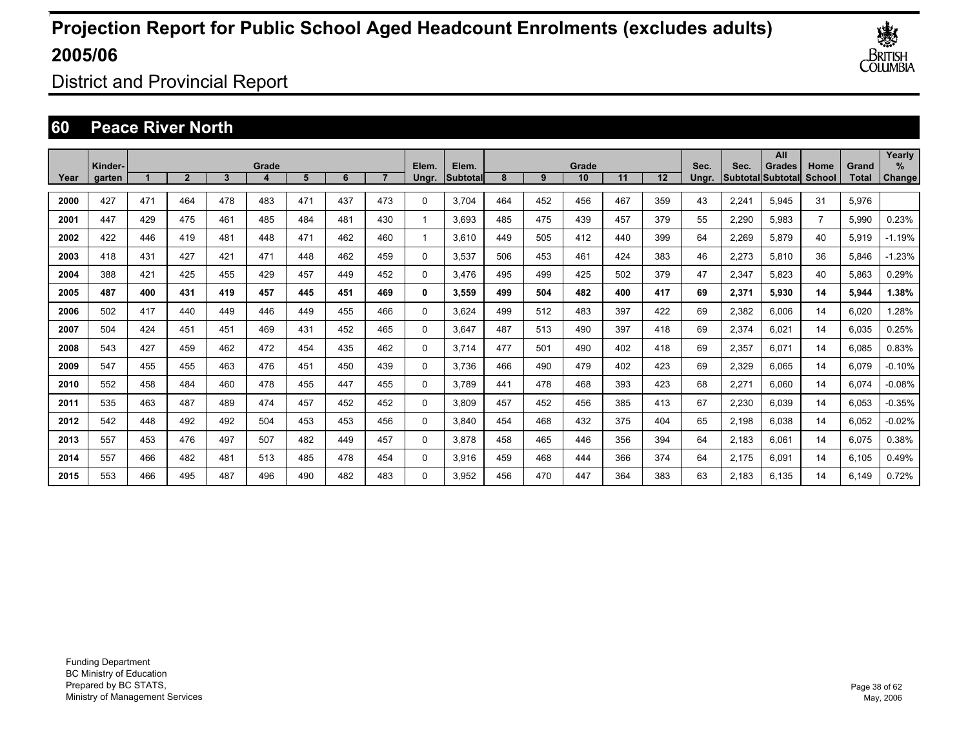

District and Provincial Report

### **60 Peace River North**

|      | Kinder- |     |              |     | Grade |     |     |     | Elem.       | Elem.     |     |     | Grade |     |     | Sec.  | Sec.  | All<br>Grades     | Home           | Grand | Yearly<br>$\frac{9}{6}$ |
|------|---------|-----|--------------|-----|-------|-----|-----|-----|-------------|-----------|-----|-----|-------|-----|-----|-------|-------|-------------------|----------------|-------|-------------------------|
| Year | garten  |     | $\mathbf{2}$ | 3   |       | 5   | 6   |     | Ungr.       | Subtotall | 8   | 9   | 10    | 11  | 12  | Ungr. |       | Subtotal Subtotal | School         | Total | Change                  |
| 2000 | 427     | 471 | 464          | 478 | 483   | 471 | 437 | 473 | $\Omega$    | 3.704     | 464 | 452 | 456   | 467 | 359 | 43    | 2,241 | 5,945             | 31             | 5,976 |                         |
| 2001 | 447     | 429 | 475          | 461 | 485   | 484 | 481 | 430 | 1           | 3.693     | 485 | 475 | 439   | 457 | 379 | 55    | 2,290 | 5,983             | $\overline{7}$ | 5,990 | 0.23%                   |
| 2002 | 422     | 446 | 419          | 481 | 448   | 471 | 462 | 460 | 1           | 3.610     | 449 | 505 | 412   | 440 | 399 | 64    | 2,269 | 5.879             | 40             | 5,919 | $-1.19%$                |
| 2003 | 418     | 431 | 427          | 421 | 471   | 448 | 462 | 459 | 0           | 3,537     | 506 | 453 | 461   | 424 | 383 | 46    | 2,273 | 5.810             | 36             | 5.846 | $-1.23%$                |
| 2004 | 388     | 421 | 425          | 455 | 429   | 457 | 449 | 452 | 0           | 3.476     | 495 | 499 | 425   | 502 | 379 | 47    | 2,347 | 5.823             | 40             | 5,863 | 0.29%                   |
| 2005 | 487     | 400 | 431          | 419 | 457   | 445 | 451 | 469 | 0           | 3,559     | 499 | 504 | 482   | 400 | 417 | 69    | 2,371 | 5,930             | 14             | 5,944 | 1.38%                   |
| 2006 | 502     | 417 | 440          | 449 | 446   | 449 | 455 | 466 | $\Omega$    | 3.624     | 499 | 512 | 483   | 397 | 422 | 69    | 2,382 | 6.006             | 14             | 6.020 | .28%                    |
| 2007 | 504     | 424 | 451          | 451 | 469   | 431 | 452 | 465 | $\Omega$    | 3,647     | 487 | 513 | 490   | 397 | 418 | 69    | 2,374 | 6,021             | 14             | 6,035 | 0.25%                   |
| 2008 | 543     | 427 | 459          | 462 | 472   | 454 | 435 | 462 | $\Omega$    | 3,714     | 477 | 501 | 490   | 402 | 418 | 69    | 2,357 | 6,071             | 14             | 6,085 | 0.83%                   |
| 2009 | 547     | 455 | 455          | 463 | 476   | 451 | 450 | 439 | $\Omega$    | 3.736     | 466 | 490 | 479   | 402 | 423 | 69    | 2,329 | 6.065             | 14             | 6,079 | $-0.10%$                |
| 2010 | 552     | 458 | 484          | 460 | 478   | 455 | 447 | 455 | 0           | 3.789     | 441 | 478 | 468   | 393 | 423 | 68    | 2,271 | 6,060             | 14             | 6,074 | $-0.08%$                |
| 2011 | 535     | 463 | 487          | 489 | 474   | 457 | 452 | 452 | $\mathbf 0$ | 3,809     | 457 | 452 | 456   | 385 | 413 | 67    | 2,230 | 6,039             | 14             | 6,053 | $-0.35%$                |
| 2012 | 542     | 448 | 492          | 492 | 504   | 453 | 453 | 456 | 0           | 3,840     | 454 | 468 | 432   | 375 | 404 | 65    | 2,198 | 6,038             | 14             | 6,052 | $-0.02%$                |
| 2013 | 557     | 453 | 476          | 497 | 507   | 482 | 449 | 457 | 0           | 3.878     | 458 | 465 | 446   | 356 | 394 | 64    | 2,183 | 6,061             | 14             | 6,075 | 0.38%                   |
| 2014 | 557     | 466 | 482          | 481 | 513   | 485 | 478 | 454 | 0           | 3,916     | 459 | 468 | 444   | 366 | 374 | 64    | 2,175 | 6,091             | 14             | 6,105 | 0.49%                   |
| 2015 | 553     | 466 | 495          | 487 | 496   | 490 | 482 | 483 | $\Omega$    | 3.952     | 456 | 470 | 447   | 364 | 383 | 63    | 2.183 | 6.135             | 14             | 6.149 | 0.72%                   |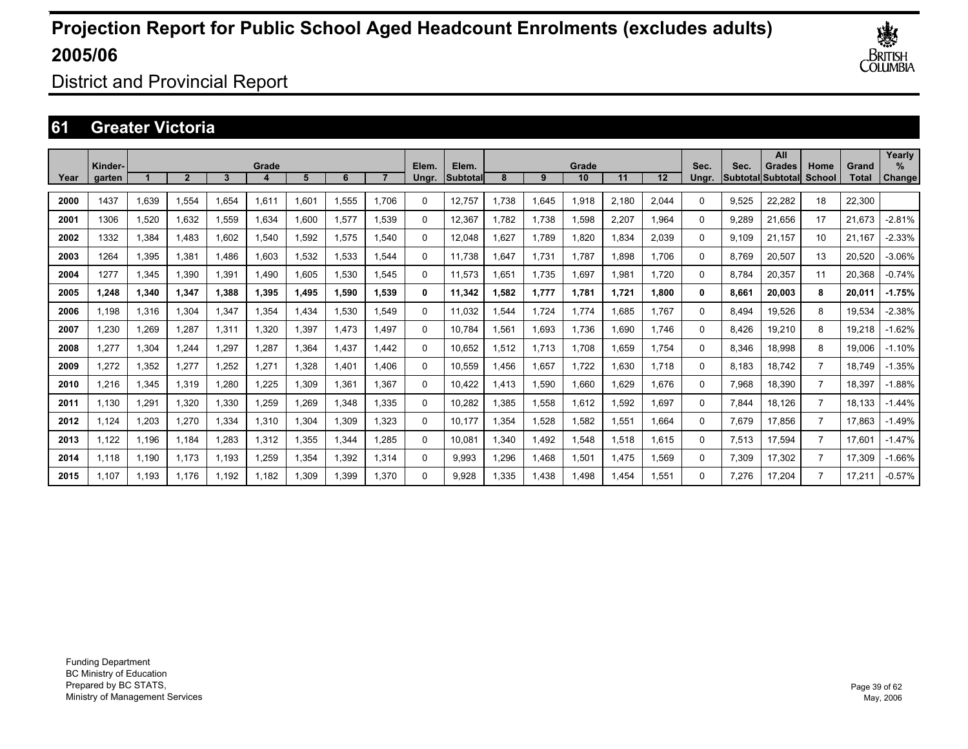

District and Provincial Report

### **61 Greater Victoria**

|      | Kinder- |       |             |       | Grade |        |       |       | Elem. | Elem.    |       |       | Grade |       |                   | Sec.     | Sec.  | All<br>Grades     | Home           | Grand  | Yearly<br>$\%$ |
|------|---------|-------|-------------|-------|-------|--------|-------|-------|-------|----------|-------|-------|-------|-------|-------------------|----------|-------|-------------------|----------------|--------|----------------|
| Year | garten  |       | $\mathbf 2$ | 3     |       | 5      | 6     |       | Ungr. | Subtotal | 8     | 9     | 10    | 11    | $12 \overline{ }$ | Unar.    |       | Subtotal Subtotal | School         | Total  | Change         |
| 2000 | 1437    | 1.639 | 1.554       | 1.654 | 1,611 | .601   | 1.555 | 1.706 | 0     | 12,757   | 1.738 | 1,645 | 1,918 | 2,180 | 2,044             | 0        | 9,525 | 22.282            | 18             | 22,300 |                |
| 2001 | 1306    | 1,520 | 1.632       | 1.559 | 1.634 | .600   | 1.577 | 1.539 | 0     | 12.367   | 1.782 | 1.738 | 1.598 | 2.207 | 1.964             | 0        | 9.289 | 21.656            | 17             | 21.673 | $-2.81%$       |
| 2002 | 1332    | 1,384 | 1.483       | 1.602 | 1,540 | .592   | 1,575 | 1,540 | 0     | 12,048   | 1,627 | 1,789 | 1,820 | 1,834 | 2,039             | 0        | 9.109 | 21.157            | 10             | 21,167 | $-2.33%$       |
| 2003 | 1264    | 1,395 | 1,381       | 1.486 | 1,603 | .532   | 1,533 | 1.544 | 0     | 11.738   | 1,647 | 1,731 | 1.787 | .898  | 1.706             | 0        | 8.769 | 20,507            | 13             | 20,520 | $-3.06%$       |
| 2004 | 1277    | 1,345 | 1,390       | 1,391 | 1,490 | .605   | 1,530 | 1,545 | 0     | 11,573   | 1,651 | 1.735 | 1,697 | 1.981 | 1.720             | 0        | 8.784 | 20,357            | 11             | 20,368 | $-0.74%$       |
| 2005 | 1.248   | 1,340 | 1,347       | 1.388 | 1,395 | 495, ا | 1,590 | 1,539 | 0     | 11,342   | 1,582 | 1,777 | 1,781 | 1.721 | 1,800             | 0        | 8,661 | 20,003            | 8              | 20,011 | $-1.75%$       |
| 2006 | 1.198   | 1,316 | 1.304       | 1,347 | 1,354 | ,434   | 1,530 | 1.549 | 0     | 11,032   | .544  | 1.724 | 1.774 | .685  | 1.767             | 0        | 8.494 | 19,526            | 8              | 19,534 | $-2.38%$       |
| 2007 | 1.230   | 1,269 | 1.287       | 1.311 | 1.320 | .397   | 1.473 | 1.497 | 0     | 10.784   | .561  | 1,693 | 1.736 | .690  | 1.746             | 0        | 8.426 | 19,210            | 8              | 19.218 | $-1.62%$       |
| 2008 | 1,277   | 1,304 | 1,244       | 1,297 | 1,287 | .364   | 1,437 | 1.442 | 0     | 10,652   | 1,512 | 1,713 | 1,708 | 1,659 | 1.754             | 0        | 8,346 | 18,998            | 8              | 19,006 | $-1.10%$       |
| 2009 | 1,272   | 1,352 | 1,277       | 1,252 | 1,271 | 328    | 1,401 | 1.406 | 0     | 10,559   | A56.  | 1,657 | 1,722 | 1,630 | 1.718             | 0        | 8.183 | 18.742            | $\overline{7}$ | 18.749 | $-1.35%$       |
| 2010 | 1,216   | 1,345 | 1.319       | 1.280 | 1.225 | .309   | 1,361 | 1.367 | 0     | 10,422   | 1.413 | 1,590 | 1,660 | 1.629 | 1.676             | 0        | 7,968 | 18,390            | $\overline{7}$ | 18,397 | $-1.88%$       |
| 2011 | 1.130   | 1.291 | 1.320       | 1.330 | 1.259 | .269   | 1.348 | 1.335 | 0     | 10,282   | .385  | 1,558 | 1.612 | 1.592 | 1.697             | 0        | 7.844 | 18.126            | $\overline{7}$ | 18.133 | $-1.44%$       |
| 2012 | 1.124   | 1.203 | 1.270       | 1.334 | 1.310 | .304   | 1.309 | 1.323 | 0     | 10.177   | .354  | 1.528 | 1.582 | 1.551 | 1.664             | $\Omega$ | 7,679 | 17.856            | $\overline{7}$ | 17.863 | $-1.49%$       |
| 2013 | 1.122   | 1.196 | 1.184       | 1.283 | 1.312 | .355   | 1.344 | 1.285 | 0     | 10.081   | 1.340 | 1.492 | 1.548 | .518  | 1.615             | $\Omega$ | 7,513 | 17.594            | $\overline{7}$ | 17.601 | $-1.47%$       |
| 2014 | 1.118   | 1,190 | 1.173       | 1,193 | 1,259 | ,354   | 1,392 | 1,314 | 0     | 9,993    | 1,296 | 1,468 | 1,501 | 1,475 | 1,569             | 0        | 7,309 | 17,302            | $\overline{7}$ | 17,309 | $-1.66%$       |
| 2015 | 1.107   | 1.193 | 1.176       | 1.192 | 1.182 | .309   | 1,399 | 1,370 | 0     | 9.928    | 1.335 | 1,438 | 1,498 | .454  | 1,551             | 0        | 7.276 | 17,204            | $\overline{7}$ | 17.21' | $-0.57%$       |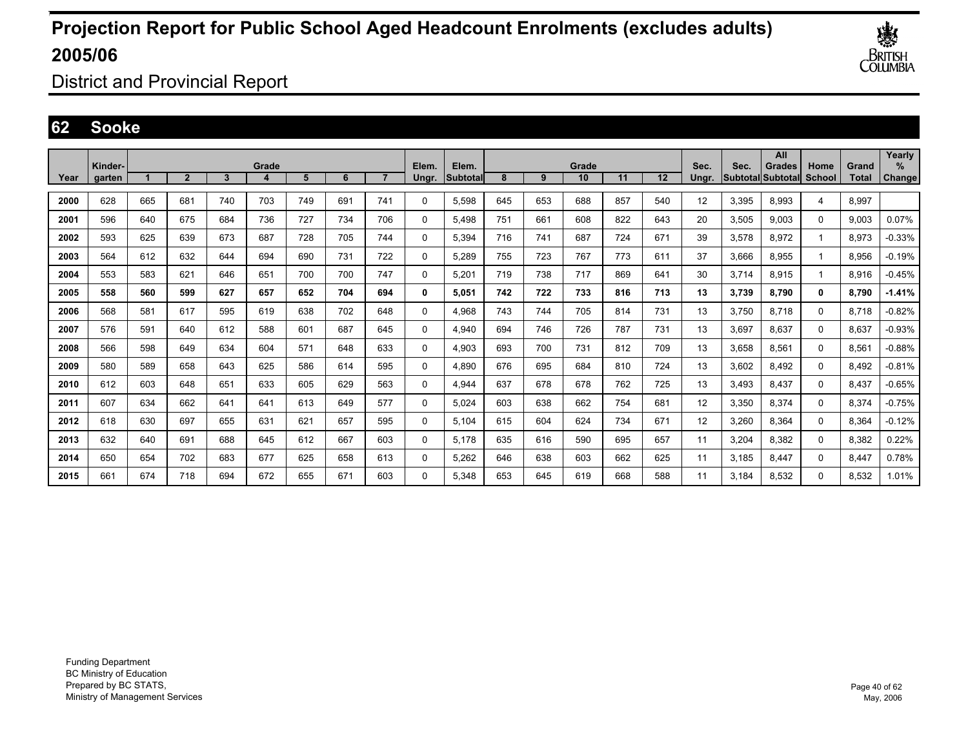

District and Provincial Report

### **62 Sooke**

|      | Kinder- |     |                |     | Grade |     |     |                | Elem.       | Elem.     |     |     | Grade |     |     | Sec.  | Sec.  | All<br><b>Grades</b>     | Home         | Grand | Yearly<br>$\%$ |
|------|---------|-----|----------------|-----|-------|-----|-----|----------------|-------------|-----------|-----|-----|-------|-----|-----|-------|-------|--------------------------|--------------|-------|----------------|
| Year | aarten  |     | $\overline{2}$ | 3   | 4     | 5   | 6   | $\overline{7}$ | Unar.       | Subtotall | 8   | 9   | 10    | 11  | 12  | Unar. |       | <b>Subtotal Subtotal</b> | School       | Total | Change         |
| 2000 | 628     | 665 | 681            | 740 | 703   | 749 | 691 | 741            | $\Omega$    | 5,598     | 645 | 653 | 688   | 857 | 540 | 12    | 3,395 | 8.993                    | 4            | 8.997 |                |
| 2001 | 596     | 640 | 675            | 684 | 736   | 727 | 734 | 706            | 0           | 5.498     | 751 | 661 | 608   | 822 | 643 | 20    | 3,505 | 9.003                    | 0            | 9.003 | 0.07%          |
| 2002 | 593     | 625 | 639            | 673 | 687   | 728 | 705 | 744            | 0           | 5,394     | 716 | 741 | 687   | 724 | 671 | 39    | 3,578 | 8,972                    | 1            | 8,973 | $-0.33%$       |
| 2003 | 564     | 612 | 632            | 644 | 694   | 690 | 731 | 722            | $\mathbf 0$ | 5.289     | 755 | 723 | 767   | 773 | 611 | 37    | 3.666 | 8.955                    |              | 8,956 | $-0.19%$       |
| 2004 | 553     | 583 | 621            | 646 | 651   | 700 | 700 | 747            | 0           | 5.201     | 719 | 738 | 717   | 869 | 641 | 30    | 3.714 | 8.915                    | 1            | 8.916 | $-0.45%$       |
| 2005 | 558     | 560 | 599            | 627 | 657   | 652 | 704 | 694            | 0           | 5.051     | 742 | 722 | 733   | 816 | 713 | 13    | 3,739 | 8,790                    | $\mathbf{0}$ | 8,790 | $-1.41%$       |
| 2006 | 568     | 581 | 617            | 595 | 619   | 638 | 702 | 648            | 0           | 4.968     | 743 | 744 | 705   | 814 | 731 | 13    | 3.750 | 8.718                    | 0            | 8.718 | $-0.82%$       |
| 2007 | 576     | 591 | 640            | 612 | 588   | 601 | 687 | 645            | 0           | 4,940     | 694 | 746 | 726   | 787 | 731 | 13    | 3,697 | 8.637                    | 0            | 8,637 | $-0.93%$       |
| 2008 | 566     | 598 | 649            | 634 | 604   | 571 | 648 | 633            | 0           | 4.903     | 693 | 700 | 731   | 812 | 709 | 13    | 3.658 | 8.561                    | 0            | 8,561 | $-0.88%$       |
| 2009 | 580     | 589 | 658            | 643 | 625   | 586 | 614 | 595            | $\mathbf 0$ | 4,890     | 676 | 695 | 684   | 810 | 724 | 13    | 3,602 | 8,492                    | $\mathbf 0$  | 8,492 | $-0.81%$       |
| 2010 | 612     | 603 | 648            | 651 | 633   | 605 | 629 | 563            | $\mathbf 0$ | 4,944     | 637 | 678 | 678   | 762 | 725 | 13    | 3,493 | 8.437                    | $\mathbf 0$  | 8,437 | $-0.65%$       |
| 2011 | 607     | 634 | 662            | 641 | 641   | 613 | 649 | 577            | 0           | 5.024     | 603 | 638 | 662   | 754 | 681 | 12    | 3,350 | 8.374                    | 0            | 8,374 | $-0.75%$       |
| 2012 | 618     | 630 | 697            | 655 | 631   | 621 | 657 | 595            | 0           | 5,104     | 615 | 604 | 624   | 734 | 671 | 12    | 3,260 | 8,364                    | $\Omega$     | 8,364 | $-0.12%$       |
| 2013 | 632     | 640 | 691            | 688 | 645   | 612 | 667 | 603            | 0           | 5.178     | 635 | 616 | 590   | 695 | 657 | 11    | 3,204 | 8.382                    | 0            | 8,382 | 0.22%          |
| 2014 | 650     | 654 | 702            | 683 | 677   | 625 | 658 | 613            | 0           | 5,262     | 646 | 638 | 603   | 662 | 625 | 11    | 3,185 | 8,447                    | $\Omega$     | 8,447 | 0.78%          |
| 2015 | 661     | 674 | 718            | 694 | 672   | 655 | 671 | 603            | 0           | 5.348     | 653 | 645 | 619   | 668 | 588 | 11    | 3.184 | 8.532                    | 0            | 8.532 | 1.01%          |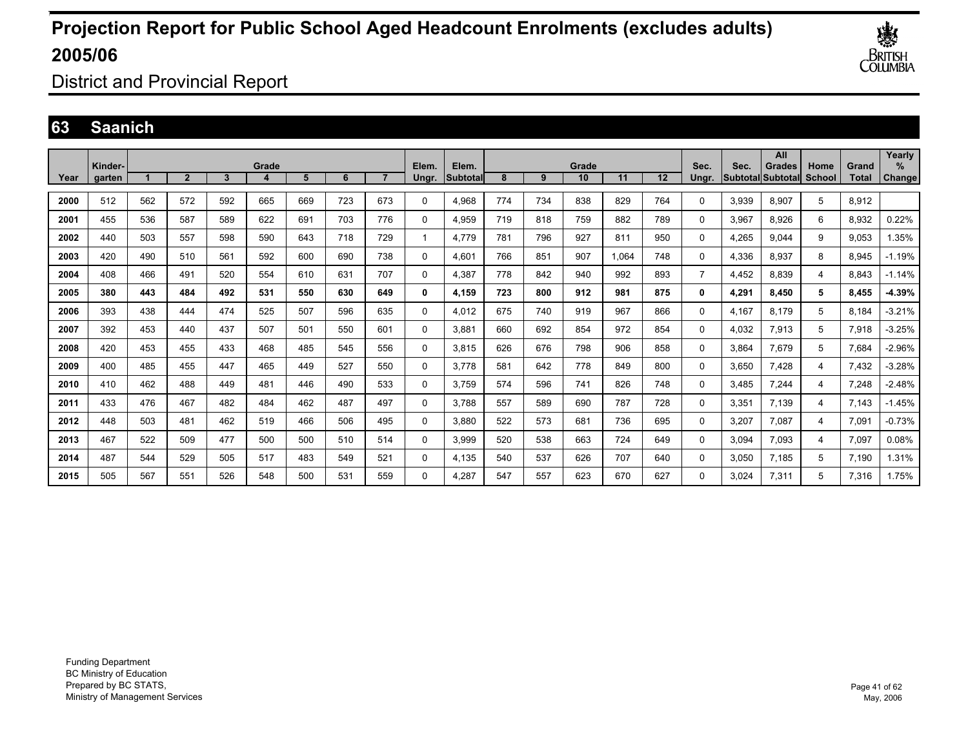

District and Provincial Report

### **63 Saanich**

|      | Kinder- |     |                |     | Grade |     |     |     |                | Elem.    |     |     | Grade |       |     | Sec.           | Sec.  | All<br><b>Grades</b>     |                       | Grand        | Yearly<br>$\frac{9}{6}$ |
|------|---------|-----|----------------|-----|-------|-----|-----|-----|----------------|----------|-----|-----|-------|-------|-----|----------------|-------|--------------------------|-----------------------|--------------|-------------------------|
| Year | garten  |     | $\overline{2}$ | 3   | 4     | 5   | 6   |     | Elem.<br>Ungr. | Subtotal | 8   | 9   | 10    | 11    | 12  | Unar.          |       | <b>Subtotal Subtotal</b> | Home<br><b>School</b> | <b>Total</b> | <b>Change</b>           |
| 2000 | 512     | 562 | 572            | 592 | 665   | 669 | 723 | 673 | 0              | 4.968    | 774 | 734 | 838   | 829   | 764 | 0              | 3.939 | 8.907                    | 5                     | 8,912        |                         |
| 2001 | 455     | 536 | 587            | 589 | 622   | 691 | 703 | 776 | 0              | 4.959    | 719 | 818 | 759   | 882   | 789 | 0              | 3.967 | 8.926                    | 6                     | 8.932        | 0.22%                   |
| 2002 | 440     | 503 | 557            | 598 | 590   | 643 | 718 | 729 | 1              | 4,779    | 781 | 796 | 927   | 811   | 950 | $\Omega$       | 4,265 | 9.044                    | 9                     | 9,053        | .35%                    |
| 2003 | 420     | 490 | 510            | 561 | 592   | 600 | 690 | 738 | 0              | 4,601    | 766 | 851 | 907   | 1.064 | 748 | $\Omega$       | 4,336 | 8,937                    | 8                     | 8,945        | $-1.19%$                |
| 2004 | 408     | 466 | 491            | 520 | 554   | 610 | 631 | 707 | $\Omega$       | 4,387    | 778 | 842 | 940   | 992   | 893 | $\overline{7}$ | 4,452 | 8.839                    | 4                     | 8,843        | $-1.14%$                |
| 2005 | 380     | 443 | 484            | 492 | 531   | 550 | 630 | 649 | 0              | 4,159    | 723 | 800 | 912   | 981   | 875 | 0              | 4,291 | 8.450                    | 5                     | 8,455        | $-4.39%$                |
| 2006 | 393     | 438 | 444            | 474 | 525   | 507 | 596 | 635 | $\Omega$       | 4.012    | 675 | 740 | 919   | 967   | 866 | 0              | 4,167 | 8.179                    | 5                     | 8,184        | $-3.21%$                |
| 2007 | 392     | 453 | 440            | 437 | 507   | 501 | 550 | 601 | 0              | 3,881    | 660 | 692 | 854   | 972   | 854 | 0              | 4,032 | 7,913                    | 5                     | 7,918        | $-3.25%$                |
| 2008 | 420     | 453 | 455            | 433 | 468   | 485 | 545 | 556 | 0              | 3.815    | 626 | 676 | 798   | 906   | 858 | 0              | 3.864 | 7,679                    | 5                     | 7,684        | $-2.96%$                |
| 2009 | 400     | 485 | 455            | 447 | 465   | 449 | 527 | 550 | 0              | 3.778    | 581 | 642 | 778   | 849   | 800 | $\Omega$       | 3.650 | 7,428                    | 4                     | 7,432        | $-3.28%$                |
| 2010 | 410     | 462 | 488            | 449 | 481   | 446 | 490 | 533 | 0              | 3.759    | 574 | 596 | 741   | 826   | 748 | $\Omega$       | 3.485 | 7.244                    | 4                     | 7.248        | $-2.48%$                |
| 2011 | 433     | 476 | 467            | 482 | 484   | 462 | 487 | 497 | 0              | 3.788    | 557 | 589 | 690   | 787   | 728 | $\Omega$       | 3.351 | 7.139                    | 4                     | 7,143        | $-1.45%$                |
| 2012 | 448     | 503 | 481            | 462 | 519   | 466 | 506 | 495 | 0              | 3.880    | 522 | 573 | 681   | 736   | 695 | 0              | 3.207 | 7.087                    | 4                     | 7.091        | $-0.73%$                |
| 2013 | 467     | 522 | 509            | 477 | 500   | 500 | 510 | 514 | 0              | 3.999    | 520 | 538 | 663   | 724   | 649 | 0              | 3.094 | 7.093                    | 4                     | 7.097        | 0.08%                   |
| 2014 | 487     | 544 | 529            | 505 | 517   | 483 | 549 | 521 | $\Omega$       | 4,135    | 540 | 537 | 626   | 707   | 640 | 0              | 3,050 | 7,185                    | 5                     | 7,190        | 1.31%                   |
| 2015 | 505     | 567 | 551            | 526 | 548   | 500 | 531 | 559 | 0              | 4.287    | 547 | 557 | 623   | 670   | 627 | 0              | 3.024 | 7,311                    | 5                     | 7,316        | 1.75%                   |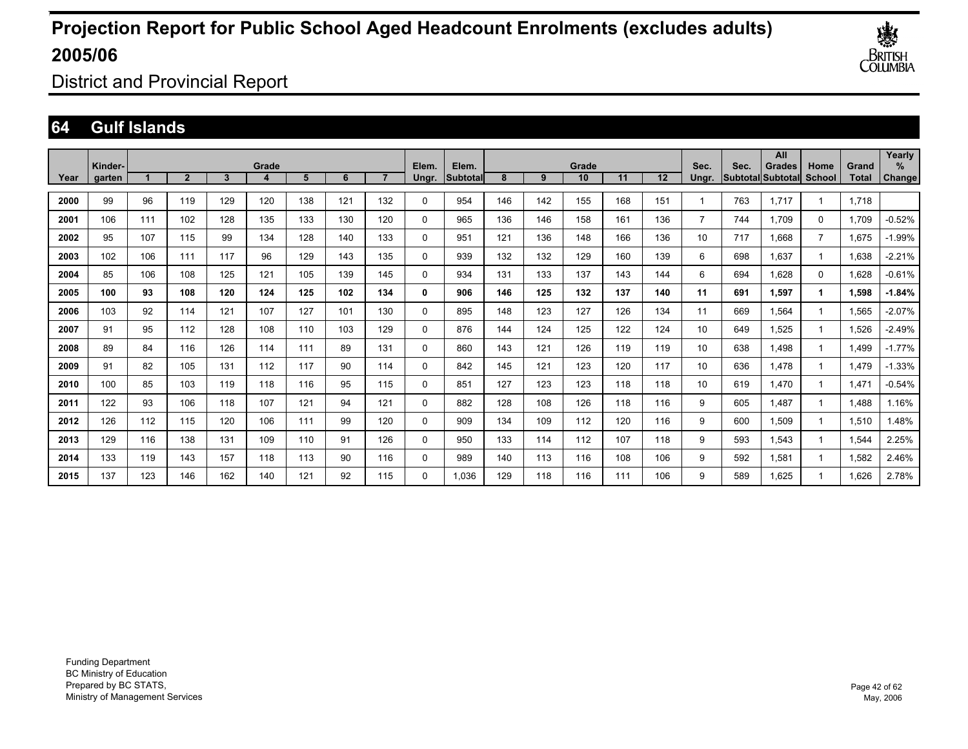

District and Provincial Report

### **64 Gulf Islands**

|      |                   |     |                |     |       |     |     |                |                |                    |     |     |             |     |     |               |      | All                         |                       |                | Yearly      |
|------|-------------------|-----|----------------|-----|-------|-----|-----|----------------|----------------|--------------------|-----|-----|-------------|-----|-----|---------------|------|-----------------------------|-----------------------|----------------|-------------|
| Year | Kinder-<br>garten |     | $\overline{2}$ | 3   | Grade | 5   | 6   | $\overline{ }$ | Elem.<br>Ungr. | Elem.<br>lSubtotal | 8   | 9   | Grade<br>10 | 11  | 12  | Sec.<br>Ungr. | Sec. | Grades<br>Subtotal Subtotal | Home<br><b>School</b> | Grand<br>Total | %<br>Change |
|      |                   |     |                |     |       |     |     |                |                |                    |     |     |             |     |     |               |      |                             |                       |                |             |
| 2000 | 99                | 96  | 119            | 129 | 120   | 138 | 121 | 132            | 0              | 954                | 146 | 142 | 155         | 168 | 151 |               | 763  | 1.717                       | 1                     | 1.718          |             |
| 2001 | 106               | 111 | 102            | 128 | 135   | 133 | 130 | 120            | 0              | 965                | 136 | 146 | 158         | 161 | 136 | 7             | 744  | 1.709                       | 0                     | 1.709          | $-0.52%$    |
| 2002 | 95                | 107 | 115            | 99  | 134   | 128 | 140 | 133            | 0              | 951                | 121 | 136 | 148         | 166 | 136 | 10            | 717  | 866.1                       | $\overline{7}$        | 1.675          | $-1.99%$    |
| 2003 | 102               | 106 | 111            | 117 | 96    | 129 | 143 | 135            | 0              | 939                | 132 | 132 | 129         | 160 | 139 | 6             | 698  | 1.637                       | -1                    | 1,638          | $-2.21%$    |
| 2004 | 85                | 106 | 108            | 125 | 121   | 105 | 139 | 145            | 0              | 934                | 131 | 133 | 137         | 143 | 144 | 6             | 694  | .628                        | $\mathbf 0$           | 1,628          | $-0.61%$    |
| 2005 | 100               | 93  | 108            | 120 | 124   | 125 | 102 | 134            | 0              | 906                | 146 | 125 | 132         | 137 | 140 | 11            | 691  | 1.597                       | 1                     | 1,598          | $-1.84%$    |
| 2006 | 103               | 92  | 114            | 121 | 107   | 127 | 101 | 130            | 0              | 895                | 148 | 123 | 127         | 126 | 134 | 11            | 669  | .564                        | 1                     | 1,565          | $-2.07%$    |
| 2007 | 91                | 95  | 112            | 128 | 108   | 110 | 103 | 129            | 0              | 876                | 144 | 124 | 125         | 122 | 124 | 10            | 649  | 1.525                       | 1                     | 1.526          | $-2.49%$    |
| 2008 | 89                | 84  | 116            | 126 | 114   | 111 | 89  | 131            | 0              | 860                | 143 | 121 | 126         | 119 | 119 | 10            | 638  | .498                        | 1                     | 1.499          | $-1.77%$    |
| 2009 | 91                | 82  | 105            | 131 | 112   | 117 | 90  | 114            | 0              | 842                | 145 | 121 | 123         | 120 | 117 | 10            | 636  | .478                        | 1                     | 1,479          | $-1.33%$    |
| 2010 | 100               | 85  | 103            | 119 | 118   | 116 | 95  | 115            | 0              | 851                | 127 | 123 | 123         | 118 | 118 | 10            | 619  | .470                        | 1                     | 1,471          | $-0.54%$    |
| 2011 | 122               | 93  | 106            | 118 | 107   | 121 | 94  | 121            | 0              | 882                | 128 | 108 | 126         | 118 | 116 | 9             | 605  | .487                        | -1                    | 1,488          | 1.16%       |
| 2012 | 126               | 112 | 115            | 120 | 106   | 111 | 99  | 120            | 0              | 909                | 134 | 109 | 112         | 120 | 116 | 9             | 600  | .509                        | 1                     | 1,510          | 1.48%       |
| 2013 | 129               | 116 | 138            | 131 | 109   | 110 | 91  | 126            | 0              | 950                | 133 | 114 | 112         | 107 | 118 | 9             | 593  | .543                        | 1                     | 1,544          | 2.25%       |
| 2014 | 133               | 119 | 143            | 157 | 118   | 113 | 90  | 116            | 0              | 989                | 140 | 113 | 116         | 108 | 106 | 9             | 592  | 1.581                       | 1                     | 1.582          | 2.46%       |
| 2015 | 137               | 123 | 146            | 162 | 140   | 121 | 92  | 115            | $\Omega$       | 1.036              | 129 | 118 | 116         | 111 | 106 | 9             | 589  | 1.625                       | 1                     | 1.626          | 2.78%       |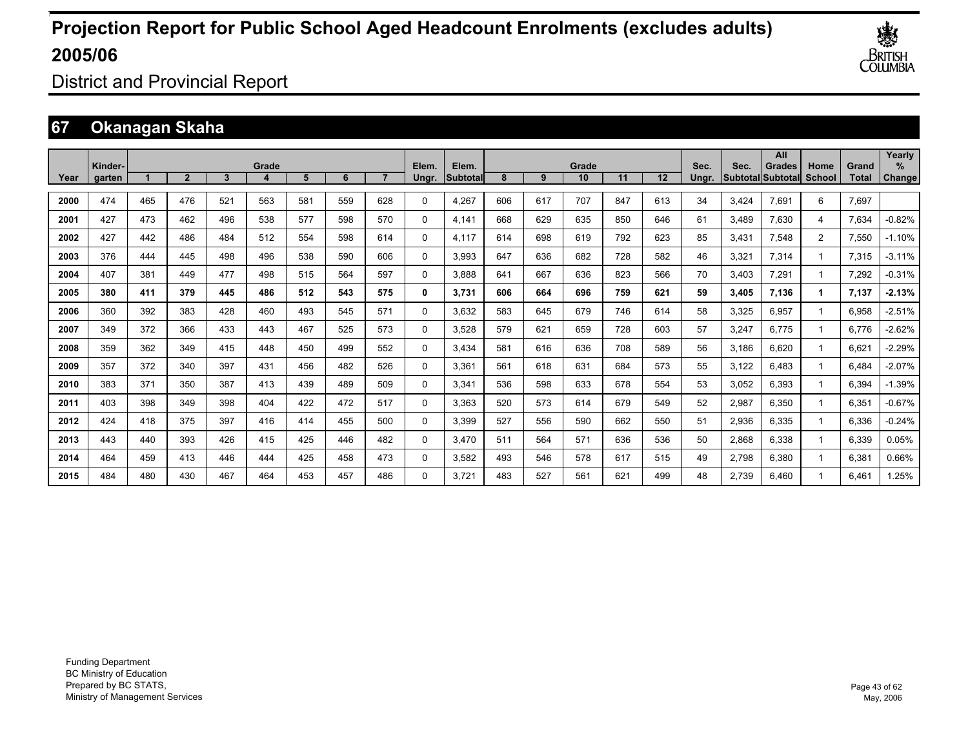

District and Provincial Report

### **67 Okanagan Skaha**

|      | Kinder- |     |              |     | Grade |     |     |     | Elem.    | Elem.    |     |     | Grade |     |                   | Sec.  | Sec.  | All<br>Grades             | Home           | Grand        | Yearly<br>$\%$ |
|------|---------|-----|--------------|-----|-------|-----|-----|-----|----------|----------|-----|-----|-------|-----|-------------------|-------|-------|---------------------------|----------------|--------------|----------------|
| Year | garten  |     | $\mathbf{2}$ | 3   |       | 5   | 6   |     | Ungr.    | Subtotal | 8   | 9   | 10    | 11  | $12 \overline{ }$ | Unar. |       | <b>SubtotallSubtotall</b> | <b>School</b>  | <b>Total</b> | Change         |
| 2000 | 474     | 465 | 476          | 521 | 563   | 581 | 559 | 628 | 0        | 4,267    | 606 | 617 | 707   | 847 | 613               | 34    | 3.424 | 7.691                     | 6              | 7,697        |                |
| 2001 | 427     | 473 | 462          | 496 | 538   | 577 | 598 | 570 | 0        | 4.141    | 668 | 629 | 635   | 850 | 646               | 61    | 3.489 | 7.630                     | 4              | 7,634        | $-0.82%$       |
| 2002 | 427     | 442 | 486          | 484 | 512   | 554 | 598 | 614 | 0        | 4,117    | 614 | 698 | 619   | 792 | 623               | 85    | 3.431 | 7,548                     | $\overline{2}$ | 7,550        | $-1.10%$       |
| 2003 | 376     | 444 | 445          | 498 | 496   | 538 | 590 | 606 | 0        | 3.993    | 647 | 636 | 682   | 728 | 582               | 46    | 3,321 | 7,314                     |                | 7,315        | $-3.11%$       |
| 2004 | 407     | 381 | 449          | 477 | 498   | 515 | 564 | 597 | 0        | 3.888    | 641 | 667 | 636   | 823 | 566               | 70    | 3.403 | 7,291                     |                | 7,292        | $-0.31%$       |
| 2005 | 380     | 411 | 379          | 445 | 486   | 512 | 543 | 575 | 0        | 3,731    | 606 | 664 | 696   | 759 | 621               | 59    | 3,405 | 7,136                     | 1              | 7,137        | $-2.13%$       |
| 2006 | 360     | 392 | 383          | 428 | 460   | 493 | 545 | 571 | 0        | 3.632    | 583 | 645 | 679   | 746 | 614               | 58    | 3,325 | 6.957                     |                | 6,958        | $-2.51%$       |
| 2007 | 349     | 372 | 366          | 433 | 443   | 467 | 525 | 573 | 0        | 3,528    | 579 | 621 | 659   | 728 | 603               | 57    | 3,247 | 6,775                     |                | 6,776        | $-2.62%$       |
| 2008 | 359     | 362 | 349          | 415 | 448   | 450 | 499 | 552 | 0        | 3,434    | 581 | 616 | 636   | 708 | 589               | 56    | 3,186 | 6.620                     |                | 6,621        | $-2.29%$       |
| 2009 | 357     | 372 | 340          | 397 | 431   | 456 | 482 | 526 | $\Omega$ | 3,361    | 561 | 618 | 631   | 684 | 573               | 55    | 3,122 | 6,483                     |                | 6,484        | $-2.07%$       |
| 2010 | 383     | 371 | 350          | 387 | 413   | 439 | 489 | 509 | 0        | 3,341    | 536 | 598 | 633   | 678 | 554               | 53    | 3,052 | 6,393                     |                | 6,394        | $-1.39%$       |
| 2011 | 403     | 398 | 349          | 398 | 404   | 422 | 472 | 517 | 0        | 3,363    | 520 | 573 | 614   | 679 | 549               | 52    | 2,987 | 6,350                     |                | 6,351        | $-0.67%$       |
| 2012 | 424     | 418 | 375          | 397 | 416   | 414 | 455 | 500 | 0        | 3,399    | 527 | 556 | 590   | 662 | 550               | 51    | 2,936 | 6,335                     |                | 6,336        | $-0.24%$       |
| 2013 | 443     | 440 | 393          | 426 | 415   | 425 | 446 | 482 | 0        | 3.470    | 511 | 564 | 571   | 636 | 536               | 50    | 2,868 | 6,338                     |                | 6,339        | 0.05%          |
| 2014 | 464     | 459 | 413          | 446 | 444   | 425 | 458 | 473 | 0        | 3.582    | 493 | 546 | 578   | 617 | 515               | 49    | 2,798 | 6,380                     |                | 6,381        | 0.66%          |
| 2015 | 484     | 480 | 430          | 467 | 464   | 453 | 457 | 486 | $\Omega$ | 3.721    | 483 | 527 | 561   | 621 | 499               | 48    | 2.739 | 6,460                     |                | 6.461        | 1.25%          |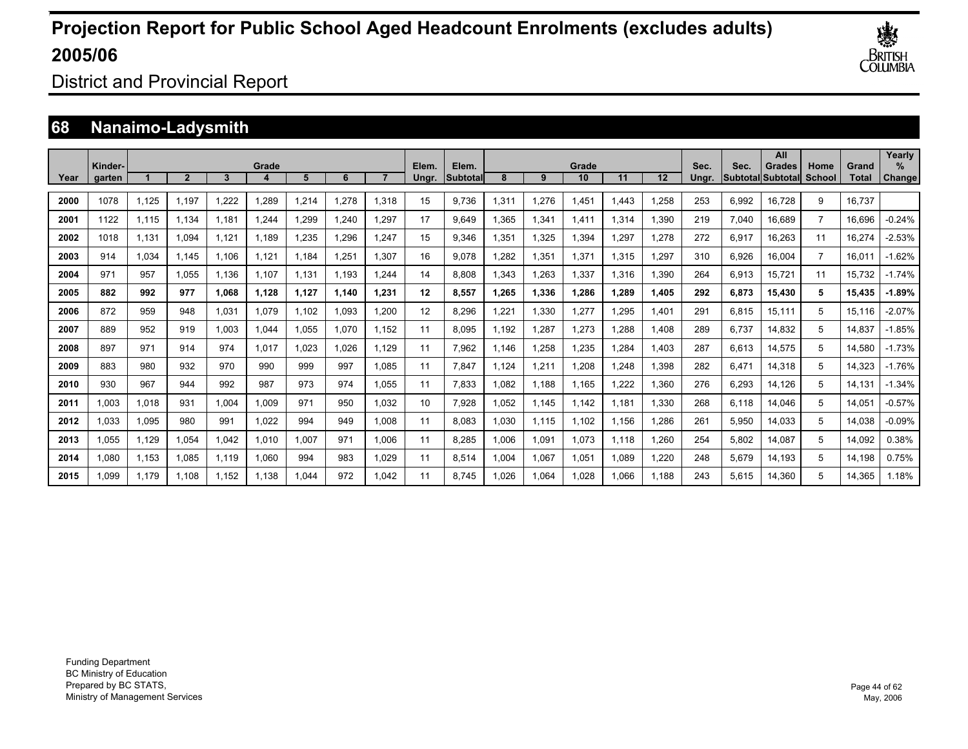

District and Provincial Report

### **68 Nanaimo-Ladysmith**

|      | Kinder- |       |              |       | Grade |       |       |       | Elem. | Elem.    |       |       | Grade |       |       | Sec.  | Sec.  | All<br>Grades     | Home           | Grand  | Yearly<br>% |
|------|---------|-------|--------------|-------|-------|-------|-------|-------|-------|----------|-------|-------|-------|-------|-------|-------|-------|-------------------|----------------|--------|-------------|
| Year | garten  |       | $\mathbf{2}$ | 3     |       | 5     | 6     |       | Ungr. | Subtotal | 8     | 9     | 10    | 11    | 12    | Ungr. |       | Subtotal Subtotal | School         | Total  | Change      |
| 2000 | 1078    | 1,125 | 1.197        | .222  | ,289  | 1,214 | 1.278 | 1,318 | 15    | 9.736    | .311  | 1,276 | 1,451 | 1.443 | 1,258 | 253   | 6,992 | 16,728            | 9              | 16.737 |             |
| 2001 | 1122    | 1.115 | 1.134        | 1,181 | .244  | 1,299 | 1.240 | 1,297 | 17    | 9,649    | .365  | 1,341 | 1.411 | 1,314 | 1,390 | 219   | 7,040 | 16,689            | $\overline{7}$ | 16,696 | $-0.24%$    |
| 2002 | 1018    | 1,131 | 1,094        | 1,121 | 1.189 | 1,235 | 1,296 | 1.247 | 15    | 9,346    | .351  | 1,325 | 1,394 | ,297  | 1,278 | 272   | 6,917 | 16,263            | 11             | 16,274 | $-2.53%$    |
| 2003 | 914     | 1,034 | 1.145        | 1.106 | 1.121 | 1.184 | 1,251 | 1.307 | 16    | 9.078    | .282  | 1,351 | 1,371 | 1.315 | 1,297 | 310   | 6,926 | 16.004            | $\overline{7}$ | 16.011 | $-1.62%$    |
| 2004 | 971     | 957   | 1,055        | 1,136 | 1,107 | 1,131 | 1,193 | 1.244 | 14    | 8,808    | .343  | 1,263 | 1,337 | 1,316 | 1,390 | 264   | 6,913 | 15,721            | 11             | 15,732 | $-1.74%$    |
| 2005 | 882     | 992   | 977          | 1.068 | 1,128 | 1,127 | 1.140 | 1.231 | 12    | 8,557    | 1.265 | 1,336 | 1,286 | 1.289 | 1,405 | 292   | 6,873 | 15,430            | 5              | 15,435 | $-1.89%$    |
| 2006 | 872     | 959   | 948          | 1.031 | 1.079 | 1.102 | 1.093 | 1.200 | 12    | 8.296    | .221  | 1,330 | 1,277 | ,295  | 1,401 | 291   | 6,815 | 15,111            | 5              | 15,116 | $-2.07%$    |
| 2007 | 889     | 952   | 919          | 1.003 | 1.044 | 1.055 | 1.070 | 1.152 | 11    | 8.095    | .192  | 1,287 | 1.273 | .288  | 1,408 | 289   | 6.737 | 14.832            | 5              | 14,837 | $-1.85%$    |
| 2008 | 897     | 971   | 914          | 974   | 1,017 | 1,023 | 1,026 | 1,129 | 11    | 7,962    | 1,146 | 1,258 | 1,235 | ,284  | 1,403 | 287   | 6,613 | 14,575            | 5              | 14,580 | $-1.73%$    |
| 2009 | 883     | 980   | 932          | 970   | 990   | 999   | 997   | 1.085 | 11    | 7,847    | .124  | 1,211 | 1,208 | ,248  | 1,398 | 282   | 6,471 | 14,318            | 5              | 14,323 | $-1.76%$    |
| 2010 | 930     | 967   | 944          | 992   | 987   | 973   | 974   | 1.055 | 11    | 7.833    | .082  | 1,188 | 1,165 | 1,222 | 1.360 | 276   | 6,293 | 14,126            | 5              | 14,131 | $-1.34%$    |
| 2011 | 1.003   | 1.018 | 931          | 1.004 | 1.009 | 971   | 950   | 1.032 | 10    | 7.928    | .052  | 1,145 | 1.142 | 1.181 | 1.330 | 268   | 6.118 | 14.046            | 5              | 14,051 | $-0.57%$    |
| 2012 | 1,033   | 1,095 | 980          | 991   | 1,022 | 994   | 949   | 1,008 | 11    | 8,083    | 030   | 1,115 | 1,102 | 1,156 | 1,286 | 261   | 5,950 | 14,033            | 5              | 14,038 | $-0.09%$    |
| 2013 | 1,055   | 1,129 | 1,054        | 1,042 | 1,010 | 1,007 | 971   | 1,006 | 11    | 8,285    | 006   | 1,091 | 1,073 | 1.118 | 1,260 | 254   | 5,802 | 14,087            | 5              | 14,092 | 0.38%       |
| 2014 | 1,080   | 1,153 | 1.085        | 1,119 | 1,060 | 994   | 983   | 1.029 | 11    | 8,514    | .004  | 1,067 | 1,051 | 1,089 | 1,220 | 248   | 5,679 | 14,193            | 5              | 14,198 | 0.75%       |
| 2015 | 1.099   | 1.179 | 1.108        | 1.152 | 1.138 | 1.044 | 972   | 1.042 | 11    | 8.745    | .026  | 1,064 | 1.028 | 1.066 | 1.188 | 243   | 5,615 | 14.360            | 5              | 14.365 | 1.18%       |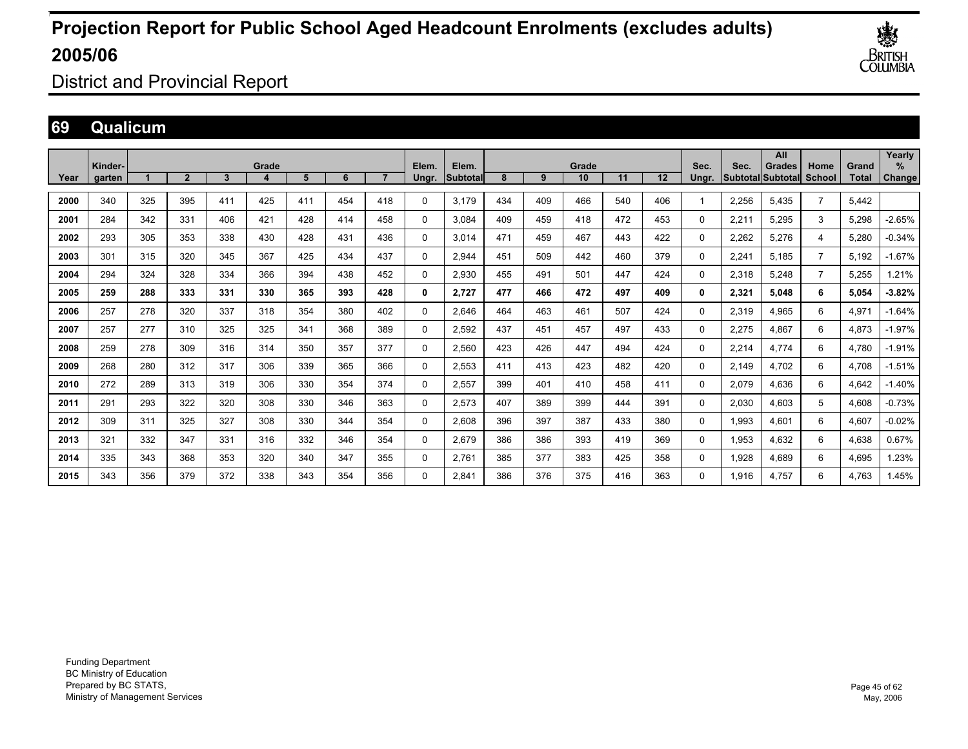

District and Provincial Report

### **69 Qualicum**

|      |                   |     |                |     |       |     |     |                |                |                    |     |     |             |     |         |               |                           | All           |                       |                       | Yearly         |
|------|-------------------|-----|----------------|-----|-------|-----|-----|----------------|----------------|--------------------|-----|-----|-------------|-----|---------|---------------|---------------------------|---------------|-----------------------|-----------------------|----------------|
| Year | Kinder-<br>garten |     | $\overline{2}$ | 3   | Grade | 5   | 6   | $\overline{ }$ | Elem.<br>Ungr. | Elem.<br>lSubtotal | 8   | 9   | Grade<br>10 | 11  | $12 \,$ | Sec.<br>Unar. | Sec.<br>Subtotal Subtotal | <b>Grades</b> | Home<br><b>School</b> | Grand<br><b>Total</b> | $\%$<br>Change |
| 2000 | 340               | 325 | 395            | 411 | 425   | 411 | 454 | 418            |                | 3.179              | 434 | 409 | 466         | 540 | 406     |               | 2.256                     | 5.435         | $\overline{7}$        | 5.442                 |                |
|      |                   |     |                |     |       |     |     |                | 0              |                    |     |     |             |     |         |               |                           |               |                       |                       |                |
| 2001 | 284               | 342 | 331            | 406 | 421   | 428 | 414 | 458            | 0              | 3.084              | 409 | 459 | 418         | 472 | 453     | 0             | 2,211                     | 5,295         | 3                     | 5,298                 | $-2.65%$       |
| 2002 | 293               | 305 | 353            | 338 | 430   | 428 | 431 | 436            | $\Omega$       | 3.014              | 471 | 459 | 467         | 443 | 422     | $\Omega$      | 2,262                     | 5,276         | 4                     | 5,280                 | $-0.34%$       |
| 2003 | 301               | 315 | 320            | 345 | 367   | 425 | 434 | 437            | 0              | 2.944              | 451 | 509 | 442         | 460 | 379     | 0             | 2,241                     | 5.185         | $\overline{7}$        | 5.192                 | $-1.67%$       |
| 2004 | 294               | 324 | 328            | 334 | 366   | 394 | 438 | 452            | 0              | 2.930              | 455 | 491 | 501         | 447 | 424     | 0             | 2.318                     | 5.248         | $\overline{7}$        | 5.255                 | .21%           |
| 2005 | 259               | 288 | 333            | 331 | 330   | 365 | 393 | 428            | 0              | 2,727              | 477 | 466 | 472         | 497 | 409     | 0             | 2,321                     | 5,048         | 6                     | 5,054                 | $-3.82%$       |
| 2006 | 257               | 278 | 320            | 337 | 318   | 354 | 380 | 402            | $\Omega$       | 2.646              | 464 | 463 | 461         | 507 | 424     | $\Omega$      | 2,319                     | 4,965         | 6                     | 4,971                 | $-1.64%$       |
| 2007 | 257               | 277 | 310            | 325 | 325   | 341 | 368 | 389            | 0              | 2.592              | 437 | 451 | 457         | 497 | 433     | $\Omega$      | 2,275                     | 4.867         | 6                     | 4,873                 | $-1.97%$       |
| 2008 | 259               | 278 | 309            | 316 | 314   | 350 | 357 | 377            | 0              | 2.560              | 423 | 426 | 447         | 494 | 424     | 0             | 2.214                     | 4.774         | 6                     | 4.780                 | $-1.91%$       |
| 2009 | 268               | 280 | 312            | 317 | 306   | 339 | 365 | 366            | 0              | 2,553              | 411 | 413 | 423         | 482 | 420     | 0             | 2,149                     | 4,702         | 6                     | 4,708                 | $-1.51%$       |
| 2010 | 272               | 289 | 313            | 319 | 306   | 330 | 354 | 374            | 0              | 2,557              | 399 | 401 | 410         | 458 | 411     | 0             | 2,079                     | 4,636         | 6                     | 4,642                 | $-1.40%$       |
| 2011 | 291               | 293 | 322            | 320 | 308   | 330 | 346 | 363            | 0              | 2,573              | 407 | 389 | 399         | 444 | 391     | 0             | 2,030                     | 4.603         | 5                     | 4,608                 | $-0.73%$       |
| 2012 | 309               | 311 | 325            | 327 | 308   | 330 | 344 | 354            | 0              | 2,608              | 396 | 397 | 387         | 433 | 380     | 0             | 1,993                     | 4.601         | 6                     | 4,607                 | $-0.02%$       |
| 2013 | 321               | 332 | 347            | 331 | 316   | 332 | 346 | 354            | 0              | 2,679              | 386 | 386 | 393         | 419 | 369     | 0             | 1,953                     | 4,632         | 6                     | 4,638                 | 0.67%          |
| 2014 | 335               | 343 | 368            | 353 | 320   | 340 | 347 | 355            | 0              | 2,761              | 385 | 377 | 383         | 425 | 358     | $\Omega$      | 1,928                     | 4.689         | 6                     | 4,695                 | 1.23%          |
| 2015 | 343               | 356 | 379            | 372 | 338   | 343 | 354 | 356            | $\Omega$       | 2.841              | 386 | 376 | 375         | 416 | 363     | 0             | 1.916                     | 4.757         | 6                     | 4.763                 | 1.45%          |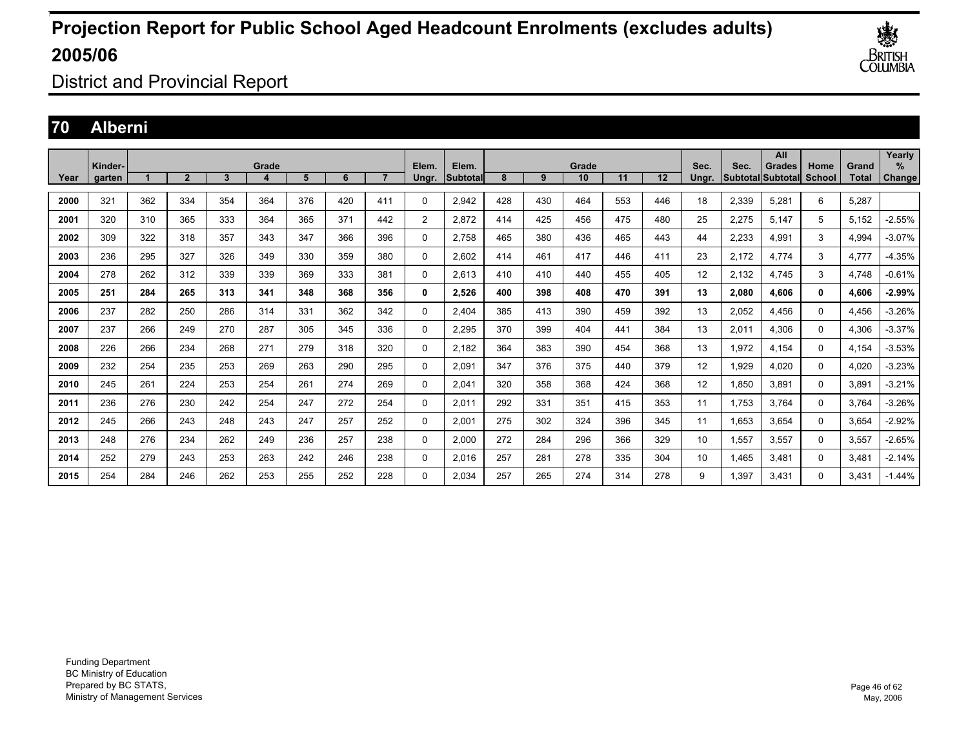

District and Provincial Report

### **70 Alberni**

|      |                   |     |                |     |       |     |     |                |                |                   |     |              |             |     |     |               |                                 | All           |                |                       | Yearly                |
|------|-------------------|-----|----------------|-----|-------|-----|-----|----------------|----------------|-------------------|-----|--------------|-------------|-----|-----|---------------|---------------------------------|---------------|----------------|-----------------------|-----------------------|
| Year | Kinder-<br>garten |     | $\overline{2}$ | 3   | Grade | 5   | 6   | $\overline{ }$ | Elem.<br>Unar. | Elem.<br>Subtotal | 8   | $\mathbf{Q}$ | Grade<br>10 | 11  | 12  | Sec.<br>Unar. | Sec.<br><b>Subtotal</b> Subtota | <b>Grades</b> | Home<br>School | Grand<br><b>Total</b> | $\%$<br><b>Change</b> |
| 2000 | 321               | 362 | 334            | 354 | 364   | 376 | 420 | 411            | 0              | 2.942             | 428 | 430          | 464         | 553 | 446 | 18            | 2,339                           | 5,281         | 6              | 5,287                 |                       |
|      |                   |     |                |     |       |     |     |                |                |                   |     |              |             |     |     |               |                                 |               |                |                       |                       |
| 2001 | 320               | 310 | 365            | 333 | 364   | 365 | 371 | 442            | $\overline{2}$ | 2.872             | 414 | 425          | 456         | 475 | 480 | 25            | 2,275                           | 5.147         | 5              | 5.152                 | $-2.55%$              |
| 2002 | 309               | 322 | 318            | 357 | 343   | 347 | 366 | 396            | 0              | 2.758             | 465 | 380          | 436         | 465 | 443 | 44            | 2,233                           | 4,991         | 3              | 4,994                 | $-3.07%$              |
| 2003 | 236               | 295 | 327            | 326 | 349   | 330 | 359 | 380            | 0              | 2.602             | 414 | 461          | 417         | 446 | 411 | 23            | 2.172                           | 4,774         | 3              | 4,777                 | $-4.35%$              |
| 2004 | 278               | 262 | 312            | 339 | 339   | 369 | 333 | 381            | 0              | 2.613             | 410 | 410          | 440         | 455 | 405 | 12            | 2.132                           | 4.745         | 3              | 4.748                 | $-0.61%$              |
| 2005 | 251               | 284 | 265            | 313 | 341   | 348 | 368 | 356            | 0              | 2,526             | 400 | 398          | 408         | 470 | 391 | 13            | 2,080                           | 4.606         | $\mathbf{0}$   | 4,606                 | $-2.99%$              |
| 2006 | 237               | 282 | 250            | 286 | 314   | 331 | 362 | 342            | 0              | 2.404             | 385 | 413          | 390         | 459 | 392 | 13            | 2,052                           | 4,456         | 0              | 4,456                 | $-3.26%$              |
| 2007 | 237               | 266 | 249            | 270 | 287   | 305 | 345 | 336            | 0              | 2.295             | 370 | 399          | 404         | 441 | 384 | 13            | 2,011                           | 4.306         | 0              | 4,306                 | $-3.37%$              |
| 2008 | 226               | 266 | 234            | 268 | 271   | 279 | 318 | 320            | 0              | 2,182             | 364 | 383          | 390         | 454 | 368 | 13            | 1,972                           | 4,154         | $\mathbf 0$    | 4,154                 | $-3.53%$              |
| 2009 | 232               | 254 | 235            | 253 | 269   | 263 | 290 | 295            | 0              | 2,091             | 347 | 376          | 375         | 440 | 379 | 12            | 1,929                           | 4,020         | 0              | 4,020                 | $-3.23%$              |
| 2010 | 245               | 261 | 224            | 253 | 254   | 261 | 274 | 269            | 0              | 2,041             | 320 | 358          | 368         | 424 | 368 | 12            | 1.850                           | 3.891         | 0              | 3,891                 | $-3.21%$              |
| 2011 | 236               | 276 | 230            | 242 | 254   | 247 | 272 | 254            | $\Omega$       | 2,011             | 292 | 331          | 351         | 415 | 353 | 11            | 1,753                           | 3,764         | 0              | 3,764                 | $-3.26%$              |
| 2012 | 245               | 266 | 243            | 248 | 243   | 247 | 257 | 252            | 0              | 2,001             | 275 | 302          | 324         | 396 | 345 | 11            | 1,653                           | 3.654         | 0              | 3,654                 | $-2.92%$              |
| 2013 | 248               | 276 | 234            | 262 | 249   | 236 | 257 | 238            | 0              | 2.000             | 272 | 284          | 296         | 366 | 329 | 10            | 1,557                           | 3.557         | 0              | 3,557                 | $-2.65%$              |
| 2014 | 252               | 279 | 243            | 253 | 263   | 242 | 246 | 238            | $\Omega$       | 2,016             | 257 | 281          | 278         | 335 | 304 | 10            | 1,465                           | 3,481         | $\Omega$       | 3,481                 | $-2.14%$              |
| 2015 | 254               | 284 | 246            | 262 | 253   | 255 | 252 | 228            | $\Omega$       | 2.034             | 257 | 265          | 274         | 314 | 278 | 9             | 1.397                           | 3.431         | $\Omega$       | 3.431                 | $-1.44%$              |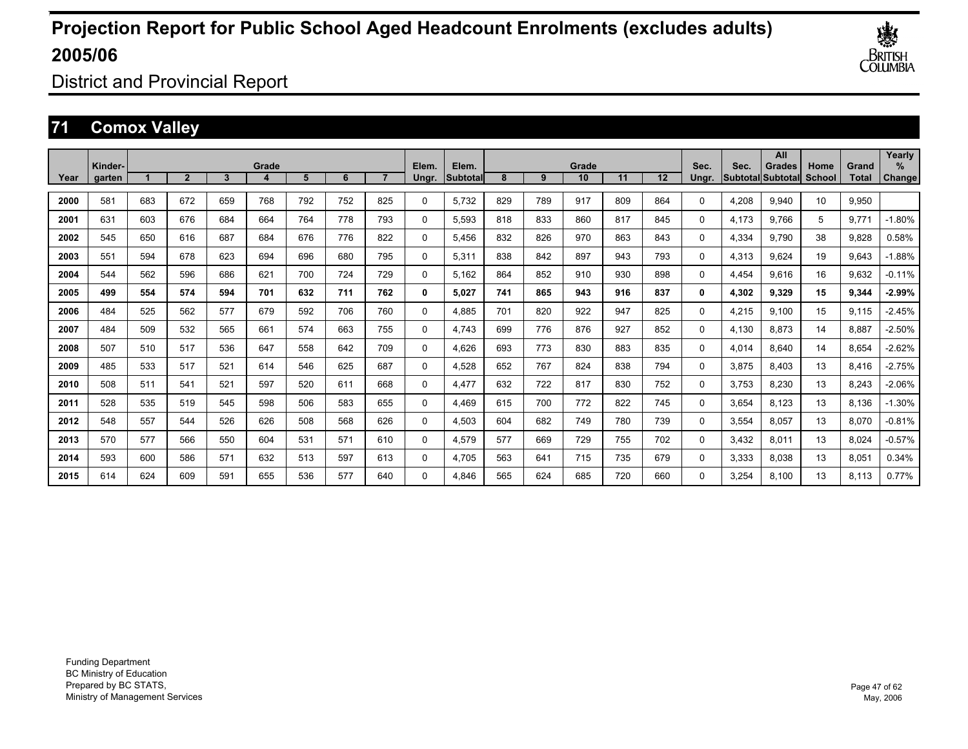

District and Provincial Report

### **71 Comox Valley**

|      | Kinder- |     |                |     | Grade |     |     |                | Elem.       | Elem.    |     |     | Grade |     |     | Sec.     | Sec.  | All<br>Grades             | Home   | Grand        | Yearly<br>% |
|------|---------|-----|----------------|-----|-------|-----|-----|----------------|-------------|----------|-----|-----|-------|-----|-----|----------|-------|---------------------------|--------|--------------|-------------|
| Year | aarten  |     | $\overline{2}$ | 3   | 4     | 5   | 6   | $\overline{ }$ | Ungr.       | Subtotal | 8   | 9   | 10    | 11  | 12  | Ungr.    |       | <b>Subtotal Subtotall</b> | School | <b>Total</b> | Change      |
| 2000 | 581     | 683 | 672            | 659 | 768   | 792 | 752 | 825            | $\mathbf 0$ | 5,732    | 829 | 789 | 917   | 809 | 864 | $\Omega$ | 4,208 | 9,940                     | 10     | 9,950        |             |
| 2001 | 631     | 603 | 676            | 684 | 664   | 764 | 778 | 793            | $\mathbf 0$ | 5,593    | 818 | 833 | 860   | 817 | 845 | $\Omega$ | 4,173 | 9.766                     | 5      | 9,771        | $-1.80%$    |
| 2002 | 545     | 650 | 616            | 687 | 684   | 676 | 776 | 822            | 0           | 5.456    | 832 | 826 | 970   | 863 | 843 | 0        | 4,334 | 9.790                     | 38     | 9,828        | 0.58%       |
| 2003 | 551     | 594 | 678            | 623 | 694   | 696 | 680 | 795            | 0           | 5,311    | 838 | 842 | 897   | 943 | 793 | 0        | 4,313 | 9.624                     | 19     | 9,643        | $-1.88%$    |
| 2004 | 544     | 562 | 596            | 686 | 621   | 700 | 724 | 729            | 0           | 5.162    | 864 | 852 | 910   | 930 | 898 | $\Omega$ | 4,454 | 9.616                     | 16     | 9.632        | $-0.11%$    |
| 2005 | 499     | 554 | 574            | 594 | 701   | 632 | 711 | 762            | 0           | 5,027    | 741 | 865 | 943   | 916 | 837 | 0        | 4,302 | 9,329                     | 15     | 9,344        | $-2.99%$    |
| 2006 | 484     | 525 | 562            | 577 | 679   | 592 | 706 | 760            | $\mathbf 0$ | 4,885    | 701 | 820 | 922   | 947 | 825 | $\Omega$ | 4,215 | 9,100                     | 15     | 9,115        | $-2.45%$    |
| 2007 | 484     | 509 | 532            | 565 | 661   | 574 | 663 | 755            | $\mathbf 0$ | 4.743    | 699 | 776 | 876   | 927 | 852 | $\Omega$ | 4,130 | 8,873                     | 14     | 8,887        | $-2.50%$    |
| 2008 | 507     | 510 | 517            | 536 | 647   | 558 | 642 | 709            | 0           | 4.626    | 693 | 773 | 830   | 883 | 835 | 0        | 4,014 | 8.640                     | 14     | 8,654        | $-2.62%$    |
| 2009 | 485     | 533 | 517            | 521 | 614   | 546 | 625 | 687            | 0           | 4,528    | 652 | 767 | 824   | 838 | 794 | 0        | 3,875 | 8.403                     | 13     | 8,416        | $-2.75%$    |
| 2010 | 508     | 511 | 541            | 521 | 597   | 520 | 611 | 668            | 0           | 4.477    | 632 | 722 | 817   | 830 | 752 | 0        | 3,753 | 8,230                     | 13     | 8,243        | $-2.06%$    |
| 2011 | 528     | 535 | 519            | 545 | 598   | 506 | 583 | 655            | 0           | 4,469    | 615 | 700 | 772   | 822 | 745 | $\Omega$ | 3,654 | 8,123                     | 13     | 8,136        | $-1.30%$    |
| 2012 | 548     | 557 | 544            | 526 | 626   | 508 | 568 | 626            | $\Omega$    | 4,503    | 604 | 682 | 749   | 780 | 739 | $\Omega$ | 3,554 | 8,057                     | 13     | 8,070        | $-0.81%$    |
| 2013 | 570     | 577 | 566            | 550 | 604   | 531 | 571 | 610            | $\Omega$    | 4,579    | 577 | 669 | 729   | 755 | 702 | $\Omega$ | 3,432 | 8.011                     | 13     | 8,024        | $-0.57%$    |
| 2014 | 593     | 600 | 586            | 571 | 632   | 513 | 597 | 613            | 0           | 4.705    | 563 | 641 | 715   | 735 | 679 | 0        | 3,333 | 8.038                     | 13     | 8,051        | 0.34%       |
| 2015 | 614     | 624 | 609            | 591 | 655   | 536 | 577 | 640            | $\Omega$    | 4.846    | 565 | 624 | 685   | 720 | 660 | $\Omega$ | 3.254 | 8.100                     | 13     | 8.113        | 0.77%       |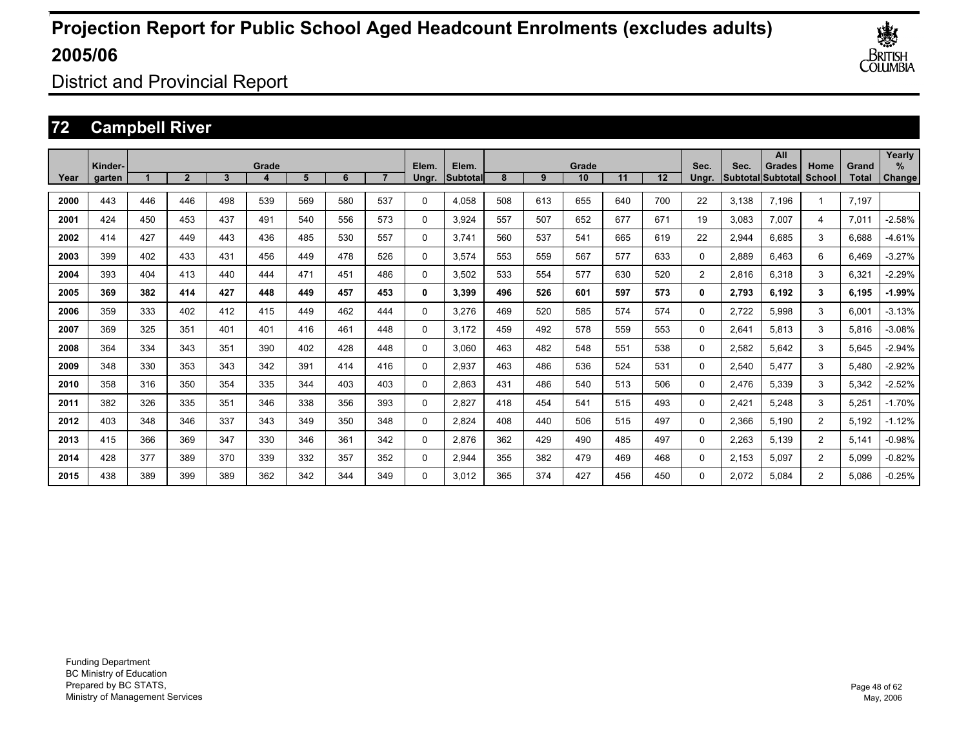

District and Provincial Report

### **72 Campbell River**

|      | Kinder- |     |                |     | Grade |     |     |     | Elem.    | Elem.     |     |     | Grade |     |     | Sec.           | Sec.  | All<br><b>Grades</b>      | Home           | Grand | Yearly<br>$\%$ |
|------|---------|-----|----------------|-----|-------|-----|-----|-----|----------|-----------|-----|-----|-------|-----|-----|----------------|-------|---------------------------|----------------|-------|----------------|
| Year | garten  |     | $\overline{2}$ | 3   |       | 5   | 6   |     | Ungr.    | lSubtotal | 8   | 9   | 10    | 11  | 12  | Unar.          |       | <b>SubtotallSubtotall</b> | School         | Total | Change         |
| 2000 | 443     | 446 | 446            | 498 | 539   | 569 | 580 | 537 | $\Omega$ | 4,058     | 508 | 613 | 655   | 640 | 700 | 22             | 3.138 | 7.196                     |                | 7,197 |                |
| 2001 | 424     | 450 | 453            | 437 | 491   | 540 | 556 | 573 | 0        | 3,924     | 557 | 507 | 652   | 677 | 671 | 19             | 3,083 | 7,007                     | $\overline{4}$ | 7,011 | $-2.58%$       |
| 2002 | 414     | 427 | 449            | 443 | 436   | 485 | 530 | 557 | 0        | 3.741     | 560 | 537 | 541   | 665 | 619 | 22             | 2,944 | 6.685                     | 3              | 6,688 | $-4.61%$       |
| 2003 | 399     | 402 | 433            | 431 | 456   | 449 | 478 | 526 | 0        | 3,574     | 553 | 559 | 567   | 577 | 633 | 0              | 2,889 | 6,463                     | 6              | 6,469 | $-3.27%$       |
| 2004 | 393     | 404 | 413            | 440 | 444   | 471 | 451 | 486 | 0        | 3,502     | 533 | 554 | 577   | 630 | 520 | $\overline{2}$ | 2,816 | 6,318                     | 3              | 6,321 | $-2.29%$       |
| 2005 | 369     | 382 | 414            | 427 | 448   | 449 | 457 | 453 | 0        | 3,399     | 496 | 526 | 601   | 597 | 573 | 0              | 2,793 | 6,192                     | 3              | 6,195 | $-1.99%$       |
| 2006 | 359     | 333 | 402            | 412 | 415   | 449 | 462 | 444 | 0        | 3,276     | 469 | 520 | 585   | 574 | 574 | 0              | 2.722 | 5,998                     | 3              | 6,001 | $-3.13%$       |
| 2007 | 369     | 325 | 351            | 401 | 401   | 416 | 461 | 448 | 0        | 3.172     | 459 | 492 | 578   | 559 | 553 | 0              | 2,641 | 5,813                     | 3              | 5,816 | $-3.08%$       |
| 2008 | 364     | 334 | 343            | 351 | 390   | 402 | 428 | 448 | 0        | 3.060     | 463 | 482 | 548   | 551 | 538 | 0              | 2,582 | 5,642                     | 3              | 5,645 | $-2.94%$       |
| 2009 | 348     | 330 | 353            | 343 | 342   | 391 | 414 | 416 | 0        | 2,937     | 463 | 486 | 536   | 524 | 531 | 0              | 2,540 | 5,477                     | 3              | 5,480 | $-2.92%$       |
| 2010 | 358     | 316 | 350            | 354 | 335   | 344 | 403 | 403 | 0        | 2,863     | 431 | 486 | 540   | 513 | 506 | 0              | 2,476 | 5,339                     | 3              | 5,342 | $-2.52%$       |
| 2011 | 382     | 326 | 335            | 351 | 346   | 338 | 356 | 393 | 0        | 2,827     | 418 | 454 | 541   | 515 | 493 | 0              | 2,421 | 5,248                     | 3              | 5,251 | $-1.70%$       |
| 2012 | 403     | 348 | 346            | 337 | 343   | 349 | 350 | 348 | 0        | 2.824     | 408 | 440 | 506   | 515 | 497 | 0              | 2,366 | 5,190                     | $\overline{2}$ | 5,192 | $-1.12%$       |
| 2013 | 415     | 366 | 369            | 347 | 330   | 346 | 361 | 342 | 0        | 2.876     | 362 | 429 | 490   | 485 | 497 | 0              | 2,263 | 5,139                     | $\overline{2}$ | 5,141 | $-0.98%$       |
| 2014 | 428     | 377 | 389            | 370 | 339   | 332 | 357 | 352 | 0        | 2,944     | 355 | 382 | 479   | 469 | 468 | $\Omega$       | 2.153 | 5,097                     | $\overline{2}$ | 5,099 | $-0.82%$       |
| 2015 | 438     | 389 | 399            | 389 | 362   | 342 | 344 | 349 | 0        | 3.012     | 365 | 374 | 427   | 456 | 450 | 0              | 2.072 | 5.084                     | $\overline{2}$ | 5.086 | $-0.25%$       |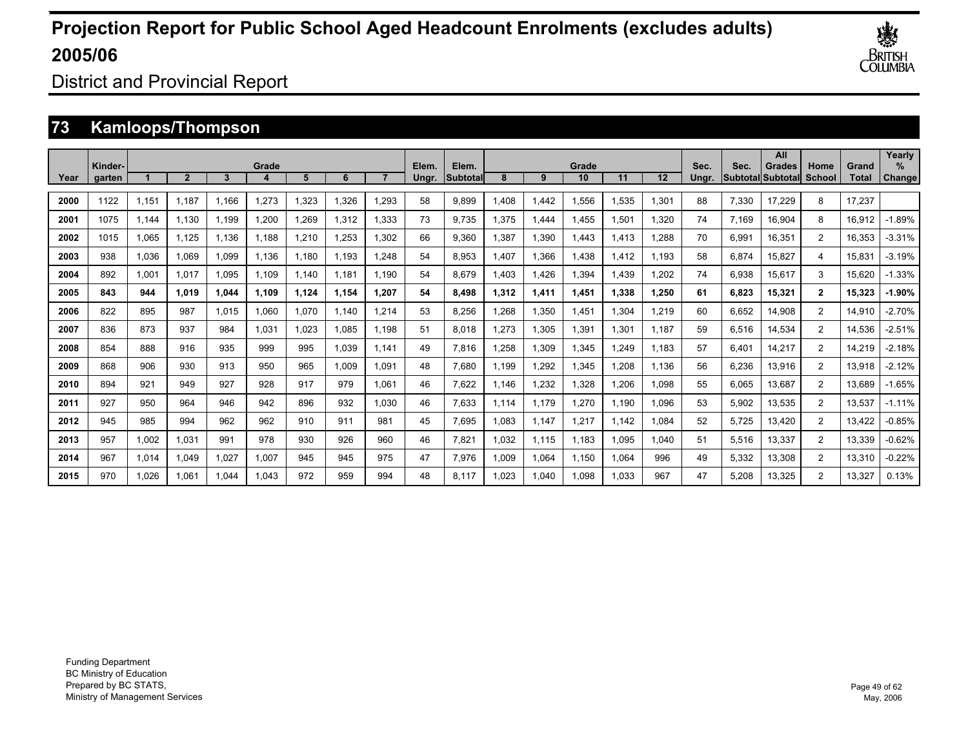

District and Provincial Report

### **73 Kamloops/Thompson**

|      | Kinder- |       |                |       | Grade |       |       |       | Elem. | Elem.           |       |       | Grade |       |       | Sec.  | Sec.  | All<br><b>Grades</b>     | Home           | Grand  | Yearly<br>$\%$ |
|------|---------|-------|----------------|-------|-------|-------|-------|-------|-------|-----------------|-------|-------|-------|-------|-------|-------|-------|--------------------------|----------------|--------|----------------|
| Year | garten  |       | $\overline{2}$ | 3     | -4.   | 5     | 6     |       | Unar. | <b>Subtotal</b> | 8     | 9     | 10    | 11    | 12    | Unar. |       | <b>Subtotal Subtotal</b> | School         | Total  | Change         |
| 2000 | 1122    | 1,151 | 1,187          | 1.166 | 1,273 | .323  | 1,326 | 1,293 | 58    | 9,899           | 1,408 | 1,442 | 1,556 | 1,535 | 1,301 | 88    | 7,330 | 17,229                   | 8              | 17,237 |                |
| 2001 | 1075    | 1,144 | 1,130          | 1,199 | 1,200 | ,269  | 1,312 | 1,333 | 73    | 9,735           | 1,375 | 1,444 | 1,455 | 1,501 | 1,320 | 74    | 7,169 | 16,904                   | 8              | 16,912 | $-1.89%$       |
| 2002 | 1015    | 1,065 | 1,125          | 1,136 | 1,188 | ,210  | 1,253 | 1,302 | 66    | 9,360           | 1,387 | 1,390 | 1,443 | .413  | 1,288 | 70    | 6,991 | 16,351                   | $\overline{2}$ | 16,353 | $-3.31%$       |
| 2003 | 938     | 1,036 | 1,069          | 1.099 | 1,136 | .180  | 1.193 | 1,248 | 54    | 8,953           | 1.407 | 1,366 | 1,438 | .412  | 1.193 | 58    | 6,874 | 15,827                   | 4              | 15,831 | $-3.19%$       |
| 2004 | 892     | 1,001 | 1.017          | 1.095 | 1.109 | 1.140 | 1.181 | 1.190 | 54    | 8,679           | 1.403 | 1.426 | 1,394 | 1.439 | 1,202 | 74    | 6,938 | 15,617                   | 3              | 15,620 | $-1.33%$       |
| 2005 | 843     | 944   | 1.019          | 1.044 | 1,109 | 1,124 | 1.154 | 1.207 | 54    | 8,498           | 1.312 | 1,411 | 1,451 | 1,338 | 1,250 | 61    | 6,823 | 15,321                   | $\mathbf{2}$   | 15,323 | $-1.90%$       |
| 2006 | 822     | 895   | 987            | 1.015 | 1,060 | 1.070 | 1.140 | 1,214 | 53    | 8.256           | .268  | 1,350 | 1,451 | 1,304 | 1,219 | 60    | 6,652 | 14,908                   | $\overline{2}$ | 14,910 | $-2.70%$       |
| 2007 | 836     | 873   | 937            | 984   | 1.031 | .023  | 1,085 | 1.198 | 51    | 8.018           | 1.273 | 1,305 | 1,391 | 1,301 | 1.187 | 59    | 6,516 | 14,534                   | $\overline{2}$ | 14,536 | $-2.51%$       |
| 2008 | 854     | 888   | 916            | 935   | 999   | 995   | 1,039 | 1.141 | 49    | 7.816           | 1.258 | 1,309 | 1,345 | ,249  | 1.183 | 57    | 6.401 | 14,217                   | $\overline{2}$ | 14,219 | $-2.18%$       |
| 2009 | 868     | 906   | 930            | 913   | 950   | 965   | 1.009 | 1.091 | 48    | 7.680           | 1.199 | 1,292 | 1,345 | ,208  | 1.136 | 56    | 6,236 | 13,916                   | $\overline{2}$ | 13,918 | $-2.12%$       |
| 2010 | 894     | 921   | 949            | 927   | 928   | 917   | 979   | 1.061 | 46    | 7.622           | 1.146 | 1.232 | 1.328 | ,206  | 1.098 | 55    | 6.065 | 13.687                   | $\overline{2}$ | 13.689 | $-1.65%$       |
| 2011 | 927     | 950   | 964            | 946   | 942   | 896   | 932   | 1,030 | 46    | 7,633           | 1,114 | 1,179 | 1,270 | 1,190 | 1,096 | 53    | 5,902 | 13,535                   | $\overline{2}$ | 13,537 | $-1.11%$       |
| 2012 | 945     | 985   | 994            | 962   | 962   | 910   | 911   | 981   | 45    | 7,695           | 1.083 | 1,147 | 1,217 | 1,142 | 1,084 | 52    | 5,725 | 13,420                   | $\overline{2}$ | 13,422 | $-0.85%$       |
| 2013 | 957     | 1,002 | 1,031          | 991   | 978   | 930   | 926   | 960   | 46    | 7,821           | 1.032 | 1,115 | 1,183 | 1,095 | 1,040 | 51    | 5,516 | 13,337                   | $\overline{2}$ | 13,339 | $-0.62%$       |
| 2014 | 967     | 1,014 | 1.049          | 1.027 | 1,007 | 945   | 945   | 975   | 47    | 7,976           | 1,009 | 1,064 | 1,150 | 1,064 | 996   | 49    | 5,332 | 13,308                   | $\overline{2}$ | 13,310 | $-0.22%$       |
| 2015 | 970     | 1,026 | 1.061          | 1.044 | 1.043 | 972   | 959   | 994   | 48    | 8.117           | 1.023 | 1,040 | 1,098 | 1,033 | 967   | 47    | 5,208 | 13,325                   | $\overline{2}$ | 13,327 | 0.13%          |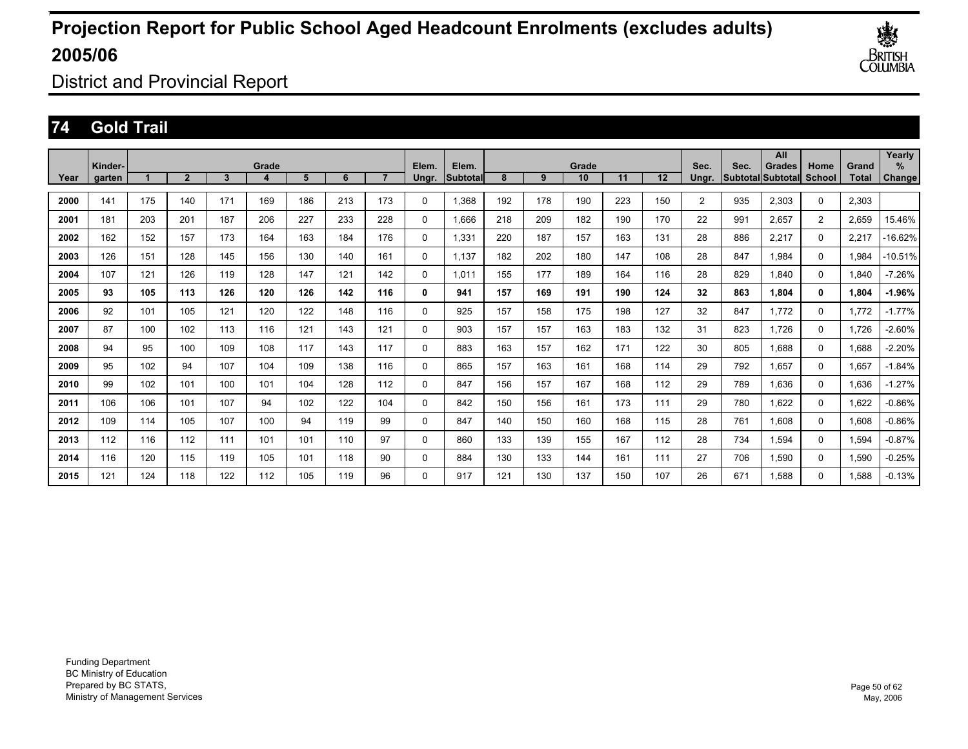

District and Provincial Report

### **74 Gold Trail**

|      | Kinder- |     |                |     | Grade |     |     |     | Elem.    | Elem.    |     |     | Grade |     |     | Sec.           | Sec. | All<br><b>Grades</b>     | Home           | Grand | Yearly<br>$\%$ |
|------|---------|-----|----------------|-----|-------|-----|-----|-----|----------|----------|-----|-----|-------|-----|-----|----------------|------|--------------------------|----------------|-------|----------------|
| Year | garten  |     | $\overline{2}$ | 3   | 4     | 5   | 6   |     | Ungr.    | Subtotal | 8   | 9   | 10    | 11  | 12  | Unar.          |      | <b>Subtotal Subtotal</b> | <b>School</b>  | Total | Change         |
| 2000 | 141     | 175 | 140            | 171 | 169   | 186 | 213 | 173 | 0        | 1,368    | 192 | 178 | 190   | 223 | 150 | $\overline{2}$ | 935  | 2,303                    | $\mathbf 0$    | 2,303 |                |
| 2001 | 181     | 203 | 201            | 187 | 206   | 227 | 233 | 228 | 0        | 1,666    | 218 | 209 | 182   | 190 | 170 | 22             | 991  | 2,657                    | $\overline{2}$ | 2,659 | 15.46%         |
| 2002 | 162     | 152 | 157            | 173 | 164   | 163 | 184 | 176 | 0        | 1,331    | 220 | 187 | 157   | 163 | 131 | 28             | 886  | 2,217                    | 0              | 2,217 | 16.62%         |
| 2003 | 126     | 151 | 128            | 145 | 156   | 130 | 140 | 161 | 0        | 1.137    | 182 | 202 | 180   | 147 | 108 | 28             | 847  | 1.984                    | $\mathbf 0$    | 1,984 | $-10.51%$      |
| 2004 | 107     | 121 | 126            | 119 | 128   | 147 | 121 | 142 | 0        | 1.011    | 155 | 177 | 189   | 164 | 116 | 28             | 829  | 1.840                    | $\mathbf 0$    | 1,840 | $-7.26%$       |
| 2005 | 93      | 105 | 113            | 126 | 120   | 126 | 142 | 116 | 0        | 941      | 157 | 169 | 191   | 190 | 124 | 32             | 863  | 1,804                    | 0              | 1,804 | $-1.96%$       |
| 2006 | 92      | 101 | 105            | 121 | 120   | 122 | 148 | 116 | $\Omega$ | 925      | 157 | 158 | 175   | 198 | 127 | 32             | 847  | 1.772                    | $\mathbf 0$    | 1,772 | $-1.77%$       |
| 2007 | 87      | 100 | 102            | 113 | 116   | 121 | 143 | 121 | $\Omega$ | 903      | 157 | 157 | 163   | 183 | 132 | 31             | 823  | 1.726                    | $\mathbf 0$    | 1,726 | $-2.60%$       |
| 2008 | 94      | 95  | 100            | 109 | 108   | 117 | 143 | 117 | 0        | 883      | 163 | 157 | 162   | 171 | 122 | 30             | 805  | 1.688                    | 0              | 1,688 | $-2.20%$       |
| 2009 | 95      | 102 | 94             | 107 | 104   | 109 | 138 | 116 | 0        | 865      | 157 | 163 | 161   | 168 | 114 | 29             | 792  | 1,657                    | 0              | 1,657 | $-1.84%$       |
| 2010 | 99      | 102 | 101            | 100 | 101   | 104 | 128 | 112 | 0        | 847      | 156 | 157 | 167   | 168 | 112 | 29             | 789  | 1.636                    | 0              | 1,636 | $-1.27%$       |
| 2011 | 106     | 106 | 101            | 107 | 94    | 102 | 122 | 104 | 0        | 842      | 150 | 156 | 161   | 173 | 111 | 29             | 780  | 1,622                    | $\mathbf 0$    | 1,622 | $-0.86%$       |
| 2012 | 109     | 114 | 105            | 107 | 100   | 94  | 119 | 99  | 0        | 847      | 140 | 150 | 160   | 168 | 115 | 28             | 761  | 1,608                    | $\mathbf 0$    | 1,608 | $-0.86%$       |
| 2013 | 112     | 116 | 112            | 111 | 101   | 101 | 110 | 97  | $\Omega$ | 860      | 133 | 139 | 155   | 167 | 112 | 28             | 734  | 1,594                    | $\mathbf 0$    | 1,594 | $-0.87%$       |
| 2014 | 116     | 120 | 115            | 119 | 105   | 101 | 118 | 90  | 0        | 884      | 130 | 133 | 144   | 161 | 111 | 27             | 706  | 1,590                    | 0              | 1,590 | $-0.25%$       |
| 2015 | 121     | 124 | 118            | 122 | 112   | 105 | 119 | 96  | $\Omega$ | 917      | 121 | 130 | 137   | 150 | 107 | 26             | 671  | 1.588                    | 0              | 1.588 | $-0.13%$       |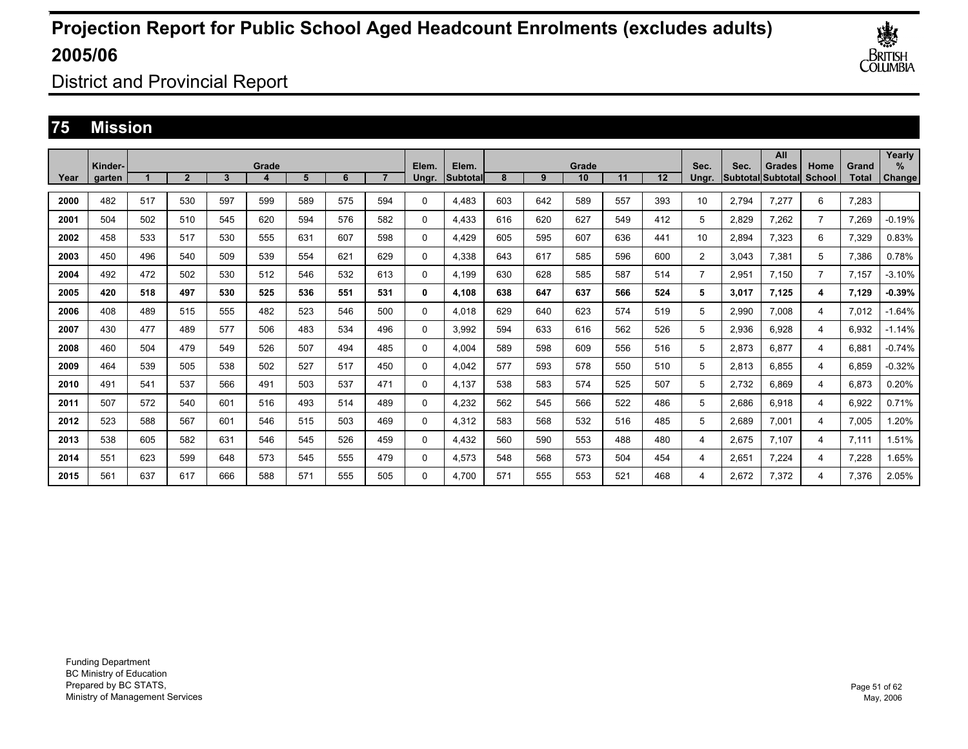

District and Provincial Report

### **75 Mission**

|      |                   |     |                |     |       |     |     |                |                |                    |     |     |             |     |         |                |                                  | All           |                       |                       | Yearly         |
|------|-------------------|-----|----------------|-----|-------|-----|-----|----------------|----------------|--------------------|-----|-----|-------------|-----|---------|----------------|----------------------------------|---------------|-----------------------|-----------------------|----------------|
| Year | Kinder-<br>garten |     | $\overline{2}$ | 3   | Grade | 5   | 6   | $\overline{ }$ | Elem.<br>Ungr. | Elem.<br>lSubtotal | 8   | 9   | Grade<br>10 | 11  | $12 \,$ | Sec.<br>Ungr.  | Sec.<br><b>SubtotallSubtotal</b> | <b>Grades</b> | Home<br><b>School</b> | Grand<br><b>Total</b> | $\%$<br>Change |
|      |                   |     |                |     |       |     |     |                |                |                    |     |     |             |     |         |                |                                  |               |                       |                       |                |
| 2000 | 482               | 517 | 530            | 597 | 599   | 589 | 575 | 594            | 0              | 4.483              | 603 | 642 | 589         | 557 | 393     | 10             | 2.794                            | 7.277         | 6                     | 7,283                 |                |
| 2001 | 504               | 502 | 510            | 545 | 620   | 594 | 576 | 582            | 0              | 4,433              | 616 | 620 | 627         | 549 | 412     | 5              | 2,829                            | 7,262         | $\overline{7}$        | 7,269                 | $-0.19%$       |
| 2002 | 458               | 533 | 517            | 530 | 555   | 631 | 607 | 598            | 0              | 4,429              | 605 | 595 | 607         | 636 | 441     | 10             | 2.894                            | 7,323         | 6                     | 7,329                 | 0.83%          |
| 2003 | 450               | 496 | 540            | 509 | 539   | 554 | 621 | 629            | 0              | 4.338              | 643 | 617 | 585         | 596 | 600     | $\overline{2}$ | 3.043                            | 7,381         | 5                     | 7,386                 | 0.78%          |
| 2004 | 492               | 472 | 502            | 530 | 512   | 546 | 532 | 613            | 0              | 4.199              | 630 | 628 | 585         | 587 | 514     | $\overline{7}$ | 2.951                            | 7.150         | $\overline{7}$        | 7.157                 | $-3.10%$       |
| 2005 | 420               | 518 | 497            | 530 | 525   | 536 | 551 | 531            | 0              | 4,108              | 638 | 647 | 637         | 566 | 524     | 5              | 3,017                            | 7,125         | 4                     | 7,129                 | $-0.39%$       |
| 2006 | 408               | 489 | 515            | 555 | 482   | 523 | 546 | 500            | $\Omega$       | 4.018              | 629 | 640 | 623         | 574 | 519     | 5              | 2,990                            | 7,008         | 4                     | 7,012                 | $-1.64%$       |
| 2007 | 430               | 477 | 489            | 577 | 506   | 483 | 534 | 496            | 0              | 3.992              | 594 | 633 | 616         | 562 | 526     | 5              | 2,936                            | 6.928         | 4                     | 6,932                 | $-1.14%$       |
| 2008 | 460               | 504 | 479            | 549 | 526   | 507 | 494 | 485            | 0              | 4.004              | 589 | 598 | 609         | 556 | 516     | 5              | 2,873                            | 6.877         | 4                     | 6.881                 | $-0.74%$       |
| 2009 | 464               | 539 | 505            | 538 | 502   | 527 | 517 | 450            | 0              | 4,042              | 577 | 593 | 578         | 550 | 510     | 5              | 2,813                            | 6,855         | 4                     | 6,859                 | $-0.32%$       |
| 2010 | 491               | 541 | 537            | 566 | 491   | 503 | 537 | 471            | 0              | 4,137              | 538 | 583 | 574         | 525 | 507     | 5              | 2,732                            | 6.869         | 4                     | 6,873                 | 0.20%          |
| 2011 | 507               | 572 | 540            | 601 | 516   | 493 | 514 | 489            | 0              | 4,232              | 562 | 545 | 566         | 522 | 486     | 5              | 2,686                            | 6,918         | 4                     | 6,922                 | 0.71%          |
| 2012 | 523               | 588 | 567            | 601 | 546   | 515 | 503 | 469            | 0              | 4,312              | 583 | 568 | 532         | 516 | 485     | 5              | 2,689                            | 7,001         | 4                     | 7,005                 | .20%           |
| 2013 | 538               | 605 | 582            | 631 | 546   | 545 | 526 | 459            | $\Omega$       | 4,432              | 560 | 590 | 553         | 488 | 480     | 4              | 2,675                            | 7,107         | 4                     | 7,111                 | 1.51%          |
| 2014 | 551               | 623 | 599            | 648 | 573   | 545 | 555 | 479            | 0              | 4,573              | 548 | 568 | 573         | 504 | 454     | 4              | 2,651                            | 7,224         | 4                     | 7,228                 | 1.65%          |
| 2015 | 561               | 637 | 617            | 666 | 588   | 571 | 555 | 505            | $\Omega$       | 4.700              | 571 | 555 | 553         | 521 | 468     | 4              | 2.672                            | 7.372         | 4                     | 7.376                 | 2.05%          |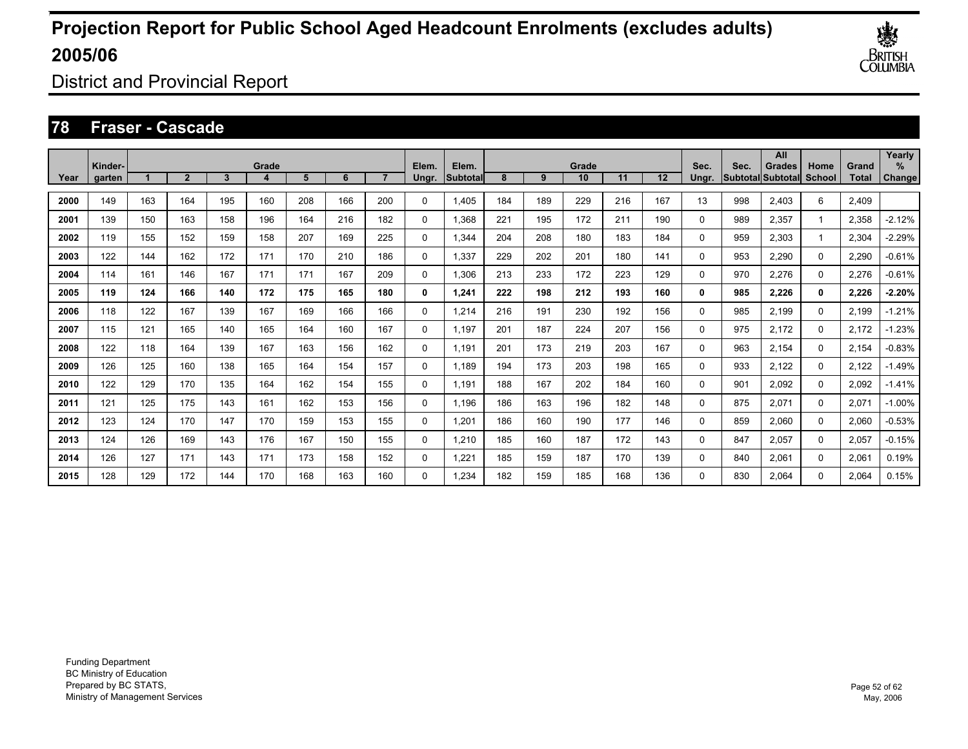

District and Provincial Report

### **78 Fraser - Cascade**

|      | Kinder- |     |              |     | Grade |     |     |     | Elem.        | Elem.    |     |     | Grade |     |         | Sec.  | Sec. | All<br><b>Grades</b>     | Home        | Grand        | Yearly<br>$\%$ |
|------|---------|-----|--------------|-----|-------|-----|-----|-----|--------------|----------|-----|-----|-------|-----|---------|-------|------|--------------------------|-------------|--------------|----------------|
| Year | garten  |     | $\mathbf{2}$ | 3   |       | 5   | 6   |     | Ungr.        | Subtotal | 8   | 9   | 10    | 11  | $12 \,$ | Unar. |      | <b>SubtotallSubtotal</b> | School      | <b>Total</b> | Change         |
| 2000 | 149     | 163 | 164          | 195 | 160   | 208 | 166 | 200 | 0            | 1,405    | 184 | 189 | 229   | 216 | 167     | 13    | 998  | 2,403                    | 6           | 2,409        |                |
| 2001 | 139     | 150 | 163          | 158 | 196   | 164 | 216 | 182 | 0            | 1,368    | 221 | 195 | 172   | 211 | 190     | 0     | 989  | 2,357                    |             | 2,358        | $-2.12%$       |
| 2002 | 119     | 155 | 152          | 159 | 158   | 207 | 169 | 225 | 0            | 1,344    | 204 | 208 | 180   | 183 | 184     | 0     | 959  | 2,303                    |             | 2,304        | $-2.29%$       |
| 2003 | 122     | 144 | 162          | 172 | 171   | 170 | 210 | 186 | 0            | 1,337    | 229 | 202 | 201   | 180 | 141     | 0     | 953  | 2,290                    | 0           | 2,290        | $-0.61%$       |
| 2004 | 114     | 161 | 146          | 167 | 171   | 171 | 167 | 209 | 0            | 1,306    | 213 | 233 | 172   | 223 | 129     | 0     | 970  | 2.276                    | 0           | 2,276        | $-0.61%$       |
| 2005 | 119     | 124 | 166          | 140 | 172   | 175 | 165 | 180 | 0            | 1.241    | 222 | 198 | 212   | 193 | 160     | 0     | 985  | 2,226                    | 0           | 2,226        | $-2.20%$       |
| 2006 | 118     | 122 | 167          | 139 | 167   | 169 | 166 | 166 | 0            | 1.214    | 216 | 191 | 230   | 192 | 156     | 0     | 985  | 2.199                    | 0           | 2,199        | $-1.21%$       |
| 2007 | 115     | 121 | 165          | 140 | 165   | 164 | 160 | 167 | 0            | 1,197    | 201 | 187 | 224   | 207 | 156     | 0     | 975  | 2,172                    | 0           | 2,172        | $-1.23%$       |
| 2008 | 122     | 118 | 164          | 139 | 167   | 163 | 156 | 162 | 0            | 1,191    | 201 | 173 | 219   | 203 | 167     | 0     | 963  | 2,154                    | $\mathbf 0$ | 2,154        | $-0.83%$       |
| 2009 | 126     | 125 | 160          | 138 | 165   | 164 | 154 | 157 | 0            | 1,189    | 194 | 173 | 203   | 198 | 165     | 0     | 933  | 2,122                    | $\mathbf 0$ | 2,122        | $-1.49%$       |
| 2010 | 122     | 129 | 170          | 135 | 164   | 162 | 154 | 155 | 0            | 1,191    | 188 | 167 | 202   | 184 | 160     | 0     | 901  | 2,092                    | $\mathbf 0$ | 2,092        | $-1.41%$       |
| 2011 | 121     | 125 | 175          | 143 | 161   | 162 | 153 | 156 | 0            | 1,196    | 186 | 163 | 196   | 182 | 148     | 0     | 875  | 2,071                    | $\mathbf 0$ | 2,071        | $-1.00%$       |
| 2012 | 123     | 124 | 170          | 147 | 170   | 159 | 153 | 155 | 0            | 1,201    | 186 | 160 | 190   | 177 | 146     | 0     | 859  | 2,060                    | 0           | 2,060        | $-0.53%$       |
| 2013 | 124     | 126 | 169          | 143 | 176   | 167 | 150 | 155 | 0            | 1.210    | 185 | 160 | 187   | 172 | 143     | 0     | 847  | 2,057                    | 0           | 2,057        | $-0.15%$       |
| 2014 | 126     | 127 | 171          | 143 | 171   | 173 | 158 | 152 | 0            | 1,221    | 185 | 159 | 187   | 170 | 139     | 0     | 840  | 2,061                    | 0           | 2,061        | 0.19%          |
| 2015 | 128     | 129 | 172          | 144 | 170   | 168 | 163 | 160 | $\mathbf{0}$ | 1.234    | 182 | 159 | 185   | 168 | 136     | 0     | 830  | 2.064                    | 0           | 2.064        | 0.15%          |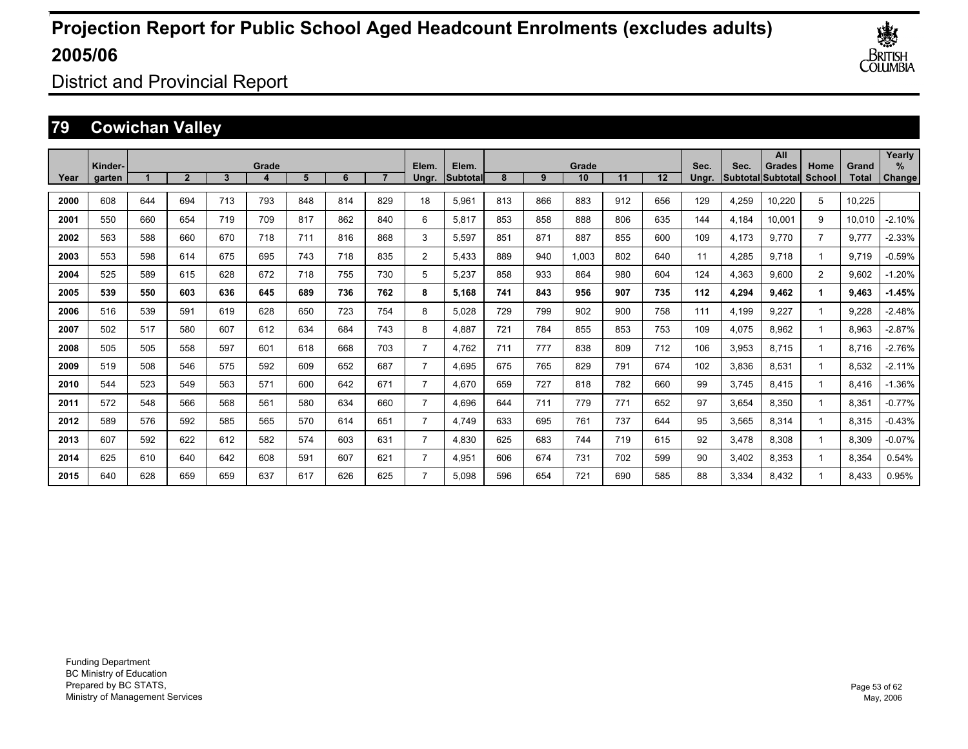

District and Provincial Report

### **79 Cowichan Valley**

|      | Kinder- |     |                |     | Grade |     |     |     | Elem.          | Elem.     |     |     | Grade |     |     | Sec.  | Sec.  | All<br><b>Grades</b> | Home           | Grand        | Yearly<br>% |
|------|---------|-----|----------------|-----|-------|-----|-----|-----|----------------|-----------|-----|-----|-------|-----|-----|-------|-------|----------------------|----------------|--------------|-------------|
| Year | garten  |     | $\overline{2}$ | 3   |       | 5   | 6   |     | Ungr.          | Subtotall | 8   | 9   | 10    | 11  | 12  | Ungr. |       | Subtotal Subtotal    | School         | <b>Total</b> | Change      |
| 2000 | 608     | 644 | 694            | 713 | 793   | 848 | 814 | 829 | 18             | 5,961     | 813 | 866 | 883   | 912 | 656 | 129   | 4,259 | 10,220               | 5              | 10.225       |             |
| 2001 | 550     | 660 | 654            | 719 | 709   | 817 | 862 | 840 | 6              | 5.817     | 853 | 858 | 888   | 806 | 635 | 144   | 4,184 | 10.001               | 9              | 10,010       | $-2.10%$    |
| 2002 | 563     | 588 | 660            | 670 | 718   | 711 | 816 | 868 | 3              | 5,597     | 851 | 871 | 887   | 855 | 600 | 109   | 4,173 | 9.770                | $\overline{7}$ | 9.777        | $-2.33%$    |
| 2003 | 553     | 598 | 614            | 675 | 695   | 743 | 718 | 835 | $\overline{2}$ | 5.433     | 889 | 940 | 1.003 | 802 | 640 | 11    | 4,285 | 9.718                |                | 9.719        | $-0.59%$    |
| 2004 | 525     | 589 | 615            | 628 | 672   | 718 | 755 | 730 | 5              | 5,237     | 858 | 933 | 864   | 980 | 604 | 124   | 4,363 | 9.600                | $\overline{2}$ | 9,602        | $-1.20%$    |
| 2005 | 539     | 550 | 603            | 636 | 645   | 689 | 736 | 762 | 8              | 5.168     | 741 | 843 | 956   | 907 | 735 | 112   | 4,294 | 9.462                |                | 9,463        | $-1.45%$    |
| 2006 | 516     | 539 | 591            | 619 | 628   | 650 | 723 | 754 | 8              | 5.028     | 729 | 799 | 902   | 900 | 758 | 111   | 4,199 | 9.227                |                | 9,228        | $-2.48%$    |
| 2007 | 502     | 517 | 580            | 607 | 612   | 634 | 684 | 743 | 8              | 4,887     | 721 | 784 | 855   | 853 | 753 | 109   | 4,075 | 8,962                |                | 8,963        | $-2.87%$    |
| 2008 | 505     | 505 | 558            | 597 | 601   | 618 | 668 | 703 | $\overline{7}$ | 4.762     | 711 | 777 | 838   | 809 | 712 | 106   | 3,953 | 8,715                |                | 8.716        | $-2.76%$    |
| 2009 | 519     | 508 | 546            | 575 | 592   | 609 | 652 | 687 | $\overline{7}$ | 4,695     | 675 | 765 | 829   | 791 | 674 | 102   | 3,836 | 8,531                |                | 8,532        | $-2.11%$    |
| 2010 | 544     | 523 | 549            | 563 | 571   | 600 | 642 | 671 | $\overline{7}$ | 4,670     | 659 | 727 | 818   | 782 | 660 | 99    | 3,745 | 8,415                |                | 8,416        | $-1.36%$    |
| 2011 | 572     | 548 | 566            | 568 | 561   | 580 | 634 | 660 | $\overline{7}$ | 4,696     | 644 | 711 | 779   | 771 | 652 | 97    | 3,654 | 8,350                |                | 8,351        | $-0.77%$    |
| 2012 | 589     | 576 | 592            | 585 | 565   | 570 | 614 | 651 | 7              | 4.749     | 633 | 695 | 761   | 737 | 644 | 95    | 3,565 | 8,314                |                | 8,315        | $-0.43%$    |
| 2013 | 607     | 592 | 622            | 612 | 582   | 574 | 603 | 631 | 7              | 4,830     | 625 | 683 | 744   | 719 | 615 | 92    | 3,478 | 8.308                |                | 8,309        | $-0.07%$    |
| 2014 | 625     | 610 | 640            | 642 | 608   | 591 | 607 | 621 | 7              | 4,951     | 606 | 674 | 731   | 702 | 599 | 90    | 3,402 | 8,353                |                | 8,354        | 0.54%       |
| 2015 | 640     | 628 | 659            | 659 | 637   | 617 | 626 | 625 | 7              | 5.098     | 596 | 654 | 721   | 690 | 585 | 88    | 3,334 | 8.432                |                | 8.433        | 0.95%       |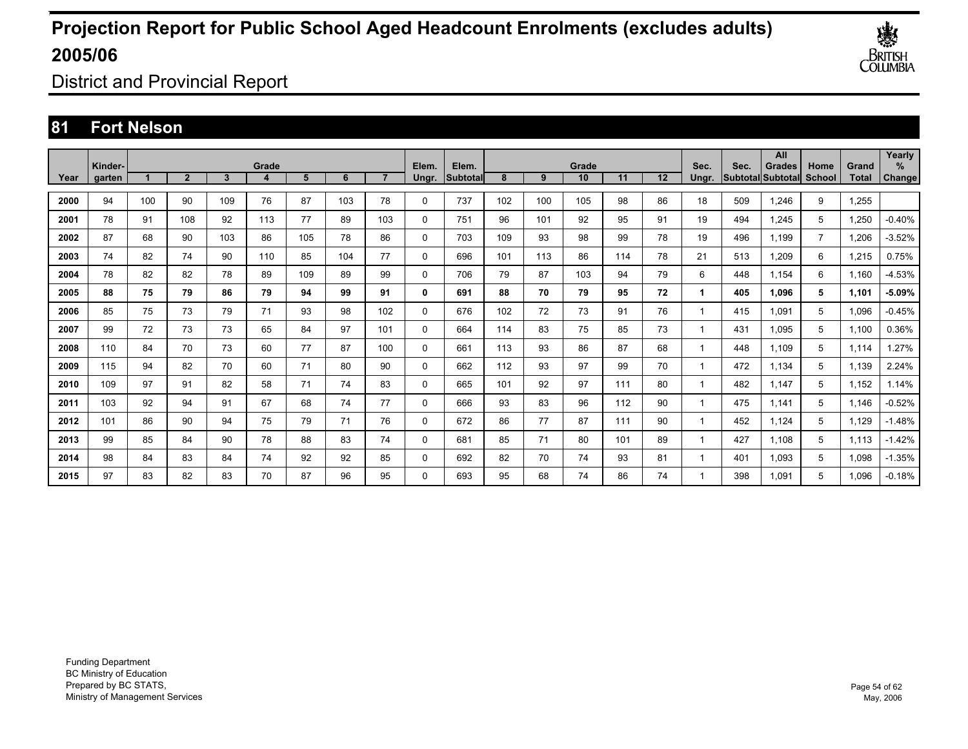

District and Provincial Report

### **81 Fort Nelson**

|      | Kinder- |     |                |     | Grade |     |     |     | Elem.        | Elem.           |     |     | Grade |     |    | Sec.  | Sec. | All<br><b>Grades</b> | Home           | Grand | Yearly<br>$\%$ |
|------|---------|-----|----------------|-----|-------|-----|-----|-----|--------------|-----------------|-----|-----|-------|-----|----|-------|------|----------------------|----------------|-------|----------------|
| Year | garten  |     | $\overline{2}$ | 3   |       | 5   | 6   |     | Ungr.        | <b>Subtotal</b> | 8   | 9   | 10    | 11  | 12 | Ungr. |      | Subtotal Subtotal    | <b>School</b>  | Total | Change         |
| 2000 | 94      | 100 | 90             | 109 | 76    | 87  | 103 | 78  | 0            | 737             | 102 | 100 | 105   | 98  | 86 | 18    | 509  | 1.246                | 9              | 1,255 |                |
| 2001 | 78      | 91  | 108            | 92  | 113   | 77  | 89  | 103 | 0            | 751             | 96  | 101 | 92    | 95  | 91 | 19    | 494  | 1.245                | 5              | 1,250 | $-0.40%$       |
| 2002 | 87      | 68  | 90             | 103 | 86    | 105 | 78  | 86  | 0            | 703             | 109 | 93  | 98    | 99  | 78 | 19    | 496  | 1.199                | $\overline{7}$ | 1,206 | $-3.52%$       |
| 2003 | 74      | 82  | 74             | 90  | 110   | 85  | 104 | 77  | 0            | 696             | 101 | 113 | 86    | 114 | 78 | 21    | 513  | 1.209                | 6              | 1,215 | 0.75%          |
| 2004 | 78      | 82  | 82             | 78  | 89    | 109 | 89  | 99  | 0            | 706             | 79  | 87  | 103   | 94  | 79 | 6     | 448  | 1.154                | 6              | 1.160 | $-4.53%$       |
| 2005 | 88      | 75  | 79             | 86  | 79    | 94  | 99  | 91  | 0            | 691             | 88  | 70  | 79    | 95  | 72 | 1     | 405  | 1.096                | 5              | 1,101 | $-5.09%$       |
| 2006 | 85      | 75  | 73             | 79  | 71    | 93  | 98  | 102 | 0            | 676             | 102 | 72  | 73    | 91  | 76 | 1     | 415  | 1.091                | 5              | 1.096 | $-0.45%$       |
| 2007 | 99      | 72  | 73             | 73  | 65    | 84  | 97  | 101 | 0            | 664             | 114 | 83  | 75    | 85  | 73 | 1     | 431  | 1,095                | 5              | 1,100 | 0.36%          |
| 2008 | 110     | 84  | 70             | 73  | 60    | 77  | 87  | 100 | 0            | 661             | 113 | 93  | 86    | 87  | 68 | 1     | 448  | 1,109                | 5              | 1,114 | .27%           |
| 2009 | 115     | 94  | 82             | 70  | 60    | 71  | 80  | 90  | 0            | 662             | 112 | 93  | 97    | 99  | 70 | 1     | 472  | 1,134                | 5              | 1,139 | 2.24%          |
| 2010 | 109     | 97  | 91             | 82  | 58    | 71  | 74  | 83  | 0            | 665             | 101 | 92  | 97    | 111 | 80 | 1     | 482  | 1,147                | 5              | 1,152 | 1.14%          |
| 2011 | 103     | 92  | 94             | 91  | 67    | 68  | 74  | 77  | 0            | 666             | 93  | 83  | 96    | 112 | 90 | 1     | 475  | 1,141                | 5              | 1,146 | $-0.52%$       |
| 2012 | 101     | 86  | 90             | 94  | 75    | 79  | 71  | 76  | 0            | 672             | 86  | 77  | 87    | 111 | 90 | 1     | 452  | 1,124                | 5              | 1,129 | $-1.48%$       |
| 2013 | 99      | 85  | 84             | 90  | 78    | 88  | 83  | 74  | 0            | 681             | 85  | 71  | 80    | 101 | 89 | 1     | 427  | 1.108                | 5              | 1,113 | $-1.42%$       |
| 2014 | 98      | 84  | 83             | 84  | 74    | 92  | 92  | 85  | 0            | 692             | 82  | 70  | 74    | 93  | 81 | 1     | 401  | 1,093                | 5              | 1,098 | $-1.35%$       |
| 2015 | 97      | 83  | 82             | 83  | 70    | 87  | 96  | 95  | $\mathbf{0}$ | 693             | 95  | 68  | 74    | 86  | 74 | 1     | 398  | 1.091                | 5              | 1.096 | $-0.18%$       |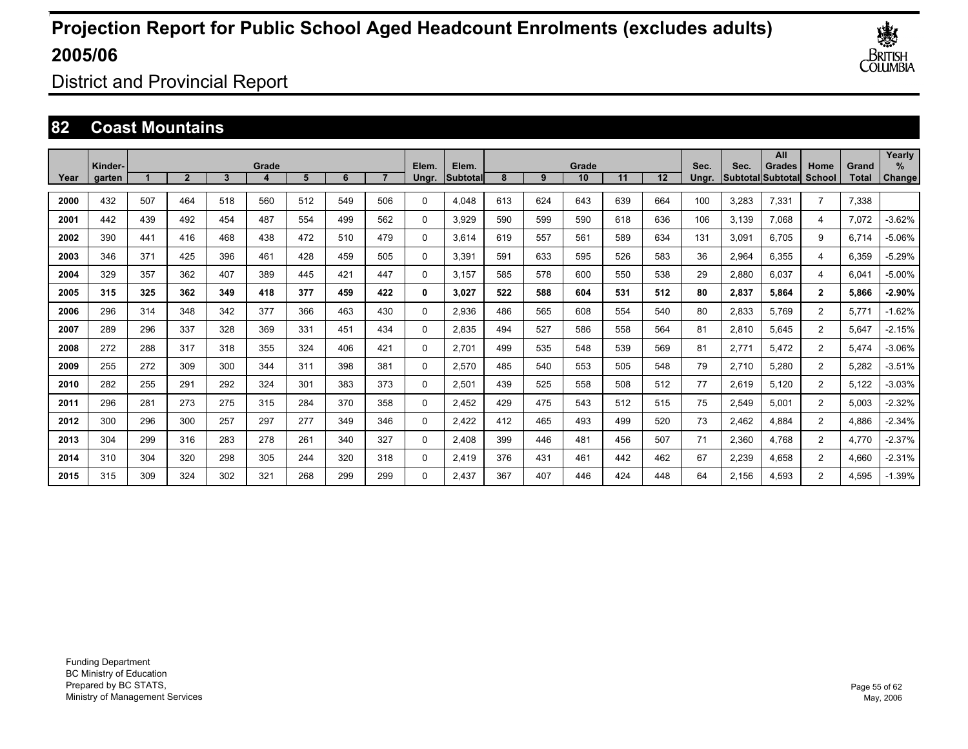

District and Provincial Report

### **82 Coast Mountains**

|      | Kinder- |     |              |     | Grade |     |     |     | Elem.    | Elem.    |     |     | Grade |     |                   | Sec.  | Sec.  | All<br>Grades             | Home           | Grand | Yearly<br>$\%$ |
|------|---------|-----|--------------|-----|-------|-----|-----|-----|----------|----------|-----|-----|-------|-----|-------------------|-------|-------|---------------------------|----------------|-------|----------------|
| Year | garten  |     | $\mathbf{2}$ | 3   |       | 5   | 6   |     | Ungr.    | Subtotal | 8   | 9   | 10    | 11  | $12 \overline{ }$ | Unar. |       | <b>SubtotallSubtotall</b> | <b>School</b>  | Total | Change         |
| 2000 | 432     | 507 | 464          | 518 | 560   | 512 | 549 | 506 | 0        | 4,048    | 613 | 624 | 643   | 639 | 664               | 100   | 3,283 | 7,331                     | $\overline{7}$ | 7,338 |                |
| 2001 | 442     | 439 | 492          | 454 | 487   | 554 | 499 | 562 | 0        | 3.929    | 590 | 599 | 590   | 618 | 636               | 106   | 3.139 | 7.068                     | 4              | 7,072 | $-3.62%$       |
| 2002 | 390     | 441 | 416          | 468 | 438   | 472 | 510 | 479 | 0        | 3.614    | 619 | 557 | 561   | 589 | 634               | 131   | 3,091 | 6.705                     | 9              | 6,714 | $-5.06%$       |
| 2003 | 346     | 371 | 425          | 396 | 461   | 428 | 459 | 505 | 0        | 3,391    | 591 | 633 | 595   | 526 | 583               | 36    | 2,964 | 6,355                     | 4              | 6,359 | $-5.29%$       |
| 2004 | 329     | 357 | 362          | 407 | 389   | 445 | 421 | 447 | 0        | 3.157    | 585 | 578 | 600   | 550 | 538               | 29    | 2,880 | 6.037                     | 4              | 6,041 | $-5.00%$       |
| 2005 | 315     | 325 | 362          | 349 | 418   | 377 | 459 | 422 | 0        | 3.027    | 522 | 588 | 604   | 531 | 512               | 80    | 2,837 | 5.864                     | $\overline{2}$ | 5,866 | $-2.90%$       |
| 2006 | 296     | 314 | 348          | 342 | 377   | 366 | 463 | 430 | 0        | 2.936    | 486 | 565 | 608   | 554 | 540               | 80    | 2,833 | 5.769                     | $\overline{2}$ | 5.771 | $-1.62%$       |
| 2007 | 289     | 296 | 337          | 328 | 369   | 331 | 451 | 434 | 0        | 2,835    | 494 | 527 | 586   | 558 | 564               | 81    | 2,810 | 5,645                     | $\overline{2}$ | 5,647 | $-2.15%$       |
| 2008 | 272     | 288 | 317          | 318 | 355   | 324 | 406 | 421 | 0        | 2,701    | 499 | 535 | 548   | 539 | 569               | 81    | 2,771 | 5,472                     | $\overline{2}$ | 5,474 | $-3.06%$       |
| 2009 | 255     | 272 | 309          | 300 | 344   | 311 | 398 | 381 | $\Omega$ | 2,570    | 485 | 540 | 553   | 505 | 548               | 79    | 2,710 | 5,280                     | $\overline{2}$ | 5,282 | $-3.51%$       |
| 2010 | 282     | 255 | 291          | 292 | 324   | 301 | 383 | 373 | 0        | 2,501    | 439 | 525 | 558   | 508 | 512               | 77    | 2,619 | 5,120                     | $\overline{2}$ | 5,122 | $-3.03%$       |
| 2011 | 296     | 281 | 273          | 275 | 315   | 284 | 370 | 358 | 0        | 2,452    | 429 | 475 | 543   | 512 | 515               | 75    | 2,549 | 5,001                     | $\overline{2}$ | 5,003 | $-2.32%$       |
| 2012 | 300     | 296 | 300          | 257 | 297   | 277 | 349 | 346 | 0        | 2,422    | 412 | 465 | 493   | 499 | 520               | 73    | 2,462 | 4,884                     | $\overline{2}$ | 4,886 | $-2.34%$       |
| 2013 | 304     | 299 | 316          | 283 | 278   | 261 | 340 | 327 | 0        | 2,408    | 399 | 446 | 481   | 456 | 507               | 71    | 2,360 | 4.768                     | $\overline{2}$ | 4,770 | $-2.37%$       |
| 2014 | 310     | 304 | 320          | 298 | 305   | 244 | 320 | 318 | 0        | 2.419    | 376 | 431 | 461   | 442 | 462               | 67    | 2,239 | 4,658                     | $\overline{2}$ | 4,660 | $-2.31%$       |
| 2015 | 315     | 309 | 324          | 302 | 321   | 268 | 299 | 299 | $\Omega$ | 2.437    | 367 | 407 | 446   | 424 | 448               | 64    | 2.156 | 4.593                     | $\overline{2}$ | 4.595 | $-1.39%$       |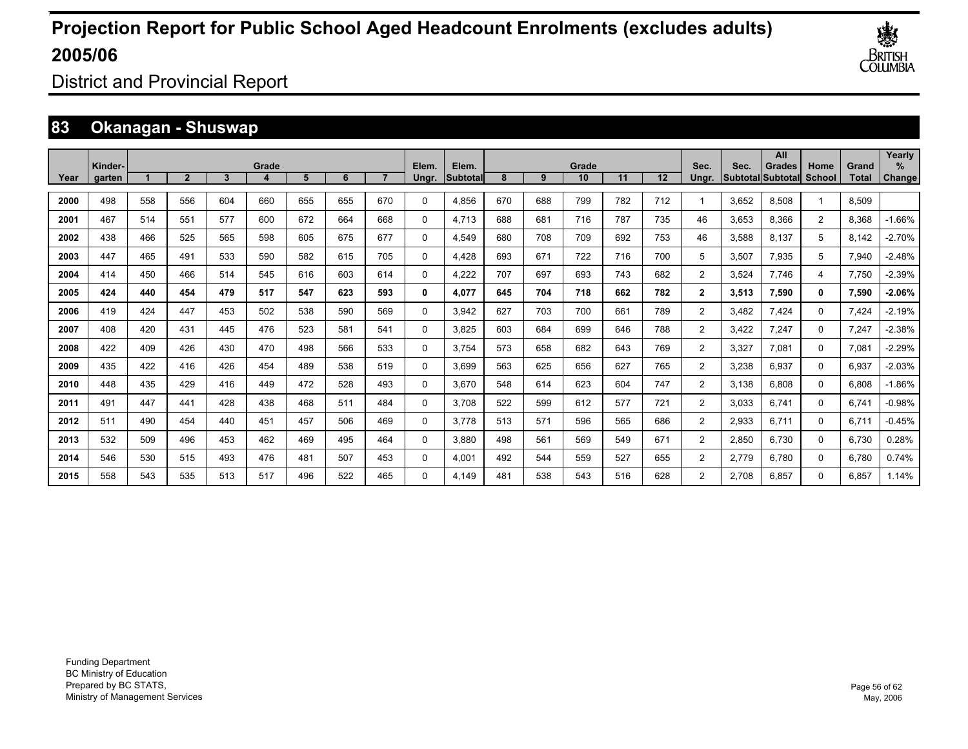

District and Provincial Report

### **83 Okanagan - Shuswap**

|      |                   |     |                |     |       |     |     |     |                |                   |     |     |             |     |     |                |       | All                                |                |                       | Yearly         |
|------|-------------------|-----|----------------|-----|-------|-----|-----|-----|----------------|-------------------|-----|-----|-------------|-----|-----|----------------|-------|------------------------------------|----------------|-----------------------|----------------|
| Year | Kinder-<br>garten |     | $\overline{2}$ | 3   | Grade | 5   | 6   |     | Elem.<br>Ungr. | Elem.<br>Subtotal | 8   | 9   | Grade<br>10 | 11  | 12  | Sec.<br>Unar.  | Sec.  | Grades<br><b>Subtotal Subtotal</b> | Home<br>School | Grand<br><b>Total</b> | $\%$<br>Change |
|      |                   |     |                |     |       |     |     |     |                |                   |     |     |             |     |     |                |       |                                    |                |                       |                |
| 2000 | 498               | 558 | 556            | 604 | 660   | 655 | 655 | 670 | $\Omega$       | 4.856             | 670 | 688 | 799         | 782 | 712 | 1              | 3,652 | 8.508                              | $\overline{ }$ | 8,509                 |                |
| 2001 | 467               | 514 | 551            | 577 | 600   | 672 | 664 | 668 | 0              | 4.713             | 688 | 681 | 716         | 787 | 735 | 46             | 3,653 | 8,366                              | $\overline{2}$ | 8,368                 | $-1.66%$       |
| 2002 | 438               | 466 | 525            | 565 | 598   | 605 | 675 | 677 | 0              | 4,549             | 680 | 708 | 709         | 692 | 753 | 46             | 3,588 | 8,137                              | 5              | 8,142                 | $-2.70%$       |
| 2003 | 447               | 465 | 491            | 533 | 590   | 582 | 615 | 705 | 0              | 4,428             | 693 | 671 | 722         | 716 | 700 | 5              | 3,507 | 7,935                              | 5              | 7,940                 | $-2.48%$       |
| 2004 | 414               | 450 | 466            | 514 | 545   | 616 | 603 | 614 | 0              | 4,222             | 707 | 697 | 693         | 743 | 682 | $\overline{2}$ | 3,524 | 7.746                              | 4              | 7,750                 | $-2.39%$       |
| 2005 | 424               | 440 | 454            | 479 | 517   | 547 | 623 | 593 | 0              | 4.077             | 645 | 704 | 718         | 662 | 782 | $\mathbf{2}$   | 3,513 | 7,590                              | 0              | 7,590                 | -2.06%         |
| 2006 | 419               | 424 | 447            | 453 | 502   | 538 | 590 | 569 | 0              | 3,942             | 627 | 703 | 700         | 661 | 789 | $\overline{2}$ | 3,482 | 7.424                              | $\Omega$       | 7,424                 | $-2.19%$       |
| 2007 | 408               | 420 | 431            | 445 | 476   | 523 | 581 | 541 | 0              | 3.825             | 603 | 684 | 699         | 646 | 788 | $\overline{2}$ | 3,422 | 7.247                              | 0              | 7,247                 | $-2.38%$       |
| 2008 | 422               | 409 | 426            | 430 | 470   | 498 | 566 | 533 | 0              | 3.754             | 573 | 658 | 682         | 643 | 769 | $\overline{2}$ | 3,327 | 7.081                              | 0              | 7,081                 | $-2.29%$       |
| 2009 | 435               | 422 | 416            | 426 | 454   | 489 | 538 | 519 | 0              | 3.699             | 563 | 625 | 656         | 627 | 765 | $\overline{2}$ | 3,238 | 6,937                              | 0              | 6,937                 | $-2.03%$       |
| 2010 | 448               | 435 | 429            | 416 | 449   | 472 | 528 | 493 | 0              | 3.670             | 548 | 614 | 623         | 604 | 747 | $\overline{2}$ | 3,138 | 6,808                              | 0              | 6,808                 | $-1.86%$       |
| 2011 | 491               | 447 | 441            | 428 | 438   | 468 | 511 | 484 | 0              | 3.708             | 522 | 599 | 612         | 577 | 721 | $\overline{2}$ | 3,033 | 6,741                              | 0              | 6.741                 | $-0.98%$       |
| 2012 | 511               | 490 | 454            | 440 | 451   | 457 | 506 | 469 | 0              | 3.778             | 513 | 571 | 596         | 565 | 686 | $\overline{2}$ | 2,933 | 6,711                              | 0              | 6.711                 | $-0.45%$       |
| 2013 | 532               | 509 | 496            | 453 | 462   | 469 | 495 | 464 | 0              | 3.880             | 498 | 561 | 569         | 549 | 671 | $\overline{2}$ | 2,850 | 6.730                              | 0              | 6,730                 | 0.28%          |
| 2014 | 546               | 530 | 515            | 493 | 476   | 481 | 507 | 453 | 0              | 4.001             | 492 | 544 | 559         | 527 | 655 | $\overline{2}$ | 2,779 | 6.780                              | $\Omega$       | 6.780                 | 0.74%          |
| 2015 | 558               | 543 | 535            | 513 | 517   | 496 | 522 | 465 | $\Omega$       | 4.149             | 481 | 538 | 543         | 516 | 628 | $\overline{2}$ | 2.708 | 6.857                              | $\Omega$       | 6.857                 | 1.14%          |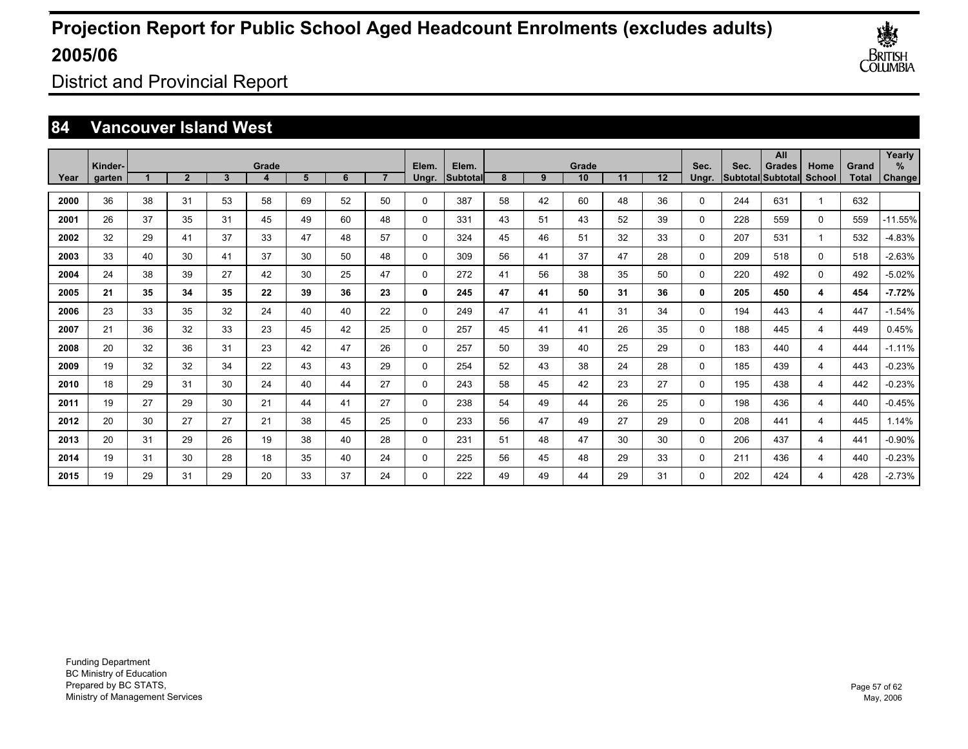

District and Provincial Report

### **84 Vancouver Island West**

| Year | Kinder-<br>garten |    | $\overline{2}$ | 3  | Grade | 5  | 6  |    | Elem.       | Elem.<br>Subtotal | 8  | 9  | Grade<br>10 | 11 | 12 | Sec.<br>Ungr. | Sec. | All<br><b>Grades</b><br>Subtotal Subtotal | Home<br><b>School</b> | Grand<br>Total | Yearly<br>$\%$ |
|------|-------------------|----|----------------|----|-------|----|----|----|-------------|-------------------|----|----|-------------|----|----|---------------|------|-------------------------------------------|-----------------------|----------------|----------------|
|      |                   |    |                |    | 4     |    |    |    | Ungr.       |                   |    |    |             |    |    |               |      |                                           |                       |                | Change         |
| 2000 | 36                | 38 | 31             | 53 | 58    | 69 | 52 | 50 | 0           | 387               | 58 | 42 | 60          | 48 | 36 | 0             | 244  | 631                                       |                       | 632            |                |
| 2001 | 26                | 37 | 35             | 31 | 45    | 49 | 60 | 48 | 0           | 331               | 43 | 51 | 43          | 52 | 39 | 0             | 228  | 559                                       | $\mathbf 0$           | 559            | $-11.55%$      |
| 2002 | 32                | 29 | 41             | 37 | 33    | 47 | 48 | 57 | 0           | 324               | 45 | 46 | 51          | 32 | 33 | 0             | 207  | 531                                       |                       | 532            | $-4.83%$       |
| 2003 | 33                | 40 | 30             | 41 | 37    | 30 | 50 | 48 | 0           | 309               | 56 | 41 | 37          | 47 | 28 | 0             | 209  | 518                                       | $\mathbf 0$           | 518            | $-2.63%$       |
| 2004 | 24                | 38 | 39             | 27 | 42    | 30 | 25 | 47 | 0           | 272               | 41 | 56 | 38          | 35 | 50 | 0             | 220  | 492                                       | $\mathbf 0$           | 492            | $-5.02%$       |
| 2005 | 21                | 35 | 34             | 35 | 22    | 39 | 36 | 23 | 0           | 245               | 47 | 41 | 50          | 31 | 36 | 0             | 205  | 450                                       | 4                     | 454            | $-7.72%$       |
| 2006 | 23                | 33 | 35             | 32 | 24    | 40 | 40 | 22 | $\mathbf 0$ | 249               | 47 | 41 | 41          | 31 | 34 | 0             | 194  | 443                                       | $\overline{4}$        | 447            | $-1.54%$       |
| 2007 | 21                | 36 | 32             | 33 | 23    | 45 | 42 | 25 | $\mathbf 0$ | 257               | 45 | 41 | 41          | 26 | 35 | 0             | 188  | 445                                       | $\overline{4}$        | 449            | 0.45%          |
| 2008 | 20                | 32 | 36             | 31 | 23    | 42 | 47 | 26 | $\mathbf 0$ | 257               | 50 | 39 | 40          | 25 | 29 | 0             | 183  | 440                                       | $\overline{4}$        | 444            | $-1.11%$       |
| 2009 | 19                | 32 | 32             | 34 | 22    | 43 | 43 | 29 | $\mathbf 0$ | 254               | 52 | 43 | 38          | 24 | 28 | 0             | 185  | 439                                       | $\overline{4}$        | 443            | $-0.23%$       |
| 2010 | 18                | 29 | 31             | 30 | 24    | 40 | 44 | 27 | $\mathbf 0$ | 243               | 58 | 45 | 42          | 23 | 27 | 0             | 195  | 438                                       | $\overline{4}$        | 442            | $-0.23%$       |
| 2011 | 19                | 27 | 29             | 30 | 21    | 44 | 41 | 27 | $\mathbf 0$ | 238               | 54 | 49 | 44          | 26 | 25 | 0             | 198  | 436                                       | $\overline{4}$        | 440            | $-0.45%$       |
| 2012 | 20                | 30 | 27             | 27 | 21    | 38 | 45 | 25 | 0           | 233               | 56 | 47 | 49          | 27 | 29 | 0             | 208  | 441                                       | $\overline{4}$        | 445            | 1.14%          |
| 2013 | 20                | 31 | 29             | 26 | 19    | 38 | 40 | 28 | 0           | 231               | 51 | 48 | 47          | 30 | 30 | 0             | 206  | 437                                       | $\overline{4}$        | 441            | $-0.90%$       |
| 2014 | 19                | 31 | 30             | 28 | 18    | 35 | 40 | 24 | 0           | 225               | 56 | 45 | 48          | 29 | 33 | 0             | 211  | 436                                       | $\overline{4}$        | 440            | $-0.23%$       |
| 2015 | 19                | 29 | 31             | 29 | 20    | 33 | 37 | 24 | 0           | 222               | 49 | 49 | 44          | 29 | 31 | 0             | 202  | 424                                       | 4                     | 428            | $-2.73%$       |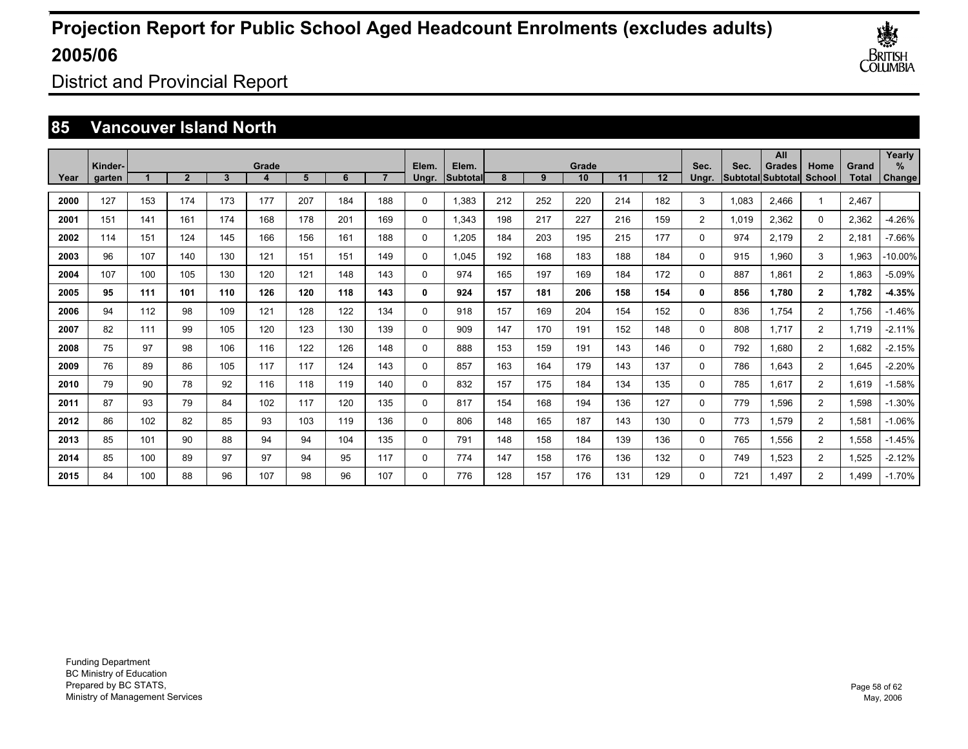

District and Provincial Report

### **85 Vancouver Island North**

|      |                   |     |                |     |       |     |     |     |                |                   |     |     |             |     |     |                |       | All                                       |                |                       | Yearly      |
|------|-------------------|-----|----------------|-----|-------|-----|-----|-----|----------------|-------------------|-----|-----|-------------|-----|-----|----------------|-------|-------------------------------------------|----------------|-----------------------|-------------|
| Year | Kinder-<br>garten |     | $\overline{2}$ | 3   | Grade | 5   | 6   |     | Elem.<br>Ungr. | Elem.<br>Subtotal | 8   | 9   | Grade<br>10 | 11  | 12  | Sec.<br>Ungr.  | Sec.  | <b>Grades</b><br><b>Subtotal Subtotal</b> | Home<br>School | Grand<br><b>Total</b> | %<br>Change |
| 2000 | 127               | 153 | 174            | 173 | 177   | 207 | 184 | 188 | 0              | 1,383             | 212 | 252 | 220         | 214 | 182 | 3              | 1,083 | 2.466                                     | 1              | 2,467                 |             |
| 2001 | 151               | 141 | 161            | 174 | 168   | 178 | 201 | 169 | 0              | 1,343             | 198 | 217 | 227         | 216 | 159 | $\overline{2}$ | 1,019 | 2,362                                     | 0              | 2,362                 | -4.26%      |
| 2002 | 114               | 151 | 124            | 145 | 166   | 156 | 161 | 188 | 0              | 1,205             | 184 | 203 | 195         | 215 | 177 | 0              | 974   | 2,179                                     | $\overline{2}$ | 2,181                 | $-7.66%$    |
| 2003 | 96                | 107 | 140            | 130 | 121   | 151 | 151 | 149 | 0              | 1.045             | 192 | 168 | 183         | 188 | 184 | 0              | 915   | 1,960                                     | 3              | 1,963                 | $-10.00\%$  |
| 2004 | 107               | 100 | 105            | 130 | 120   | 121 | 148 | 143 | 0              | 974               | 165 | 197 | 169         | 184 | 172 | $\Omega$       | 887   | 1.861                                     | $\overline{2}$ | 1,863                 | -5.09%      |
| 2005 | 95                | 111 | 101            | 110 | 126   | 120 | 118 | 143 | 0              | 924               | 157 | 181 | 206         | 158 | 154 | $\mathbf{0}$   | 856   | 1,780                                     | $\mathbf{2}$   | 1.782                 | -4.35%      |
| 2006 | 94                | 112 | 98             | 109 | 121   | 128 | 122 | 134 | 0              | 918               | 157 | 169 | 204         | 154 | 152 | $\Omega$       | 836   | 1.754                                     | $\overline{2}$ | 1,756                 | $-1.46%$    |
| 2007 | 82                | 111 | 99             | 105 | 120   | 123 | 130 | 139 | 0              | 909               | 147 | 170 | 191         | 152 | 148 | 0              | 808   | 1.717                                     | $\overline{2}$ | 1.719                 | $-2.11%$    |
| 2008 | 75                | 97  | 98             | 106 | 116   | 122 | 126 | 148 | 0              | 888               | 153 | 159 | 191         | 143 | 146 | 0              | 792   | 1.680                                     | $\overline{2}$ | 1,682                 | $-2.15%$    |
| 2009 | 76                | 89  | 86             | 105 | 117   | 117 | 124 | 143 | 0              | 857               | 163 | 164 | 179         | 143 | 137 | 0              | 786   | 1,643                                     | $\overline{2}$ | 1,645                 | $-2.20%$    |
| 2010 | 79                | 90  | 78             | 92  | 116   | 118 | 119 | 140 | 0              | 832               | 157 | 175 | 184         | 134 | 135 | 0              | 785   | 1,617                                     | $\overline{2}$ | 1,619                 | $-1.58%$    |
| 2011 | 87                | 93  | 79             | 84  | 102   | 117 | 120 | 135 | 0              | 817               | 154 | 168 | 194         | 136 | 127 | 0              | 779   | 1,596                                     | $\overline{2}$ | 1,598                 | $-1.30%$    |
| 2012 | 86                | 102 | 82             | 85  | 93    | 103 | 119 | 136 | 0              | 806               | 148 | 165 | 187         | 143 | 130 | 0              | 773   | 1,579                                     | $\overline{2}$ | 1,581                 | $-1.06%$    |
| 2013 | 85                | 101 | 90             | 88  | 94    | 94  | 104 | 135 | 0              | 791               | 148 | 158 | 184         | 139 | 136 | 0              | 765   | 1,556                                     | $\overline{2}$ | 1,558                 | -1.45%      |
| 2014 | 85                | 100 | 89             | 97  | 97    | 94  | 95  | 117 | 0              | 774               | 147 | 158 | 176         | 136 | 132 | 0              | 749   | 1,523                                     | $\overline{2}$ | 1,525                 | $-2.12%$    |
| 2015 | 84                | 100 | 88             | 96  | 107   | 98  | 96  | 107 | $\Omega$       | 776               | 128 | 157 | 176         | 131 | 129 | $\Omega$       | 721   | 1.497                                     | $\overline{2}$ | 1.499                 | $-1.70%$    |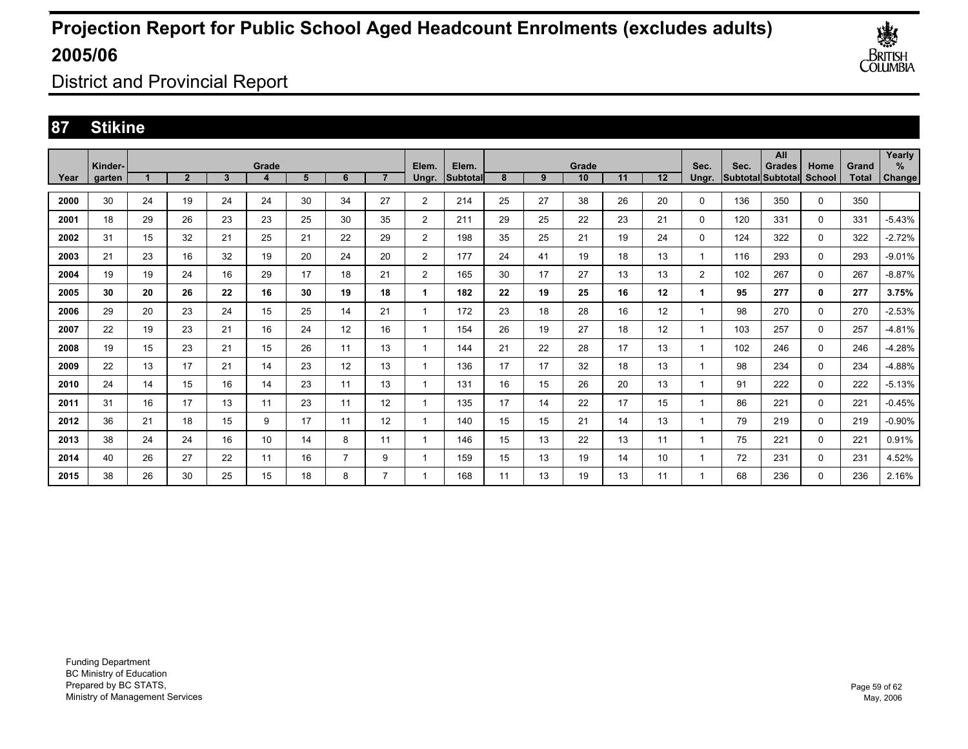

District and Provincial Report

### **87 Stikine**

|      |                   |    |                |              |            |    |                |                |                |                          |    |    |             |    |    |                |      | All                                |                       |                | Yearly         |
|------|-------------------|----|----------------|--------------|------------|----|----------------|----------------|----------------|--------------------------|----|----|-------------|----|----|----------------|------|------------------------------------|-----------------------|----------------|----------------|
| Year | Kinder-<br>garten |    | $\overline{2}$ | $\mathbf{3}$ | Grade<br>4 | 5  | 6              | $\overline{ }$ | Elem.<br>Ungr. | Elem.<br><b>Subtotal</b> | 8  | 9  | Grade<br>10 | 11 | 12 | Sec.<br>Ungr.  | Sec. | <b>Grades</b><br>Subtotal Subtotal | Home<br><b>School</b> | Grand<br>Total | $\%$<br>Change |
|      |                   |    |                |              |            |    |                |                |                |                          |    |    |             |    |    |                |      |                                    |                       |                |                |
| 2000 | 30                | 24 | 19             | 24           | 24         | 30 | 34             | 27             | $\overline{2}$ | 214                      | 25 | 27 | 38          | 26 | 20 | 0              | 136  | 350                                | $\Omega$              | 350            |                |
| 2001 | 18                | 29 | 26             | 23           | 23         | 25 | 30             | 35             | 2              | 211                      | 29 | 25 | 22          | 23 | 21 | 0              | 120  | 331                                | $\mathbf{0}$          | 331            | $-5.43%$       |
| 2002 | 31                | 15 | 32             | 21           | 25         | 21 | 22             | 29             | $\overline{2}$ | 198                      | 35 | 25 | 21          | 19 | 24 | 0              | 124  | 322                                | 0                     | 322            | $-2.72%$       |
| 2003 | 21                | 23 | 16             | 32           | 19         | 20 | 24             | 20             | $\overline{2}$ | 177                      | 24 | 41 | 19          | 18 | 13 |                | 116  | 293                                | 0                     | 293            | $-9.01%$       |
| 2004 | 19                | 19 | 24             | 16           | 29         | 17 | 18             | 21             | 2              | 165                      | 30 | 17 | 27          | 13 | 13 | $\overline{2}$ | 102  | 267                                | 0                     | 267            | $-8.87%$       |
| 2005 | 30                | 20 | 26             | 22           | 16         | 30 | 19             | 18             | 1              | 182                      | 22 | 19 | 25          | 16 | 12 |                | 95   | 277                                | 0                     | 277            | 3.75%          |
| 2006 | 29                | 20 | 23             | 24           | 15         | 25 | 14             | 21             | 1              | 172                      | 23 | 18 | 28          | 16 | 12 |                | 98   | 270                                | $\mathbf 0$           | 270            | $-2.53%$       |
| 2007 | 22                | 19 | 23             | 21           | 16         | 24 | 12             | 16             |                | 154                      | 26 | 19 | 27          | 18 | 12 |                | 103  | 257                                | $\mathbf 0$           | 257            | $-4.81%$       |
| 2008 | 19                | 15 | 23             | 21           | 15         | 26 | 11             | 13             | 1              | 144                      | 21 | 22 | 28          | 17 | 13 |                | 102  | 246                                | $\mathbf 0$           | 246            | $-4.28%$       |
| 2009 | 22                | 13 | 17             | 21           | 14         | 23 | 12             | 13             | 1              | 136                      | 17 | 17 | 32          | 18 | 13 |                | 98   | 234                                | $\mathbf 0$           | 234            | -4.88%         |
| 2010 | 24                | 14 | 15             | 16           | 14         | 23 | 11             | 13             | 1              | 131                      | 16 | 15 | 26          | 20 | 13 |                | 91   | 222                                | $\mathbf 0$           | 222            | $-5.13%$       |
| 2011 | 31                | 16 | 17             | 13           | 11         | 23 | 11             | 12             | 1              | 135                      | 17 | 14 | 22          | 17 | 15 |                | 86   | 221                                | $\mathbf 0$           | 221            | $-0.45%$       |
| 2012 | 36                | 21 | 18             | 15           | 9          | 17 | 11             | 12             | 1              | 140                      | 15 | 15 | 21          | 14 | 13 |                | 79   | 219                                | $\mathbf 0$           | 219            | $-0.90\%$      |
| 2013 | 38                | 24 | 24             | 16           | 10         | 14 | 8              | 11             | 1              | 146                      | 15 | 13 | 22          | 13 | 11 |                | 75   | 221                                | $\mathbf 0$           | 221            | 0.91%          |
| 2014 | 40                | 26 | 27             | 22           | 11         | 16 | $\overline{7}$ | 9              |                | 159                      | 15 | 13 | 19          | 14 | 10 |                | 72   | 231                                | 0                     | 231            | 4.52%          |
| 2015 | 38                | 26 | 30             | 25           | 15         | 18 | 8              |                |                | 168                      | 11 | 13 | 19          | 13 | 11 |                | 68   | 236                                | 0                     | 236            | 2.16%          |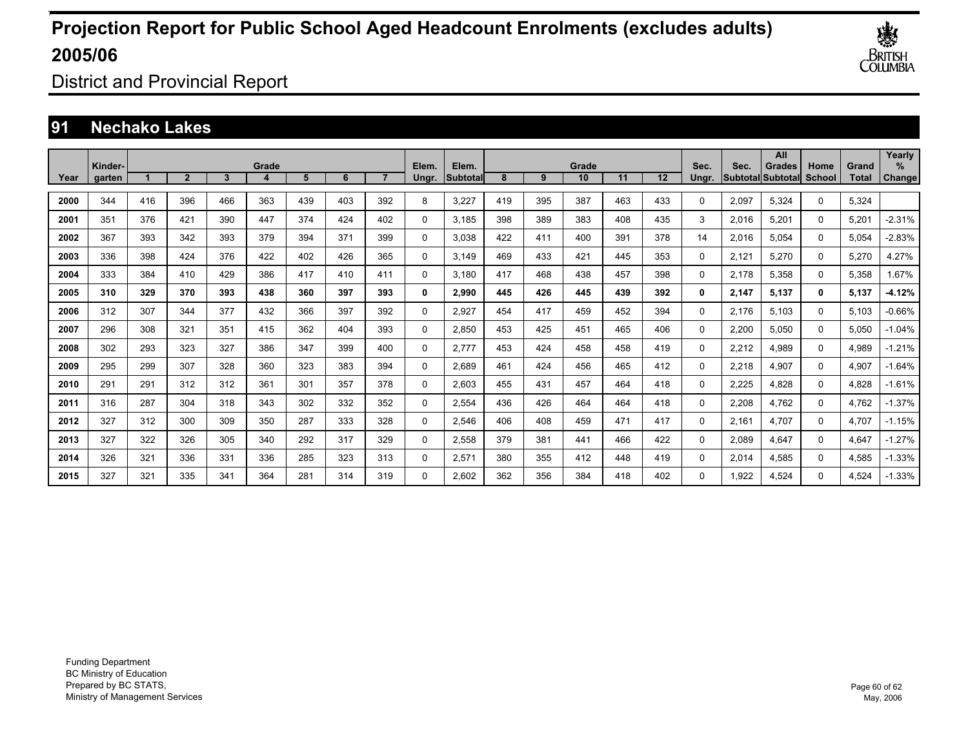

District and Provincial Report

### **91 Nechako Lakes**

|      | Kinder- |     |                |     | Grade |     |     |     | Elem.    | Elem.     | Grade |     |     |     |     |               | Sec.  | All<br><b>Grades</b>      | Home     | Grand | Yearly<br>$\%$ |
|------|---------|-----|----------------|-----|-------|-----|-----|-----|----------|-----------|-------|-----|-----|-----|-----|---------------|-------|---------------------------|----------|-------|----------------|
| Year | garten  |     | $\overline{2}$ | 3   |       | 5   | 6   |     | Ungr.    | lSubtotal | 8     | 9   | 10  | 11  | 12  | Sec.<br>Unar. |       | <b>SubtotallSubtotall</b> | School   | Total | Change         |
| 2000 | 344     | 416 | 396            | 466 | 363   | 439 | 403 | 392 | 8        | 3,227     | 419   | 395 | 387 | 463 | 433 | 0             | 2,097 | 5,324                     | 0        | 5,324 |                |
| 2001 | 351     | 376 | 421            | 390 | 447   | 374 | 424 | 402 | 0        | 3,185     | 398   | 389 | 383 | 408 | 435 | 3             | 2,016 | 5,201                     | 0        | 5,201 | $-2.31%$       |
| 2002 | 367     | 393 | 342            | 393 | 379   | 394 | 371 | 399 | 0        | 3,038     | 422   | 411 | 400 | 391 | 378 | 14            | 2,016 | 5,054                     | 0        | 5,054 | $-2.83%$       |
| 2003 | 336     | 398 | 424            | 376 | 422   | 402 | 426 | 365 | 0        | 3.149     | 469   | 433 | 421 | 445 | 353 | 0             | 2,121 | 5,270                     | 0        | 5,270 | 4.27%          |
| 2004 | 333     | 384 | 410            | 429 | 386   | 417 | 410 | 411 | 0        | 3.180     | 417   | 468 | 438 | 457 | 398 | 0             | 2,178 | 5,358                     | 0        | 5,358 | 1.67%          |
| 2005 | 310     | 329 | 370            | 393 | 438   | 360 | 397 | 393 | 0        | 2,990     | 445   | 426 | 445 | 439 | 392 | 0             | 2,147 | 5,137                     | 0        | 5,137 | $-4.12%$       |
| 2006 | 312     | 307 | 344            | 377 | 432   | 366 | 397 | 392 | 0        | 2,927     | 454   | 417 | 459 | 452 | 394 | 0             | 2.176 | 5.103                     | 0        | 5,103 | $-0.66%$       |
| 2007 | 296     | 308 | 321            | 351 | 415   | 362 | 404 | 393 | 0        | 2.850     | 453   | 425 | 451 | 465 | 406 | 0             | 2,200 | 5.050                     | 0        | 5,050 | $-1.04%$       |
| 2008 | 302     | 293 | 323            | 327 | 386   | 347 | 399 | 400 | 0        | 2,777     | 453   | 424 | 458 | 458 | 419 | 0             | 2,212 | 4,989                     | 0        | 4,989 | $-1.21%$       |
| 2009 | 295     | 299 | 307            | 328 | 360   | 323 | 383 | 394 | 0        | 2,689     | 461   | 424 | 456 | 465 | 412 | 0             | 2,218 | 4,907                     | 0        | 4,907 | $-1.64%$       |
| 2010 | 291     | 291 | 312            | 312 | 361   | 301 | 357 | 378 | 0        | 2,603     | 455   | 431 | 457 | 464 | 418 | 0             | 2,225 | 4,828                     | 0        | 4,828 | $-1.61%$       |
| 2011 | 316     | 287 | 304            | 318 | 343   | 302 | 332 | 352 | 0        | 2,554     | 436   | 426 | 464 | 464 | 418 | 0             | 2,208 | 4.762                     | 0        | 4,762 | $-1.37%$       |
| 2012 | 327     | 312 | 300            | 309 | 350   | 287 | 333 | 328 | 0        | 2,546     | 406   | 408 | 459 | 471 | 417 | 0             | 2.161 | 4.707                     | 0        | 4,707 | $-1.15%$       |
| 2013 | 327     | 322 | 326            | 305 | 340   | 292 | 317 | 329 | 0        | 2,558     | 379   | 381 | 441 | 466 | 422 | $\Omega$      | 2,089 | 4.647                     | 0        | 4,647 | $-1.27%$       |
| 2014 | 326     | 321 | 336            | 331 | 336   | 285 | 323 | 313 | 0        | 2,571     | 380   | 355 | 412 | 448 | 419 | $\Omega$      | 2,014 | 4,585                     | 0        | 4,585 | $-1.33%$       |
| 2015 | 327     | 321 | 335            | 341 | 364   | 281 | 314 | 319 | $\Omega$ | 2.602     | 362   | 356 | 384 | 418 | 402 | 0             | 1.922 | 4.524                     | $\Omega$ | 4.524 | $-1.33%$       |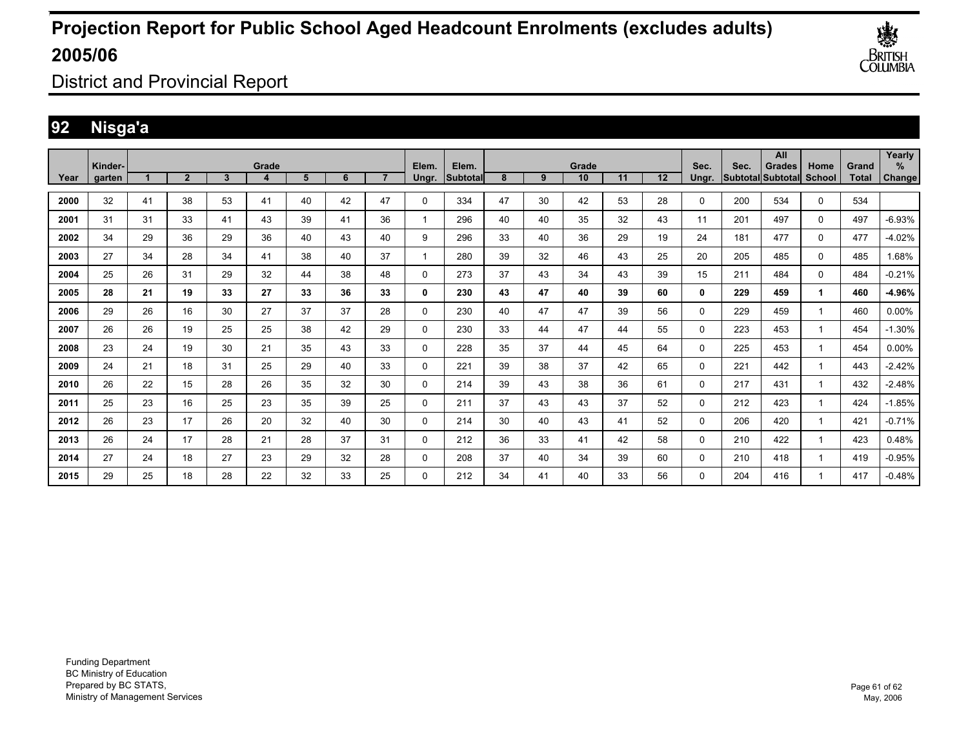

District and Provincial Report

### **92 Nisga'a**

|      | Kinder- |    |                |    | Grade |    |    |    | Elem.       | Elem.    |    |    | Grade |    |    | Sec.  | Sec.                     | All<br><b>Grades</b> | Home          | Grand        | Yearly<br>$\%$ |
|------|---------|----|----------------|----|-------|----|----|----|-------------|----------|----|----|-------|----|----|-------|--------------------------|----------------------|---------------|--------------|----------------|
| Year | aarten  |    | $\overline{2}$ | 3  | 4     | 5  | 6  |    | Ungr.       | Subtotal | 8  | 9  | 10    | 11 | 12 | Unar. | <b>Subtotal Subtotal</b> |                      | <b>School</b> | <b>Total</b> | Change         |
| 2000 | 32      | 41 | 38             | 53 | 41    | 40 | 42 | 47 | $\mathbf 0$ | 334      | 47 | 30 | 42    | 53 | 28 | 0     | 200                      | 534                  | 0             | 534          |                |
| 2001 | 31      | 31 | 33             | 41 | 43    | 39 | 41 | 36 | 1           | 296      | 40 | 40 | 35    | 32 | 43 | 11    | 201                      | 497                  | 0             | 497          | $-6.93%$       |
| 2002 | 34      | 29 | 36             | 29 | 36    | 40 | 43 | 40 | 9           | 296      | 33 | 40 | 36    | 29 | 19 | 24    | 181                      | 477                  | 0             | 477          | $-4.02%$       |
| 2003 | 27      | 34 | 28             | 34 | 41    | 38 | 40 | 37 | -1          | 280      | 39 | 32 | 46    | 43 | 25 | 20    | 205                      | 485                  | $\mathbf 0$   | 485          | 1.68%          |
| 2004 | 25      | 26 | 31             | 29 | 32    | 44 | 38 | 48 | 0           | 273      | 37 | 43 | 34    | 43 | 39 | 15    | 211                      | 484                  | 0             | 484          | $-0.21%$       |
| 2005 | 28      | 21 | 19             | 33 | 27    | 33 | 36 | 33 | 0           | 230      | 43 | 47 | 40    | 39 | 60 | 0     | 229                      | 459                  | 1             | 460          | -4.96%         |
| 2006 | 29      | 26 | 16             | 30 | 27    | 37 | 37 | 28 | $\mathbf 0$ | 230      | 40 | 47 | 47    | 39 | 56 | 0     | 229                      | 459                  |               | 460          | 0.00%          |
| 2007 | 26      | 26 | 19             | 25 | 25    | 38 | 42 | 29 | 0           | 230      | 33 | 44 | 47    | 44 | 55 | 0     | 223                      | 453                  | 1             | 454          | $-1.30%$       |
| 2008 | 23      | 24 | 19             | 30 | 21    | 35 | 43 | 33 | 0           | 228      | 35 | 37 | 44    | 45 | 64 | 0     | 225                      | 453                  | 1             | 454          | 0.00%          |
| 2009 | 24      | 21 | 18             | 31 | 25    | 29 | 40 | 33 | $\mathbf 0$ | 221      | 39 | 38 | 37    | 42 | 65 | 0     | 221                      | 442                  | 1             | 443          | $-2.42%$       |
| 2010 | 26      | 22 | 15             | 28 | 26    | 35 | 32 | 30 | 0           | 214      | 39 | 43 | 38    | 36 | 61 | 0     | 217                      | 431                  | 1             | 432          | $-2.48%$       |
| 2011 | 25      | 23 | 16             | 25 | 23    | 35 | 39 | 25 | 0           | 211      | 37 | 43 | 43    | 37 | 52 | 0     | 212                      | 423                  | 1             | 424          | $-1.85%$       |
| 2012 | 26      | 23 | 17             | 26 | 20    | 32 | 40 | 30 | $\mathbf 0$ | 214      | 30 | 40 | 43    | 41 | 52 | 0     | 206                      | 420                  | -1            | 421          | $-0.71%$       |
| 2013 | 26      | 24 | 17             | 28 | 21    | 28 | 37 | 31 | 0           | 212      | 36 | 33 | 41    | 42 | 58 | 0     | 210                      | 422                  | 1             | 423          | 0.48%          |
| 2014 | 27      | 24 | 18             | 27 | 23    | 29 | 32 | 28 | 0           | 208      | 37 | 40 | 34    | 39 | 60 | 0     | 210                      | 418                  | 1             | 419          | $-0.95%$       |
| 2015 | 29      | 25 | 18             | 28 | 22    | 32 | 33 | 25 | 0           | 212      | 34 | 41 | 40    | 33 | 56 | 0     | 204                      | 416                  |               | 417          | $-0.48%$       |